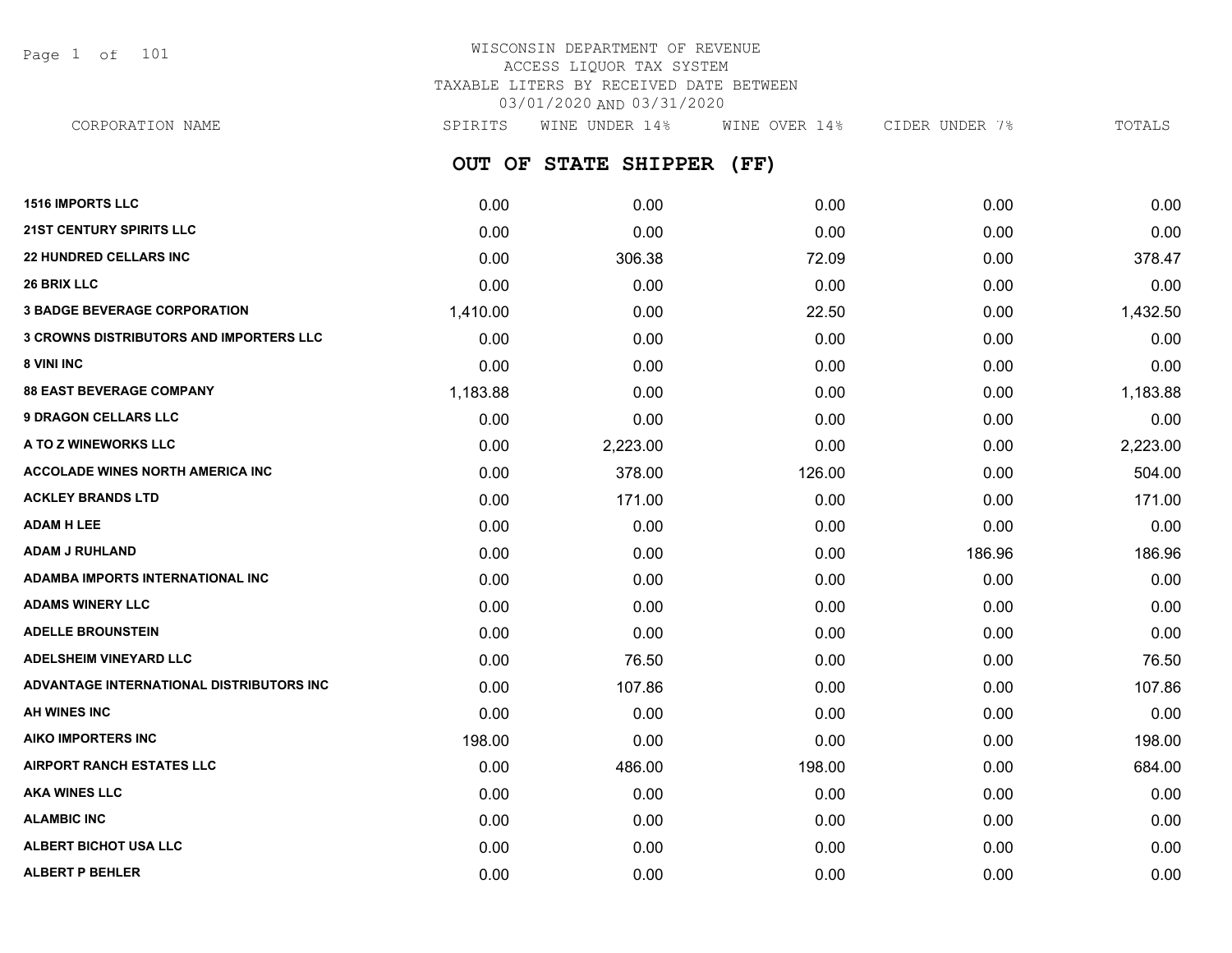Page 1 of 101

## WISCONSIN DEPARTMENT OF REVENUE ACCESS LIQUOR TAX SYSTEM TAXABLE LITERS BY RECEIVED DATE BETWEEN 03/01/2020 AND 03/31/2020

**OUT OF STATE SHIPPER (FF) 1516 IMPORTS LLC** 0.00 0.00 0.00 0.00 0.00 **21ST CENTURY SPIRITS LLC** 0.00 0.00 0.00 0.00 0.00 CORPORATION NAME SPIRITS WINE UNDER 14% WINE OVER 14% CIDER UNDER 7% TOTALS

| <b>22 HUNDRED CELLARS INC</b>                  | 0.00     | 306.38   | 72.09  | 0.00   | 378.47   |
|------------------------------------------------|----------|----------|--------|--------|----------|
| 26 BRIX LLC                                    | 0.00     | 0.00     | 0.00   | 0.00   | 0.00     |
| <b>3 BADGE BEVERAGE CORPORATION</b>            | 1,410.00 | 0.00     | 22.50  | 0.00   | 1,432.50 |
| <b>3 CROWNS DISTRIBUTORS AND IMPORTERS LLC</b> | 0.00     | 0.00     | 0.00   | 0.00   | 0.00     |
| 8 VINI INC                                     | 0.00     | 0.00     | 0.00   | 0.00   | 0.00     |
| <b>88 EAST BEVERAGE COMPANY</b>                | 1,183.88 | 0.00     | 0.00   | 0.00   | 1,183.88 |
| <b>9 DRAGON CELLARS LLC</b>                    | 0.00     | 0.00     | 0.00   | 0.00   | 0.00     |
| A TO Z WINEWORKS LLC                           | 0.00     | 2,223.00 | 0.00   | 0.00   | 2,223.00 |
| <b>ACCOLADE WINES NORTH AMERICA INC</b>        | 0.00     | 378.00   | 126.00 | 0.00   | 504.00   |
| <b>ACKLEY BRANDS LTD</b>                       | 0.00     | 171.00   | 0.00   | 0.00   | 171.00   |
| <b>ADAM H LEE</b>                              | 0.00     | 0.00     | 0.00   | 0.00   | 0.00     |
| <b>ADAM J RUHLAND</b>                          | 0.00     | 0.00     | 0.00   | 186.96 | 186.96   |
| ADAMBA IMPORTS INTERNATIONAL INC               | 0.00     | 0.00     | 0.00   | 0.00   | 0.00     |
| <b>ADAMS WINERY LLC</b>                        | 0.00     | 0.00     | 0.00   | 0.00   | 0.00     |
| <b>ADELLE BROUNSTEIN</b>                       | 0.00     | 0.00     | 0.00   | 0.00   | 0.00     |
| <b>ADELSHEIM VINEYARD LLC</b>                  | 0.00     | 76.50    | 0.00   | 0.00   | 76.50    |
| ADVANTAGE INTERNATIONAL DISTRIBUTORS INC       | 0.00     | 107.86   | 0.00   | 0.00   | 107.86   |
| <b>AH WINES INC</b>                            | 0.00     | 0.00     | 0.00   | 0.00   | 0.00     |
| AIKO IMPORTERS INC                             | 198.00   | 0.00     | 0.00   | 0.00   | 198.00   |
| <b>AIRPORT RANCH ESTATES LLC</b>               | 0.00     | 486.00   | 198.00 | 0.00   | 684.00   |
| <b>AKA WINES LLC</b>                           | 0.00     | 0.00     | 0.00   | 0.00   | 0.00     |
| <b>ALAMBIC INC</b>                             | 0.00     | 0.00     | 0.00   | 0.00   | 0.00     |
| <b>ALBERT BICHOT USA LLC</b>                   | 0.00     | 0.00     | 0.00   | 0.00   | 0.00     |
| <b>ALBERT P BEHLER</b>                         | 0.00     | 0.00     | 0.00   | 0.00   | 0.00     |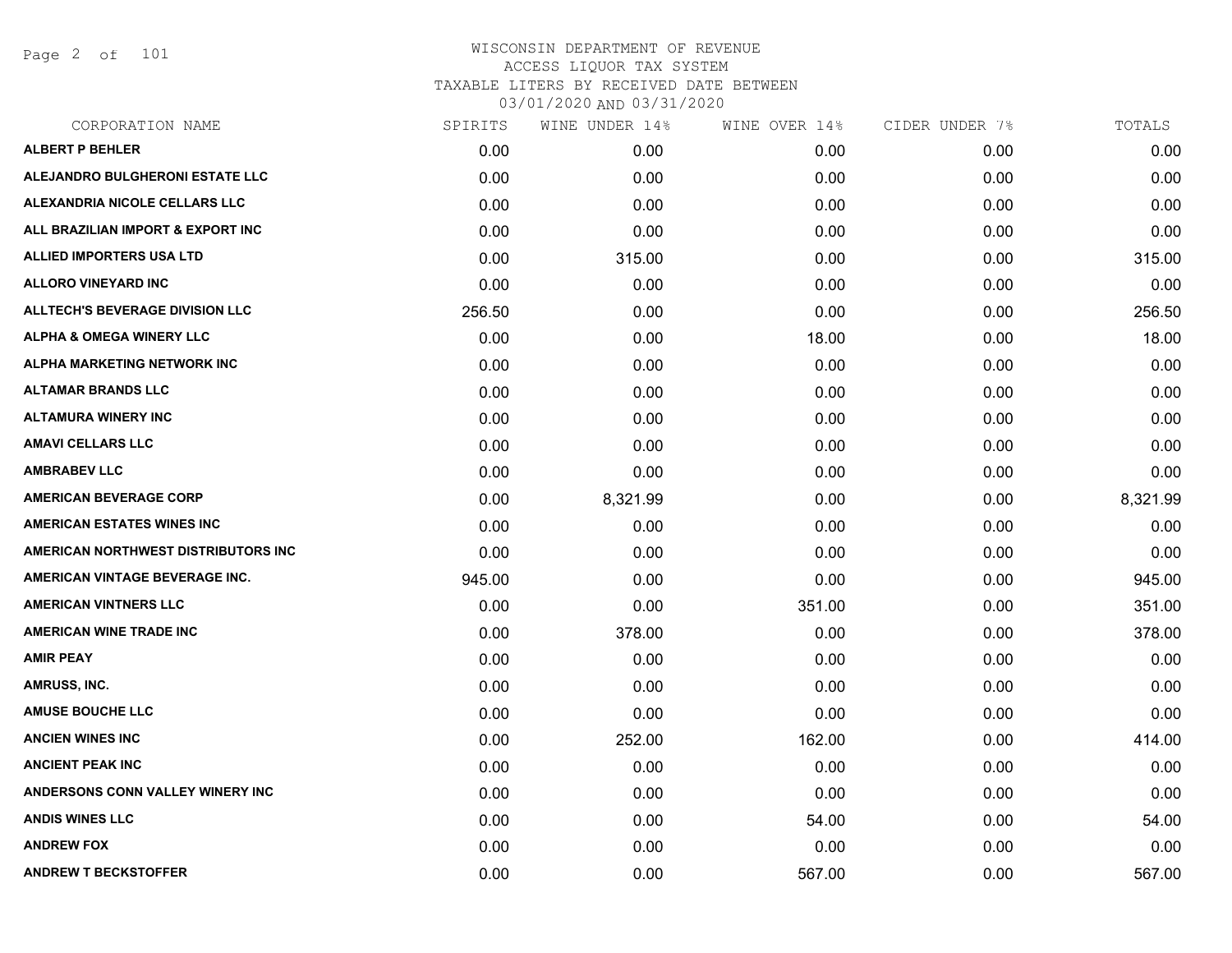Page 2 of 101

| CORPORATION NAME                    | SPIRITS | WINE UNDER 14% | WINE OVER 14% | CIDER UNDER 7% | TOTALS   |
|-------------------------------------|---------|----------------|---------------|----------------|----------|
| <b>ALBERT P BEHLER</b>              | 0.00    | 0.00           | 0.00          | 0.00           | 0.00     |
| ALEJANDRO BULGHERONI ESTATE LLC     | 0.00    | 0.00           | 0.00          | 0.00           | 0.00     |
| ALEXANDRIA NICOLE CELLARS LLC       | 0.00    | 0.00           | 0.00          | 0.00           | 0.00     |
| ALL BRAZILIAN IMPORT & EXPORT INC   | 0.00    | 0.00           | 0.00          | 0.00           | 0.00     |
| <b>ALLIED IMPORTERS USA LTD</b>     | 0.00    | 315.00         | 0.00          | 0.00           | 315.00   |
| <b>ALLORO VINEYARD INC</b>          | 0.00    | 0.00           | 0.00          | 0.00           | 0.00     |
| ALLTECH'S BEVERAGE DIVISION LLC     | 256.50  | 0.00           | 0.00          | 0.00           | 256.50   |
| <b>ALPHA &amp; OMEGA WINERY LLC</b> | 0.00    | 0.00           | 18.00         | 0.00           | 18.00    |
| ALPHA MARKETING NETWORK INC         | 0.00    | 0.00           | 0.00          | 0.00           | 0.00     |
| <b>ALTAMAR BRANDS LLC</b>           | 0.00    | 0.00           | 0.00          | 0.00           | 0.00     |
| <b>ALTAMURA WINERY INC</b>          | 0.00    | 0.00           | 0.00          | 0.00           | 0.00     |
| <b>AMAVI CELLARS LLC</b>            | 0.00    | 0.00           | 0.00          | 0.00           | 0.00     |
| <b>AMBRABEV LLC</b>                 | 0.00    | 0.00           | 0.00          | 0.00           | 0.00     |
| <b>AMERICAN BEVERAGE CORP</b>       | 0.00    | 8,321.99       | 0.00          | 0.00           | 8,321.99 |
| <b>AMERICAN ESTATES WINES INC</b>   | 0.00    | 0.00           | 0.00          | 0.00           | 0.00     |
| AMERICAN NORTHWEST DISTRIBUTORS INC | 0.00    | 0.00           | 0.00          | 0.00           | 0.00     |
| AMERICAN VINTAGE BEVERAGE INC.      | 945.00  | 0.00           | 0.00          | 0.00           | 945.00   |
| <b>AMERICAN VINTNERS LLC</b>        | 0.00    | 0.00           | 351.00        | 0.00           | 351.00   |
| <b>AMERICAN WINE TRADE INC</b>      | 0.00    | 378.00         | 0.00          | 0.00           | 378.00   |
| <b>AMIR PEAY</b>                    | 0.00    | 0.00           | 0.00          | 0.00           | 0.00     |
| AMRUSS, INC.                        | 0.00    | 0.00           | 0.00          | 0.00           | 0.00     |
| <b>AMUSE BOUCHE LLC</b>             | 0.00    | 0.00           | 0.00          | 0.00           | 0.00     |
| <b>ANCIEN WINES INC</b>             | 0.00    | 252.00         | 162.00        | 0.00           | 414.00   |
| <b>ANCIENT PEAK INC</b>             | 0.00    | 0.00           | 0.00          | 0.00           | 0.00     |
| ANDERSONS CONN VALLEY WINERY INC    | 0.00    | 0.00           | 0.00          | 0.00           | 0.00     |
| <b>ANDIS WINES LLC</b>              | 0.00    | 0.00           | 54.00         | 0.00           | 54.00    |
| <b>ANDREW FOX</b>                   | 0.00    | 0.00           | 0.00          | 0.00           | 0.00     |
| <b>ANDREW T BECKSTOFFER</b>         | 0.00    | 0.00           | 567.00        | 0.00           | 567.00   |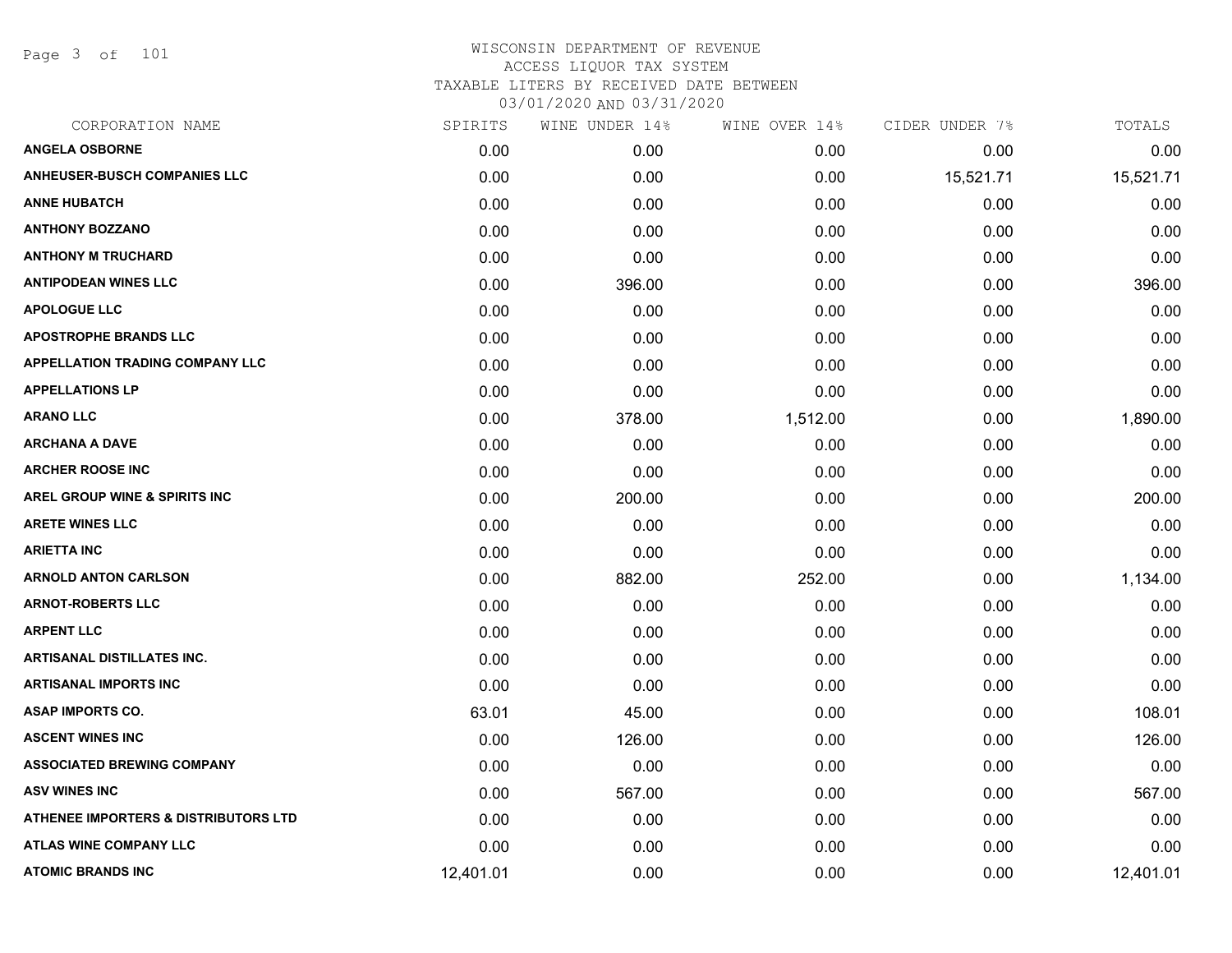Page 3 of 101

| CORPORATION NAME                                | SPIRITS   | WINE UNDER 14% | WINE OVER 14% | CIDER UNDER 7% | TOTALS    |
|-------------------------------------------------|-----------|----------------|---------------|----------------|-----------|
| <b>ANGELA OSBORNE</b>                           | 0.00      | 0.00           | 0.00          | 0.00           | 0.00      |
| <b>ANHEUSER-BUSCH COMPANIES LLC</b>             | 0.00      | 0.00           | 0.00          | 15,521.71      | 15,521.71 |
| <b>ANNE HUBATCH</b>                             | 0.00      | 0.00           | 0.00          | 0.00           | 0.00      |
| <b>ANTHONY BOZZANO</b>                          | 0.00      | 0.00           | 0.00          | 0.00           | 0.00      |
| <b>ANTHONY M TRUCHARD</b>                       | 0.00      | 0.00           | 0.00          | 0.00           | 0.00      |
| <b>ANTIPODEAN WINES LLC</b>                     | 0.00      | 396.00         | 0.00          | 0.00           | 396.00    |
| <b>APOLOGUE LLC</b>                             | 0.00      | 0.00           | 0.00          | 0.00           | 0.00      |
| <b>APOSTROPHE BRANDS LLC</b>                    | 0.00      | 0.00           | 0.00          | 0.00           | 0.00      |
| <b>APPELLATION TRADING COMPANY LLC</b>          | 0.00      | 0.00           | 0.00          | 0.00           | 0.00      |
| <b>APPELLATIONS LP</b>                          | 0.00      | 0.00           | 0.00          | 0.00           | 0.00      |
| <b>ARANO LLC</b>                                | 0.00      | 378.00         | 1,512.00      | 0.00           | 1,890.00  |
| <b>ARCHANA A DAVE</b>                           | 0.00      | 0.00           | 0.00          | 0.00           | 0.00      |
| <b>ARCHER ROOSE INC</b>                         | 0.00      | 0.00           | 0.00          | 0.00           | 0.00      |
| <b>AREL GROUP WINE &amp; SPIRITS INC</b>        | 0.00      | 200.00         | 0.00          | 0.00           | 200.00    |
| <b>ARETE WINES LLC</b>                          | 0.00      | 0.00           | 0.00          | 0.00           | 0.00      |
| <b>ARIETTA INC</b>                              | 0.00      | 0.00           | 0.00          | 0.00           | 0.00      |
| <b>ARNOLD ANTON CARLSON</b>                     | 0.00      | 882.00         | 252.00        | 0.00           | 1,134.00  |
| <b>ARNOT-ROBERTS LLC</b>                        | 0.00      | 0.00           | 0.00          | 0.00           | 0.00      |
| <b>ARPENT LLC</b>                               | 0.00      | 0.00           | 0.00          | 0.00           | 0.00      |
| <b>ARTISANAL DISTILLATES INC.</b>               | 0.00      | 0.00           | 0.00          | 0.00           | 0.00      |
| <b>ARTISANAL IMPORTS INC</b>                    | 0.00      | 0.00           | 0.00          | 0.00           | 0.00      |
| <b>ASAP IMPORTS CO.</b>                         | 63.01     | 45.00          | 0.00          | 0.00           | 108.01    |
| <b>ASCENT WINES INC</b>                         | 0.00      | 126.00         | 0.00          | 0.00           | 126.00    |
| <b>ASSOCIATED BREWING COMPANY</b>               | 0.00      | 0.00           | 0.00          | 0.00           | 0.00      |
| <b>ASV WINES INC</b>                            | 0.00      | 567.00         | 0.00          | 0.00           | 567.00    |
| <b>ATHENEE IMPORTERS &amp; DISTRIBUTORS LTD</b> | 0.00      | 0.00           | 0.00          | 0.00           | 0.00      |
| <b>ATLAS WINE COMPANY LLC</b>                   | 0.00      | 0.00           | 0.00          | 0.00           | 0.00      |
| <b>ATOMIC BRANDS INC</b>                        | 12,401.01 | 0.00           | 0.00          | 0.00           | 12,401.01 |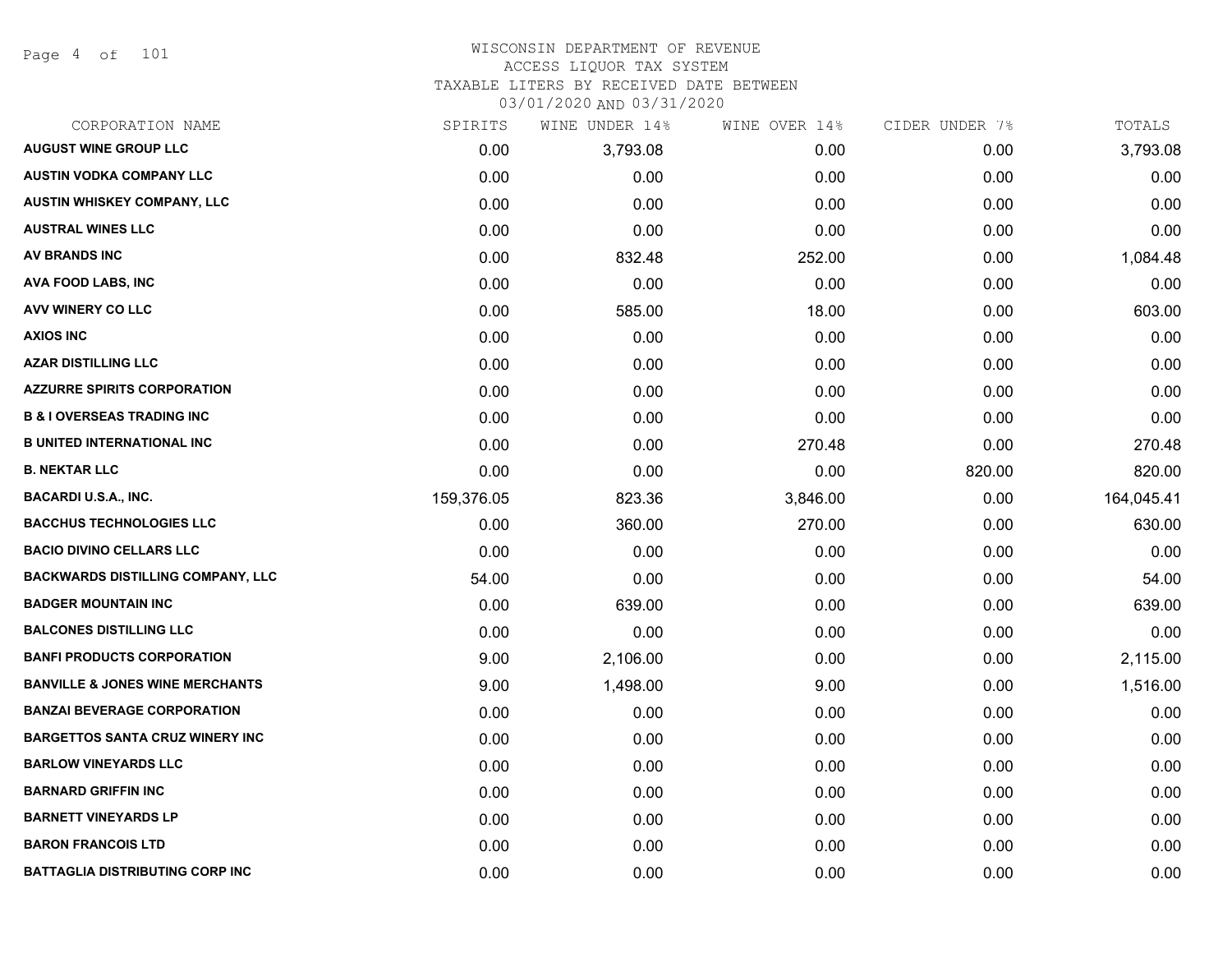Page 4 of 101

## WISCONSIN DEPARTMENT OF REVENUE ACCESS LIQUOR TAX SYSTEM

TAXABLE LITERS BY RECEIVED DATE BETWEEN

| CORPORATION NAME                           | SPIRITS    | WINE UNDER 14% | WINE OVER 14% | CIDER UNDER 7% | TOTALS     |
|--------------------------------------------|------------|----------------|---------------|----------------|------------|
| <b>AUGUST WINE GROUP LLC</b>               | 0.00       | 3,793.08       | 0.00          | 0.00           | 3,793.08   |
| <b>AUSTIN VODKA COMPANY LLC</b>            | 0.00       | 0.00           | 0.00          | 0.00           | 0.00       |
| AUSTIN WHISKEY COMPANY, LLC                | 0.00       | 0.00           | 0.00          | 0.00           | 0.00       |
| <b>AUSTRAL WINES LLC</b>                   | 0.00       | 0.00           | 0.00          | 0.00           | 0.00       |
| <b>AV BRANDS INC</b>                       | 0.00       | 832.48         | 252.00        | 0.00           | 1,084.48   |
| AVA FOOD LABS, INC                         | 0.00       | 0.00           | 0.00          | 0.00           | 0.00       |
| AVV WINERY CO LLC                          | 0.00       | 585.00         | 18.00         | 0.00           | 603.00     |
| <b>AXIOS INC</b>                           | 0.00       | 0.00           | 0.00          | 0.00           | 0.00       |
| <b>AZAR DISTILLING LLC</b>                 | 0.00       | 0.00           | 0.00          | 0.00           | 0.00       |
| <b>AZZURRE SPIRITS CORPORATION</b>         | 0.00       | 0.00           | 0.00          | 0.00           | 0.00       |
| <b>B &amp; I OVERSEAS TRADING INC</b>      | 0.00       | 0.00           | 0.00          | 0.00           | 0.00       |
| <b>B UNITED INTERNATIONAL INC</b>          | 0.00       | 0.00           | 270.48        | 0.00           | 270.48     |
| <b>B. NEKTAR LLC</b>                       | 0.00       | 0.00           | 0.00          | 820.00         | 820.00     |
| <b>BACARDI U.S.A., INC.</b>                | 159,376.05 | 823.36         | 3,846.00      | 0.00           | 164,045.41 |
| <b>BACCHUS TECHNOLOGIES LLC</b>            | 0.00       | 360.00         | 270.00        | 0.00           | 630.00     |
| <b>BACIO DIVINO CELLARS LLC</b>            | 0.00       | 0.00           | 0.00          | 0.00           | 0.00       |
| <b>BACKWARDS DISTILLING COMPANY, LLC</b>   | 54.00      | 0.00           | 0.00          | 0.00           | 54.00      |
| <b>BADGER MOUNTAIN INC</b>                 | 0.00       | 639.00         | 0.00          | 0.00           | 639.00     |
| <b>BALCONES DISTILLING LLC</b>             | 0.00       | 0.00           | 0.00          | 0.00           | 0.00       |
| <b>BANFI PRODUCTS CORPORATION</b>          | 9.00       | 2,106.00       | 0.00          | 0.00           | 2,115.00   |
| <b>BANVILLE &amp; JONES WINE MERCHANTS</b> | 9.00       | 1,498.00       | 9.00          | 0.00           | 1,516.00   |
| <b>BANZAI BEVERAGE CORPORATION</b>         | 0.00       | 0.00           | 0.00          | 0.00           | 0.00       |
| <b>BARGETTOS SANTA CRUZ WINERY INC</b>     | 0.00       | 0.00           | 0.00          | 0.00           | 0.00       |
| <b>BARLOW VINEYARDS LLC</b>                | 0.00       | 0.00           | 0.00          | 0.00           | 0.00       |
| <b>BARNARD GRIFFIN INC</b>                 | 0.00       | 0.00           | 0.00          | 0.00           | 0.00       |
| <b>BARNETT VINEYARDS LP</b>                | 0.00       | 0.00           | 0.00          | 0.00           | 0.00       |
| <b>BARON FRANCOIS LTD</b>                  | 0.00       | 0.00           | 0.00          | 0.00           | 0.00       |
| <b>BATTAGLIA DISTRIBUTING CORP INC</b>     | 0.00       | 0.00           | 0.00          | 0.00           | 0.00       |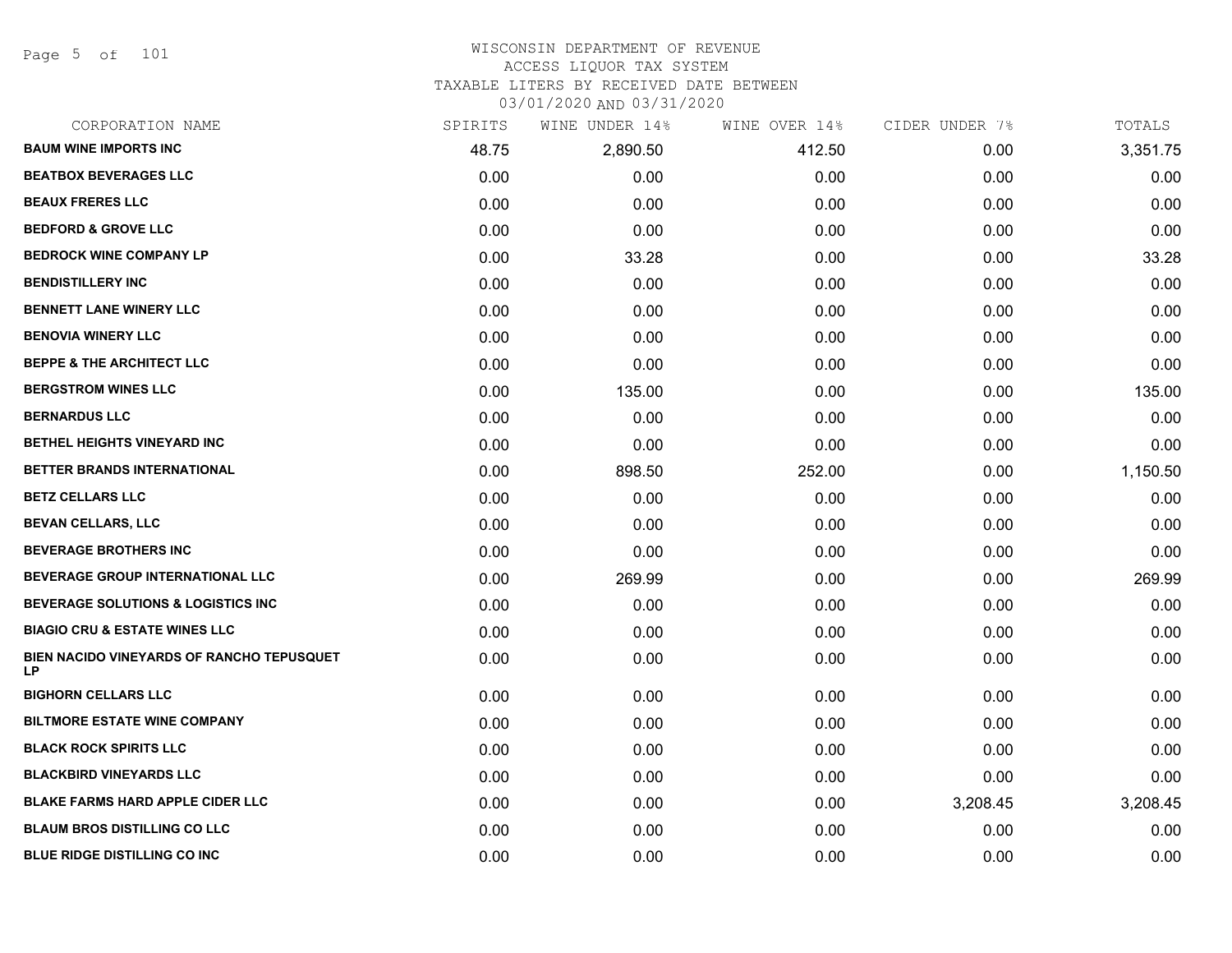Page 5 of 101

## WISCONSIN DEPARTMENT OF REVENUE ACCESS LIQUOR TAX SYSTEM

TAXABLE LITERS BY RECEIVED DATE BETWEEN

| CORPORATION NAME                                       | SPIRITS | WINE UNDER 14% | WINE OVER 14% | CIDER UNDER 7% | TOTALS   |
|--------------------------------------------------------|---------|----------------|---------------|----------------|----------|
| <b>BAUM WINE IMPORTS INC</b>                           | 48.75   | 2,890.50       | 412.50        | 0.00           | 3,351.75 |
| <b>BEATBOX BEVERAGES LLC</b>                           | 0.00    | 0.00           | 0.00          | 0.00           | 0.00     |
| <b>BEAUX FRERES LLC</b>                                | 0.00    | 0.00           | 0.00          | 0.00           | 0.00     |
| <b>BEDFORD &amp; GROVE LLC</b>                         | 0.00    | 0.00           | 0.00          | 0.00           | 0.00     |
| <b>BEDROCK WINE COMPANY LP</b>                         | 0.00    | 33.28          | 0.00          | 0.00           | 33.28    |
| <b>BENDISTILLERY INC</b>                               | 0.00    | 0.00           | 0.00          | 0.00           | 0.00     |
| <b>BENNETT LANE WINERY LLC</b>                         | 0.00    | 0.00           | 0.00          | 0.00           | 0.00     |
| <b>BENOVIA WINERY LLC</b>                              | 0.00    | 0.00           | 0.00          | 0.00           | 0.00     |
| <b>BEPPE &amp; THE ARCHITECT LLC</b>                   | 0.00    | 0.00           | 0.00          | 0.00           | 0.00     |
| <b>BERGSTROM WINES LLC</b>                             | 0.00    | 135.00         | 0.00          | 0.00           | 135.00   |
| <b>BERNARDUS LLC</b>                                   | 0.00    | 0.00           | 0.00          | 0.00           | 0.00     |
| BETHEL HEIGHTS VINEYARD INC                            | 0.00    | 0.00           | 0.00          | 0.00           | 0.00     |
| BETTER BRANDS INTERNATIONAL                            | 0.00    | 898.50         | 252.00        | 0.00           | 1,150.50 |
| <b>BETZ CELLARS LLC</b>                                | 0.00    | 0.00           | 0.00          | 0.00           | 0.00     |
| <b>BEVAN CELLARS, LLC</b>                              | 0.00    | 0.00           | 0.00          | 0.00           | 0.00     |
| <b>BEVERAGE BROTHERS INC</b>                           | 0.00    | 0.00           | 0.00          | 0.00           | 0.00     |
| BEVERAGE GROUP INTERNATIONAL LLC                       | 0.00    | 269.99         | 0.00          | 0.00           | 269.99   |
| <b>BEVERAGE SOLUTIONS &amp; LOGISTICS INC</b>          | 0.00    | 0.00           | 0.00          | 0.00           | 0.00     |
| <b>BIAGIO CRU &amp; ESTATE WINES LLC</b>               | 0.00    | 0.00           | 0.00          | 0.00           | 0.00     |
| BIEN NACIDO VINEYARDS OF RANCHO TEPUSQUET<br><b>LP</b> | 0.00    | 0.00           | 0.00          | 0.00           | 0.00     |
| <b>BIGHORN CELLARS LLC</b>                             | 0.00    | 0.00           | 0.00          | 0.00           | 0.00     |
| <b>BILTMORE ESTATE WINE COMPANY</b>                    | 0.00    | 0.00           | 0.00          | 0.00           | 0.00     |
| <b>BLACK ROCK SPIRITS LLC</b>                          | 0.00    | 0.00           | 0.00          | 0.00           | 0.00     |
| <b>BLACKBIRD VINEYARDS LLC</b>                         | 0.00    | 0.00           | 0.00          | 0.00           | 0.00     |
| <b>BLAKE FARMS HARD APPLE CIDER LLC</b>                | 0.00    | 0.00           | 0.00          | 3,208.45       | 3,208.45 |
| <b>BLAUM BROS DISTILLING CO LLC</b>                    | 0.00    | 0.00           | 0.00          | 0.00           | 0.00     |
| <b>BLUE RIDGE DISTILLING CO INC</b>                    | 0.00    | 0.00           | 0.00          | 0.00           | 0.00     |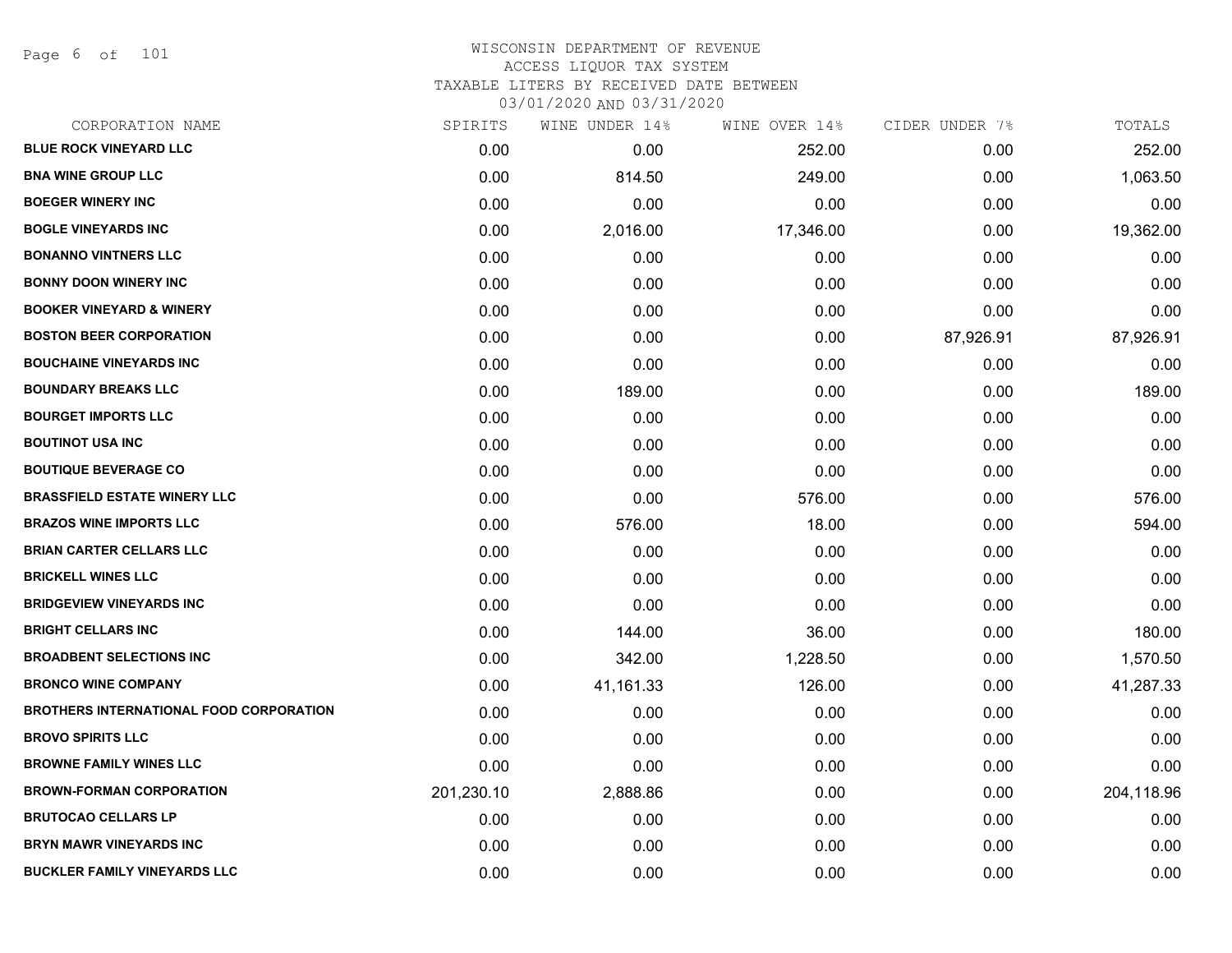Page 6 of 101

| CORPORATION NAME                        | SPIRITS    | WINE UNDER 14% | WINE OVER 14% | CIDER UNDER 7% | TOTALS     |
|-----------------------------------------|------------|----------------|---------------|----------------|------------|
| <b>BLUE ROCK VINEYARD LLC</b>           | 0.00       | 0.00           | 252.00        | 0.00           | 252.00     |
| <b>BNA WINE GROUP LLC</b>               | 0.00       | 814.50         | 249.00        | 0.00           | 1,063.50   |
| <b>BOEGER WINERY INC</b>                | 0.00       | 0.00           | 0.00          | 0.00           | 0.00       |
| <b>BOGLE VINEYARDS INC</b>              | 0.00       | 2,016.00       | 17,346.00     | 0.00           | 19,362.00  |
| <b>BONANNO VINTNERS LLC</b>             | 0.00       | 0.00           | 0.00          | 0.00           | 0.00       |
| <b>BONNY DOON WINERY INC</b>            | 0.00       | 0.00           | 0.00          | 0.00           | 0.00       |
| <b>BOOKER VINEYARD &amp; WINERY</b>     | 0.00       | 0.00           | 0.00          | 0.00           | 0.00       |
| <b>BOSTON BEER CORPORATION</b>          | 0.00       | 0.00           | 0.00          | 87,926.91      | 87,926.91  |
| <b>BOUCHAINE VINEYARDS INC</b>          | 0.00       | 0.00           | 0.00          | 0.00           | 0.00       |
| <b>BOUNDARY BREAKS LLC</b>              | 0.00       | 189.00         | 0.00          | 0.00           | 189.00     |
| <b>BOURGET IMPORTS LLC</b>              | 0.00       | 0.00           | 0.00          | 0.00           | 0.00       |
| <b>BOUTINOT USA INC</b>                 | 0.00       | 0.00           | 0.00          | 0.00           | 0.00       |
| <b>BOUTIQUE BEVERAGE CO</b>             | 0.00       | 0.00           | 0.00          | 0.00           | 0.00       |
| <b>BRASSFIELD ESTATE WINERY LLC</b>     | 0.00       | 0.00           | 576.00        | 0.00           | 576.00     |
| <b>BRAZOS WINE IMPORTS LLC</b>          | 0.00       | 576.00         | 18.00         | 0.00           | 594.00     |
| <b>BRIAN CARTER CELLARS LLC</b>         | 0.00       | 0.00           | 0.00          | 0.00           | 0.00       |
| <b>BRICKELL WINES LLC</b>               | 0.00       | 0.00           | 0.00          | 0.00           | 0.00       |
| <b>BRIDGEVIEW VINEYARDS INC</b>         | 0.00       | 0.00           | 0.00          | 0.00           | 0.00       |
| <b>BRIGHT CELLARS INC</b>               | 0.00       | 144.00         | 36.00         | 0.00           | 180.00     |
| <b>BROADBENT SELECTIONS INC</b>         | 0.00       | 342.00         | 1,228.50      | 0.00           | 1,570.50   |
| <b>BRONCO WINE COMPANY</b>              | 0.00       | 41,161.33      | 126.00        | 0.00           | 41,287.33  |
| BROTHERS INTERNATIONAL FOOD CORPORATION | 0.00       | 0.00           | 0.00          | 0.00           | 0.00       |
| <b>BROVO SPIRITS LLC</b>                | 0.00       | 0.00           | 0.00          | 0.00           | 0.00       |
| <b>BROWNE FAMILY WINES LLC</b>          | 0.00       | 0.00           | 0.00          | 0.00           | 0.00       |
| <b>BROWN-FORMAN CORPORATION</b>         | 201,230.10 | 2,888.86       | 0.00          | 0.00           | 204,118.96 |
| <b>BRUTOCAO CELLARS LP</b>              | 0.00       | 0.00           | 0.00          | 0.00           | 0.00       |
| <b>BRYN MAWR VINEYARDS INC</b>          | 0.00       | 0.00           | 0.00          | 0.00           | 0.00       |
| <b>BUCKLER FAMILY VINEYARDS LLC</b>     | 0.00       | 0.00           | 0.00          | 0.00           | 0.00       |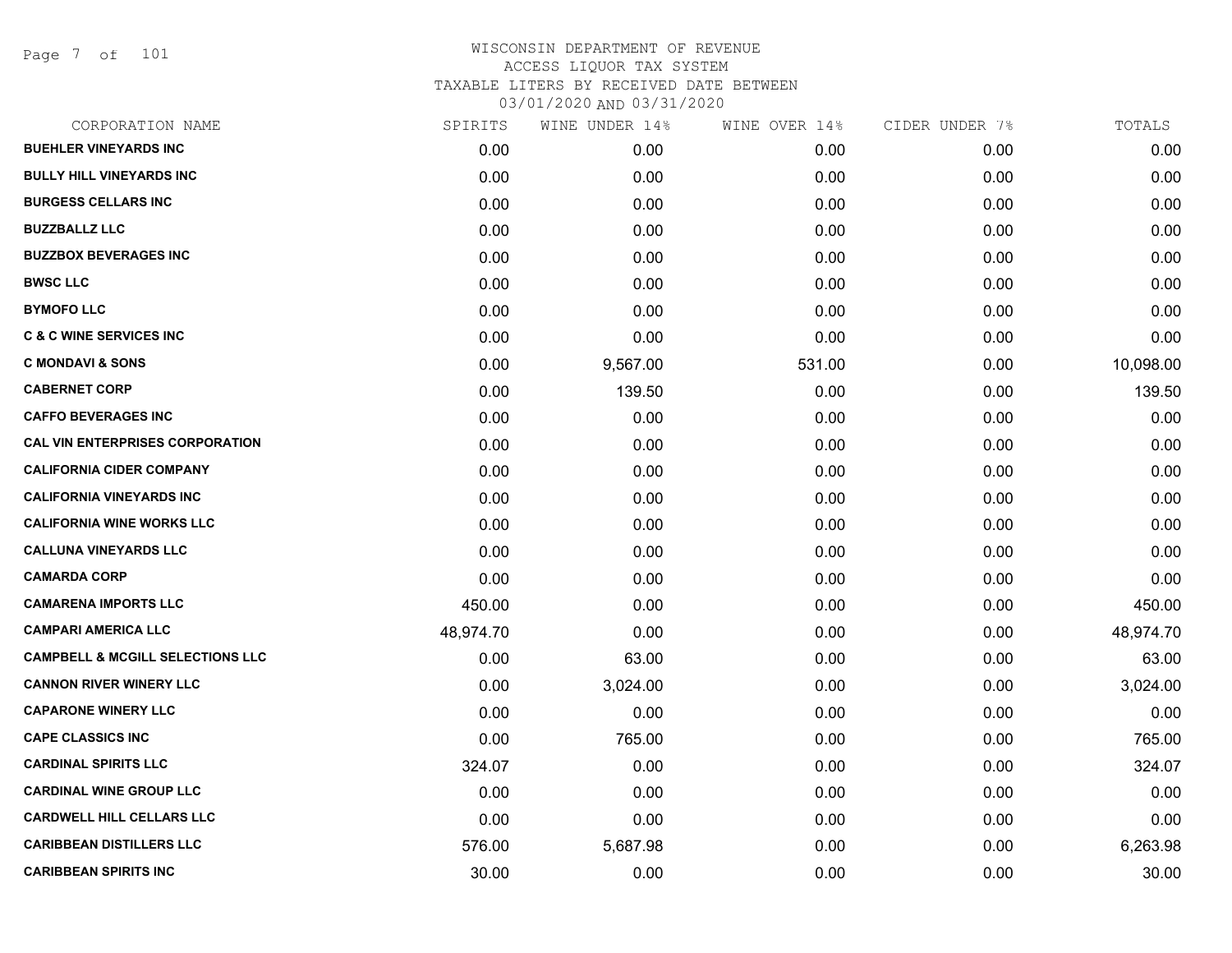Page 7 of 101

| SPIRITS   |          | WINE OVER 14% | CIDER UNDER 7% | TOTALS    |
|-----------|----------|---------------|----------------|-----------|
| 0.00      | 0.00     | 0.00          | 0.00           | 0.00      |
| 0.00      | 0.00     | 0.00          | 0.00           | 0.00      |
| 0.00      | 0.00     | 0.00          | 0.00           | 0.00      |
| 0.00      | 0.00     | 0.00          | 0.00           | 0.00      |
| 0.00      | 0.00     | 0.00          | 0.00           | 0.00      |
| 0.00      | 0.00     | 0.00          | 0.00           | 0.00      |
| 0.00      | 0.00     | 0.00          | 0.00           | 0.00      |
| 0.00      | 0.00     | 0.00          | 0.00           | 0.00      |
| 0.00      | 9,567.00 | 531.00        | 0.00           | 10,098.00 |
| 0.00      | 139.50   | 0.00          | 0.00           | 139.50    |
| 0.00      | 0.00     | 0.00          | 0.00           | 0.00      |
| 0.00      | 0.00     | 0.00          | 0.00           | 0.00      |
| 0.00      | 0.00     | 0.00          | 0.00           | 0.00      |
| 0.00      | 0.00     | 0.00          | 0.00           | 0.00      |
| 0.00      | 0.00     | 0.00          | 0.00           | 0.00      |
| 0.00      | 0.00     | 0.00          | 0.00           | 0.00      |
| 0.00      | 0.00     | 0.00          | 0.00           | 0.00      |
| 450.00    | 0.00     | 0.00          | 0.00           | 450.00    |
| 48,974.70 | 0.00     | 0.00          | 0.00           | 48,974.70 |
| 0.00      | 63.00    | 0.00          | 0.00           | 63.00     |
| 0.00      | 3,024.00 | 0.00          | 0.00           | 3,024.00  |
| 0.00      | 0.00     | 0.00          | 0.00           | 0.00      |
| 0.00      | 765.00   | 0.00          | 0.00           | 765.00    |
| 324.07    | 0.00     | 0.00          | 0.00           | 324.07    |
| 0.00      | 0.00     | 0.00          | 0.00           | 0.00      |
| 0.00      | 0.00     | 0.00          | 0.00           | 0.00      |
| 576.00    | 5,687.98 | 0.00          | 0.00           | 6,263.98  |
| 30.00     | 0.00     | 0.00          | 0.00           | 30.00     |
|           |          |               | WINE UNDER 14% |           |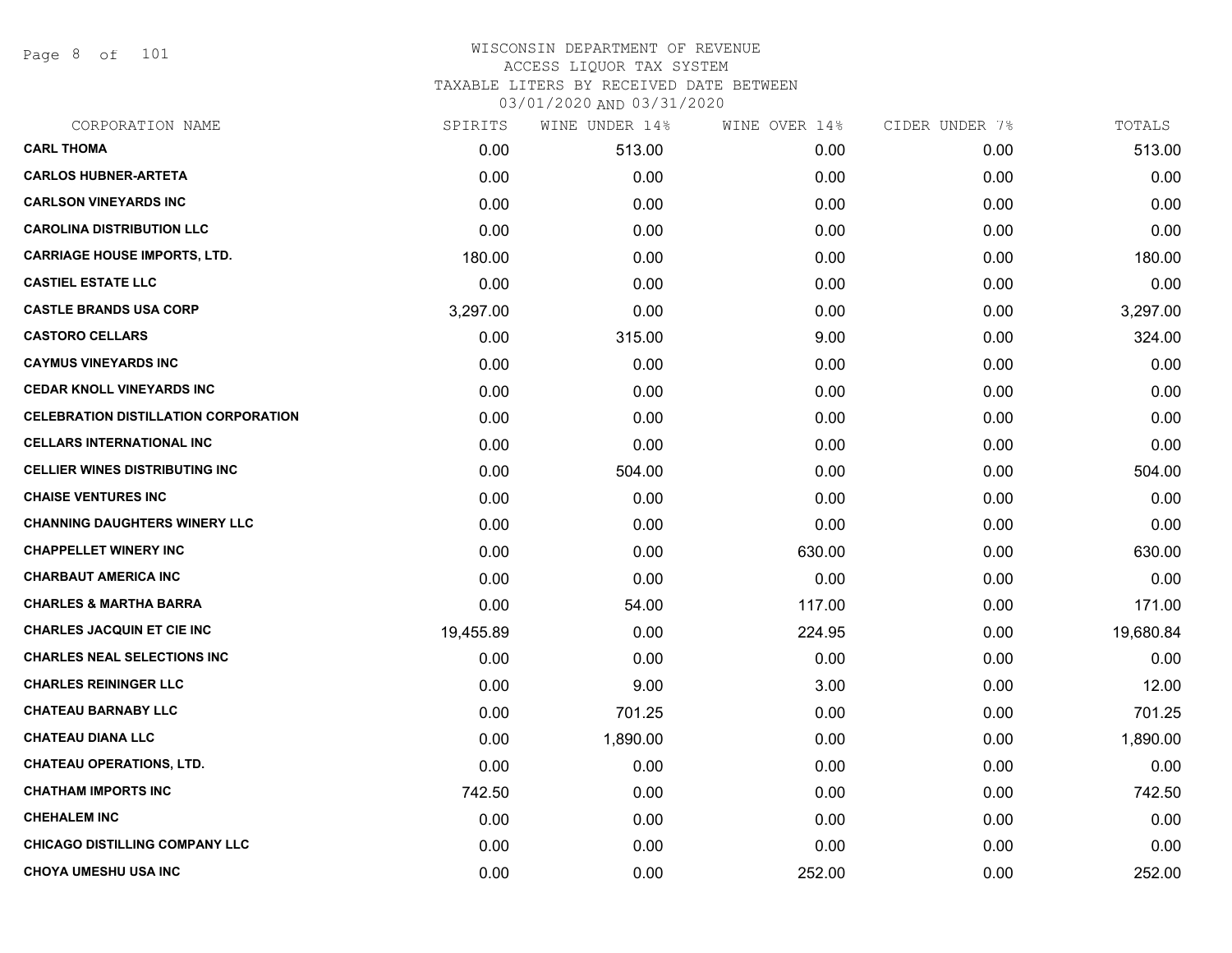Page 8 of 101

| CORPORATION NAME                            | SPIRITS   | WINE UNDER 14% | WINE OVER 14% | CIDER UNDER 7% | TOTALS    |
|---------------------------------------------|-----------|----------------|---------------|----------------|-----------|
| <b>CARL THOMA</b>                           | 0.00      | 513.00         | 0.00          | 0.00           | 513.00    |
| <b>CARLOS HUBNER-ARTETA</b>                 | 0.00      | 0.00           | 0.00          | 0.00           | 0.00      |
| <b>CARLSON VINEYARDS INC</b>                | 0.00      | 0.00           | 0.00          | 0.00           | 0.00      |
| <b>CAROLINA DISTRIBUTION LLC</b>            | 0.00      | 0.00           | 0.00          | 0.00           | 0.00      |
| <b>CARRIAGE HOUSE IMPORTS, LTD.</b>         | 180.00    | 0.00           | 0.00          | 0.00           | 180.00    |
| <b>CASTIEL ESTATE LLC</b>                   | 0.00      | 0.00           | 0.00          | 0.00           | 0.00      |
| <b>CASTLE BRANDS USA CORP</b>               | 3,297.00  | 0.00           | 0.00          | 0.00           | 3,297.00  |
| <b>CASTORO CELLARS</b>                      | 0.00      | 315.00         | 9.00          | 0.00           | 324.00    |
| <b>CAYMUS VINEYARDS INC</b>                 | 0.00      | 0.00           | 0.00          | 0.00           | 0.00      |
| <b>CEDAR KNOLL VINEYARDS INC</b>            | 0.00      | 0.00           | 0.00          | 0.00           | 0.00      |
| <b>CELEBRATION DISTILLATION CORPORATION</b> | 0.00      | 0.00           | 0.00          | 0.00           | 0.00      |
| <b>CELLARS INTERNATIONAL INC</b>            | 0.00      | 0.00           | 0.00          | 0.00           | 0.00      |
| <b>CELLIER WINES DISTRIBUTING INC</b>       | 0.00      | 504.00         | 0.00          | 0.00           | 504.00    |
| <b>CHAISE VENTURES INC</b>                  | 0.00      | 0.00           | 0.00          | 0.00           | 0.00      |
| <b>CHANNING DAUGHTERS WINERY LLC</b>        | 0.00      | 0.00           | 0.00          | 0.00           | 0.00      |
| <b>CHAPPELLET WINERY INC</b>                | 0.00      | 0.00           | 630.00        | 0.00           | 630.00    |
| <b>CHARBAUT AMERICA INC</b>                 | 0.00      | 0.00           | 0.00          | 0.00           | 0.00      |
| <b>CHARLES &amp; MARTHA BARRA</b>           | 0.00      | 54.00          | 117.00        | 0.00           | 171.00    |
| <b>CHARLES JACQUIN ET CIE INC</b>           | 19,455.89 | 0.00           | 224.95        | 0.00           | 19,680.84 |
| <b>CHARLES NEAL SELECTIONS INC</b>          | 0.00      | 0.00           | 0.00          | 0.00           | 0.00      |
| <b>CHARLES REININGER LLC</b>                | 0.00      | 9.00           | 3.00          | 0.00           | 12.00     |
| <b>CHATEAU BARNABY LLC</b>                  | 0.00      | 701.25         | 0.00          | 0.00           | 701.25    |
| <b>CHATEAU DIANA LLC</b>                    | 0.00      | 1,890.00       | 0.00          | 0.00           | 1,890.00  |
| <b>CHATEAU OPERATIONS, LTD.</b>             | 0.00      | 0.00           | 0.00          | 0.00           | 0.00      |
| <b>CHATHAM IMPORTS INC</b>                  | 742.50    | 0.00           | 0.00          | 0.00           | 742.50    |
| <b>CHEHALEM INC</b>                         | 0.00      | 0.00           | 0.00          | 0.00           | 0.00      |
| <b>CHICAGO DISTILLING COMPANY LLC</b>       | 0.00      | 0.00           | 0.00          | 0.00           | 0.00      |
| <b>CHOYA UMESHU USA INC</b>                 | 0.00      | 0.00           | 252.00        | 0.00           | 252.00    |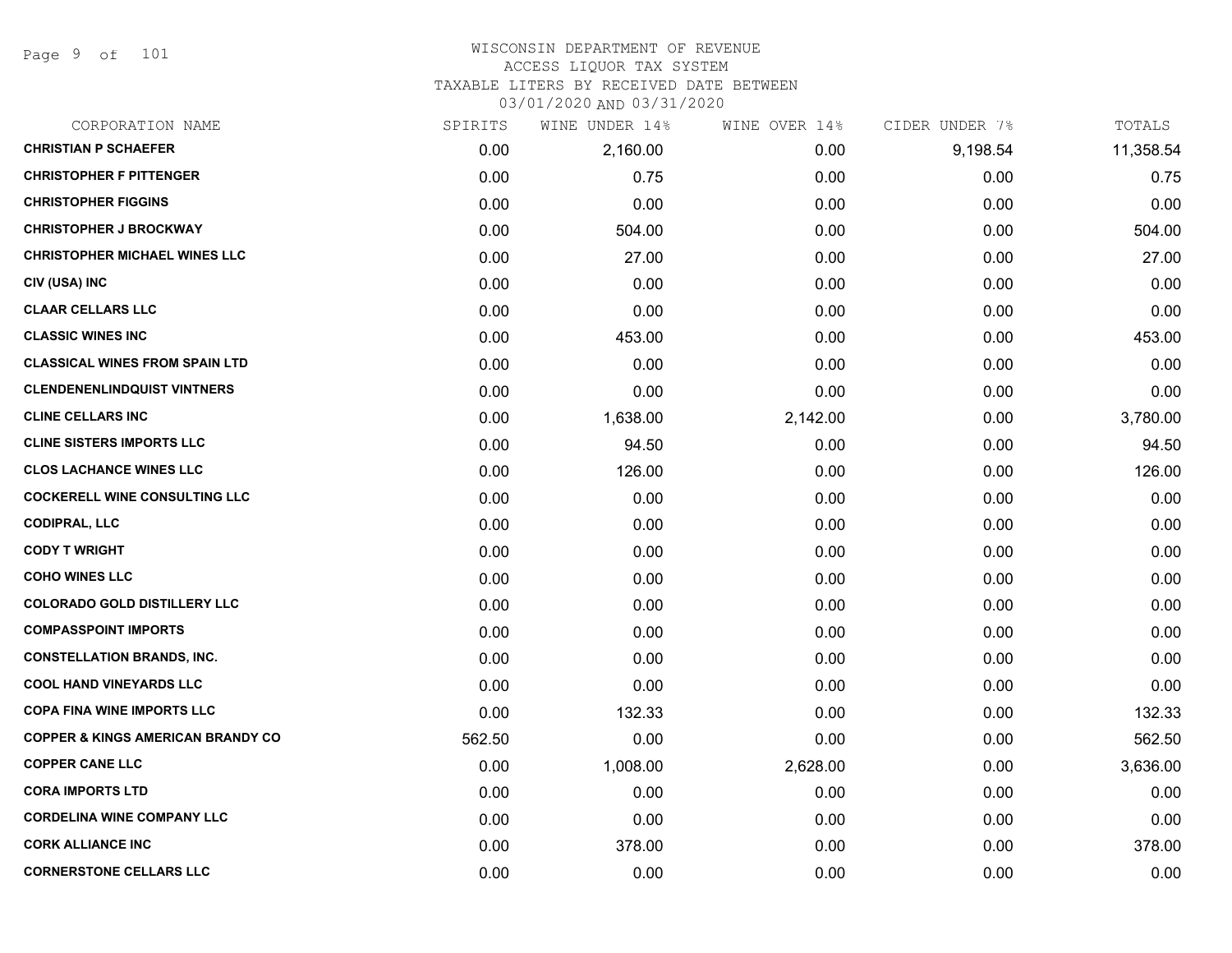Page 9 of 101

## WISCONSIN DEPARTMENT OF REVENUE ACCESS LIQUOR TAX SYSTEM

TAXABLE LITERS BY RECEIVED DATE BETWEEN

| CORPORATION NAME                             | SPIRITS | WINE UNDER 14% | WINE OVER 14% | CIDER UNDER 7% | TOTALS    |
|----------------------------------------------|---------|----------------|---------------|----------------|-----------|
| <b>CHRISTIAN P SCHAEFER</b>                  | 0.00    | 2,160.00       | 0.00          | 9,198.54       | 11,358.54 |
| <b>CHRISTOPHER F PITTENGER</b>               | 0.00    | 0.75           | 0.00          | 0.00           | 0.75      |
| <b>CHRISTOPHER FIGGINS</b>                   | 0.00    | 0.00           | 0.00          | 0.00           | 0.00      |
| <b>CHRISTOPHER J BROCKWAY</b>                | 0.00    | 504.00         | 0.00          | 0.00           | 504.00    |
| <b>CHRISTOPHER MICHAEL WINES LLC</b>         | 0.00    | 27.00          | 0.00          | 0.00           | 27.00     |
| CIV (USA) INC                                | 0.00    | 0.00           | 0.00          | 0.00           | 0.00      |
| <b>CLAAR CELLARS LLC</b>                     | 0.00    | 0.00           | 0.00          | 0.00           | 0.00      |
| <b>CLASSIC WINES INC</b>                     | 0.00    | 453.00         | 0.00          | 0.00           | 453.00    |
| <b>CLASSICAL WINES FROM SPAIN LTD</b>        | 0.00    | 0.00           | 0.00          | 0.00           | 0.00      |
| <b>CLENDENENLINDQUIST VINTNERS</b>           | 0.00    | 0.00           | 0.00          | 0.00           | 0.00      |
| <b>CLINE CELLARS INC</b>                     | 0.00    | 1,638.00       | 2,142.00      | 0.00           | 3,780.00  |
| <b>CLINE SISTERS IMPORTS LLC</b>             | 0.00    | 94.50          | 0.00          | 0.00           | 94.50     |
| <b>CLOS LACHANCE WINES LLC</b>               | 0.00    | 126.00         | 0.00          | 0.00           | 126.00    |
| <b>COCKERELL WINE CONSULTING LLC</b>         | 0.00    | 0.00           | 0.00          | 0.00           | 0.00      |
| <b>CODIPRAL, LLC</b>                         | 0.00    | 0.00           | 0.00          | 0.00           | 0.00      |
| <b>CODY T WRIGHT</b>                         | 0.00    | 0.00           | 0.00          | 0.00           | 0.00      |
| <b>COHO WINES LLC</b>                        | 0.00    | 0.00           | 0.00          | 0.00           | 0.00      |
| <b>COLORADO GOLD DISTILLERY LLC</b>          | 0.00    | 0.00           | 0.00          | 0.00           | 0.00      |
| <b>COMPASSPOINT IMPORTS</b>                  | 0.00    | 0.00           | 0.00          | 0.00           | 0.00      |
| <b>CONSTELLATION BRANDS, INC.</b>            | 0.00    | 0.00           | 0.00          | 0.00           | 0.00      |
| <b>COOL HAND VINEYARDS LLC</b>               | 0.00    | 0.00           | 0.00          | 0.00           | 0.00      |
| <b>COPA FINA WINE IMPORTS LLC</b>            | 0.00    | 132.33         | 0.00          | 0.00           | 132.33    |
| <b>COPPER &amp; KINGS AMERICAN BRANDY CO</b> | 562.50  | 0.00           | 0.00          | 0.00           | 562.50    |
| <b>COPPER CANE LLC</b>                       | 0.00    | 1,008.00       | 2,628.00      | 0.00           | 3,636.00  |
| <b>CORA IMPORTS LTD</b>                      | 0.00    | 0.00           | 0.00          | 0.00           | 0.00      |
| <b>CORDELINA WINE COMPANY LLC</b>            | 0.00    | 0.00           | 0.00          | 0.00           | 0.00      |
| <b>CORK ALLIANCE INC</b>                     | 0.00    | 378.00         | 0.00          | 0.00           | 378.00    |
| <b>CORNERSTONE CELLARS LLC</b>               | 0.00    | 0.00           | 0.00          | 0.00           | 0.00      |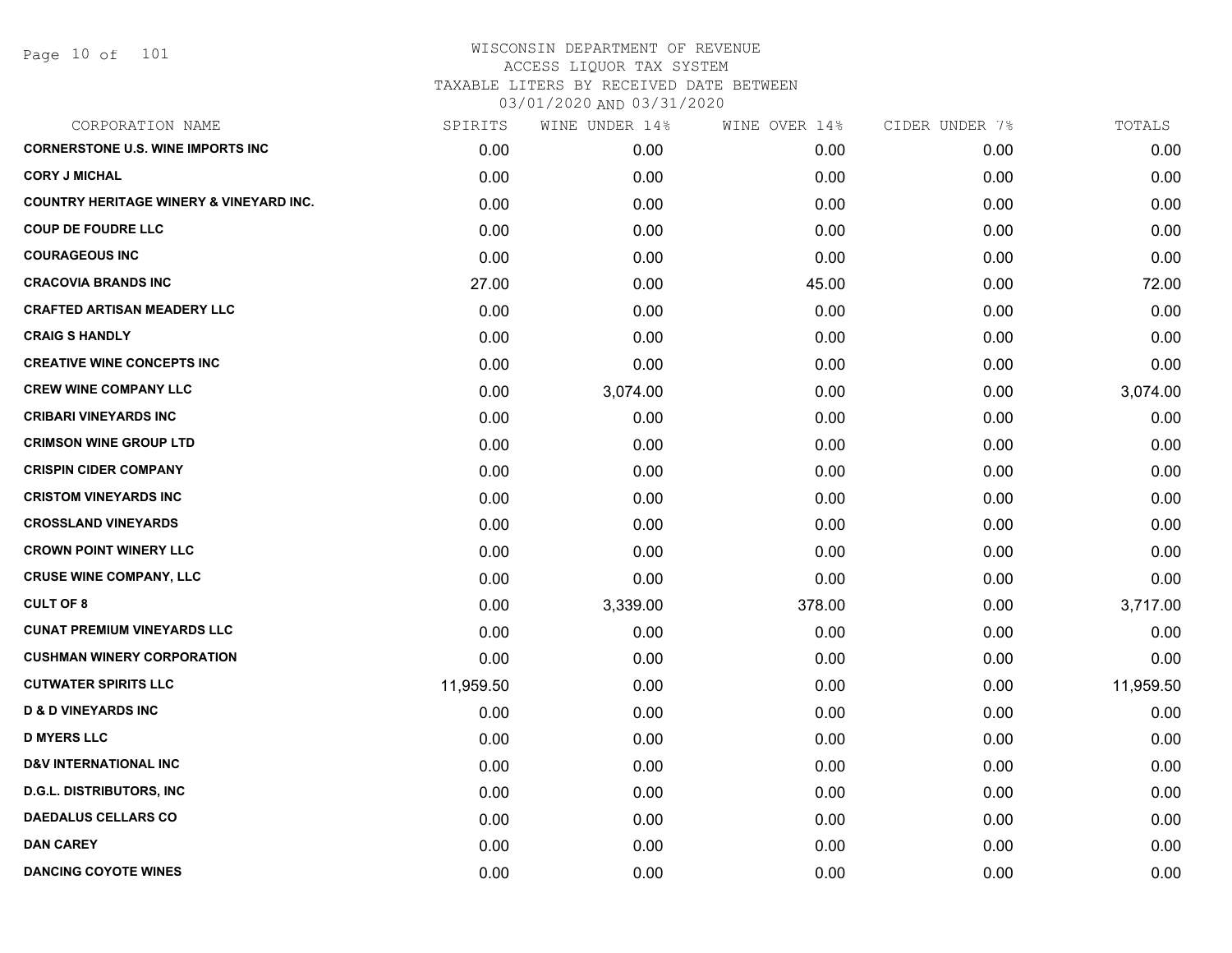Page 10 of 101

| CORPORATION NAME                                   | SPIRITS   | WINE UNDER 14% | WINE OVER 14% | CIDER UNDER 7% | TOTALS    |
|----------------------------------------------------|-----------|----------------|---------------|----------------|-----------|
| <b>CORNERSTONE U.S. WINE IMPORTS INC</b>           | 0.00      | 0.00           | 0.00          | 0.00           | 0.00      |
| <b>CORY J MICHAL</b>                               | 0.00      | 0.00           | 0.00          | 0.00           | 0.00      |
| <b>COUNTRY HERITAGE WINERY &amp; VINEYARD INC.</b> | 0.00      | 0.00           | 0.00          | 0.00           | 0.00      |
| <b>COUP DE FOUDRE LLC</b>                          | 0.00      | 0.00           | 0.00          | 0.00           | 0.00      |
| <b>COURAGEOUS INC</b>                              | 0.00      | 0.00           | 0.00          | 0.00           | 0.00      |
| <b>CRACOVIA BRANDS INC</b>                         | 27.00     | 0.00           | 45.00         | 0.00           | 72.00     |
| <b>CRAFTED ARTISAN MEADERY LLC</b>                 | 0.00      | 0.00           | 0.00          | 0.00           | 0.00      |
| <b>CRAIG S HANDLY</b>                              | 0.00      | 0.00           | 0.00          | 0.00           | 0.00      |
| <b>CREATIVE WINE CONCEPTS INC</b>                  | 0.00      | 0.00           | 0.00          | 0.00           | 0.00      |
| <b>CREW WINE COMPANY LLC</b>                       | 0.00      | 3,074.00       | 0.00          | 0.00           | 3,074.00  |
| <b>CRIBARI VINEYARDS INC</b>                       | 0.00      | 0.00           | 0.00          | 0.00           | 0.00      |
| <b>CRIMSON WINE GROUP LTD</b>                      | 0.00      | 0.00           | 0.00          | 0.00           | 0.00      |
| <b>CRISPIN CIDER COMPANY</b>                       | 0.00      | 0.00           | 0.00          | 0.00           | 0.00      |
| <b>CRISTOM VINEYARDS INC</b>                       | 0.00      | 0.00           | 0.00          | 0.00           | 0.00      |
| <b>CROSSLAND VINEYARDS</b>                         | 0.00      | 0.00           | 0.00          | 0.00           | 0.00      |
| <b>CROWN POINT WINERY LLC</b>                      | 0.00      | 0.00           | 0.00          | 0.00           | 0.00      |
| <b>CRUSE WINE COMPANY, LLC</b>                     | 0.00      | 0.00           | 0.00          | 0.00           | 0.00      |
| <b>CULT OF 8</b>                                   | 0.00      | 3,339.00       | 378.00        | 0.00           | 3,717.00  |
| <b>CUNAT PREMIUM VINEYARDS LLC</b>                 | 0.00      | 0.00           | 0.00          | 0.00           | 0.00      |
| <b>CUSHMAN WINERY CORPORATION</b>                  | 0.00      | 0.00           | 0.00          | 0.00           | 0.00      |
| <b>CUTWATER SPIRITS LLC</b>                        | 11,959.50 | 0.00           | 0.00          | 0.00           | 11,959.50 |
| <b>D &amp; D VINEYARDS INC</b>                     | 0.00      | 0.00           | 0.00          | 0.00           | 0.00      |
| <b>D MYERS LLC</b>                                 | 0.00      | 0.00           | 0.00          | 0.00           | 0.00      |
| <b>D&amp;V INTERNATIONAL INC</b>                   | 0.00      | 0.00           | 0.00          | 0.00           | 0.00      |
| <b>D.G.L. DISTRIBUTORS, INC.</b>                   | 0.00      | 0.00           | 0.00          | 0.00           | 0.00      |
| <b>DAEDALUS CELLARS CO</b>                         | 0.00      | 0.00           | 0.00          | 0.00           | 0.00      |
| <b>DAN CAREY</b>                                   | 0.00      | 0.00           | 0.00          | 0.00           | 0.00      |
| <b>DANCING COYOTE WINES</b>                        | 0.00      | 0.00           | 0.00          | 0.00           | 0.00      |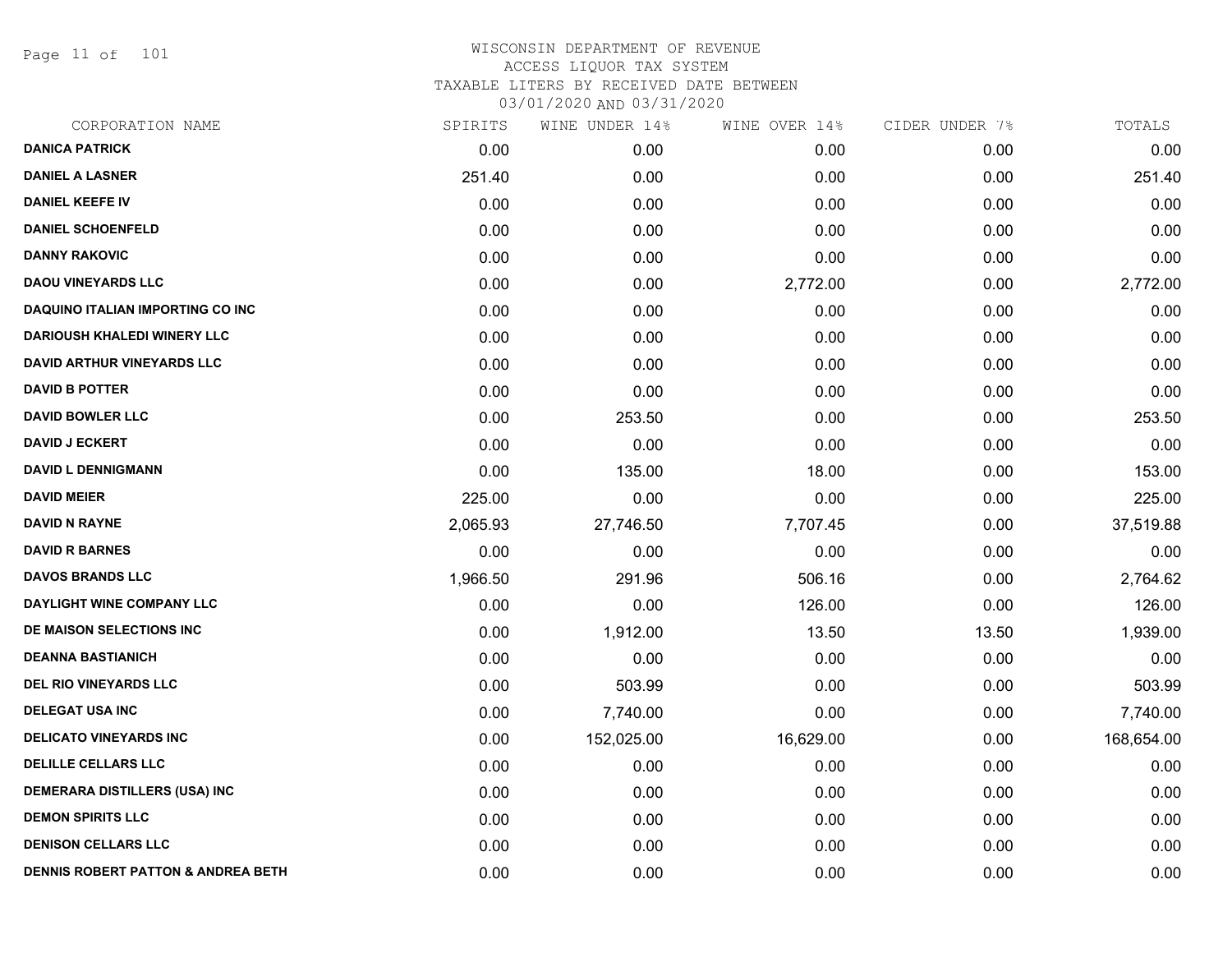Page 11 of 101

| CORPORATION NAME                              | SPIRITS  | WINE UNDER 14% | WINE OVER 14% | CIDER UNDER 7% | TOTALS     |
|-----------------------------------------------|----------|----------------|---------------|----------------|------------|
| <b>DANICA PATRICK</b>                         | 0.00     | 0.00           | 0.00          | 0.00           | 0.00       |
| <b>DANIEL A LASNER</b>                        | 251.40   | 0.00           | 0.00          | 0.00           | 251.40     |
| <b>DANIEL KEEFE IV</b>                        | 0.00     | 0.00           | 0.00          | 0.00           | 0.00       |
| <b>DANIEL SCHOENFELD</b>                      | 0.00     | 0.00           | 0.00          | 0.00           | 0.00       |
| <b>DANNY RAKOVIC</b>                          | 0.00     | 0.00           | 0.00          | 0.00           | 0.00       |
| <b>DAOU VINEYARDS LLC</b>                     | 0.00     | 0.00           | 2,772.00      | 0.00           | 2,772.00   |
| <b>DAQUINO ITALIAN IMPORTING CO INC</b>       | 0.00     | 0.00           | 0.00          | 0.00           | 0.00       |
| <b>DARIOUSH KHALEDI WINERY LLC</b>            | 0.00     | 0.00           | 0.00          | 0.00           | 0.00       |
| <b>DAVID ARTHUR VINEYARDS LLC</b>             | 0.00     | 0.00           | 0.00          | 0.00           | 0.00       |
| <b>DAVID B POTTER</b>                         | 0.00     | 0.00           | 0.00          | 0.00           | 0.00       |
| <b>DAVID BOWLER LLC</b>                       | 0.00     | 253.50         | 0.00          | 0.00           | 253.50     |
| <b>DAVID J ECKERT</b>                         | 0.00     | 0.00           | 0.00          | 0.00           | 0.00       |
| <b>DAVID L DENNIGMANN</b>                     | 0.00     | 135.00         | 18.00         | 0.00           | 153.00     |
| <b>DAVID MEIER</b>                            | 225.00   | 0.00           | 0.00          | 0.00           | 225.00     |
| <b>DAVID N RAYNE</b>                          | 2,065.93 | 27,746.50      | 7,707.45      | 0.00           | 37,519.88  |
| <b>DAVID R BARNES</b>                         | 0.00     | 0.00           | 0.00          | 0.00           | 0.00       |
| <b>DAVOS BRANDS LLC</b>                       | 1,966.50 | 291.96         | 506.16        | 0.00           | 2,764.62   |
| DAYLIGHT WINE COMPANY LLC                     | 0.00     | 0.00           | 126.00        | 0.00           | 126.00     |
| DE MAISON SELECTIONS INC                      | 0.00     | 1,912.00       | 13.50         | 13.50          | 1,939.00   |
| <b>DEANNA BASTIANICH</b>                      | 0.00     | 0.00           | 0.00          | 0.00           | 0.00       |
| <b>DEL RIO VINEYARDS LLC</b>                  | 0.00     | 503.99         | 0.00          | 0.00           | 503.99     |
| <b>DELEGAT USA INC</b>                        | 0.00     | 7,740.00       | 0.00          | 0.00           | 7,740.00   |
| <b>DELICATO VINEYARDS INC</b>                 | 0.00     | 152,025.00     | 16,629.00     | 0.00           | 168,654.00 |
| <b>DELILLE CELLARS LLC</b>                    | 0.00     | 0.00           | 0.00          | 0.00           | 0.00       |
| DEMERARA DISTILLERS (USA) INC                 | 0.00     | 0.00           | 0.00          | 0.00           | 0.00       |
| <b>DEMON SPIRITS LLC</b>                      | 0.00     | 0.00           | 0.00          | 0.00           | 0.00       |
| <b>DENISON CELLARS LLC</b>                    | 0.00     | 0.00           | 0.00          | 0.00           | 0.00       |
| <b>DENNIS ROBERT PATTON &amp; ANDREA BETH</b> | 0.00     | 0.00           | 0.00          | 0.00           | 0.00       |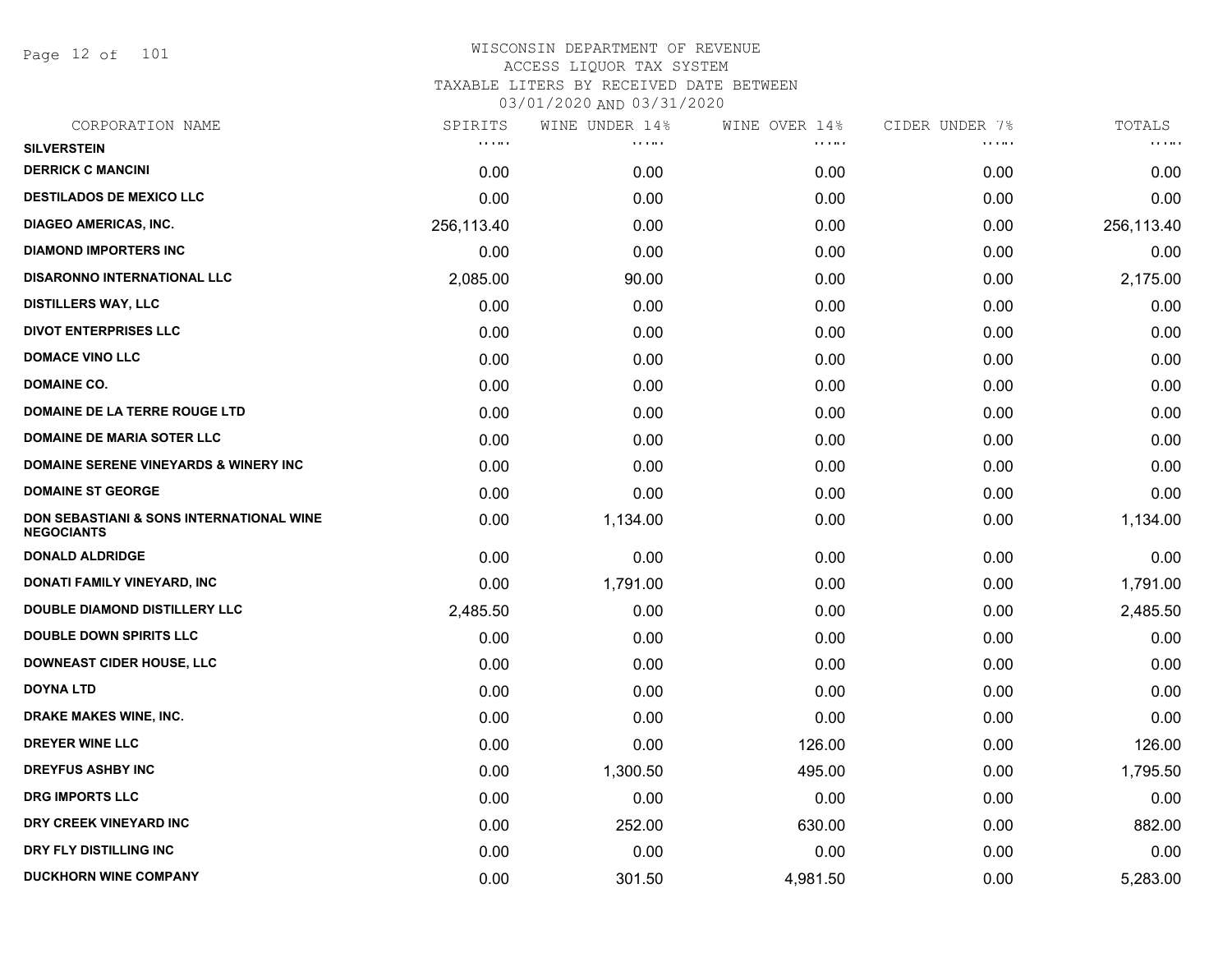Page 12 of 101

| CORPORATION NAME                                                         | SPIRITS                                        | WINE UNDER 14% | WINE OVER 14% | CIDER UNDER 7% | TOTALS     |
|--------------------------------------------------------------------------|------------------------------------------------|----------------|---------------|----------------|------------|
| <b>SILVERSTEIN</b>                                                       | $\mathbf{r}$ , $\mathbf{r}$ , and $\mathbf{r}$ | <b>.</b>       | .             | .              | <b>.</b>   |
| <b>DERRICK C MANCINI</b>                                                 | 0.00                                           | 0.00           | 0.00          | 0.00           | 0.00       |
| <b>DESTILADOS DE MEXICO LLC</b>                                          | 0.00                                           | 0.00           | 0.00          | 0.00           | 0.00       |
| <b>DIAGEO AMERICAS, INC.</b>                                             | 256,113.40                                     | 0.00           | 0.00          | 0.00           | 256,113.40 |
| <b>DIAMOND IMPORTERS INC</b>                                             | 0.00                                           | 0.00           | 0.00          | 0.00           | 0.00       |
| <b>DISARONNO INTERNATIONAL LLC</b>                                       | 2,085.00                                       | 90.00          | 0.00          | 0.00           | 2,175.00   |
| <b>DISTILLERS WAY, LLC</b>                                               | 0.00                                           | 0.00           | 0.00          | 0.00           | 0.00       |
| <b>DIVOT ENTERPRISES LLC</b>                                             | 0.00                                           | 0.00           | 0.00          | 0.00           | 0.00       |
| <b>DOMACE VINO LLC</b>                                                   | 0.00                                           | 0.00           | 0.00          | 0.00           | 0.00       |
| <b>DOMAINE CO.</b>                                                       | 0.00                                           | 0.00           | 0.00          | 0.00           | 0.00       |
| DOMAINE DE LA TERRE ROUGE LTD                                            | 0.00                                           | 0.00           | 0.00          | 0.00           | 0.00       |
| <b>DOMAINE DE MARIA SOTER LLC</b>                                        | 0.00                                           | 0.00           | 0.00          | 0.00           | 0.00       |
| <b>DOMAINE SERENE VINEYARDS &amp; WINERY INC</b>                         | 0.00                                           | 0.00           | 0.00          | 0.00           | 0.00       |
| <b>DOMAINE ST GEORGE</b>                                                 | 0.00                                           | 0.00           | 0.00          | 0.00           | 0.00       |
| <b>DON SEBASTIANI &amp; SONS INTERNATIONAL WINE</b><br><b>NEGOCIANTS</b> | 0.00                                           | 1,134.00       | 0.00          | 0.00           | 1,134.00   |
| <b>DONALD ALDRIDGE</b>                                                   | 0.00                                           | 0.00           | 0.00          | 0.00           | 0.00       |
| DONATI FAMILY VINEYARD, INC                                              | 0.00                                           | 1,791.00       | 0.00          | 0.00           | 1,791.00   |
| <b>DOUBLE DIAMOND DISTILLERY LLC</b>                                     | 2,485.50                                       | 0.00           | 0.00          | 0.00           | 2,485.50   |
| <b>DOUBLE DOWN SPIRITS LLC</b>                                           | 0.00                                           | 0.00           | 0.00          | 0.00           | 0.00       |
| <b>DOWNEAST CIDER HOUSE, LLC</b>                                         | 0.00                                           | 0.00           | 0.00          | 0.00           | 0.00       |
| <b>DOYNA LTD</b>                                                         | 0.00                                           | 0.00           | 0.00          | 0.00           | 0.00       |
| DRAKE MAKES WINE, INC.                                                   | 0.00                                           | 0.00           | 0.00          | 0.00           | 0.00       |
| DREYER WINE LLC                                                          | 0.00                                           | 0.00           | 126.00        | 0.00           | 126.00     |
| <b>DREYFUS ASHBY INC</b>                                                 | 0.00                                           | 1,300.50       | 495.00        | 0.00           | 1,795.50   |
| <b>DRG IMPORTS LLC</b>                                                   | 0.00                                           | 0.00           | 0.00          | 0.00           | 0.00       |
| DRY CREEK VINEYARD INC                                                   | 0.00                                           | 252.00         | 630.00        | 0.00           | 882.00     |
| DRY FLY DISTILLING INC                                                   | 0.00                                           | 0.00           | 0.00          | 0.00           | 0.00       |
| <b>DUCKHORN WINE COMPANY</b>                                             | 0.00                                           | 301.50         | 4,981.50      | 0.00           | 5,283.00   |
|                                                                          |                                                |                |               |                |            |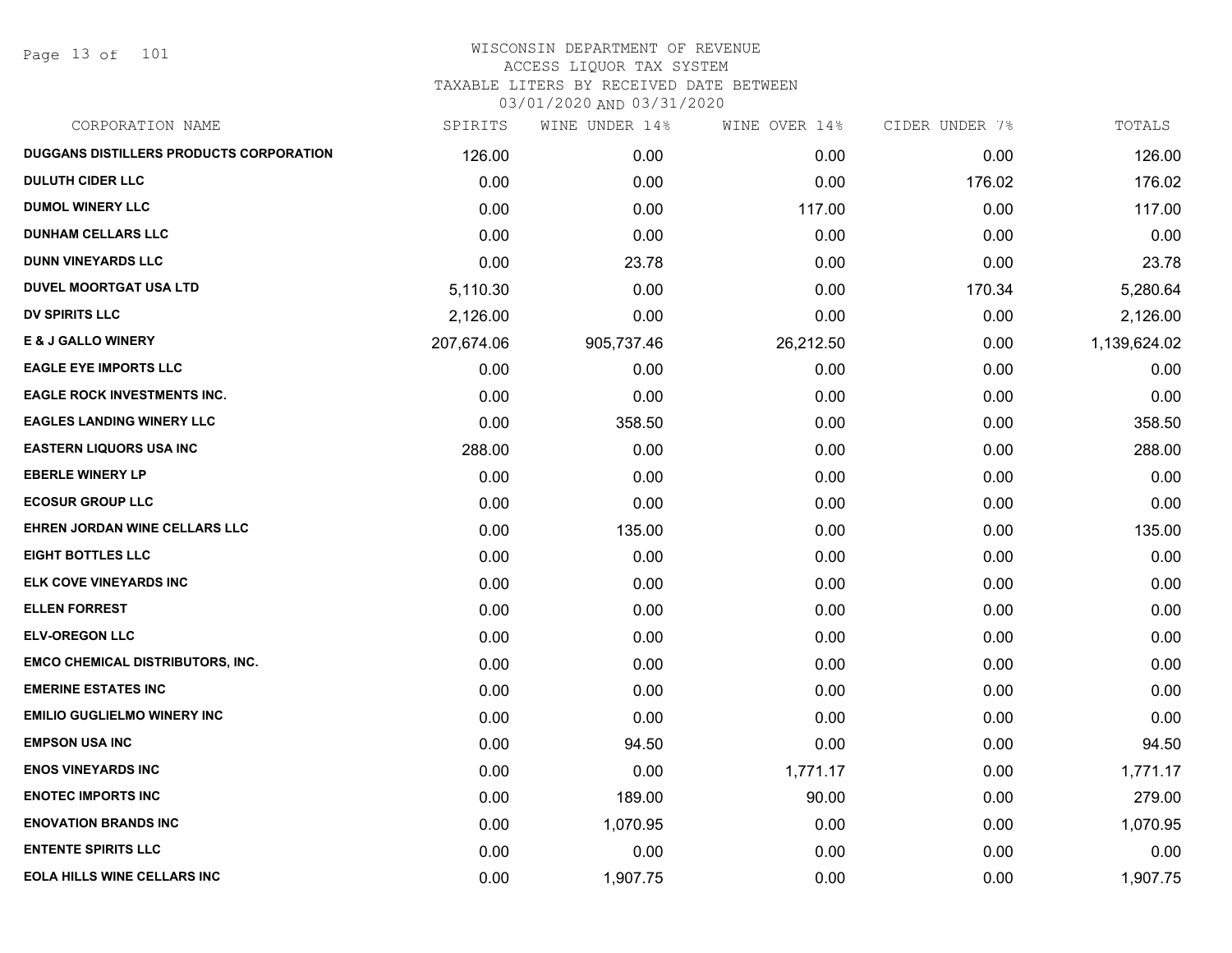Page 13 of 101

| CORPORATION NAME                               | SPIRITS    | WINE UNDER 14% | WINE OVER 14% | CIDER UNDER 7% | TOTALS       |
|------------------------------------------------|------------|----------------|---------------|----------------|--------------|
| <b>DUGGANS DISTILLERS PRODUCTS CORPORATION</b> | 126.00     | 0.00           | 0.00          | 0.00           | 126.00       |
| <b>DULUTH CIDER LLC</b>                        | 0.00       | 0.00           | 0.00          | 176.02         | 176.02       |
| <b>DUMOL WINERY LLC</b>                        | 0.00       | 0.00           | 117.00        | 0.00           | 117.00       |
| <b>DUNHAM CELLARS LLC</b>                      | 0.00       | 0.00           | 0.00          | 0.00           | 0.00         |
| <b>DUNN VINEYARDS LLC</b>                      | 0.00       | 23.78          | 0.00          | 0.00           | 23.78        |
| <b>DUVEL MOORTGAT USA LTD</b>                  | 5,110.30   | 0.00           | 0.00          | 170.34         | 5,280.64     |
| <b>DV SPIRITS LLC</b>                          | 2,126.00   | 0.00           | 0.00          | 0.00           | 2,126.00     |
| <b>E &amp; J GALLO WINERY</b>                  | 207,674.06 | 905,737.46     | 26,212.50     | 0.00           | 1,139,624.02 |
| <b>EAGLE EYE IMPORTS LLC</b>                   | 0.00       | 0.00           | 0.00          | 0.00           | 0.00         |
| <b>EAGLE ROCK INVESTMENTS INC.</b>             | 0.00       | 0.00           | 0.00          | 0.00           | 0.00         |
| <b>EAGLES LANDING WINERY LLC</b>               | 0.00       | 358.50         | 0.00          | 0.00           | 358.50       |
| <b>EASTERN LIQUORS USA INC</b>                 | 288.00     | 0.00           | 0.00          | 0.00           | 288.00       |
| <b>EBERLE WINERY LP</b>                        | 0.00       | 0.00           | 0.00          | 0.00           | 0.00         |
| <b>ECOSUR GROUP LLC</b>                        | 0.00       | 0.00           | 0.00          | 0.00           | 0.00         |
| EHREN JORDAN WINE CELLARS LLC                  | 0.00       | 135.00         | 0.00          | 0.00           | 135.00       |
| <b>EIGHT BOTTLES LLC</b>                       | 0.00       | 0.00           | 0.00          | 0.00           | 0.00         |
| ELK COVE VINEYARDS INC                         | 0.00       | 0.00           | 0.00          | 0.00           | 0.00         |
| <b>ELLEN FORREST</b>                           | 0.00       | 0.00           | 0.00          | 0.00           | 0.00         |
| <b>ELV-OREGON LLC</b>                          | 0.00       | 0.00           | 0.00          | 0.00           | 0.00         |
| <b>EMCO CHEMICAL DISTRIBUTORS, INC.</b>        | 0.00       | 0.00           | 0.00          | 0.00           | 0.00         |
| <b>EMERINE ESTATES INC</b>                     | 0.00       | 0.00           | 0.00          | 0.00           | 0.00         |
| <b>EMILIO GUGLIELMO WINERY INC</b>             | 0.00       | 0.00           | 0.00          | 0.00           | 0.00         |
| <b>EMPSON USA INC</b>                          | 0.00       | 94.50          | 0.00          | 0.00           | 94.50        |
| <b>ENOS VINEYARDS INC</b>                      | 0.00       | 0.00           | 1,771.17      | 0.00           | 1,771.17     |
| <b>ENOTEC IMPORTS INC</b>                      | 0.00       | 189.00         | 90.00         | 0.00           | 279.00       |
| <b>ENOVATION BRANDS INC</b>                    | 0.00       | 1,070.95       | 0.00          | 0.00           | 1,070.95     |
| <b>ENTENTE SPIRITS LLC</b>                     | 0.00       | 0.00           | 0.00          | 0.00           | 0.00         |
| <b>EOLA HILLS WINE CELLARS INC</b>             | 0.00       | 1,907.75       | 0.00          | 0.00           | 1,907.75     |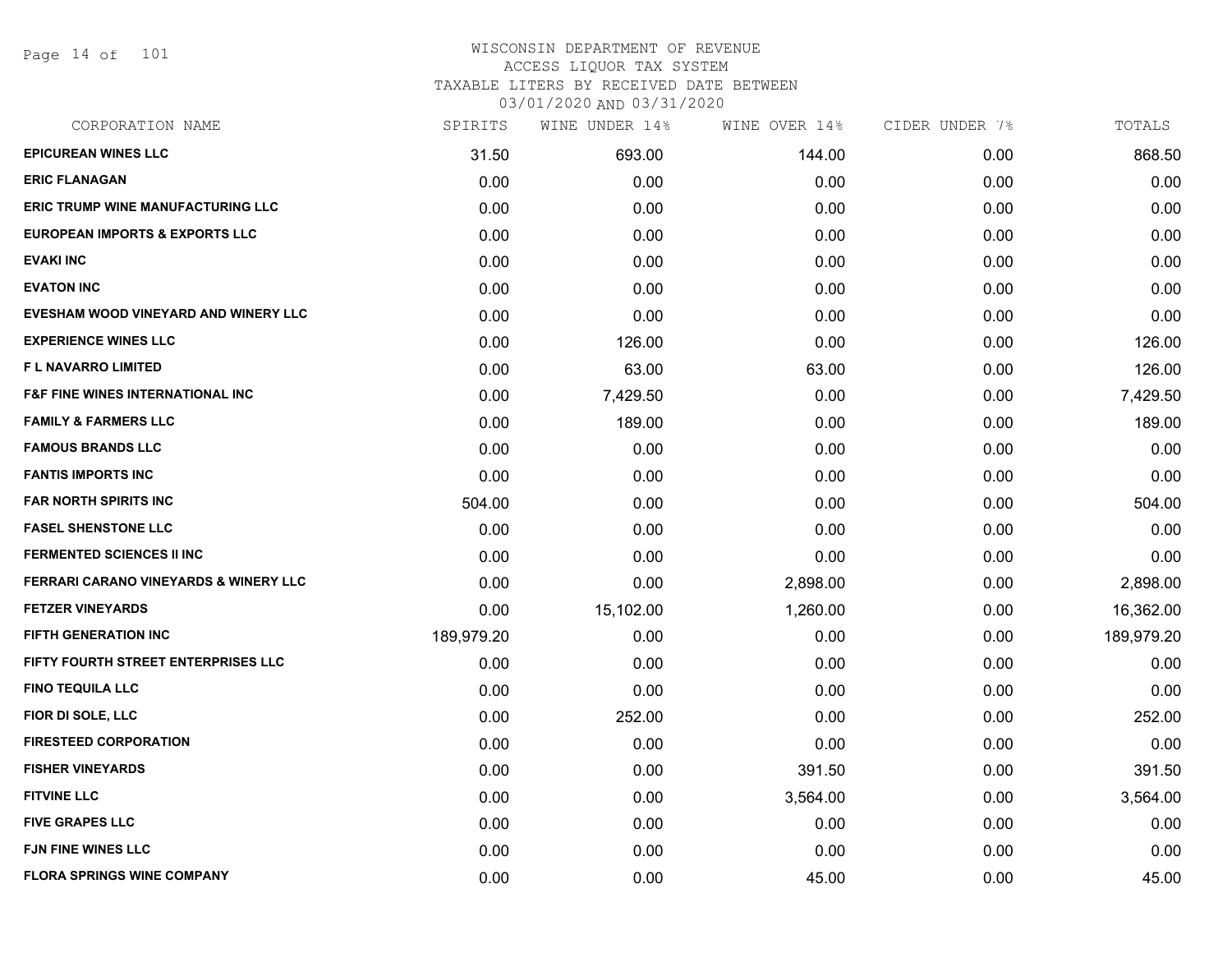Page 14 of 101

# WISCONSIN DEPARTMENT OF REVENUE ACCESS LIQUOR TAX SYSTEM TAXABLE LITERS BY RECEIVED DATE BETWEEN

| CORPORATION NAME                             | SPIRITS    | WINE UNDER 14% | WINE OVER 14% | CIDER UNDER 7% | TOTALS     |
|----------------------------------------------|------------|----------------|---------------|----------------|------------|
| <b>EPICUREAN WINES LLC</b>                   | 31.50      | 693.00         | 144.00        | 0.00           | 868.50     |
| <b>ERIC FLANAGAN</b>                         | 0.00       | 0.00           | 0.00          | 0.00           | 0.00       |
| <b>ERIC TRUMP WINE MANUFACTURING LLC</b>     | 0.00       | 0.00           | 0.00          | 0.00           | 0.00       |
| <b>EUROPEAN IMPORTS &amp; EXPORTS LLC</b>    | 0.00       | 0.00           | 0.00          | 0.00           | 0.00       |
| <b>EVAKI INC</b>                             | 0.00       | 0.00           | 0.00          | 0.00           | 0.00       |
| <b>EVATON INC</b>                            | 0.00       | 0.00           | 0.00          | 0.00           | 0.00       |
| EVESHAM WOOD VINEYARD AND WINERY LLC         | 0.00       | 0.00           | 0.00          | 0.00           | 0.00       |
| <b>EXPERIENCE WINES LLC</b>                  | 0.00       | 126.00         | 0.00          | 0.00           | 126.00     |
| <b>FL NAVARRO LIMITED</b>                    | 0.00       | 63.00          | 63.00         | 0.00           | 126.00     |
| <b>F&amp;F FINE WINES INTERNATIONAL INC.</b> | 0.00       | 7,429.50       | 0.00          | 0.00           | 7,429.50   |
| <b>FAMILY &amp; FARMERS LLC</b>              | 0.00       | 189.00         | 0.00          | 0.00           | 189.00     |
| <b>FAMOUS BRANDS LLC</b>                     | 0.00       | 0.00           | 0.00          | 0.00           | 0.00       |
| <b>FANTIS IMPORTS INC</b>                    | 0.00       | 0.00           | 0.00          | 0.00           | 0.00       |
| <b>FAR NORTH SPIRITS INC</b>                 | 504.00     | 0.00           | 0.00          | 0.00           | 504.00     |
| <b>FASEL SHENSTONE LLC</b>                   | 0.00       | 0.00           | 0.00          | 0.00           | 0.00       |
| <b>FERMENTED SCIENCES II INC</b>             | 0.00       | 0.00           | 0.00          | 0.00           | 0.00       |
| FERRARI CARANO VINEYARDS & WINERY LLC        | 0.00       | 0.00           | 2,898.00      | 0.00           | 2,898.00   |
| <b>FETZER VINEYARDS</b>                      | 0.00       | 15,102.00      | 1,260.00      | 0.00           | 16,362.00  |
| <b>FIFTH GENERATION INC</b>                  | 189,979.20 | 0.00           | 0.00          | 0.00           | 189,979.20 |
| FIFTY FOURTH STREET ENTERPRISES LLC          | 0.00       | 0.00           | 0.00          | 0.00           | 0.00       |
| <b>FINO TEQUILA LLC</b>                      | 0.00       | 0.00           | 0.00          | 0.00           | 0.00       |
| FIOR DI SOLE, LLC                            | 0.00       | 252.00         | 0.00          | 0.00           | 252.00     |
| <b>FIRESTEED CORPORATION</b>                 | 0.00       | 0.00           | 0.00          | 0.00           | 0.00       |
| <b>FISHER VINEYARDS</b>                      | 0.00       | 0.00           | 391.50        | 0.00           | 391.50     |
| <b>FITVINE LLC</b>                           | 0.00       | 0.00           | 3,564.00      | 0.00           | 3,564.00   |
| <b>FIVE GRAPES LLC</b>                       | 0.00       | 0.00           | 0.00          | 0.00           | 0.00       |
| FJN FINE WINES LLC                           | 0.00       | 0.00           | 0.00          | 0.00           | 0.00       |
| <b>FLORA SPRINGS WINE COMPANY</b>            | 0.00       | 0.00           | 45.00         | 0.00           | 45.00      |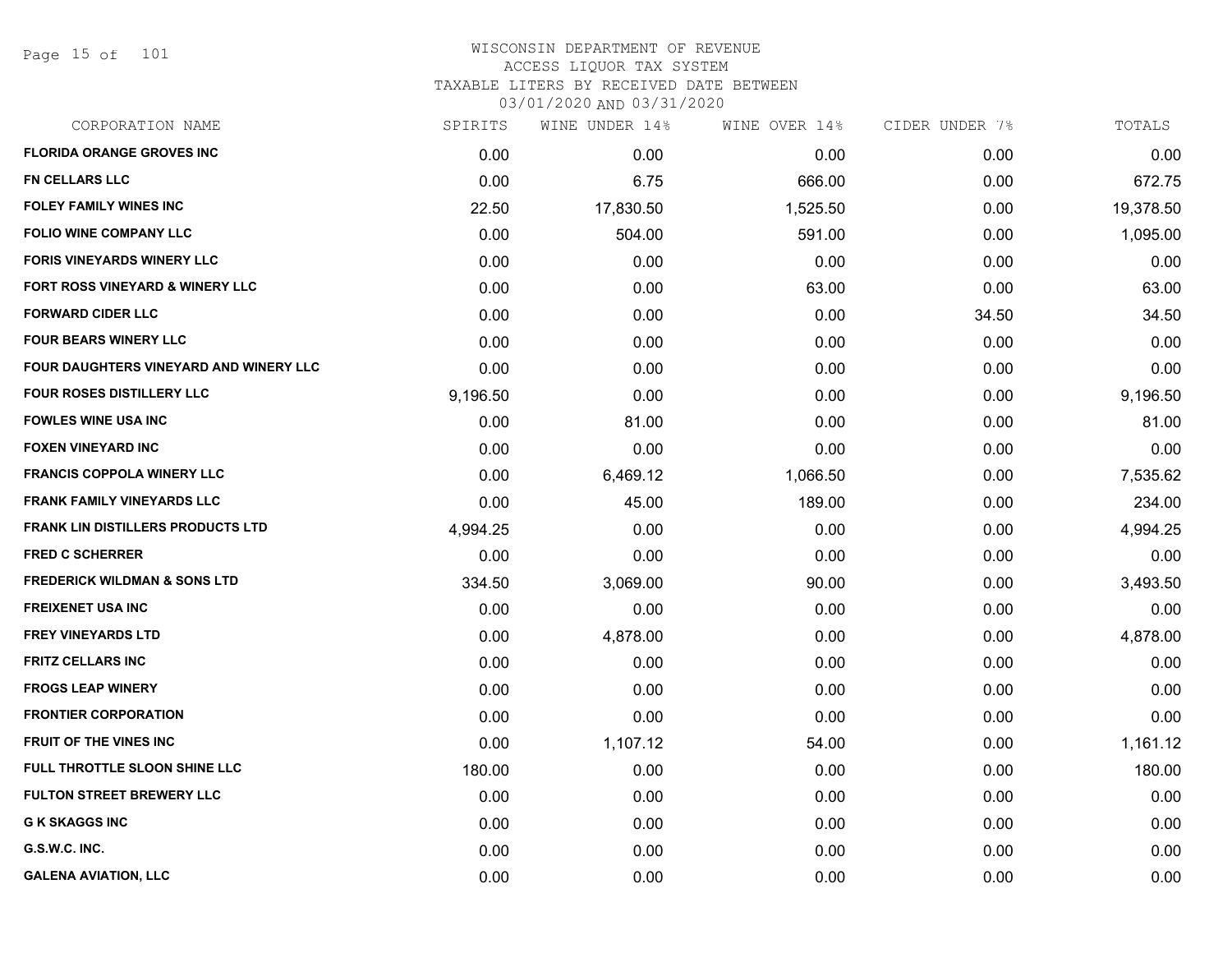Page 15 of 101

| SPIRITS  | WINE UNDER 14% |          |               | TOTALS         |
|----------|----------------|----------|---------------|----------------|
| 0.00     | 0.00           | 0.00     | 0.00          | 0.00           |
| 0.00     | 6.75           | 666.00   | 0.00          | 672.75         |
| 22.50    | 17,830.50      | 1,525.50 | 0.00          | 19,378.50      |
| 0.00     | 504.00         | 591.00   | 0.00          | 1,095.00       |
| 0.00     | 0.00           | 0.00     | 0.00          | 0.00           |
| 0.00     | 0.00           | 63.00    | 0.00          | 63.00          |
| 0.00     | 0.00           | 0.00     | 34.50         | 34.50          |
| 0.00     | 0.00           | 0.00     | 0.00          | 0.00           |
| 0.00     | 0.00           | 0.00     | 0.00          | 0.00           |
| 9,196.50 | 0.00           | 0.00     | 0.00          | 9,196.50       |
| 0.00     | 81.00          | 0.00     | 0.00          | 81.00          |
| 0.00     | 0.00           | 0.00     | 0.00          | 0.00           |
| 0.00     | 6,469.12       | 1,066.50 | 0.00          | 7,535.62       |
| 0.00     | 45.00          | 189.00   | 0.00          | 234.00         |
| 4,994.25 | 0.00           | 0.00     | 0.00          | 4,994.25       |
| 0.00     | 0.00           | 0.00     | 0.00          | 0.00           |
| 334.50   | 3,069.00       | 90.00    | 0.00          | 3,493.50       |
| 0.00     | 0.00           | 0.00     | 0.00          | 0.00           |
| 0.00     | 4,878.00       | 0.00     | 0.00          | 4,878.00       |
| 0.00     | 0.00           | 0.00     | 0.00          | 0.00           |
| 0.00     | 0.00           | 0.00     | 0.00          | 0.00           |
| 0.00     | 0.00           | 0.00     | 0.00          | 0.00           |
| 0.00     | 1,107.12       | 54.00    | 0.00          | 1,161.12       |
| 180.00   | 0.00           | 0.00     | 0.00          | 180.00         |
| 0.00     | 0.00           | 0.00     | 0.00          | 0.00           |
| 0.00     | 0.00           | 0.00     | 0.00          | 0.00           |
| 0.00     | 0.00           | 0.00     | 0.00          | 0.00           |
| 0.00     | 0.00           | 0.00     | 0.00          | 0.00           |
|          |                |          | WINE OVER 14% | CIDER UNDER 7% |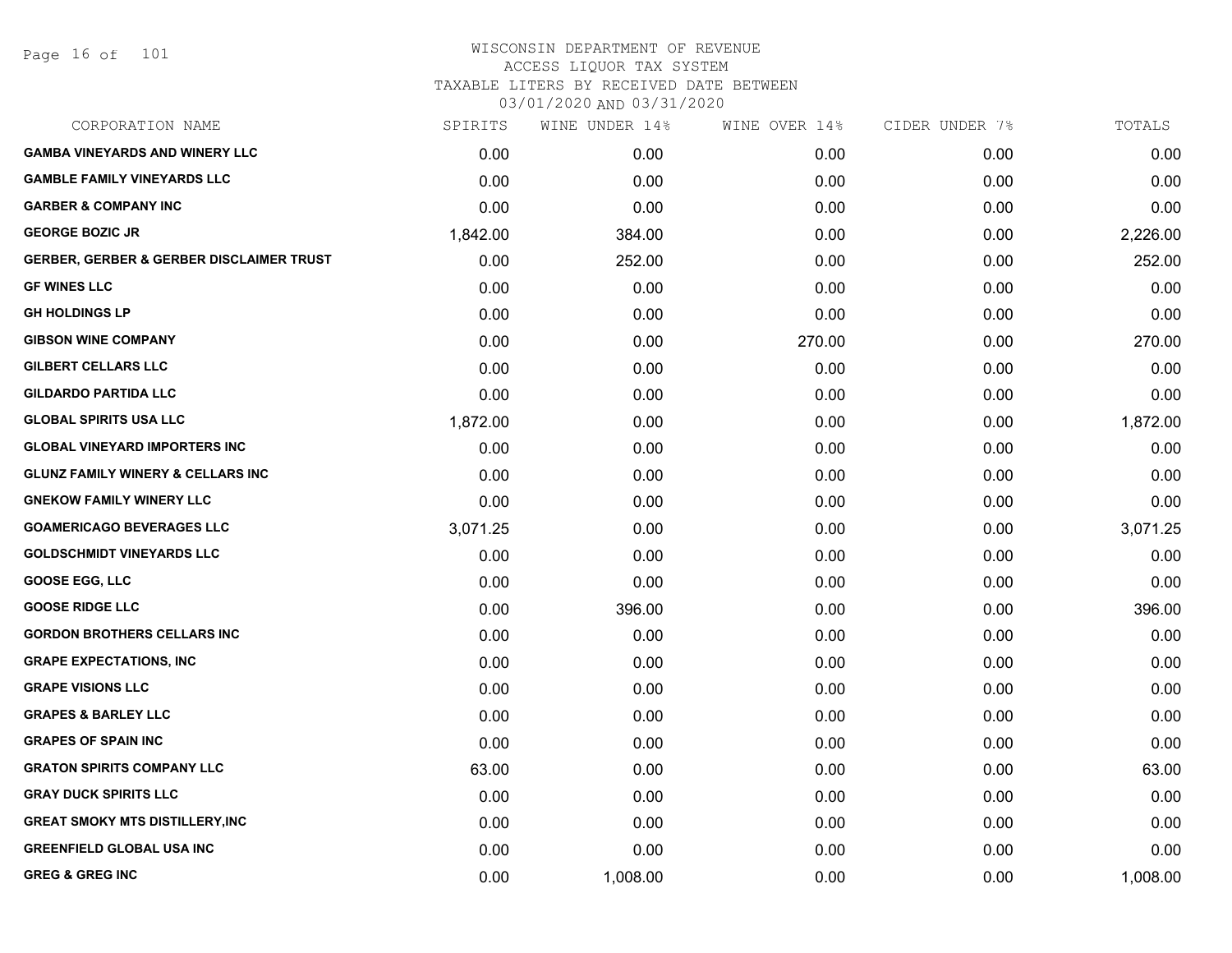Page 16 of 101

## WISCONSIN DEPARTMENT OF REVENUE ACCESS LIQUOR TAX SYSTEM TAXABLE LITERS BY RECEIVED DATE BETWEEN

| CORPORATION NAME                                    | SPIRITS  | WINE UNDER 14% | WINE OVER 14% | CIDER UNDER 7% | TOTALS   |
|-----------------------------------------------------|----------|----------------|---------------|----------------|----------|
| <b>GAMBA VINEYARDS AND WINERY LLC</b>               | 0.00     | 0.00           | 0.00          | 0.00           | 0.00     |
| <b>GAMBLE FAMILY VINEYARDS LLC</b>                  | 0.00     | 0.00           | 0.00          | 0.00           | 0.00     |
| <b>GARBER &amp; COMPANY INC</b>                     | 0.00     | 0.00           | 0.00          | 0.00           | 0.00     |
| <b>GEORGE BOZIC JR</b>                              | 1,842.00 | 384.00         | 0.00          | 0.00           | 2,226.00 |
| <b>GERBER, GERBER &amp; GERBER DISCLAIMER TRUST</b> | 0.00     | 252.00         | 0.00          | 0.00           | 252.00   |
| <b>GF WINES LLC</b>                                 | 0.00     | 0.00           | 0.00          | 0.00           | 0.00     |
| <b>GH HOLDINGS LP</b>                               | 0.00     | 0.00           | 0.00          | 0.00           | 0.00     |
| <b>GIBSON WINE COMPANY</b>                          | 0.00     | 0.00           | 270.00        | 0.00           | 270.00   |
| <b>GILBERT CELLARS LLC</b>                          | 0.00     | 0.00           | 0.00          | 0.00           | 0.00     |
| <b>GILDARDO PARTIDA LLC</b>                         | 0.00     | 0.00           | 0.00          | 0.00           | 0.00     |
| <b>GLOBAL SPIRITS USA LLC</b>                       | 1,872.00 | 0.00           | 0.00          | 0.00           | 1,872.00 |
| <b>GLOBAL VINEYARD IMPORTERS INC</b>                | 0.00     | 0.00           | 0.00          | 0.00           | 0.00     |
| <b>GLUNZ FAMILY WINERY &amp; CELLARS INC</b>        | 0.00     | 0.00           | 0.00          | 0.00           | 0.00     |
| <b>GNEKOW FAMILY WINERY LLC</b>                     | 0.00     | 0.00           | 0.00          | 0.00           | 0.00     |
| <b>GOAMERICAGO BEVERAGES LLC</b>                    | 3,071.25 | 0.00           | 0.00          | 0.00           | 3,071.25 |
| <b>GOLDSCHMIDT VINEYARDS LLC</b>                    | 0.00     | 0.00           | 0.00          | 0.00           | 0.00     |
| <b>GOOSE EGG, LLC</b>                               | 0.00     | 0.00           | 0.00          | 0.00           | 0.00     |
| <b>GOOSE RIDGE LLC</b>                              | 0.00     | 396.00         | 0.00          | 0.00           | 396.00   |
| <b>GORDON BROTHERS CELLARS INC</b>                  | 0.00     | 0.00           | 0.00          | 0.00           | 0.00     |
| <b>GRAPE EXPECTATIONS, INC</b>                      | 0.00     | 0.00           | 0.00          | 0.00           | 0.00     |
| <b>GRAPE VISIONS LLC</b>                            | 0.00     | 0.00           | 0.00          | 0.00           | 0.00     |
| <b>GRAPES &amp; BARLEY LLC</b>                      | 0.00     | 0.00           | 0.00          | 0.00           | 0.00     |
| <b>GRAPES OF SPAIN INC</b>                          | 0.00     | 0.00           | 0.00          | 0.00           | 0.00     |
| <b>GRATON SPIRITS COMPANY LLC</b>                   | 63.00    | 0.00           | 0.00          | 0.00           | 63.00    |
| <b>GRAY DUCK SPIRITS LLC</b>                        | 0.00     | 0.00           | 0.00          | 0.00           | 0.00     |
| <b>GREAT SMOKY MTS DISTILLERY, INC</b>              | 0.00     | 0.00           | 0.00          | 0.00           | 0.00     |
| <b>GREENFIELD GLOBAL USA INC</b>                    | 0.00     | 0.00           | 0.00          | 0.00           | 0.00     |
| <b>GREG &amp; GREG INC</b>                          | 0.00     | 1,008.00       | 0.00          | 0.00           | 1,008.00 |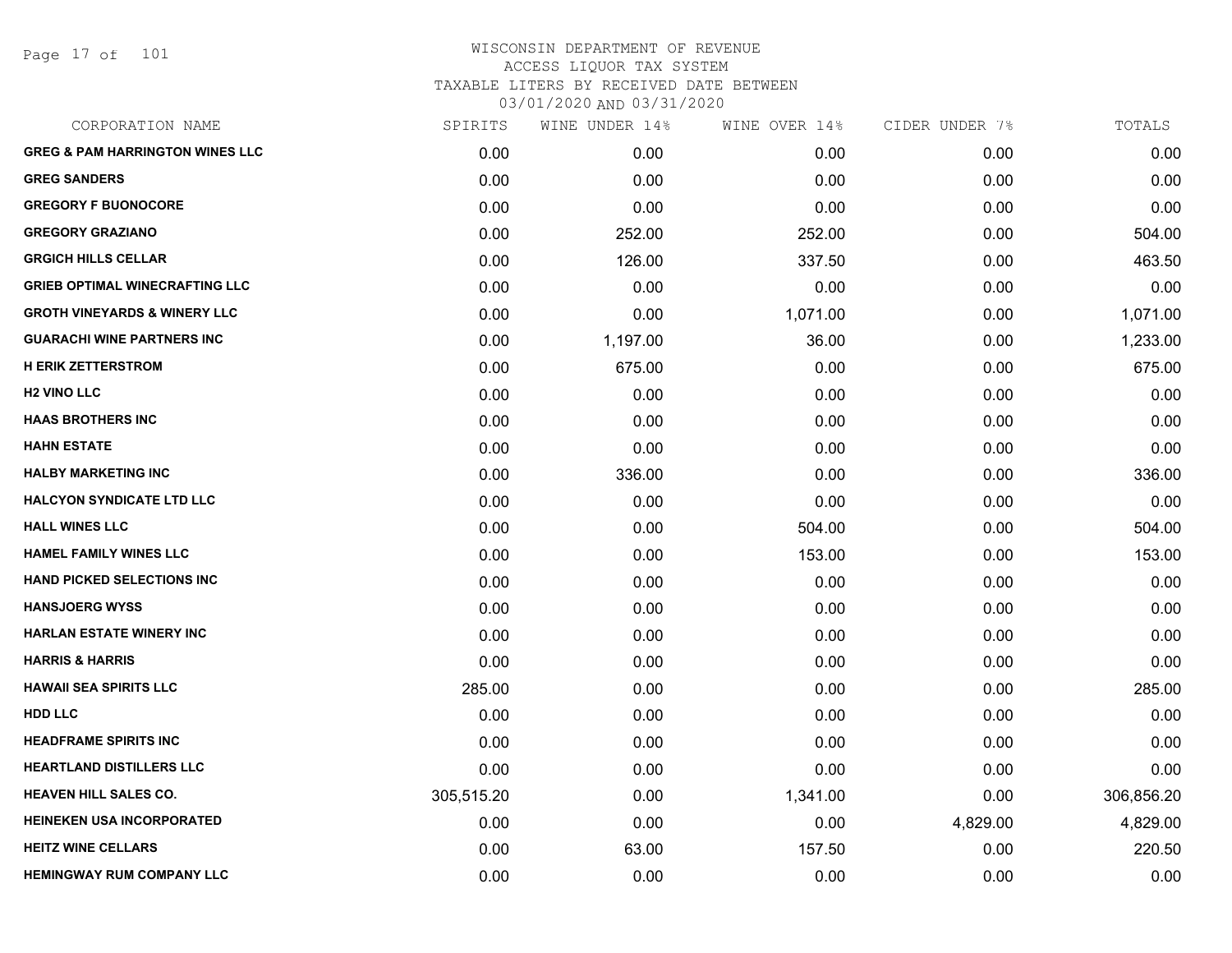Page 17 of 101

| CORPORATION NAME                           | SPIRITS    | WINE UNDER 14% | WINE OVER 14% | CIDER UNDER 7% | TOTALS     |
|--------------------------------------------|------------|----------------|---------------|----------------|------------|
| <b>GREG &amp; PAM HARRINGTON WINES LLC</b> | 0.00       | 0.00           | 0.00          | 0.00           | 0.00       |
| <b>GREG SANDERS</b>                        | 0.00       | 0.00           | 0.00          | 0.00           | 0.00       |
| <b>GREGORY F BUONOCORE</b>                 | 0.00       | 0.00           | 0.00          | 0.00           | 0.00       |
| <b>GREGORY GRAZIANO</b>                    | 0.00       | 252.00         | 252.00        | 0.00           | 504.00     |
| <b>GRGICH HILLS CELLAR</b>                 | 0.00       | 126.00         | 337.50        | 0.00           | 463.50     |
| <b>GRIEB OPTIMAL WINECRAFTING LLC</b>      | 0.00       | 0.00           | 0.00          | 0.00           | 0.00       |
| <b>GROTH VINEYARDS &amp; WINERY LLC</b>    | 0.00       | 0.00           | 1,071.00      | 0.00           | 1,071.00   |
| <b>GUARACHI WINE PARTNERS INC</b>          | 0.00       | 1,197.00       | 36.00         | 0.00           | 1,233.00   |
| <b>H ERIK ZETTERSTROM</b>                  | 0.00       | 675.00         | 0.00          | 0.00           | 675.00     |
| <b>H2 VINO LLC</b>                         | 0.00       | 0.00           | 0.00          | 0.00           | 0.00       |
| <b>HAAS BROTHERS INC</b>                   | 0.00       | 0.00           | 0.00          | 0.00           | 0.00       |
| <b>HAHN ESTATE</b>                         | 0.00       | 0.00           | 0.00          | 0.00           | 0.00       |
| <b>HALBY MARKETING INC</b>                 | 0.00       | 336.00         | 0.00          | 0.00           | 336.00     |
| <b>HALCYON SYNDICATE LTD LLC</b>           | 0.00       | 0.00           | 0.00          | 0.00           | 0.00       |
| <b>HALL WINES LLC</b>                      | 0.00       | 0.00           | 504.00        | 0.00           | 504.00     |
| <b>HAMEL FAMILY WINES LLC</b>              | 0.00       | 0.00           | 153.00        | 0.00           | 153.00     |
| <b>HAND PICKED SELECTIONS INC</b>          | 0.00       | 0.00           | 0.00          | 0.00           | 0.00       |
| <b>HANSJOERG WYSS</b>                      | 0.00       | 0.00           | 0.00          | 0.00           | 0.00       |
| <b>HARLAN ESTATE WINERY INC</b>            | 0.00       | 0.00           | 0.00          | 0.00           | 0.00       |
| <b>HARRIS &amp; HARRIS</b>                 | 0.00       | 0.00           | 0.00          | 0.00           | 0.00       |
| <b>HAWAII SEA SPIRITS LLC</b>              | 285.00     | 0.00           | 0.00          | 0.00           | 285.00     |
| <b>HDD LLC</b>                             | 0.00       | 0.00           | 0.00          | 0.00           | 0.00       |
| <b>HEADFRAME SPIRITS INC</b>               | 0.00       | 0.00           | 0.00          | 0.00           | 0.00       |
| <b>HEARTLAND DISTILLERS LLC</b>            | 0.00       | 0.00           | 0.00          | 0.00           | 0.00       |
| <b>HEAVEN HILL SALES CO.</b>               | 305,515.20 | 0.00           | 1,341.00      | 0.00           | 306,856.20 |
| HEINEKEN USA INCORPORATED                  | 0.00       | 0.00           | 0.00          | 4,829.00       | 4,829.00   |
| <b>HEITZ WINE CELLARS</b>                  | 0.00       | 63.00          | 157.50        | 0.00           | 220.50     |
| <b>HEMINGWAY RUM COMPANY LLC</b>           | 0.00       | 0.00           | 0.00          | 0.00           | 0.00       |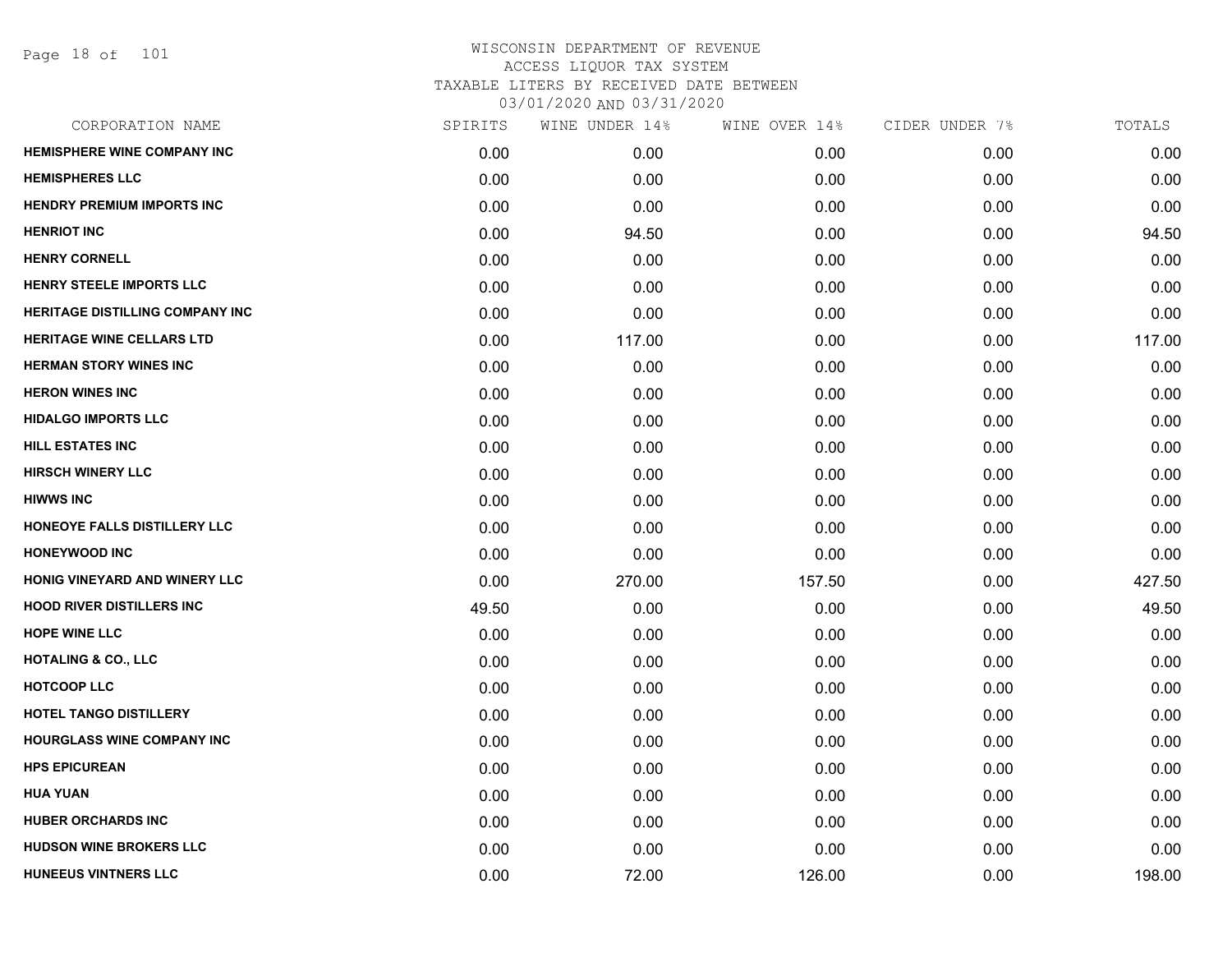Page 18 of 101

| CORPORATION NAME                       | SPIRITS | WINE UNDER 14% | WINE OVER 14% | CIDER UNDER 7% | TOTALS |
|----------------------------------------|---------|----------------|---------------|----------------|--------|
| <b>HEMISPHERE WINE COMPANY INC</b>     | 0.00    | 0.00           | 0.00          | 0.00           | 0.00   |
| <b>HEMISPHERES LLC</b>                 | 0.00    | 0.00           | 0.00          | 0.00           | 0.00   |
| <b>HENDRY PREMIUM IMPORTS INC</b>      | 0.00    | 0.00           | 0.00          | 0.00           | 0.00   |
| <b>HENRIOT INC</b>                     | 0.00    | 94.50          | 0.00          | 0.00           | 94.50  |
| <b>HENRY CORNELL</b>                   | 0.00    | 0.00           | 0.00          | 0.00           | 0.00   |
| HENRY STEELE IMPORTS LLC               | 0.00    | 0.00           | 0.00          | 0.00           | 0.00   |
| <b>HERITAGE DISTILLING COMPANY INC</b> | 0.00    | 0.00           | 0.00          | 0.00           | 0.00   |
| <b>HERITAGE WINE CELLARS LTD</b>       | 0.00    | 117.00         | 0.00          | 0.00           | 117.00 |
| <b>HERMAN STORY WINES INC</b>          | 0.00    | 0.00           | 0.00          | 0.00           | 0.00   |
| <b>HERON WINES INC</b>                 | 0.00    | 0.00           | 0.00          | 0.00           | 0.00   |
| <b>HIDALGO IMPORTS LLC</b>             | 0.00    | 0.00           | 0.00          | 0.00           | 0.00   |
| <b>HILL ESTATES INC</b>                | 0.00    | 0.00           | 0.00          | 0.00           | 0.00   |
| <b>HIRSCH WINERY LLC</b>               | 0.00    | 0.00           | 0.00          | 0.00           | 0.00   |
| <b>HIWWS INC</b>                       | 0.00    | 0.00           | 0.00          | 0.00           | 0.00   |
| HONEOYE FALLS DISTILLERY LLC           | 0.00    | 0.00           | 0.00          | 0.00           | 0.00   |
| <b>HONEYWOOD INC</b>                   | 0.00    | 0.00           | 0.00          | 0.00           | 0.00   |
| HONIG VINEYARD AND WINERY LLC          | 0.00    | 270.00         | 157.50        | 0.00           | 427.50 |
| <b>HOOD RIVER DISTILLERS INC</b>       | 49.50   | 0.00           | 0.00          | 0.00           | 49.50  |
| <b>HOPE WINE LLC</b>                   | 0.00    | 0.00           | 0.00          | 0.00           | 0.00   |
| <b>HOTALING &amp; CO., LLC</b>         | 0.00    | 0.00           | 0.00          | 0.00           | 0.00   |
| <b>HOTCOOP LLC</b>                     | 0.00    | 0.00           | 0.00          | 0.00           | 0.00   |
| <b>HOTEL TANGO DISTILLERY</b>          | 0.00    | 0.00           | 0.00          | 0.00           | 0.00   |
| <b>HOURGLASS WINE COMPANY INC</b>      | 0.00    | 0.00           | 0.00          | 0.00           | 0.00   |
| <b>HPS EPICUREAN</b>                   | 0.00    | 0.00           | 0.00          | 0.00           | 0.00   |
| <b>HUA YUAN</b>                        | 0.00    | 0.00           | 0.00          | 0.00           | 0.00   |
| <b>HUBER ORCHARDS INC</b>              | 0.00    | 0.00           | 0.00          | 0.00           | 0.00   |
| HUDSON WINE BROKERS LLC                | 0.00    | 0.00           | 0.00          | 0.00           | 0.00   |
| <b>HUNEEUS VINTNERS LLC</b>            | 0.00    | 72.00          | 126.00        | 0.00           | 198.00 |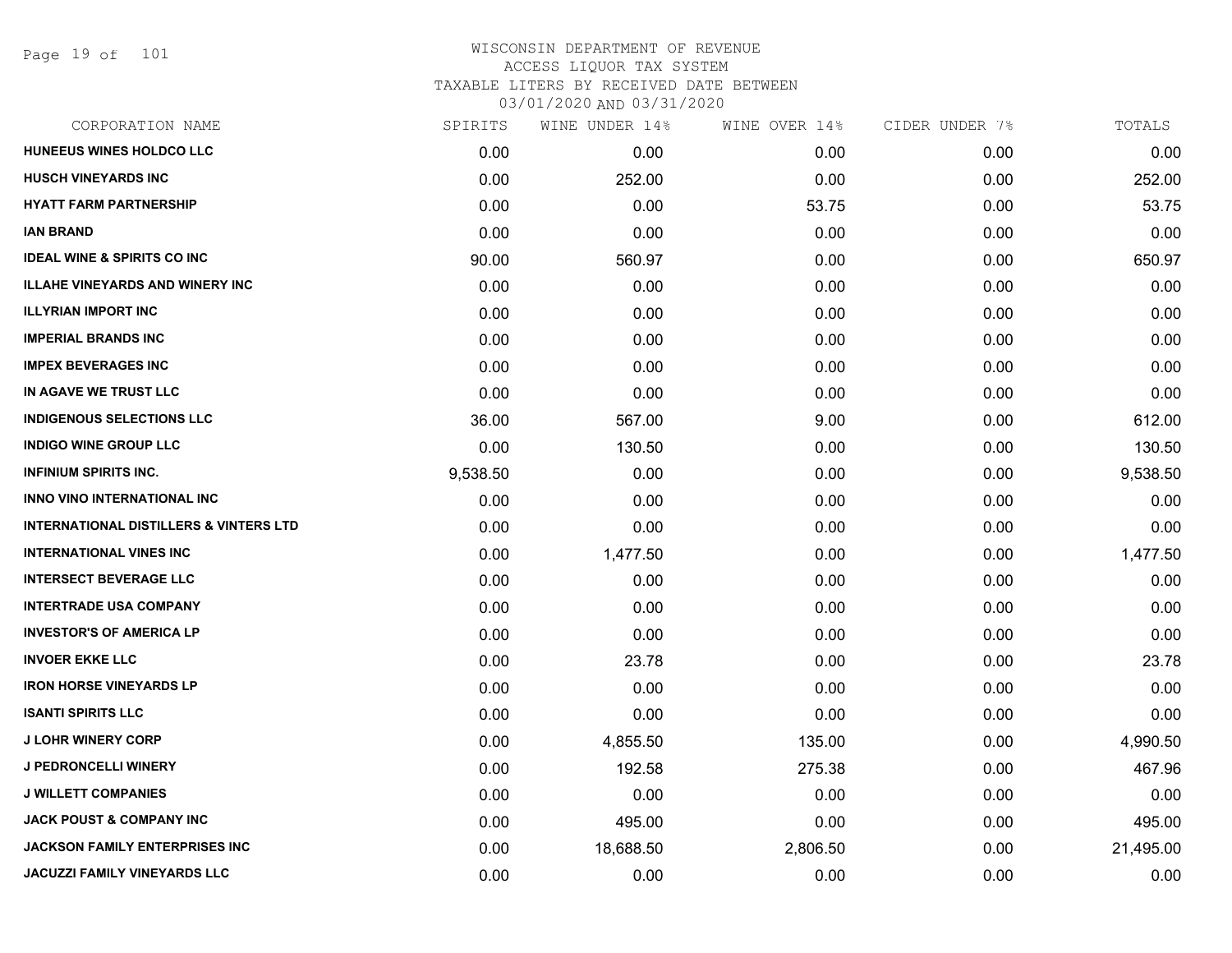Page 19 of 101

| CORPORATION NAME                                  | SPIRITS  | WINE UNDER 14% | WINE OVER 14% | CIDER UNDER 7% | TOTALS    |
|---------------------------------------------------|----------|----------------|---------------|----------------|-----------|
| HUNEEUS WINES HOLDCO LLC                          | 0.00     | 0.00           | 0.00          | 0.00           | 0.00      |
| <b>HUSCH VINEYARDS INC</b>                        | 0.00     | 252.00         | 0.00          | 0.00           | 252.00    |
| <b>HYATT FARM PARTNERSHIP</b>                     | 0.00     | 0.00           | 53.75         | 0.00           | 53.75     |
| <b>IAN BRAND</b>                                  | 0.00     | 0.00           | 0.00          | 0.00           | 0.00      |
| <b>IDEAL WINE &amp; SPIRITS CO INC</b>            | 90.00    | 560.97         | 0.00          | 0.00           | 650.97    |
| <b>ILLAHE VINEYARDS AND WINERY INC</b>            | 0.00     | 0.00           | 0.00          | 0.00           | 0.00      |
| <b>ILLYRIAN IMPORT INC</b>                        | 0.00     | 0.00           | 0.00          | 0.00           | 0.00      |
| <b>IMPERIAL BRANDS INC</b>                        | 0.00     | 0.00           | 0.00          | 0.00           | 0.00      |
| <b>IMPEX BEVERAGES INC</b>                        | 0.00     | 0.00           | 0.00          | 0.00           | 0.00      |
| IN AGAVE WE TRUST LLC                             | 0.00     | 0.00           | 0.00          | 0.00           | 0.00      |
| <b>INDIGENOUS SELECTIONS LLC</b>                  | 36.00    | 567.00         | 9.00          | 0.00           | 612.00    |
| <b>INDIGO WINE GROUP LLC</b>                      | 0.00     | 130.50         | 0.00          | 0.00           | 130.50    |
| <b>INFINIUM SPIRITS INC.</b>                      | 9,538.50 | 0.00           | 0.00          | 0.00           | 9,538.50  |
| <b>INNO VINO INTERNATIONAL INC</b>                | 0.00     | 0.00           | 0.00          | 0.00           | 0.00      |
| <b>INTERNATIONAL DISTILLERS &amp; VINTERS LTD</b> | 0.00     | 0.00           | 0.00          | 0.00           | 0.00      |
| <b>INTERNATIONAL VINES INC</b>                    | 0.00     | 1,477.50       | 0.00          | 0.00           | 1,477.50  |
| <b>INTERSECT BEVERAGE LLC</b>                     | 0.00     | 0.00           | 0.00          | 0.00           | 0.00      |
| <b>INTERTRADE USA COMPANY</b>                     | 0.00     | 0.00           | 0.00          | 0.00           | 0.00      |
| <b>INVESTOR'S OF AMERICA LP</b>                   | 0.00     | 0.00           | 0.00          | 0.00           | 0.00      |
| <b>INVOER EKKE LLC</b>                            | 0.00     | 23.78          | 0.00          | 0.00           | 23.78     |
| <b>IRON HORSE VINEYARDS LP</b>                    | 0.00     | 0.00           | 0.00          | 0.00           | 0.00      |
| <b>ISANTI SPIRITS LLC</b>                         | 0.00     | 0.00           | 0.00          | 0.00           | 0.00      |
| <b>J LOHR WINERY CORP</b>                         | 0.00     | 4,855.50       | 135.00        | 0.00           | 4,990.50  |
| <b>J PEDRONCELLI WINERY</b>                       | 0.00     | 192.58         | 275.38        | 0.00           | 467.96    |
| <b>J WILLETT COMPANIES</b>                        | 0.00     | 0.00           | 0.00          | 0.00           | 0.00      |
| <b>JACK POUST &amp; COMPANY INC</b>               | 0.00     | 495.00         | 0.00          | 0.00           | 495.00    |
| <b>JACKSON FAMILY ENTERPRISES INC</b>             | 0.00     | 18,688.50      | 2,806.50      | 0.00           | 21,495.00 |
| JACUZZI FAMILY VINEYARDS LLC                      | 0.00     | 0.00           | 0.00          | 0.00           | 0.00      |
|                                                   |          |                |               |                |           |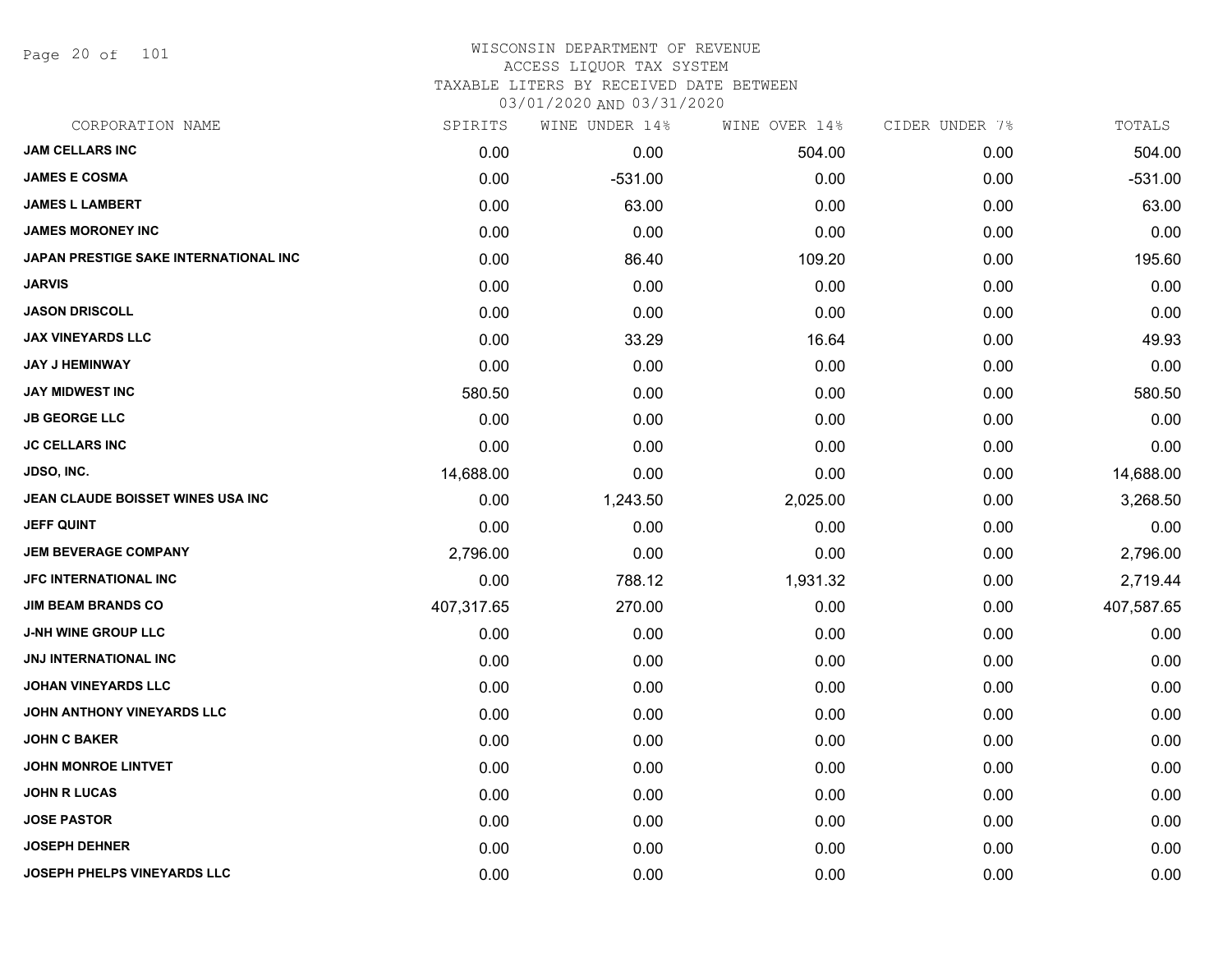Page 20 of 101

# WISCONSIN DEPARTMENT OF REVENUE ACCESS LIQUOR TAX SYSTEM

TAXABLE LITERS BY RECEIVED DATE BETWEEN

| CORPORATION NAME                      | SPIRITS    | WINE UNDER 14% | WINE OVER 14% | CIDER UNDER 7% | TOTALS     |
|---------------------------------------|------------|----------------|---------------|----------------|------------|
| <b>JAM CELLARS INC</b>                | 0.00       | 0.00           | 504.00        | 0.00           | 504.00     |
| <b>JAMES E COSMA</b>                  | 0.00       | $-531.00$      | 0.00          | 0.00           | $-531.00$  |
| <b>JAMES L LAMBERT</b>                | 0.00       | 63.00          | 0.00          | 0.00           | 63.00      |
| <b>JAMES MORONEY INC</b>              | 0.00       | 0.00           | 0.00          | 0.00           | 0.00       |
| JAPAN PRESTIGE SAKE INTERNATIONAL INC | 0.00       | 86.40          | 109.20        | 0.00           | 195.60     |
| <b>JARVIS</b>                         | 0.00       | 0.00           | 0.00          | 0.00           | 0.00       |
| <b>JASON DRISCOLL</b>                 | 0.00       | 0.00           | 0.00          | 0.00           | 0.00       |
| <b>JAX VINEYARDS LLC</b>              | 0.00       | 33.29          | 16.64         | 0.00           | 49.93      |
| <b>JAY J HEMINWAY</b>                 | 0.00       | 0.00           | 0.00          | 0.00           | 0.00       |
| <b>JAY MIDWEST INC</b>                | 580.50     | 0.00           | 0.00          | 0.00           | 580.50     |
| <b>JB GEORGE LLC</b>                  | 0.00       | 0.00           | 0.00          | 0.00           | 0.00       |
| <b>JC CELLARS INC</b>                 | 0.00       | 0.00           | 0.00          | 0.00           | 0.00       |
| <b>JDSO, INC.</b>                     | 14,688.00  | 0.00           | 0.00          | 0.00           | 14,688.00  |
| JEAN CLAUDE BOISSET WINES USA INC     | 0.00       | 1,243.50       | 2,025.00      | 0.00           | 3,268.50   |
| <b>JEFF QUINT</b>                     | 0.00       | 0.00           | 0.00          | 0.00           | 0.00       |
| <b>JEM BEVERAGE COMPANY</b>           | 2,796.00   | 0.00           | 0.00          | 0.00           | 2,796.00   |
| <b>JFC INTERNATIONAL INC</b>          | 0.00       | 788.12         | 1,931.32      | 0.00           | 2,719.44   |
| <b>JIM BEAM BRANDS CO</b>             | 407,317.65 | 270.00         | 0.00          | 0.00           | 407,587.65 |
| <b>J-NH WINE GROUP LLC</b>            | 0.00       | 0.00           | 0.00          | 0.00           | 0.00       |
| <b>JNJ INTERNATIONAL INC</b>          | 0.00       | 0.00           | 0.00          | 0.00           | 0.00       |
| <b>JOHAN VINEYARDS LLC</b>            | 0.00       | 0.00           | 0.00          | 0.00           | 0.00       |
| JOHN ANTHONY VINEYARDS LLC            | 0.00       | 0.00           | 0.00          | 0.00           | 0.00       |
| <b>JOHN C BAKER</b>                   | 0.00       | 0.00           | 0.00          | 0.00           | 0.00       |
| <b>JOHN MONROE LINTVET</b>            | 0.00       | 0.00           | 0.00          | 0.00           | 0.00       |
| <b>JOHN R LUCAS</b>                   | 0.00       | 0.00           | 0.00          | 0.00           | 0.00       |
| <b>JOSE PASTOR</b>                    | 0.00       | 0.00           | 0.00          | 0.00           | 0.00       |
| <b>JOSEPH DEHNER</b>                  | 0.00       | 0.00           | 0.00          | 0.00           | 0.00       |
| JOSEPH PHELPS VINEYARDS LLC           | 0.00       | 0.00           | 0.00          | 0.00           | 0.00       |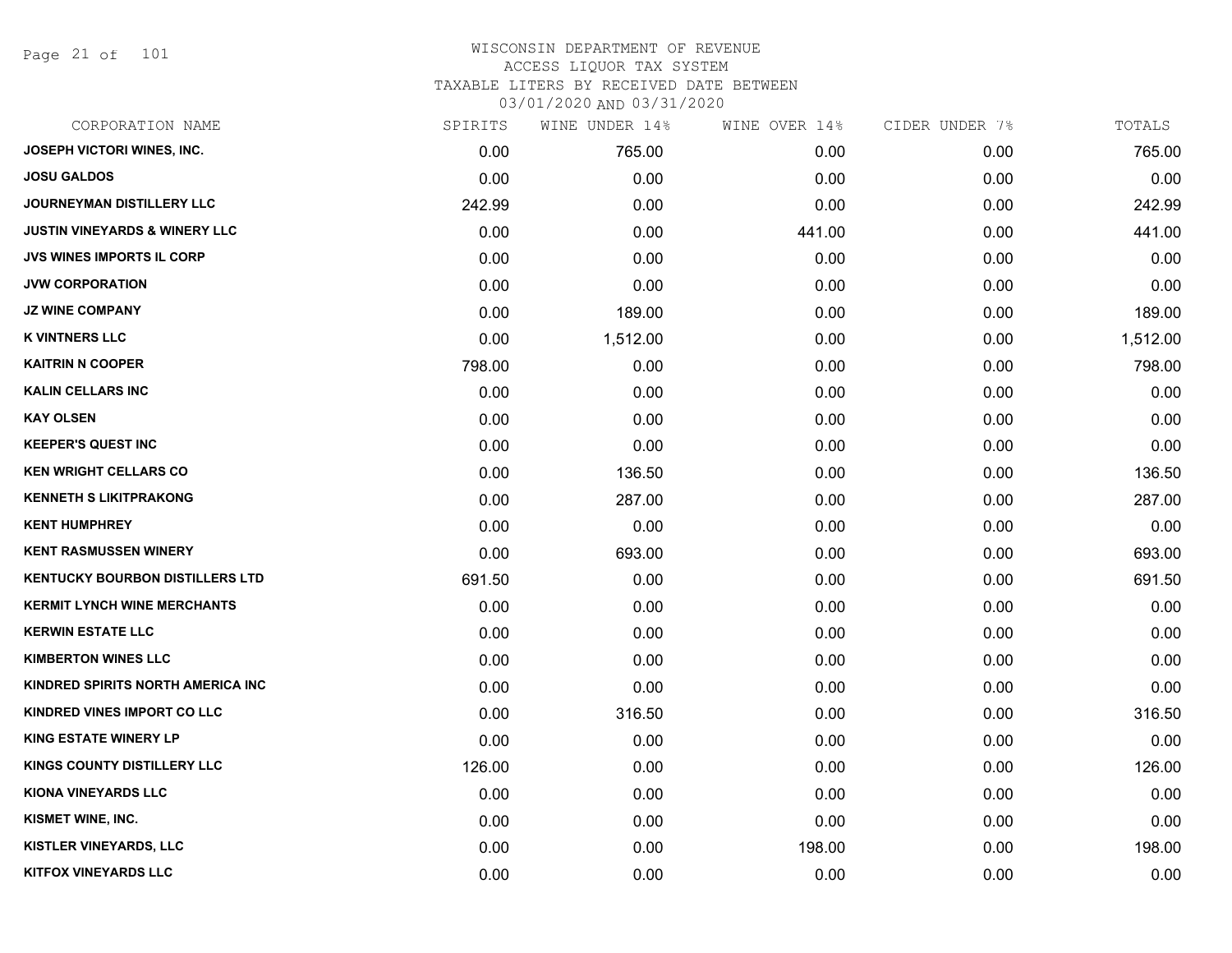Page 21 of 101

| CORPORATION NAME                         | SPIRITS | WINE UNDER 14% | WINE OVER 14% | CIDER UNDER 7% | TOTALS   |
|------------------------------------------|---------|----------------|---------------|----------------|----------|
| JOSEPH VICTORI WINES, INC.               | 0.00    | 765.00         | 0.00          | 0.00           | 765.00   |
| <b>JOSU GALDOS</b>                       | 0.00    | 0.00           | 0.00          | 0.00           | 0.00     |
| JOURNEYMAN DISTILLERY LLC                | 242.99  | 0.00           | 0.00          | 0.00           | 242.99   |
| <b>JUSTIN VINEYARDS &amp; WINERY LLC</b> | 0.00    | 0.00           | 441.00        | 0.00           | 441.00   |
| JVS WINES IMPORTS IL CORP                | 0.00    | 0.00           | 0.00          | 0.00           | 0.00     |
| <b>JVW CORPORATION</b>                   | 0.00    | 0.00           | 0.00          | 0.00           | 0.00     |
| <b>JZ WINE COMPANY</b>                   | 0.00    | 189.00         | 0.00          | 0.00           | 189.00   |
| <b>K VINTNERS LLC</b>                    | 0.00    | 1,512.00       | 0.00          | 0.00           | 1,512.00 |
| <b>KAITRIN N COOPER</b>                  | 798.00  | 0.00           | 0.00          | 0.00           | 798.00   |
| <b>KALIN CELLARS INC</b>                 | 0.00    | 0.00           | 0.00          | 0.00           | 0.00     |
| <b>KAY OLSEN</b>                         | 0.00    | 0.00           | 0.00          | 0.00           | 0.00     |
| <b>KEEPER'S QUEST INC</b>                | 0.00    | 0.00           | 0.00          | 0.00           | 0.00     |
| <b>KEN WRIGHT CELLARS CO</b>             | 0.00    | 136.50         | 0.00          | 0.00           | 136.50   |
| <b>KENNETH S LIKITPRAKONG</b>            | 0.00    | 287.00         | 0.00          | 0.00           | 287.00   |
| <b>KENT HUMPHREY</b>                     | 0.00    | 0.00           | 0.00          | 0.00           | 0.00     |
| <b>KENT RASMUSSEN WINERY</b>             | 0.00    | 693.00         | 0.00          | 0.00           | 693.00   |
| <b>KENTUCKY BOURBON DISTILLERS LTD</b>   | 691.50  | 0.00           | 0.00          | 0.00           | 691.50   |
| <b>KERMIT LYNCH WINE MERCHANTS</b>       | 0.00    | 0.00           | 0.00          | 0.00           | 0.00     |
| <b>KERWIN ESTATE LLC</b>                 | 0.00    | 0.00           | 0.00          | 0.00           | 0.00     |
| <b>KIMBERTON WINES LLC</b>               | 0.00    | 0.00           | 0.00          | 0.00           | 0.00     |
| KINDRED SPIRITS NORTH AMERICA INC        | 0.00    | 0.00           | 0.00          | 0.00           | 0.00     |
| KINDRED VINES IMPORT CO LLC              | 0.00    | 316.50         | 0.00          | 0.00           | 316.50   |
| <b>KING ESTATE WINERY LP</b>             | 0.00    | 0.00           | 0.00          | 0.00           | 0.00     |
| KINGS COUNTY DISTILLERY LLC              | 126.00  | 0.00           | 0.00          | 0.00           | 126.00   |
| KIONA VINEYARDS LLC                      | 0.00    | 0.00           | 0.00          | 0.00           | 0.00     |
| KISMET WINE, INC.                        | 0.00    | 0.00           | 0.00          | 0.00           | 0.00     |
| <b>KISTLER VINEYARDS, LLC</b>            | 0.00    | 0.00           | 198.00        | 0.00           | 198.00   |
| <b>KITFOX VINEYARDS LLC</b>              | 0.00    | 0.00           | 0.00          | 0.00           | 0.00     |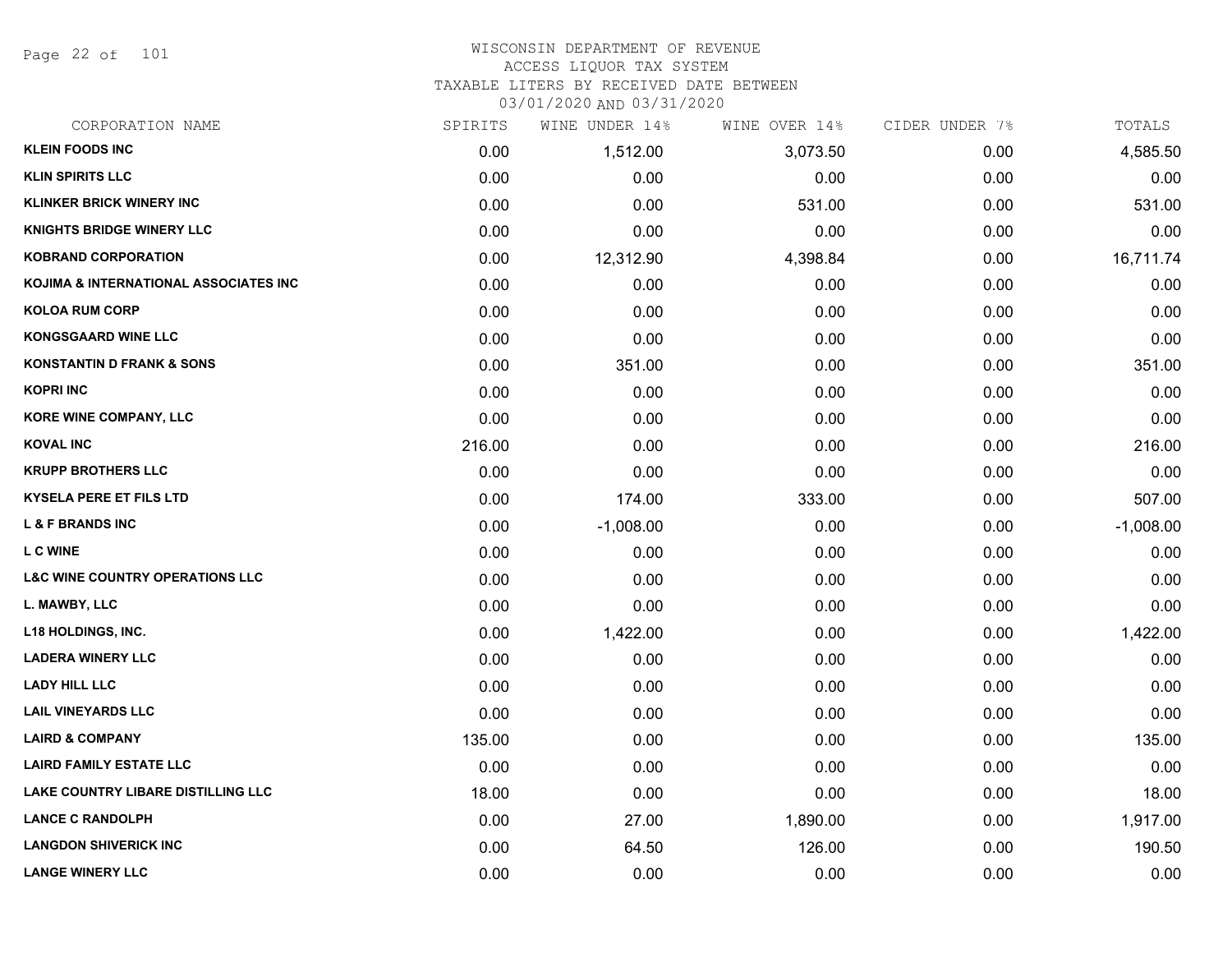Page 22 of 101

## WISCONSIN DEPARTMENT OF REVENUE ACCESS LIQUOR TAX SYSTEM

TAXABLE LITERS BY RECEIVED DATE BETWEEN

| CORPORATION NAME                           | SPIRITS | WINE UNDER 14% | WINE OVER 14% | CIDER UNDER 7% | TOTALS      |
|--------------------------------------------|---------|----------------|---------------|----------------|-------------|
| <b>KLEIN FOODS INC</b>                     | 0.00    | 1,512.00       | 3,073.50      | 0.00           | 4,585.50    |
| <b>KLIN SPIRITS LLC</b>                    | 0.00    | 0.00           | 0.00          | 0.00           | 0.00        |
| <b>KLINKER BRICK WINERY INC</b>            | 0.00    | 0.00           | 531.00        | 0.00           | 531.00      |
| <b>KNIGHTS BRIDGE WINERY LLC</b>           | 0.00    | 0.00           | 0.00          | 0.00           | 0.00        |
| <b>KOBRAND CORPORATION</b>                 | 0.00    | 12,312.90      | 4,398.84      | 0.00           | 16,711.74   |
| KOJIMA & INTERNATIONAL ASSOCIATES INC      | 0.00    | 0.00           | 0.00          | 0.00           | 0.00        |
| <b>KOLOA RUM CORP</b>                      | 0.00    | 0.00           | 0.00          | 0.00           | 0.00        |
| <b>KONGSGAARD WINE LLC</b>                 | 0.00    | 0.00           | 0.00          | 0.00           | 0.00        |
| <b>KONSTANTIN D FRANK &amp; SONS</b>       | 0.00    | 351.00         | 0.00          | 0.00           | 351.00      |
| <b>KOPRI INC</b>                           | 0.00    | 0.00           | 0.00          | 0.00           | 0.00        |
| <b>KORE WINE COMPANY, LLC</b>              | 0.00    | 0.00           | 0.00          | 0.00           | 0.00        |
| <b>KOVAL INC</b>                           | 216.00  | 0.00           | 0.00          | 0.00           | 216.00      |
| <b>KRUPP BROTHERS LLC</b>                  | 0.00    | 0.00           | 0.00          | 0.00           | 0.00        |
| <b>KYSELA PERE ET FILS LTD</b>             | 0.00    | 174.00         | 333.00        | 0.00           | 507.00      |
| <b>L &amp; F BRANDS INC</b>                | 0.00    | $-1,008.00$    | 0.00          | 0.00           | $-1,008.00$ |
| <b>LCWINE</b>                              | 0.00    | 0.00           | 0.00          | 0.00           | 0.00        |
| <b>L&amp;C WINE COUNTRY OPERATIONS LLC</b> | 0.00    | 0.00           | 0.00          | 0.00           | 0.00        |
| L. MAWBY, LLC                              | 0.00    | 0.00           | 0.00          | 0.00           | 0.00        |
| <b>L18 HOLDINGS, INC.</b>                  | 0.00    | 1,422.00       | 0.00          | 0.00           | 1,422.00    |
| <b>LADERA WINERY LLC</b>                   | 0.00    | 0.00           | 0.00          | 0.00           | 0.00        |
| <b>LADY HILL LLC</b>                       | 0.00    | 0.00           | 0.00          | 0.00           | 0.00        |
| <b>LAIL VINEYARDS LLC</b>                  | 0.00    | 0.00           | 0.00          | 0.00           | 0.00        |
| <b>LAIRD &amp; COMPANY</b>                 | 135.00  | 0.00           | 0.00          | 0.00           | 135.00      |
| <b>LAIRD FAMILY ESTATE LLC</b>             | 0.00    | 0.00           | 0.00          | 0.00           | 0.00        |
| LAKE COUNTRY LIBARE DISTILLING LLC         | 18.00   | 0.00           | 0.00          | 0.00           | 18.00       |
| <b>LANCE C RANDOLPH</b>                    | 0.00    | 27.00          | 1,890.00      | 0.00           | 1,917.00    |
| <b>LANGDON SHIVERICK INC</b>               | 0.00    | 64.50          | 126.00        | 0.00           | 190.50      |
| <b>LANGE WINERY LLC</b>                    | 0.00    | 0.00           | 0.00          | 0.00           | 0.00        |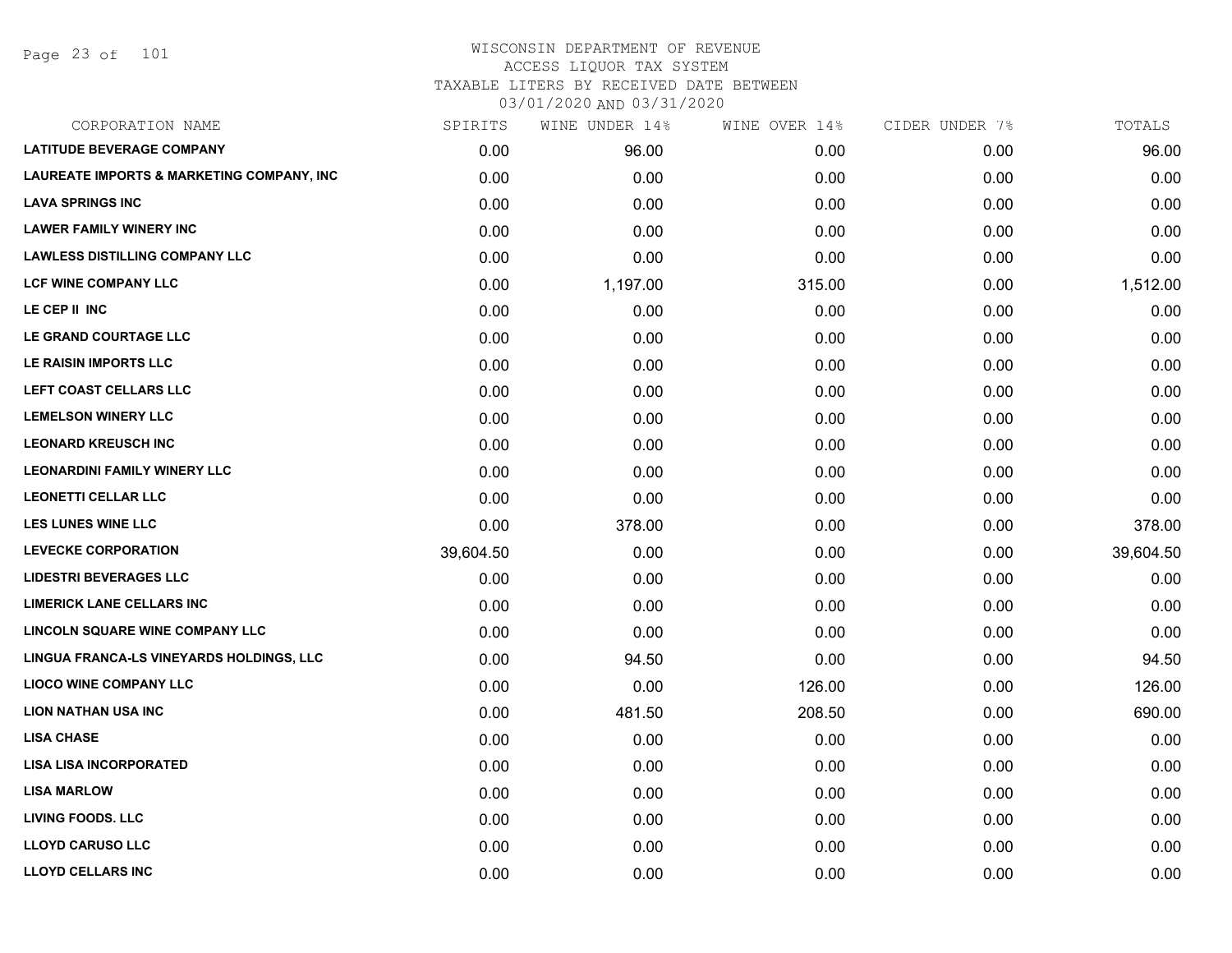## WISCONSIN DEPARTMENT OF REVENUE ACCESS LIQUOR TAX SYSTEM TAXABLE LITERS BY RECEIVED DATE BETWEEN

| CORPORATION NAME                                     | SPIRITS   | WINE UNDER 14% | WINE OVER 14% | CIDER UNDER 7% | TOTALS    |
|------------------------------------------------------|-----------|----------------|---------------|----------------|-----------|
| <b>LATITUDE BEVERAGE COMPANY</b>                     | 0.00      | 96.00          | 0.00          | 0.00           | 96.00     |
| <b>LAUREATE IMPORTS &amp; MARKETING COMPANY, INC</b> | 0.00      | 0.00           | 0.00          | 0.00           | 0.00      |
| <b>LAVA SPRINGS INC</b>                              | 0.00      | 0.00           | 0.00          | 0.00           | 0.00      |
| <b>LAWER FAMILY WINERY INC</b>                       | 0.00      | 0.00           | 0.00          | 0.00           | 0.00      |
| <b>LAWLESS DISTILLING COMPANY LLC</b>                | 0.00      | 0.00           | 0.00          | 0.00           | 0.00      |
| <b>LCF WINE COMPANY LLC</b>                          | 0.00      | 1,197.00       | 315.00        | 0.00           | 1,512.00  |
| LE CEP II INC                                        | 0.00      | 0.00           | 0.00          | 0.00           | 0.00      |
| LE GRAND COURTAGE LLC                                | 0.00      | 0.00           | 0.00          | 0.00           | 0.00      |
| LE RAISIN IMPORTS LLC                                | 0.00      | 0.00           | 0.00          | 0.00           | 0.00      |
| LEFT COAST CELLARS LLC                               | 0.00      | 0.00           | 0.00          | 0.00           | 0.00      |
| <b>LEMELSON WINERY LLC</b>                           | 0.00      | 0.00           | 0.00          | 0.00           | 0.00      |
| <b>LEONARD KREUSCH INC</b>                           | 0.00      | 0.00           | 0.00          | 0.00           | 0.00      |
| <b>LEONARDINI FAMILY WINERY LLC</b>                  | 0.00      | 0.00           | 0.00          | 0.00           | 0.00      |
| <b>LEONETTI CELLAR LLC</b>                           | 0.00      | 0.00           | 0.00          | 0.00           | 0.00      |
| <b>LES LUNES WINE LLC</b>                            | 0.00      | 378.00         | 0.00          | 0.00           | 378.00    |
| <b>LEVECKE CORPORATION</b>                           | 39,604.50 | 0.00           | 0.00          | 0.00           | 39,604.50 |
| <b>LIDESTRI BEVERAGES LLC</b>                        | 0.00      | 0.00           | 0.00          | 0.00           | 0.00      |
| <b>LIMERICK LANE CELLARS INC</b>                     | 0.00      | 0.00           | 0.00          | 0.00           | 0.00      |
| LINCOLN SQUARE WINE COMPANY LLC                      | 0.00      | 0.00           | 0.00          | 0.00           | 0.00      |
| LINGUA FRANCA-LS VINEYARDS HOLDINGS, LLC             | 0.00      | 94.50          | 0.00          | 0.00           | 94.50     |
| <b>LIOCO WINE COMPANY LLC</b>                        | 0.00      | 0.00           | 126.00        | 0.00           | 126.00    |
| <b>LION NATHAN USA INC</b>                           | 0.00      | 481.50         | 208.50        | 0.00           | 690.00    |
| <b>LISA CHASE</b>                                    | 0.00      | 0.00           | 0.00          | 0.00           | 0.00      |
| <b>LISA LISA INCORPORATED</b>                        | 0.00      | 0.00           | 0.00          | 0.00           | 0.00      |
| <b>LISA MARLOW</b>                                   | 0.00      | 0.00           | 0.00          | 0.00           | 0.00      |
| <b>LIVING FOODS. LLC</b>                             | 0.00      | 0.00           | 0.00          | 0.00           | 0.00      |
| <b>LLOYD CARUSO LLC</b>                              | 0.00      | 0.00           | 0.00          | 0.00           | 0.00      |
| <b>LLOYD CELLARS INC</b>                             | 0.00      | 0.00           | 0.00          | 0.00           | 0.00      |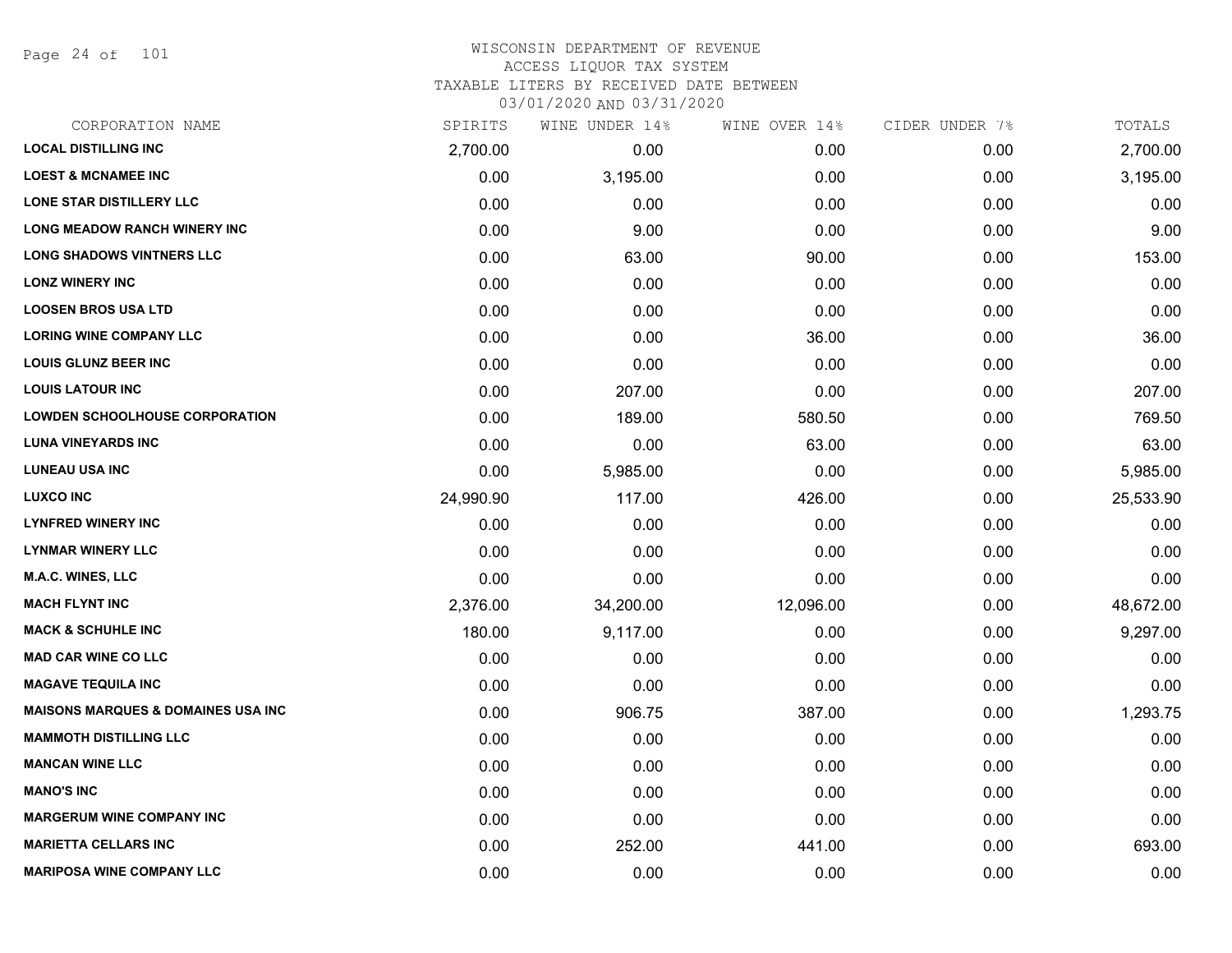Page 24 of 101

# WISCONSIN DEPARTMENT OF REVENUE ACCESS LIQUOR TAX SYSTEM TAXABLE LITERS BY RECEIVED DATE BETWEEN

| CORPORATION NAME                               | SPIRITS   | WINE UNDER 14% | WINE OVER 14% | CIDER UNDER 7% | TOTALS    |
|------------------------------------------------|-----------|----------------|---------------|----------------|-----------|
| <b>LOCAL DISTILLING INC</b>                    | 2,700.00  | 0.00           | 0.00          | 0.00           | 2,700.00  |
| <b>LOEST &amp; MCNAMEE INC</b>                 | 0.00      | 3,195.00       | 0.00          | 0.00           | 3,195.00  |
| LONE STAR DISTILLERY LLC                       | 0.00      | 0.00           | 0.00          | 0.00           | 0.00      |
| <b>LONG MEADOW RANCH WINERY INC</b>            | 0.00      | 9.00           | 0.00          | 0.00           | 9.00      |
| <b>LONG SHADOWS VINTNERS LLC</b>               | 0.00      | 63.00          | 90.00         | 0.00           | 153.00    |
| <b>LONZ WINERY INC</b>                         | 0.00      | 0.00           | 0.00          | 0.00           | 0.00      |
| <b>LOOSEN BROS USA LTD</b>                     | 0.00      | 0.00           | 0.00          | 0.00           | 0.00      |
| <b>LORING WINE COMPANY LLC</b>                 | 0.00      | 0.00           | 36.00         | 0.00           | 36.00     |
| <b>LOUIS GLUNZ BEER INC</b>                    | 0.00      | 0.00           | 0.00          | 0.00           | 0.00      |
| <b>LOUIS LATOUR INC</b>                        | 0.00      | 207.00         | 0.00          | 0.00           | 207.00    |
| <b>LOWDEN SCHOOLHOUSE CORPORATION</b>          | 0.00      | 189.00         | 580.50        | 0.00           | 769.50    |
| <b>LUNA VINEYARDS INC</b>                      | 0.00      | 0.00           | 63.00         | 0.00           | 63.00     |
| <b>LUNEAU USA INC</b>                          | 0.00      | 5,985.00       | 0.00          | 0.00           | 5,985.00  |
| <b>LUXCO INC</b>                               | 24,990.90 | 117.00         | 426.00        | 0.00           | 25,533.90 |
| <b>LYNFRED WINERY INC</b>                      | 0.00      | 0.00           | 0.00          | 0.00           | 0.00      |
| <b>LYNMAR WINERY LLC</b>                       | 0.00      | 0.00           | 0.00          | 0.00           | 0.00      |
| <b>M.A.C. WINES, LLC</b>                       | 0.00      | 0.00           | 0.00          | 0.00           | 0.00      |
| <b>MACH FLYNT INC</b>                          | 2,376.00  | 34,200.00      | 12,096.00     | 0.00           | 48,672.00 |
| <b>MACK &amp; SCHUHLE INC</b>                  | 180.00    | 9,117.00       | 0.00          | 0.00           | 9,297.00  |
| <b>MAD CAR WINE CO LLC</b>                     | 0.00      | 0.00           | 0.00          | 0.00           | 0.00      |
| <b>MAGAVE TEQUILA INC</b>                      | 0.00      | 0.00           | 0.00          | 0.00           | 0.00      |
| <b>MAISONS MARQUES &amp; DOMAINES USA INC.</b> | 0.00      | 906.75         | 387.00        | 0.00           | 1,293.75  |
| <b>MAMMOTH DISTILLING LLC</b>                  | 0.00      | 0.00           | 0.00          | 0.00           | 0.00      |
| <b>MANCAN WINE LLC</b>                         | 0.00      | 0.00           | 0.00          | 0.00           | 0.00      |
| <b>MANO'S INC</b>                              | 0.00      | 0.00           | 0.00          | 0.00           | 0.00      |
| <b>MARGERUM WINE COMPANY INC</b>               | 0.00      | 0.00           | 0.00          | 0.00           | 0.00      |
| <b>MARIETTA CELLARS INC</b>                    | 0.00      | 252.00         | 441.00        | 0.00           | 693.00    |
| <b>MARIPOSA WINE COMPANY LLC</b>               | 0.00      | 0.00           | 0.00          | 0.00           | 0.00      |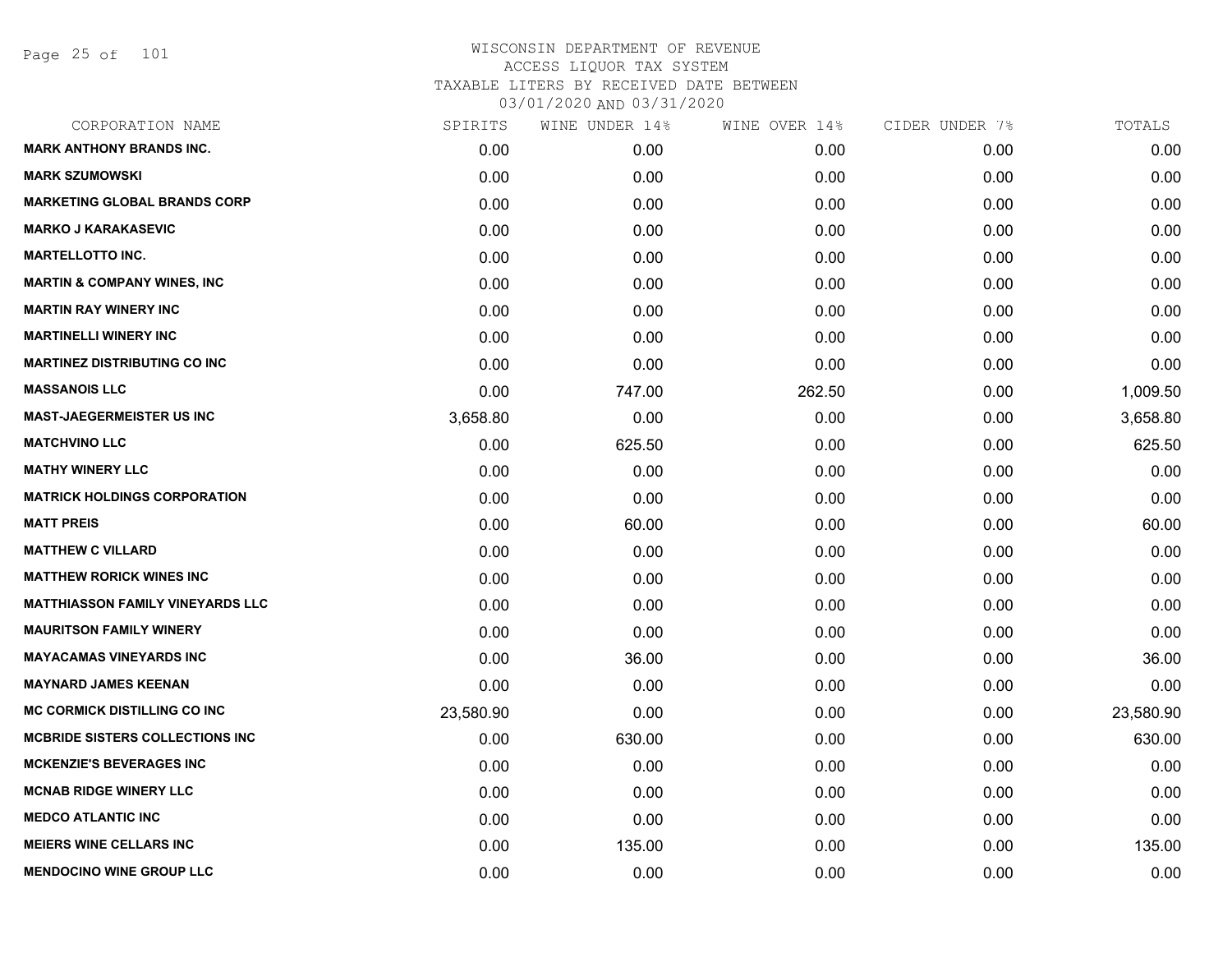Page 25 of 101

| SPIRITS   | WINE UNDER 14% |        | CIDER UNDER 7% | TOTALS    |
|-----------|----------------|--------|----------------|-----------|
| 0.00      | 0.00           | 0.00   | 0.00           | 0.00      |
| 0.00      | 0.00           | 0.00   | 0.00           | 0.00      |
| 0.00      | 0.00           | 0.00   | 0.00           | 0.00      |
| 0.00      | 0.00           | 0.00   | 0.00           | 0.00      |
| 0.00      | 0.00           | 0.00   | 0.00           | 0.00      |
| 0.00      | 0.00           | 0.00   | 0.00           | 0.00      |
| 0.00      | 0.00           | 0.00   | 0.00           | 0.00      |
| 0.00      | 0.00           | 0.00   | 0.00           | 0.00      |
| 0.00      | 0.00           | 0.00   | 0.00           | 0.00      |
| 0.00      | 747.00         | 262.50 | 0.00           | 1,009.50  |
| 3,658.80  | 0.00           | 0.00   | 0.00           | 3,658.80  |
| 0.00      | 625.50         | 0.00   | 0.00           | 625.50    |
| 0.00      | 0.00           | 0.00   | 0.00           | 0.00      |
| 0.00      | 0.00           | 0.00   | 0.00           | 0.00      |
| 0.00      | 60.00          | 0.00   | 0.00           | 60.00     |
| 0.00      | 0.00           | 0.00   | 0.00           | 0.00      |
| 0.00      | 0.00           | 0.00   | 0.00           | 0.00      |
| 0.00      | 0.00           | 0.00   | 0.00           | 0.00      |
| 0.00      | 0.00           | 0.00   | 0.00           | 0.00      |
| 0.00      | 36.00          | 0.00   | 0.00           | 36.00     |
| 0.00      | 0.00           | 0.00   | 0.00           | 0.00      |
| 23,580.90 | 0.00           | 0.00   | 0.00           | 23,580.90 |
| 0.00      | 630.00         | 0.00   | 0.00           | 630.00    |
| 0.00      | 0.00           | 0.00   | 0.00           | 0.00      |
| 0.00      | 0.00           | 0.00   | 0.00           | 0.00      |
| 0.00      | 0.00           | 0.00   | 0.00           | 0.00      |
| 0.00      | 135.00         | 0.00   | 0.00           | 135.00    |
| 0.00      | 0.00           | 0.00   | 0.00           | 0.00      |
|           |                |        | WINE OVER 14%  |           |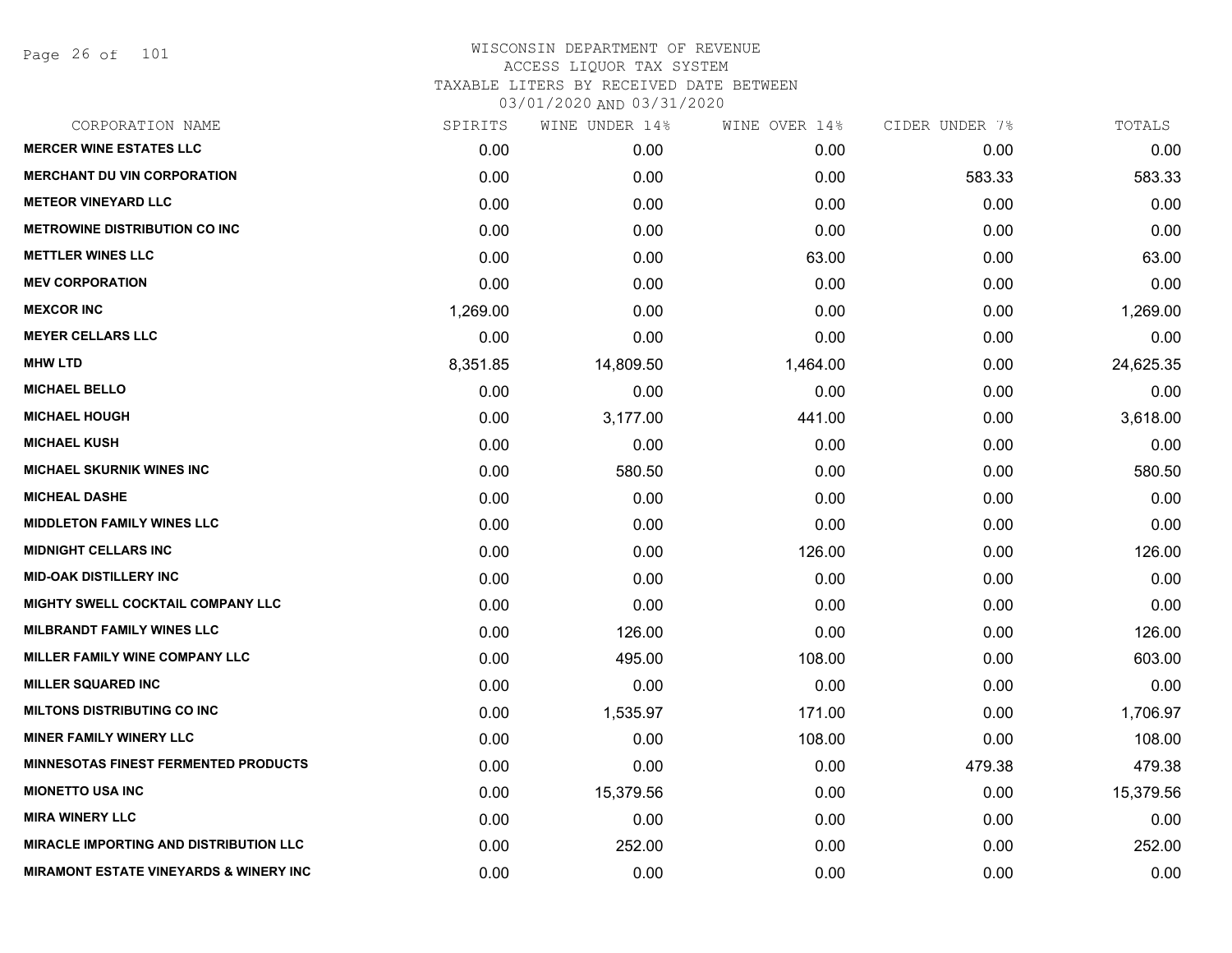Page 26 of 101

| CORPORATION NAME                                  | SPIRITS  | WINE UNDER 14% | WINE OVER 14% | CIDER UNDER 7% | TOTALS    |
|---------------------------------------------------|----------|----------------|---------------|----------------|-----------|
| <b>MERCER WINE ESTATES LLC</b>                    | 0.00     | 0.00           | 0.00          | 0.00           | 0.00      |
| <b>MERCHANT DU VIN CORPORATION</b>                | 0.00     | 0.00           | 0.00          | 583.33         | 583.33    |
| <b>METEOR VINEYARD LLC</b>                        | 0.00     | 0.00           | 0.00          | 0.00           | 0.00      |
| <b>METROWINE DISTRIBUTION CO INC</b>              | 0.00     | 0.00           | 0.00          | 0.00           | 0.00      |
| <b>METTLER WINES LLC</b>                          | 0.00     | 0.00           | 63.00         | 0.00           | 63.00     |
| <b>MEV CORPORATION</b>                            | 0.00     | 0.00           | 0.00          | 0.00           | 0.00      |
| <b>MEXCOR INC</b>                                 | 1,269.00 | 0.00           | 0.00          | 0.00           | 1,269.00  |
| <b>MEYER CELLARS LLC</b>                          | 0.00     | 0.00           | 0.00          | 0.00           | 0.00      |
| <b>MHW LTD</b>                                    | 8,351.85 | 14,809.50      | 1,464.00      | 0.00           | 24,625.35 |
| <b>MICHAEL BELLO</b>                              | 0.00     | 0.00           | 0.00          | 0.00           | 0.00      |
| <b>MICHAEL HOUGH</b>                              | 0.00     | 3,177.00       | 441.00        | 0.00           | 3,618.00  |
| <b>MICHAEL KUSH</b>                               | 0.00     | 0.00           | 0.00          | 0.00           | 0.00      |
| <b>MICHAEL SKURNIK WINES INC</b>                  | 0.00     | 580.50         | 0.00          | 0.00           | 580.50    |
| <b>MICHEAL DASHE</b>                              | 0.00     | 0.00           | 0.00          | 0.00           | 0.00      |
| <b>MIDDLETON FAMILY WINES LLC</b>                 | 0.00     | 0.00           | 0.00          | 0.00           | 0.00      |
| <b>MIDNIGHT CELLARS INC</b>                       | 0.00     | 0.00           | 126.00        | 0.00           | 126.00    |
| <b>MID-OAK DISTILLERY INC</b>                     | 0.00     | 0.00           | 0.00          | 0.00           | 0.00      |
| <b>MIGHTY SWELL COCKTAIL COMPANY LLC</b>          | 0.00     | 0.00           | 0.00          | 0.00           | 0.00      |
| <b>MILBRANDT FAMILY WINES LLC</b>                 | 0.00     | 126.00         | 0.00          | 0.00           | 126.00    |
| <b>MILLER FAMILY WINE COMPANY LLC</b>             | 0.00     | 495.00         | 108.00        | 0.00           | 603.00    |
| <b>MILLER SQUARED INC</b>                         | 0.00     | 0.00           | 0.00          | 0.00           | 0.00      |
| <b>MILTONS DISTRIBUTING CO INC</b>                | 0.00     | 1,535.97       | 171.00        | 0.00           | 1,706.97  |
| <b>MINER FAMILY WINERY LLC</b>                    | 0.00     | 0.00           | 108.00        | 0.00           | 108.00    |
| <b>MINNESOTAS FINEST FERMENTED PRODUCTS</b>       | 0.00     | 0.00           | 0.00          | 479.38         | 479.38    |
| <b>MIONETTO USA INC</b>                           | 0.00     | 15,379.56      | 0.00          | 0.00           | 15,379.56 |
| <b>MIRA WINERY LLC</b>                            | 0.00     | 0.00           | 0.00          | 0.00           | 0.00      |
| <b>MIRACLE IMPORTING AND DISTRIBUTION LLC</b>     | 0.00     | 252.00         | 0.00          | 0.00           | 252.00    |
| <b>MIRAMONT ESTATE VINEYARDS &amp; WINERY INC</b> | 0.00     | 0.00           | 0.00          | 0.00           | 0.00      |
|                                                   |          |                |               |                |           |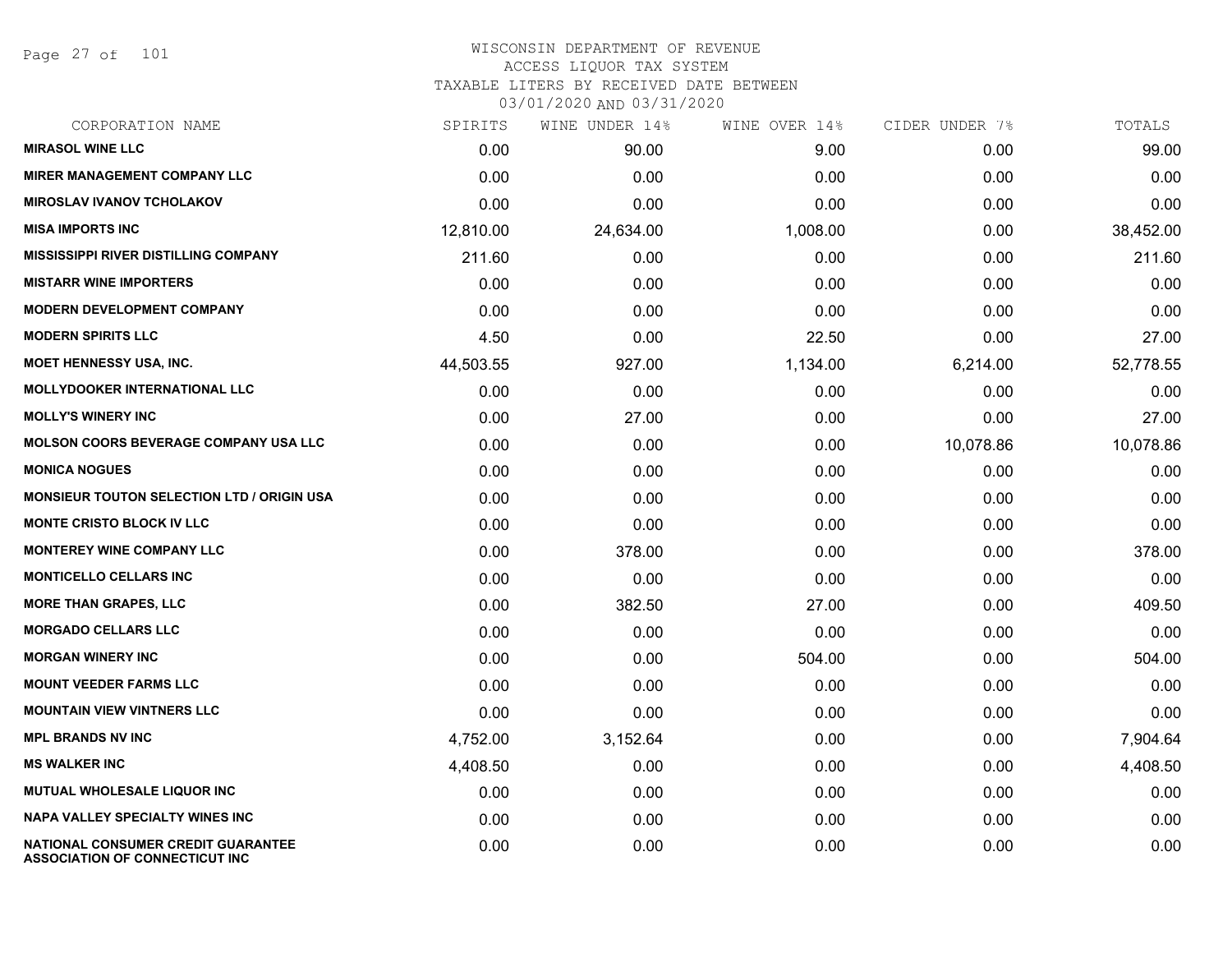Page 27 of 101

## WISCONSIN DEPARTMENT OF REVENUE ACCESS LIQUOR TAX SYSTEM TAXABLE LITERS BY RECEIVED DATE BETWEEN

| CORPORATION NAME                                                                   | SPIRITS   | WINE UNDER 14% | WINE OVER 14% | CIDER UNDER 7% | TOTALS    |
|------------------------------------------------------------------------------------|-----------|----------------|---------------|----------------|-----------|
| <b>MIRASOL WINE LLC</b>                                                            | 0.00      | 90.00          | 9.00          | 0.00           | 99.00     |
| <b>MIRER MANAGEMENT COMPANY LLC</b>                                                | 0.00      | 0.00           | 0.00          | 0.00           | 0.00      |
| <b>MIROSLAV IVANOV TCHOLAKOV</b>                                                   | 0.00      | 0.00           | 0.00          | 0.00           | 0.00      |
| <b>MISA IMPORTS INC</b>                                                            | 12,810.00 | 24,634.00      | 1,008.00      | 0.00           | 38,452.00 |
| <b>MISSISSIPPI RIVER DISTILLING COMPANY</b>                                        | 211.60    | 0.00           | 0.00          | 0.00           | 211.60    |
| <b>MISTARR WINE IMPORTERS</b>                                                      | 0.00      | 0.00           | 0.00          | 0.00           | 0.00      |
| <b>MODERN DEVELOPMENT COMPANY</b>                                                  | 0.00      | 0.00           | 0.00          | 0.00           | 0.00      |
| <b>MODERN SPIRITS LLC</b>                                                          | 4.50      | 0.00           | 22.50         | 0.00           | 27.00     |
| MOET HENNESSY USA, INC.                                                            | 44,503.55 | 927.00         | 1,134.00      | 6,214.00       | 52,778.55 |
| <b>MOLLYDOOKER INTERNATIONAL LLC</b>                                               | 0.00      | 0.00           | 0.00          | 0.00           | 0.00      |
| <b>MOLLY'S WINERY INC</b>                                                          | 0.00      | 27.00          | 0.00          | 0.00           | 27.00     |
| <b>MOLSON COORS BEVERAGE COMPANY USA LLC</b>                                       | 0.00      | 0.00           | 0.00          | 10,078.86      | 10,078.86 |
| <b>MONICA NOGUES</b>                                                               | 0.00      | 0.00           | 0.00          | 0.00           | 0.00      |
| <b>MONSIEUR TOUTON SELECTION LTD / ORIGIN USA</b>                                  | 0.00      | 0.00           | 0.00          | 0.00           | 0.00      |
| <b>MONTE CRISTO BLOCK IV LLC</b>                                                   | 0.00      | 0.00           | 0.00          | 0.00           | 0.00      |
| <b>MONTEREY WINE COMPANY LLC</b>                                                   | 0.00      | 378.00         | 0.00          | 0.00           | 378.00    |
| <b>MONTICELLO CELLARS INC</b>                                                      | 0.00      | 0.00           | 0.00          | 0.00           | 0.00      |
| <b>MORE THAN GRAPES, LLC</b>                                                       | 0.00      | 382.50         | 27.00         | 0.00           | 409.50    |
| <b>MORGADO CELLARS LLC</b>                                                         | 0.00      | 0.00           | 0.00          | 0.00           | 0.00      |
| <b>MORGAN WINERY INC</b>                                                           | 0.00      | 0.00           | 504.00        | 0.00           | 504.00    |
| <b>MOUNT VEEDER FARMS LLC</b>                                                      | 0.00      | 0.00           | 0.00          | 0.00           | 0.00      |
| <b>MOUNTAIN VIEW VINTNERS LLC</b>                                                  | 0.00      | 0.00           | 0.00          | 0.00           | 0.00      |
| <b>MPL BRANDS NV INC</b>                                                           | 4,752.00  | 3,152.64       | 0.00          | 0.00           | 7,904.64  |
| <b>MS WALKER INC</b>                                                               | 4,408.50  | 0.00           | 0.00          | 0.00           | 4,408.50  |
| <b>MUTUAL WHOLESALE LIQUOR INC</b>                                                 | 0.00      | 0.00           | 0.00          | 0.00           | 0.00      |
| NAPA VALLEY SPECIALTY WINES INC                                                    | 0.00      | 0.00           | 0.00          | 0.00           | 0.00      |
| <b>NATIONAL CONSUMER CREDIT GUARANTEE</b><br><b>ASSOCIATION OF CONNECTICUT INC</b> | 0.00      | 0.00           | 0.00          | 0.00           | 0.00      |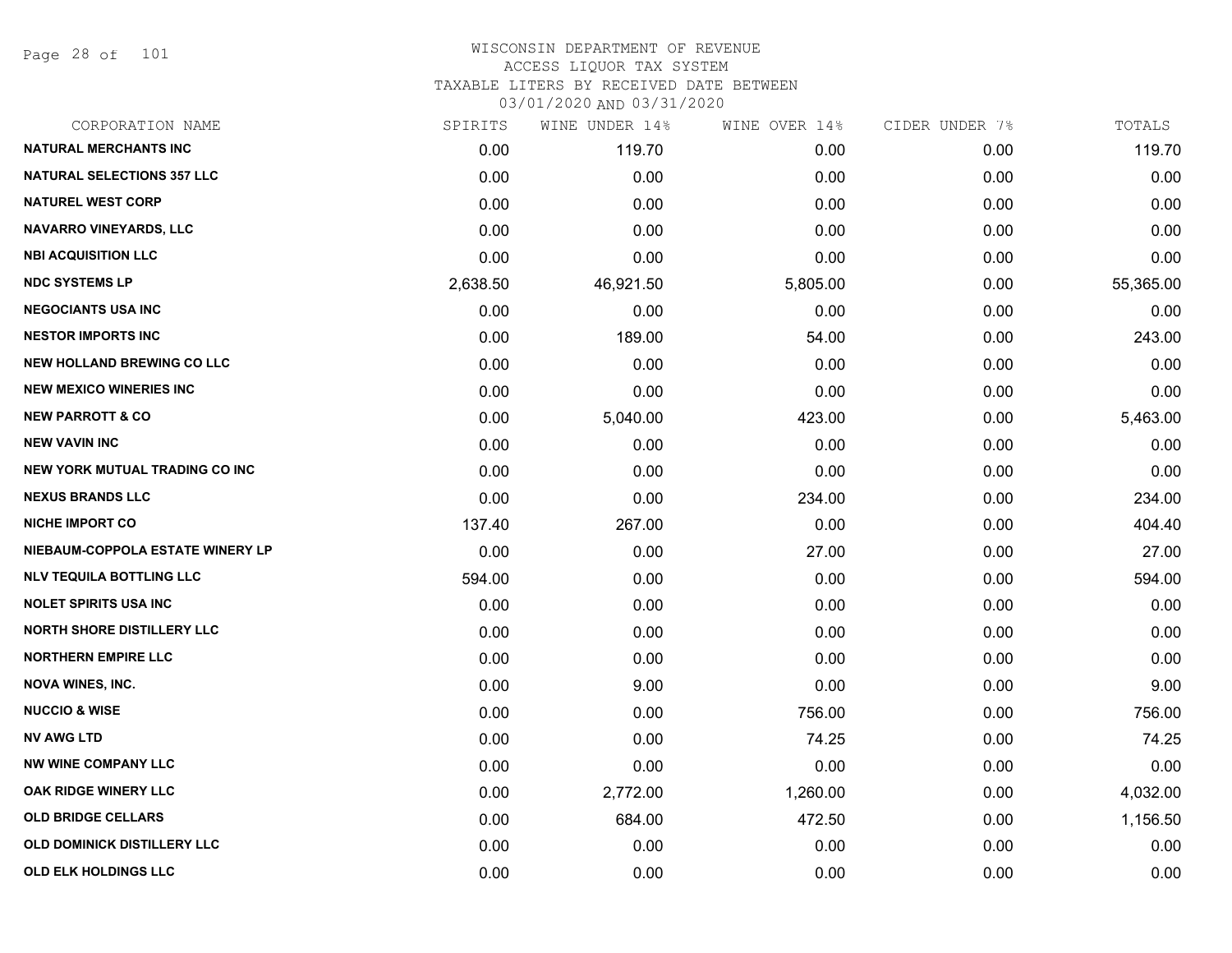Page 28 of 101

| CORPORATION NAME                   | SPIRITS  | WINE UNDER 14% | WINE OVER 14% | CIDER UNDER 7% | TOTALS    |
|------------------------------------|----------|----------------|---------------|----------------|-----------|
| <b>NATURAL MERCHANTS INC</b>       | 0.00     | 119.70         | 0.00          | 0.00           | 119.70    |
| <b>NATURAL SELECTIONS 357 LLC</b>  | 0.00     | 0.00           | 0.00          | 0.00           | 0.00      |
| <b>NATUREL WEST CORP</b>           | 0.00     | 0.00           | 0.00          | 0.00           | 0.00      |
| <b>NAVARRO VINEYARDS, LLC</b>      | 0.00     | 0.00           | 0.00          | 0.00           | 0.00      |
| <b>NBI ACQUISITION LLC</b>         | 0.00     | 0.00           | 0.00          | 0.00           | 0.00      |
| <b>NDC SYSTEMS LP</b>              | 2,638.50 | 46,921.50      | 5,805.00      | 0.00           | 55,365.00 |
| <b>NEGOCIANTS USA INC</b>          | 0.00     | 0.00           | 0.00          | 0.00           | 0.00      |
| <b>NESTOR IMPORTS INC</b>          | 0.00     | 189.00         | 54.00         | 0.00           | 243.00    |
| <b>NEW HOLLAND BREWING CO LLC</b>  | 0.00     | 0.00           | 0.00          | 0.00           | 0.00      |
| <b>NEW MEXICO WINERIES INC</b>     | 0.00     | 0.00           | 0.00          | 0.00           | 0.00      |
| <b>NEW PARROTT &amp; CO</b>        | 0.00     | 5,040.00       | 423.00        | 0.00           | 5,463.00  |
| <b>NEW VAVIN INC</b>               | 0.00     | 0.00           | 0.00          | 0.00           | 0.00      |
| NEW YORK MUTUAL TRADING CO INC     | 0.00     | 0.00           | 0.00          | 0.00           | 0.00      |
| <b>NEXUS BRANDS LLC</b>            | 0.00     | 0.00           | 234.00        | 0.00           | 234.00    |
| <b>NICHE IMPORT CO</b>             | 137.40   | 267.00         | 0.00          | 0.00           | 404.40    |
| NIEBAUM-COPPOLA ESTATE WINERY LP   | 0.00     | 0.00           | 27.00         | 0.00           | 27.00     |
| <b>NLV TEQUILA BOTTLING LLC</b>    | 594.00   | 0.00           | 0.00          | 0.00           | 594.00    |
| <b>NOLET SPIRITS USA INC</b>       | 0.00     | 0.00           | 0.00          | 0.00           | 0.00      |
| <b>NORTH SHORE DISTILLERY LLC</b>  | 0.00     | 0.00           | 0.00          | 0.00           | 0.00      |
| <b>NORTHERN EMPIRE LLC</b>         | 0.00     | 0.00           | 0.00          | 0.00           | 0.00      |
| <b>NOVA WINES, INC.</b>            | 0.00     | 9.00           | 0.00          | 0.00           | 9.00      |
| <b>NUCCIO &amp; WISE</b>           | 0.00     | 0.00           | 756.00        | 0.00           | 756.00    |
| <b>NV AWG LTD</b>                  | 0.00     | 0.00           | 74.25         | 0.00           | 74.25     |
| <b>NW WINE COMPANY LLC</b>         | 0.00     | 0.00           | 0.00          | 0.00           | 0.00      |
| OAK RIDGE WINERY LLC               | 0.00     | 2,772.00       | 1,260.00      | 0.00           | 4,032.00  |
| <b>OLD BRIDGE CELLARS</b>          | 0.00     | 684.00         | 472.50        | 0.00           | 1,156.50  |
| <b>OLD DOMINICK DISTILLERY LLC</b> | 0.00     | 0.00           | 0.00          | 0.00           | 0.00      |
| <b>OLD ELK HOLDINGS LLC</b>        | 0.00     | 0.00           | 0.00          | 0.00           | 0.00      |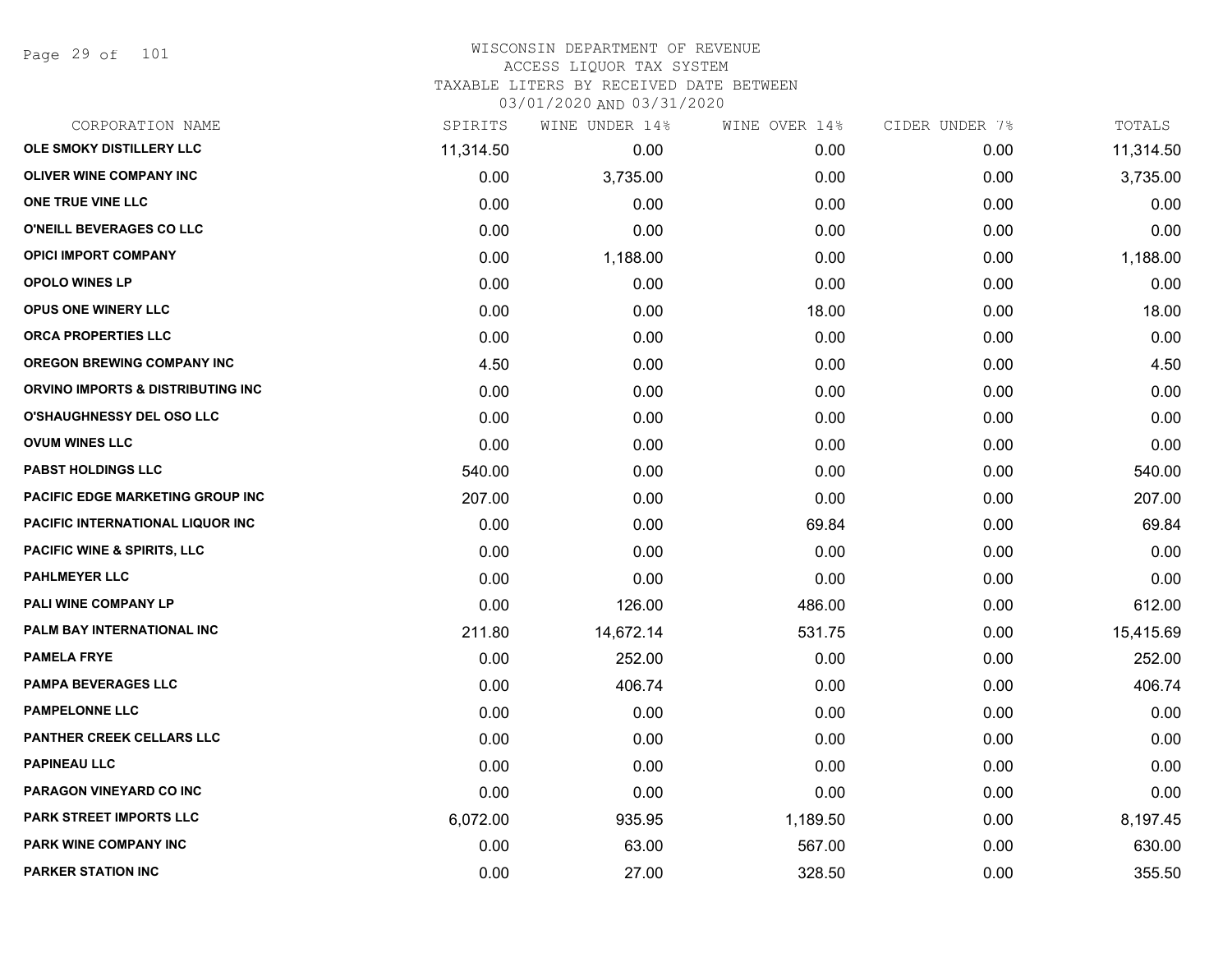Page 29 of 101

#### WISCONSIN DEPARTMENT OF REVENUE ACCESS LIQUOR TAX SYSTEM TAXABLE LITERS BY RECEIVED DATE BETWEEN

| CORPORATION NAME                       | SPIRITS   | WINE UNDER 14% | WINE OVER 14% | CIDER UNDER 7% | TOTALS    |
|----------------------------------------|-----------|----------------|---------------|----------------|-----------|
| OLE SMOKY DISTILLERY LLC               | 11,314.50 | 0.00           | 0.00          | 0.00           | 11,314.50 |
| OLIVER WINE COMPANY INC                | 0.00      | 3,735.00       | 0.00          | 0.00           | 3,735.00  |
| ONE TRUE VINE LLC                      | 0.00      | 0.00           | 0.00          | 0.00           | 0.00      |
| O'NEILL BEVERAGES CO LLC               | 0.00      | 0.00           | 0.00          | 0.00           | 0.00      |
| <b>OPICI IMPORT COMPANY</b>            | 0.00      | 1,188.00       | 0.00          | 0.00           | 1,188.00  |
| <b>OPOLO WINES LP</b>                  | 0.00      | 0.00           | 0.00          | 0.00           | 0.00      |
| OPUS ONE WINERY LLC                    | 0.00      | 0.00           | 18.00         | 0.00           | 18.00     |
| ORCA PROPERTIES LLC                    | 0.00      | 0.00           | 0.00          | 0.00           | 0.00      |
| <b>OREGON BREWING COMPANY INC</b>      | 4.50      | 0.00           | 0.00          | 0.00           | 4.50      |
| ORVINO IMPORTS & DISTRIBUTING INC      | 0.00      | 0.00           | 0.00          | 0.00           | 0.00      |
| <b>O'SHAUGHNESSY DEL OSO LLC</b>       | 0.00      | 0.00           | 0.00          | 0.00           | 0.00      |
| <b>OVUM WINES LLC</b>                  | 0.00      | 0.00           | 0.00          | 0.00           | 0.00      |
| <b>PABST HOLDINGS LLC</b>              | 540.00    | 0.00           | 0.00          | 0.00           | 540.00    |
| PACIFIC EDGE MARKETING GROUP INC       | 207.00    | 0.00           | 0.00          | 0.00           | 207.00    |
| PACIFIC INTERNATIONAL LIQUOR INC       | 0.00      | 0.00           | 69.84         | 0.00           | 69.84     |
| <b>PACIFIC WINE &amp; SPIRITS, LLC</b> | 0.00      | 0.00           | 0.00          | 0.00           | 0.00      |
| <b>PAHLMEYER LLC</b>                   | 0.00      | 0.00           | 0.00          | 0.00           | 0.00      |
| PALI WINE COMPANY LP                   | 0.00      | 126.00         | 486.00        | 0.00           | 612.00    |
| PALM BAY INTERNATIONAL INC             | 211.80    | 14,672.14      | 531.75        | 0.00           | 15,415.69 |
| <b>PAMELA FRYE</b>                     | 0.00      | 252.00         | 0.00          | 0.00           | 252.00    |
| <b>PAMPA BEVERAGES LLC</b>             | 0.00      | 406.74         | 0.00          | 0.00           | 406.74    |
| <b>PAMPELONNE LLC</b>                  | 0.00      | 0.00           | 0.00          | 0.00           | 0.00      |
| PANTHER CREEK CELLARS LLC              | 0.00      | 0.00           | 0.00          | 0.00           | 0.00      |
| <b>PAPINEAU LLC</b>                    | 0.00      | 0.00           | 0.00          | 0.00           | 0.00      |
| <b>PARAGON VINEYARD CO INC</b>         | 0.00      | 0.00           | 0.00          | 0.00           | 0.00      |
| <b>PARK STREET IMPORTS LLC</b>         | 6,072.00  | 935.95         | 1,189.50      | 0.00           | 8,197.45  |
| PARK WINE COMPANY INC                  | 0.00      | 63.00          | 567.00        | 0.00           | 630.00    |
| <b>PARKER STATION INC</b>              | 0.00      | 27.00          | 328.50        | 0.00           | 355.50    |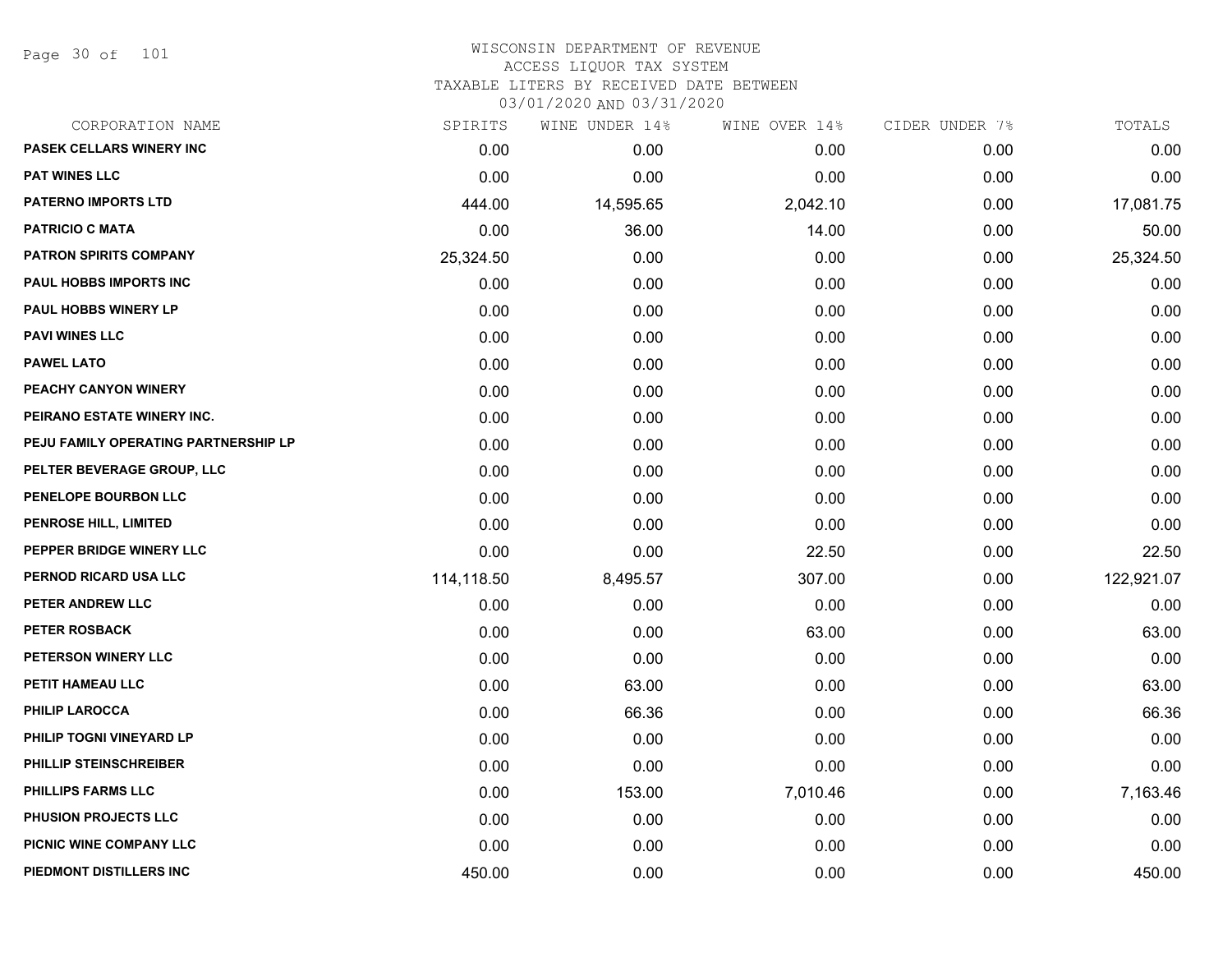Page 30 of 101

| CORPORATION NAME                     | SPIRITS    | WINE UNDER 14% | WINE OVER 14% | CIDER UNDER 7% | TOTALS     |
|--------------------------------------|------------|----------------|---------------|----------------|------------|
| PASEK CELLARS WINERY INC             | 0.00       | 0.00           | 0.00          | 0.00           | 0.00       |
| <b>PAT WINES LLC</b>                 | 0.00       | 0.00           | 0.00          | 0.00           | 0.00       |
| <b>PATERNO IMPORTS LTD</b>           | 444.00     | 14,595.65      | 2,042.10      | 0.00           | 17,081.75  |
| <b>PATRICIO C MATA</b>               | 0.00       | 36.00          | 14.00         | 0.00           | 50.00      |
| <b>PATRON SPIRITS COMPANY</b>        | 25,324.50  | 0.00           | 0.00          | 0.00           | 25,324.50  |
| PAUL HOBBS IMPORTS INC               | 0.00       | 0.00           | 0.00          | 0.00           | 0.00       |
| <b>PAUL HOBBS WINERY LP</b>          | 0.00       | 0.00           | 0.00          | 0.00           | 0.00       |
| <b>PAVI WINES LLC</b>                | 0.00       | 0.00           | 0.00          | 0.00           | 0.00       |
| <b>PAWEL LATO</b>                    | 0.00       | 0.00           | 0.00          | 0.00           | 0.00       |
| PEACHY CANYON WINERY                 | 0.00       | 0.00           | 0.00          | 0.00           | 0.00       |
| PEIRANO ESTATE WINERY INC.           | 0.00       | 0.00           | 0.00          | 0.00           | 0.00       |
| PEJU FAMILY OPERATING PARTNERSHIP LP | 0.00       | 0.00           | 0.00          | 0.00           | 0.00       |
| PELTER BEVERAGE GROUP, LLC           | 0.00       | 0.00           | 0.00          | 0.00           | 0.00       |
| PENELOPE BOURBON LLC                 | 0.00       | 0.00           | 0.00          | 0.00           | 0.00       |
| <b>PENROSE HILL, LIMITED</b>         | 0.00       | 0.00           | 0.00          | 0.00           | 0.00       |
| PEPPER BRIDGE WINERY LLC             | 0.00       | 0.00           | 22.50         | 0.00           | 22.50      |
| PERNOD RICARD USA LLC                | 114,118.50 | 8,495.57       | 307.00        | 0.00           | 122,921.07 |
| PETER ANDREW LLC                     | 0.00       | 0.00           | 0.00          | 0.00           | 0.00       |
| PETER ROSBACK                        | 0.00       | 0.00           | 63.00         | 0.00           | 63.00      |
| PETERSON WINERY LLC                  | 0.00       | 0.00           | 0.00          | 0.00           | 0.00       |
| PETIT HAMEAU LLC                     | 0.00       | 63.00          | 0.00          | 0.00           | 63.00      |
| <b>PHILIP LAROCCA</b>                | 0.00       | 66.36          | 0.00          | 0.00           | 66.36      |
| PHILIP TOGNI VINEYARD LP             | 0.00       | 0.00           | 0.00          | 0.00           | 0.00       |
| PHILLIP STEINSCHREIBER               | 0.00       | 0.00           | 0.00          | 0.00           | 0.00       |
| PHILLIPS FARMS LLC                   | 0.00       | 153.00         | 7,010.46      | 0.00           | 7,163.46   |
| PHUSION PROJECTS LLC                 | 0.00       | 0.00           | 0.00          | 0.00           | 0.00       |
| PICNIC WINE COMPANY LLC              | 0.00       | 0.00           | 0.00          | 0.00           | 0.00       |
| PIEDMONT DISTILLERS INC              | 450.00     | 0.00           | 0.00          | 0.00           | 450.00     |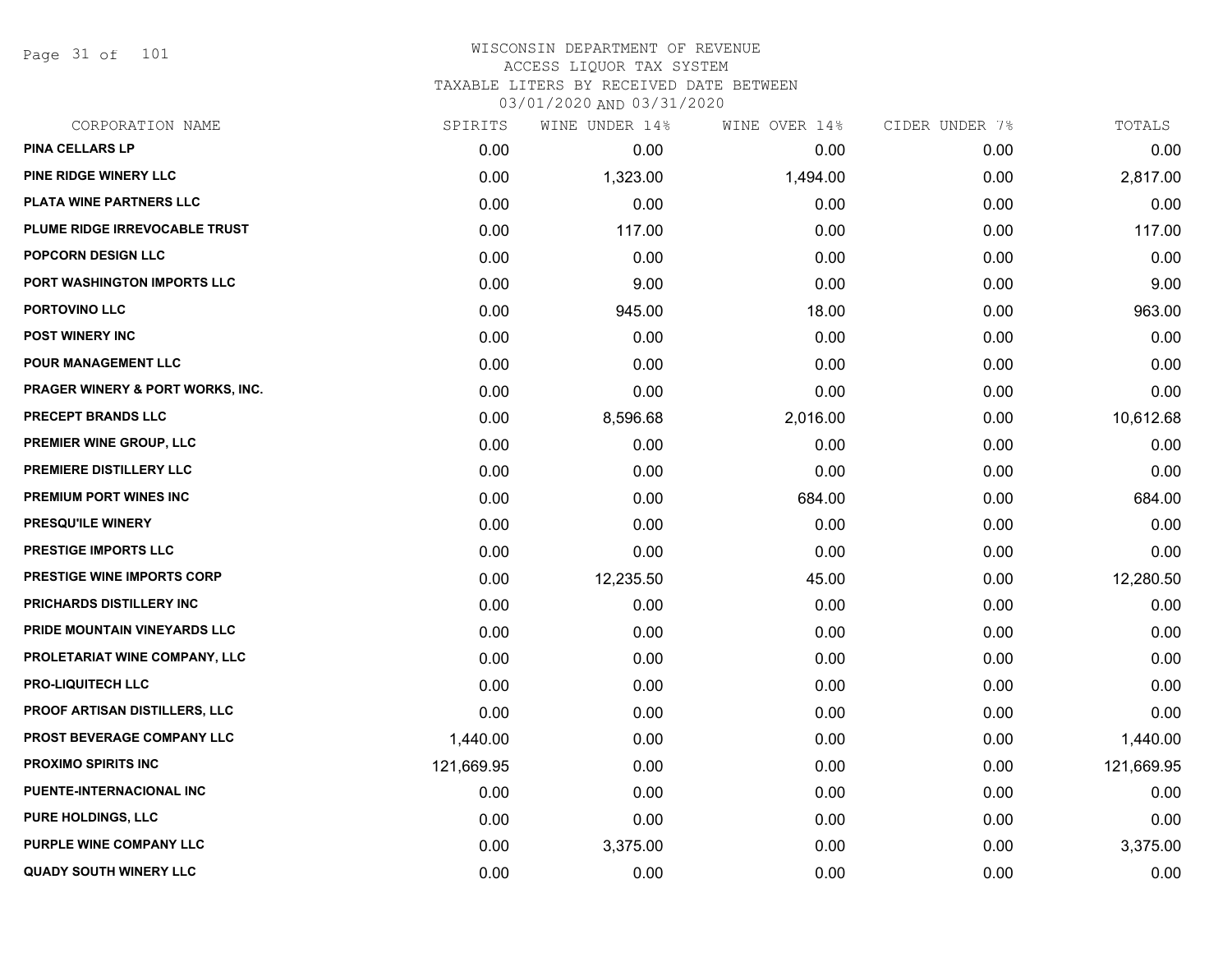Page 31 of 101

# WISCONSIN DEPARTMENT OF REVENUE ACCESS LIQUOR TAX SYSTEM TAXABLE LITERS BY RECEIVED DATE BETWEEN

| CORPORATION NAME                            | SPIRITS    | WINE UNDER 14% | WINE OVER 14% | CIDER UNDER 7% | TOTALS     |
|---------------------------------------------|------------|----------------|---------------|----------------|------------|
| <b>PINA CELLARS LP</b>                      | 0.00       | 0.00           | 0.00          | 0.00           | 0.00       |
| PINE RIDGE WINERY LLC                       | 0.00       | 1,323.00       | 1,494.00      | 0.00           | 2,817.00   |
| PLATA WINE PARTNERS LLC                     | 0.00       | 0.00           | 0.00          | 0.00           | 0.00       |
| PLUME RIDGE IRREVOCABLE TRUST               | 0.00       | 117.00         | 0.00          | 0.00           | 117.00     |
| POPCORN DESIGN LLC                          | 0.00       | 0.00           | 0.00          | 0.00           | 0.00       |
| PORT WASHINGTON IMPORTS LLC                 | 0.00       | 9.00           | 0.00          | 0.00           | 9.00       |
| PORTOVINO LLC                               | 0.00       | 945.00         | 18.00         | 0.00           | 963.00     |
| <b>POST WINERY INC</b>                      | 0.00       | 0.00           | 0.00          | 0.00           | 0.00       |
| <b>POUR MANAGEMENT LLC</b>                  | 0.00       | 0.00           | 0.00          | 0.00           | 0.00       |
| <b>PRAGER WINERY &amp; PORT WORKS, INC.</b> | 0.00       | 0.00           | 0.00          | 0.00           | 0.00       |
| PRECEPT BRANDS LLC                          | 0.00       | 8,596.68       | 2,016.00      | 0.00           | 10,612.68  |
| PREMIER WINE GROUP, LLC                     | 0.00       | 0.00           | 0.00          | 0.00           | 0.00       |
| PREMIERE DISTILLERY LLC                     | 0.00       | 0.00           | 0.00          | 0.00           | 0.00       |
| <b>PREMIUM PORT WINES INC</b>               | 0.00       | 0.00           | 684.00        | 0.00           | 684.00     |
| PRESQU'ILE WINERY                           | 0.00       | 0.00           | 0.00          | 0.00           | 0.00       |
| PRESTIGE IMPORTS LLC                        | 0.00       | 0.00           | 0.00          | 0.00           | 0.00       |
| PRESTIGE WINE IMPORTS CORP                  | 0.00       | 12,235.50      | 45.00         | 0.00           | 12,280.50  |
| PRICHARDS DISTILLERY INC                    | 0.00       | 0.00           | 0.00          | 0.00           | 0.00       |
| PRIDE MOUNTAIN VINEYARDS LLC                | 0.00       | 0.00           | 0.00          | 0.00           | 0.00       |
| PROLETARIAT WINE COMPANY, LLC               | 0.00       | 0.00           | 0.00          | 0.00           | 0.00       |
| <b>PRO-LIQUITECH LLC</b>                    | 0.00       | 0.00           | 0.00          | 0.00           | 0.00       |
| PROOF ARTISAN DISTILLERS, LLC               | 0.00       | 0.00           | 0.00          | 0.00           | 0.00       |
| PROST BEVERAGE COMPANY LLC                  | 1,440.00   | 0.00           | 0.00          | 0.00           | 1,440.00   |
| <b>PROXIMO SPIRITS INC</b>                  | 121,669.95 | 0.00           | 0.00          | 0.00           | 121,669.95 |
| PUENTE-INTERNACIONAL INC                    | 0.00       | 0.00           | 0.00          | 0.00           | 0.00       |
| <b>PURE HOLDINGS, LLC</b>                   | 0.00       | 0.00           | 0.00          | 0.00           | 0.00       |
| PURPLE WINE COMPANY LLC                     | 0.00       | 3,375.00       | 0.00          | 0.00           | 3,375.00   |
| <b>QUADY SOUTH WINERY LLC</b>               | 0.00       | 0.00           | 0.00          | 0.00           | 0.00       |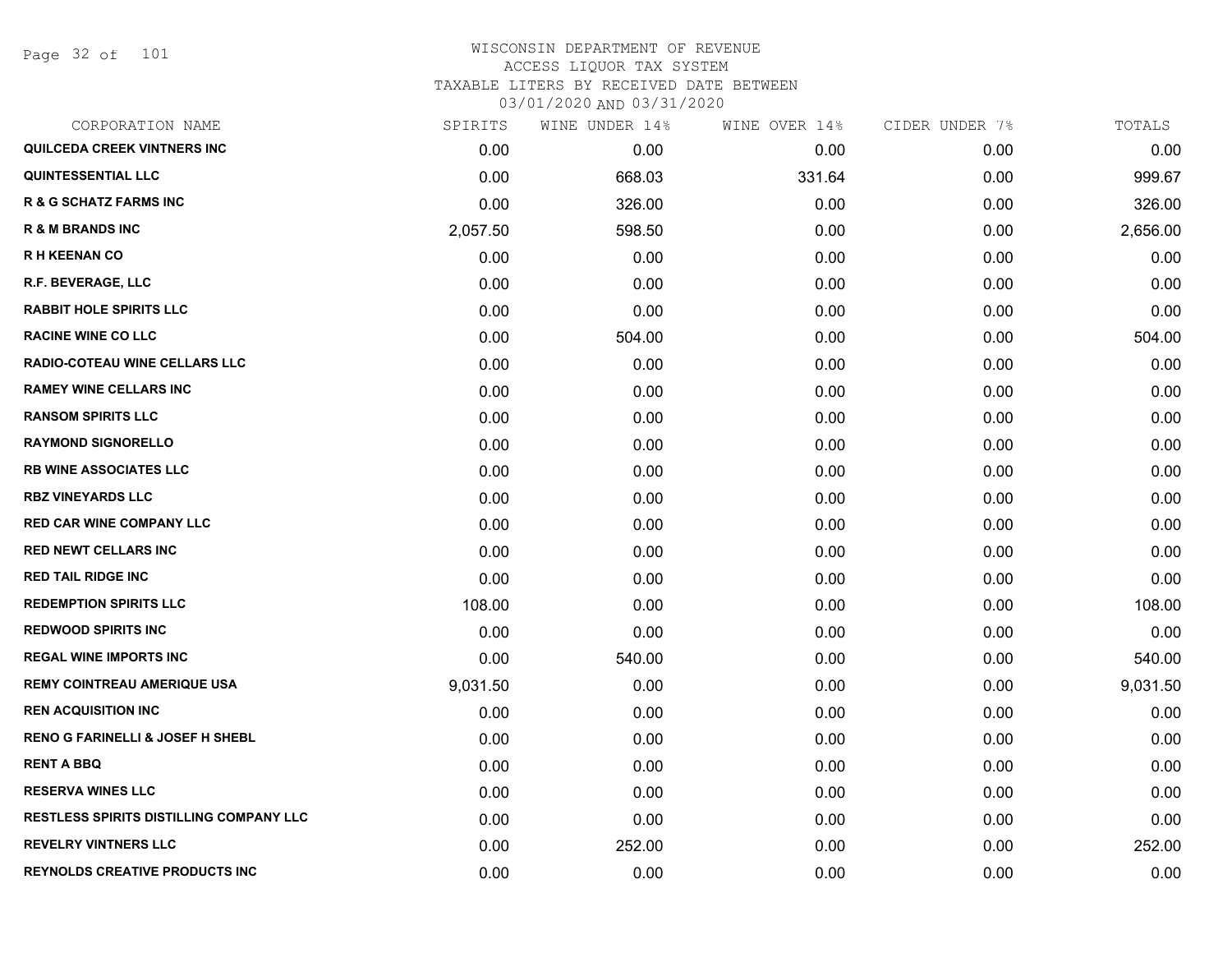Page 32 of 101

### WISCONSIN DEPARTMENT OF REVENUE ACCESS LIQUOR TAX SYSTEM TAXABLE LITERS BY RECEIVED DATE BETWEEN

| CORPORATION NAME                               | SPIRITS  | WINE UNDER 14% | WINE OVER 14% | CIDER UNDER 7% | TOTALS   |
|------------------------------------------------|----------|----------------|---------------|----------------|----------|
| QUILCEDA CREEK VINTNERS INC                    | 0.00     | 0.00           | 0.00          | 0.00           | 0.00     |
| <b>QUINTESSENTIAL LLC</b>                      | 0.00     | 668.03         | 331.64        | 0.00           | 999.67   |
| <b>R &amp; G SCHATZ FARMS INC</b>              | 0.00     | 326.00         | 0.00          | 0.00           | 326.00   |
| <b>R &amp; M BRANDS INC</b>                    | 2,057.50 | 598.50         | 0.00          | 0.00           | 2,656.00 |
| <b>RH KEENAN CO</b>                            | 0.00     | 0.00           | 0.00          | 0.00           | 0.00     |
| R.F. BEVERAGE, LLC                             | 0.00     | 0.00           | 0.00          | 0.00           | 0.00     |
| <b>RABBIT HOLE SPIRITS LLC</b>                 | 0.00     | 0.00           | 0.00          | 0.00           | 0.00     |
| <b>RACINE WINE CO LLC</b>                      | 0.00     | 504.00         | 0.00          | 0.00           | 504.00   |
| RADIO-COTEAU WINE CELLARS LLC                  | 0.00     | 0.00           | 0.00          | 0.00           | 0.00     |
| <b>RAMEY WINE CELLARS INC</b>                  | 0.00     | 0.00           | 0.00          | 0.00           | 0.00     |
| <b>RANSOM SPIRITS LLC</b>                      | 0.00     | 0.00           | 0.00          | 0.00           | 0.00     |
| <b>RAYMOND SIGNORELLO</b>                      | 0.00     | 0.00           | 0.00          | 0.00           | 0.00     |
| <b>RB WINE ASSOCIATES LLC</b>                  | 0.00     | 0.00           | 0.00          | 0.00           | 0.00     |
| <b>RBZ VINEYARDS LLC</b>                       | 0.00     | 0.00           | 0.00          | 0.00           | 0.00     |
| <b>RED CAR WINE COMPANY LLC</b>                | 0.00     | 0.00           | 0.00          | 0.00           | 0.00     |
| <b>RED NEWT CELLARS INC</b>                    | 0.00     | 0.00           | 0.00          | 0.00           | 0.00     |
| <b>RED TAIL RIDGE INC</b>                      | 0.00     | 0.00           | 0.00          | 0.00           | 0.00     |
| <b>REDEMPTION SPIRITS LLC</b>                  | 108.00   | 0.00           | 0.00          | 0.00           | 108.00   |
| <b>REDWOOD SPIRITS INC</b>                     | 0.00     | 0.00           | 0.00          | 0.00           | 0.00     |
| <b>REGAL WINE IMPORTS INC</b>                  | 0.00     | 540.00         | 0.00          | 0.00           | 540.00   |
| <b>REMY COINTREAU AMERIQUE USA</b>             | 9,031.50 | 0.00           | 0.00          | 0.00           | 9,031.50 |
| <b>REN ACQUISITION INC</b>                     | 0.00     | 0.00           | 0.00          | 0.00           | 0.00     |
| <b>RENO G FARINELLI &amp; JOSEF H SHEBL</b>    | 0.00     | 0.00           | 0.00          | 0.00           | 0.00     |
| <b>RENT A BBQ</b>                              | 0.00     | 0.00           | 0.00          | 0.00           | 0.00     |
| <b>RESERVA WINES LLC</b>                       | 0.00     | 0.00           | 0.00          | 0.00           | 0.00     |
| <b>RESTLESS SPIRITS DISTILLING COMPANY LLC</b> | 0.00     | 0.00           | 0.00          | 0.00           | 0.00     |
| <b>REVELRY VINTNERS LLC</b>                    | 0.00     | 252.00         | 0.00          | 0.00           | 252.00   |
| <b>REYNOLDS CREATIVE PRODUCTS INC</b>          | 0.00     | 0.00           | 0.00          | 0.00           | 0.00     |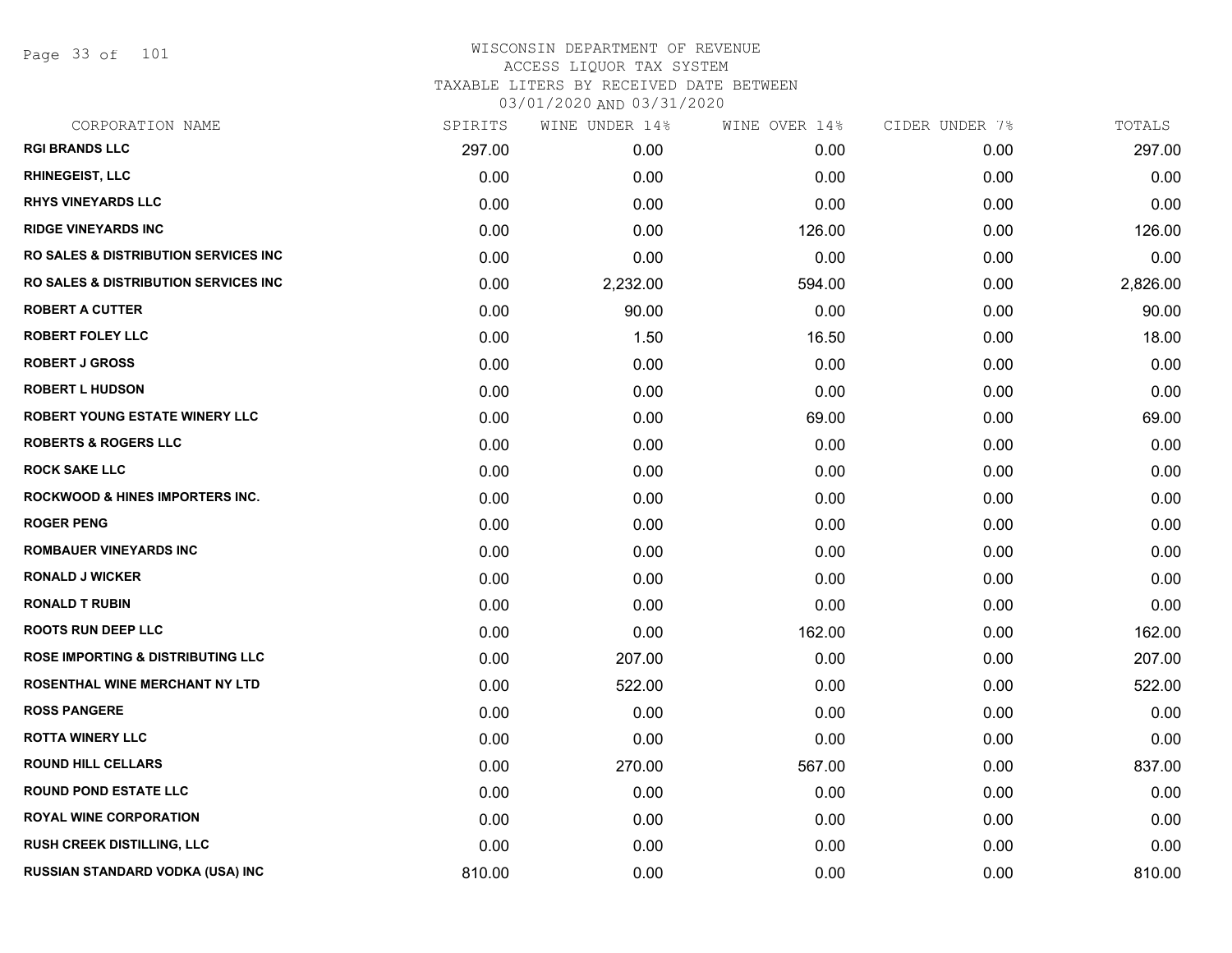Page 33 of 101

| CORPORATION NAME                                 | SPIRITS | WINE UNDER 14% | WINE OVER 14% | CIDER UNDER 7% | TOTALS   |
|--------------------------------------------------|---------|----------------|---------------|----------------|----------|
| <b>RGI BRANDS LLC</b>                            | 297.00  | 0.00           | 0.00          | 0.00           | 297.00   |
| <b>RHINEGEIST, LLC</b>                           | 0.00    | 0.00           | 0.00          | 0.00           | 0.00     |
| <b>RHYS VINEYARDS LLC</b>                        | 0.00    | 0.00           | 0.00          | 0.00           | 0.00     |
| <b>RIDGE VINEYARDS INC</b>                       | 0.00    | 0.00           | 126.00        | 0.00           | 126.00   |
| <b>RO SALES &amp; DISTRIBUTION SERVICES INC.</b> | 0.00    | 0.00           | 0.00          | 0.00           | 0.00     |
| <b>RO SALES &amp; DISTRIBUTION SERVICES INC.</b> | 0.00    | 2,232.00       | 594.00        | 0.00           | 2,826.00 |
| <b>ROBERT A CUTTER</b>                           | 0.00    | 90.00          | 0.00          | 0.00           | 90.00    |
| <b>ROBERT FOLEY LLC</b>                          | 0.00    | 1.50           | 16.50         | 0.00           | 18.00    |
| <b>ROBERT J GROSS</b>                            | 0.00    | 0.00           | 0.00          | 0.00           | 0.00     |
| <b>ROBERT L HUDSON</b>                           | 0.00    | 0.00           | 0.00          | 0.00           | 0.00     |
| ROBERT YOUNG ESTATE WINERY LLC                   | 0.00    | 0.00           | 69.00         | 0.00           | 69.00    |
| <b>ROBERTS &amp; ROGERS LLC</b>                  | 0.00    | 0.00           | 0.00          | 0.00           | 0.00     |
| <b>ROCK SAKE LLC</b>                             | 0.00    | 0.00           | 0.00          | 0.00           | 0.00     |
| <b>ROCKWOOD &amp; HINES IMPORTERS INC.</b>       | 0.00    | 0.00           | 0.00          | 0.00           | 0.00     |
| <b>ROGER PENG</b>                                | 0.00    | 0.00           | 0.00          | 0.00           | 0.00     |
| <b>ROMBAUER VINEYARDS INC</b>                    | 0.00    | 0.00           | 0.00          | 0.00           | 0.00     |
| <b>RONALD J WICKER</b>                           | 0.00    | 0.00           | 0.00          | 0.00           | 0.00     |
| <b>RONALD T RUBIN</b>                            | 0.00    | 0.00           | 0.00          | 0.00           | 0.00     |
| <b>ROOTS RUN DEEP LLC</b>                        | 0.00    | 0.00           | 162.00        | 0.00           | 162.00   |
| <b>ROSE IMPORTING &amp; DISTRIBUTING LLC</b>     | 0.00    | 207.00         | 0.00          | 0.00           | 207.00   |
| ROSENTHAL WINE MERCHANT NY LTD                   | 0.00    | 522.00         | 0.00          | 0.00           | 522.00   |
| <b>ROSS PANGERE</b>                              | 0.00    | 0.00           | 0.00          | 0.00           | 0.00     |
| <b>ROTTA WINERY LLC</b>                          | 0.00    | 0.00           | 0.00          | 0.00           | 0.00     |
| <b>ROUND HILL CELLARS</b>                        | 0.00    | 270.00         | 567.00        | 0.00           | 837.00   |
| <b>ROUND POND ESTATE LLC</b>                     | 0.00    | 0.00           | 0.00          | 0.00           | 0.00     |
| <b>ROYAL WINE CORPORATION</b>                    | 0.00    | 0.00           | 0.00          | 0.00           | 0.00     |
| <b>RUSH CREEK DISTILLING, LLC</b>                | 0.00    | 0.00           | 0.00          | 0.00           | 0.00     |
| RUSSIAN STANDARD VODKA (USA) INC                 | 810.00  | 0.00           | 0.00          | 0.00           | 810.00   |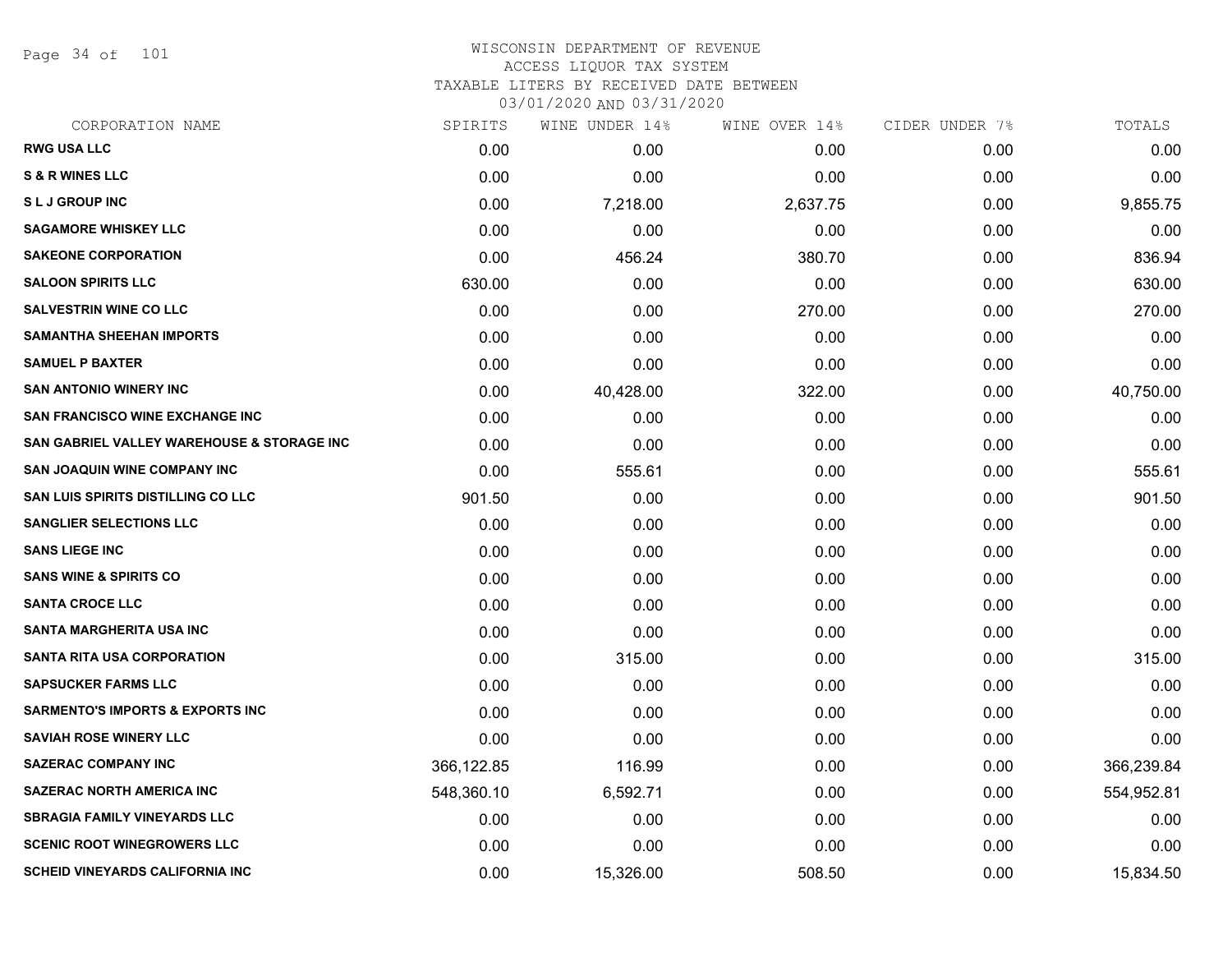Page 34 of 101

#### WISCONSIN DEPARTMENT OF REVENUE ACCESS LIQUOR TAX SYSTEM TAXABLE LITERS BY RECEIVED DATE BETWEEN

| CORPORATION NAME                            | SPIRITS    | WINE UNDER 14% | WINE OVER 14% | CIDER UNDER 7% | TOTALS     |
|---------------------------------------------|------------|----------------|---------------|----------------|------------|
| <b>RWG USA LLC</b>                          | 0.00       | 0.00           | 0.00          | 0.00           | 0.00       |
| <b>S &amp; R WINES LLC</b>                  | 0.00       | 0.00           | 0.00          | 0.00           | 0.00       |
| <b>SLJ GROUP INC</b>                        | 0.00       | 7,218.00       | 2,637.75      | 0.00           | 9,855.75   |
| <b>SAGAMORE WHISKEY LLC</b>                 | 0.00       | 0.00           | 0.00          | 0.00           | 0.00       |
| <b>SAKEONE CORPORATION</b>                  | 0.00       | 456.24         | 380.70        | 0.00           | 836.94     |
| <b>SALOON SPIRITS LLC</b>                   | 630.00     | 0.00           | 0.00          | 0.00           | 630.00     |
| <b>SALVESTRIN WINE CO LLC</b>               | 0.00       | 0.00           | 270.00        | 0.00           | 270.00     |
| <b>SAMANTHA SHEEHAN IMPORTS</b>             | 0.00       | 0.00           | 0.00          | 0.00           | 0.00       |
| <b>SAMUEL P BAXTER</b>                      | 0.00       | 0.00           | 0.00          | 0.00           | 0.00       |
| <b>SAN ANTONIO WINERY INC</b>               | 0.00       | 40,428.00      | 322.00        | 0.00           | 40,750.00  |
| <b>SAN FRANCISCO WINE EXCHANGE INC</b>      | 0.00       | 0.00           | 0.00          | 0.00           | 0.00       |
| SAN GABRIEL VALLEY WAREHOUSE & STORAGE INC  | 0.00       | 0.00           | 0.00          | 0.00           | 0.00       |
| <b>SAN JOAQUIN WINE COMPANY INC</b>         | 0.00       | 555.61         | 0.00          | 0.00           | 555.61     |
| <b>SAN LUIS SPIRITS DISTILLING CO LLC</b>   | 901.50     | 0.00           | 0.00          | 0.00           | 901.50     |
| <b>SANGLIER SELECTIONS LLC</b>              | 0.00       | 0.00           | 0.00          | 0.00           | 0.00       |
| <b>SANS LIEGE INC</b>                       | 0.00       | 0.00           | 0.00          | 0.00           | 0.00       |
| <b>SANS WINE &amp; SPIRITS CO</b>           | 0.00       | 0.00           | 0.00          | 0.00           | 0.00       |
| <b>SANTA CROCE LLC</b>                      | 0.00       | 0.00           | 0.00          | 0.00           | 0.00       |
| <b>SANTA MARGHERITA USA INC</b>             | 0.00       | 0.00           | 0.00          | 0.00           | 0.00       |
| <b>SANTA RITA USA CORPORATION</b>           | 0.00       | 315.00         | 0.00          | 0.00           | 315.00     |
| <b>SAPSUCKER FARMS LLC</b>                  | 0.00       | 0.00           | 0.00          | 0.00           | 0.00       |
| <b>SARMENTO'S IMPORTS &amp; EXPORTS INC</b> | 0.00       | 0.00           | 0.00          | 0.00           | 0.00       |
| <b>SAVIAH ROSE WINERY LLC</b>               | 0.00       | 0.00           | 0.00          | 0.00           | 0.00       |
| <b>SAZERAC COMPANY INC</b>                  | 366,122.85 | 116.99         | 0.00          | 0.00           | 366,239.84 |
| <b>SAZERAC NORTH AMERICA INC</b>            | 548,360.10 | 6,592.71       | 0.00          | 0.00           | 554,952.81 |
| <b>SBRAGIA FAMILY VINEYARDS LLC</b>         | 0.00       | 0.00           | 0.00          | 0.00           | 0.00       |
| <b>SCENIC ROOT WINEGROWERS LLC</b>          | 0.00       | 0.00           | 0.00          | 0.00           | 0.00       |
| <b>SCHEID VINEYARDS CALIFORNIA INC</b>      | 0.00       | 15,326.00      | 508.50        | 0.00           | 15,834.50  |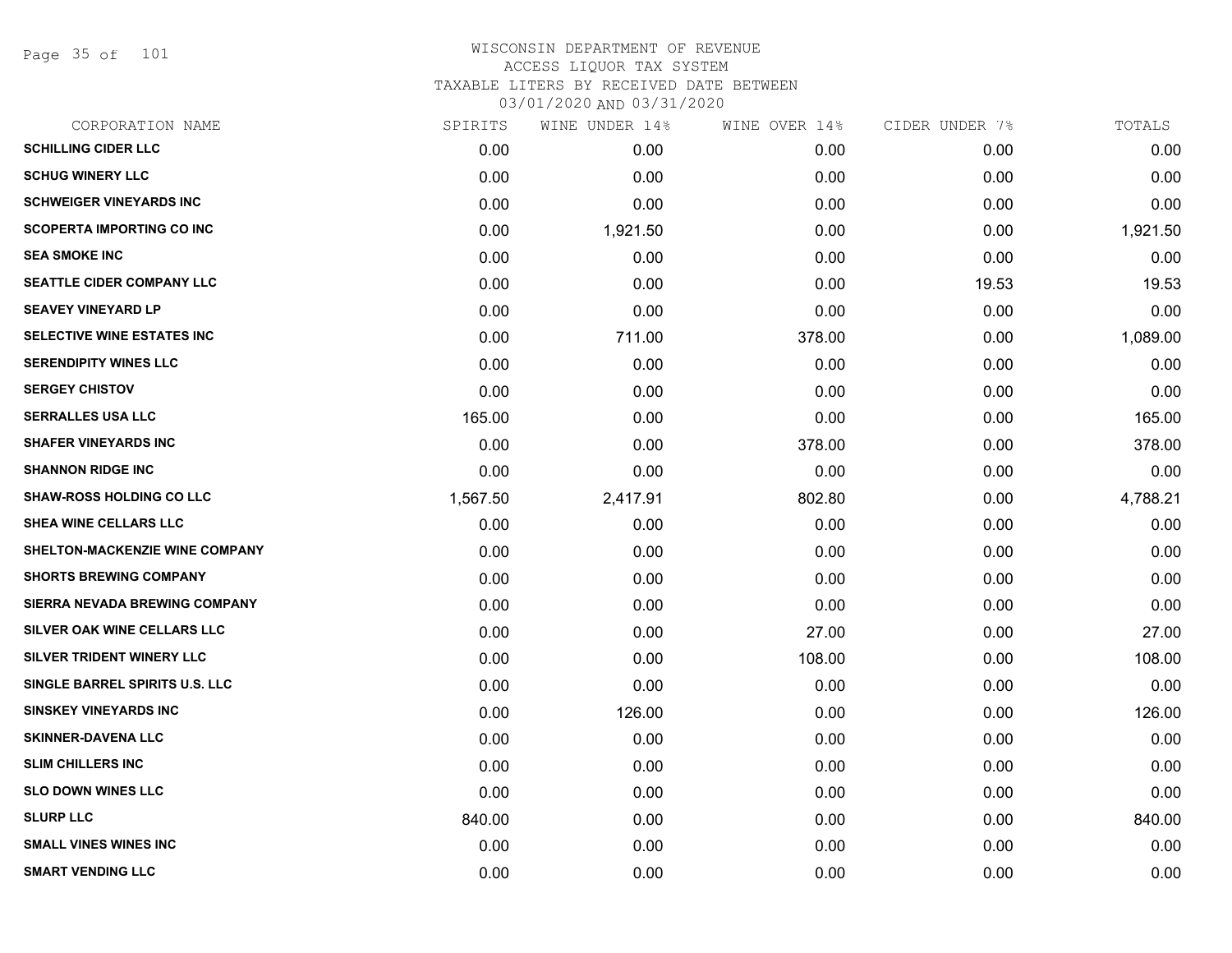Page 35 of 101

| CORPORATION NAME                  | SPIRITS  | WINE UNDER 14% | WINE OVER 14% | CIDER UNDER 7% | TOTALS   |
|-----------------------------------|----------|----------------|---------------|----------------|----------|
| <b>SCHILLING CIDER LLC</b>        | 0.00     | 0.00           | 0.00          | 0.00           | 0.00     |
| <b>SCHUG WINERY LLC</b>           | 0.00     | 0.00           | 0.00          | 0.00           | 0.00     |
| <b>SCHWEIGER VINEYARDS INC</b>    | 0.00     | 0.00           | 0.00          | 0.00           | 0.00     |
| <b>SCOPERTA IMPORTING CO INC</b>  | 0.00     | 1,921.50       | 0.00          | 0.00           | 1,921.50 |
| <b>SEA SMOKE INC</b>              | 0.00     | 0.00           | 0.00          | 0.00           | 0.00     |
| SEATTLE CIDER COMPANY LLC         | 0.00     | 0.00           | 0.00          | 19.53          | 19.53    |
| <b>SEAVEY VINEYARD LP</b>         | 0.00     | 0.00           | 0.00          | 0.00           | 0.00     |
| <b>SELECTIVE WINE ESTATES INC</b> | 0.00     | 711.00         | 378.00        | 0.00           | 1,089.00 |
| <b>SERENDIPITY WINES LLC</b>      | 0.00     | 0.00           | 0.00          | 0.00           | 0.00     |
| <b>SERGEY CHISTOV</b>             | 0.00     | 0.00           | 0.00          | 0.00           | 0.00     |
| <b>SERRALLES USA LLC</b>          | 165.00   | 0.00           | 0.00          | 0.00           | 165.00   |
| <b>SHAFER VINEYARDS INC</b>       | 0.00     | 0.00           | 378.00        | 0.00           | 378.00   |
| <b>SHANNON RIDGE INC</b>          | 0.00     | 0.00           | 0.00          | 0.00           | 0.00     |
| <b>SHAW-ROSS HOLDING CO LLC</b>   | 1,567.50 | 2,417.91       | 802.80        | 0.00           | 4,788.21 |
| SHEA WINE CELLARS LLC             | 0.00     | 0.00           | 0.00          | 0.00           | 0.00     |
| SHELTON-MACKENZIE WINE COMPANY    | 0.00     | 0.00           | 0.00          | 0.00           | 0.00     |
| <b>SHORTS BREWING COMPANY</b>     | 0.00     | 0.00           | 0.00          | 0.00           | 0.00     |
| SIERRA NEVADA BREWING COMPANY     | 0.00     | 0.00           | 0.00          | 0.00           | 0.00     |
| SILVER OAK WINE CELLARS LLC       | 0.00     | 0.00           | 27.00         | 0.00           | 27.00    |
| SILVER TRIDENT WINERY LLC         | 0.00     | 0.00           | 108.00        | 0.00           | 108.00   |
| SINGLE BARREL SPIRITS U.S. LLC    | 0.00     | 0.00           | 0.00          | 0.00           | 0.00     |
| <b>SINSKEY VINEYARDS INC</b>      | 0.00     | 126.00         | 0.00          | 0.00           | 126.00   |
| <b>SKINNER-DAVENA LLC</b>         | 0.00     | 0.00           | 0.00          | 0.00           | 0.00     |
| <b>SLIM CHILLERS INC</b>          | 0.00     | 0.00           | 0.00          | 0.00           | 0.00     |
| <b>SLO DOWN WINES LLC</b>         | 0.00     | 0.00           | 0.00          | 0.00           | 0.00     |
| <b>SLURP LLC</b>                  | 840.00   | 0.00           | 0.00          | 0.00           | 840.00   |
| <b>SMALL VINES WINES INC</b>      | 0.00     | 0.00           | 0.00          | 0.00           | 0.00     |
| <b>SMART VENDING LLC</b>          | 0.00     | 0.00           | 0.00          | 0.00           | 0.00     |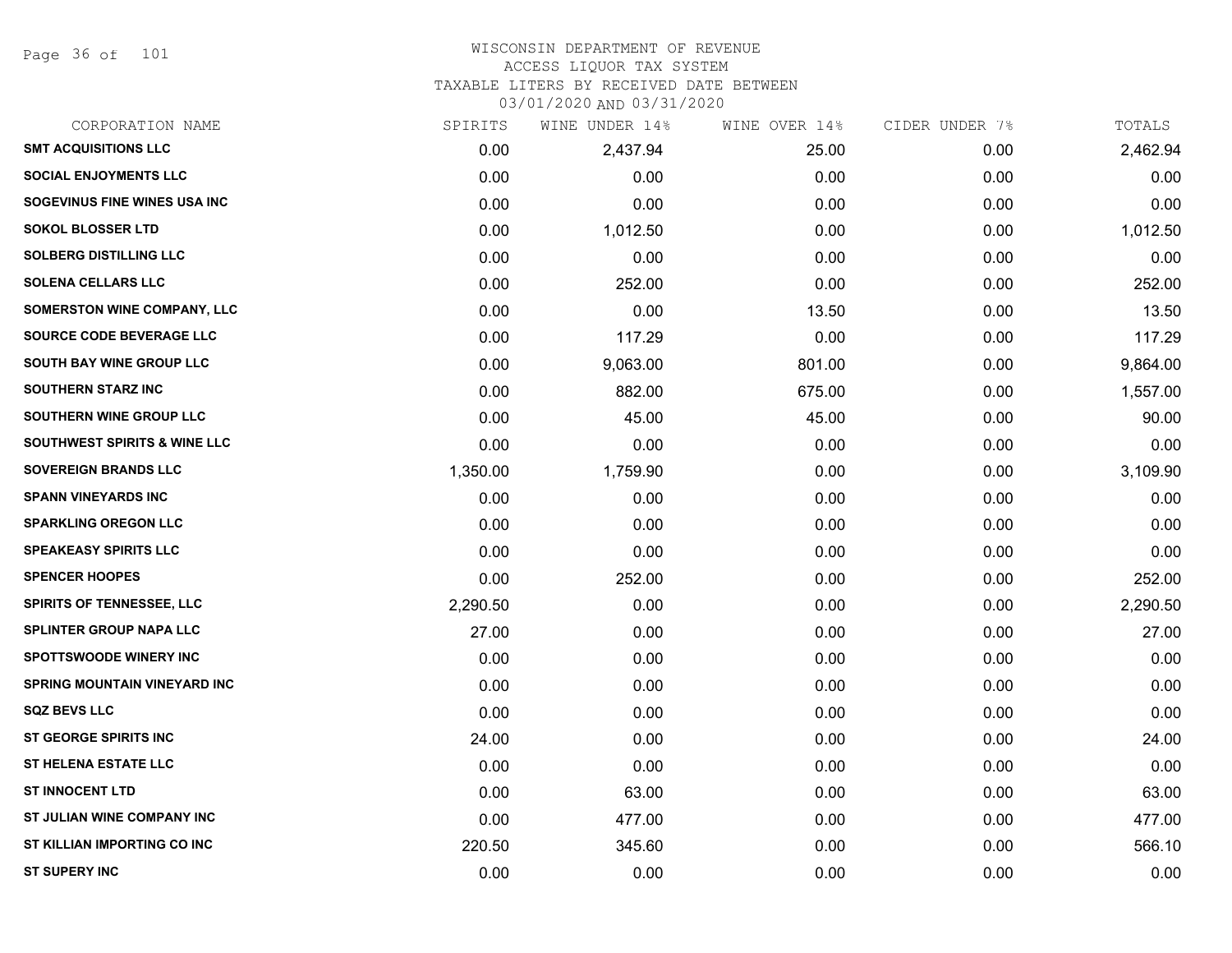Page 36 of 101

## WISCONSIN DEPARTMENT OF REVENUE ACCESS LIQUOR TAX SYSTEM

TAXABLE LITERS BY RECEIVED DATE BETWEEN

| CORPORATION NAME                    | SPIRITS  | WINE UNDER 14% | WINE OVER 14% | CIDER UNDER 7% | TOTALS   |
|-------------------------------------|----------|----------------|---------------|----------------|----------|
| <b>SMT ACQUISITIONS LLC</b>         | 0.00     | 2,437.94       | 25.00         | 0.00           | 2,462.94 |
| <b>SOCIAL ENJOYMENTS LLC</b>        | 0.00     | 0.00           | 0.00          | 0.00           | 0.00     |
| SOGEVINUS FINE WINES USA INC        | 0.00     | 0.00           | 0.00          | 0.00           | 0.00     |
| <b>SOKOL BLOSSER LTD</b>            | 0.00     | 1,012.50       | 0.00          | 0.00           | 1,012.50 |
| <b>SOLBERG DISTILLING LLC</b>       | 0.00     | 0.00           | 0.00          | 0.00           | 0.00     |
| <b>SOLENA CELLARS LLC</b>           | 0.00     | 252.00         | 0.00          | 0.00           | 252.00   |
| <b>SOMERSTON WINE COMPANY, LLC</b>  | 0.00     | 0.00           | 13.50         | 0.00           | 13.50    |
| <b>SOURCE CODE BEVERAGE LLC</b>     | 0.00     | 117.29         | 0.00          | 0.00           | 117.29   |
| SOUTH BAY WINE GROUP LLC            | 0.00     | 9,063.00       | 801.00        | 0.00           | 9,864.00 |
| <b>SOUTHERN STARZ INC</b>           | 0.00     | 882.00         | 675.00        | 0.00           | 1,557.00 |
| SOUTHERN WINE GROUP LLC             | 0.00     | 45.00          | 45.00         | 0.00           | 90.00    |
| SOUTHWEST SPIRITS & WINE LLC        | 0.00     | 0.00           | 0.00          | 0.00           | 0.00     |
| <b>SOVEREIGN BRANDS LLC</b>         | 1,350.00 | 1,759.90       | 0.00          | 0.00           | 3,109.90 |
| <b>SPANN VINEYARDS INC</b>          | 0.00     | 0.00           | 0.00          | 0.00           | 0.00     |
| <b>SPARKLING OREGON LLC</b>         | 0.00     | 0.00           | 0.00          | 0.00           | 0.00     |
| <b>SPEAKEASY SPIRITS LLC</b>        | 0.00     | 0.00           | 0.00          | 0.00           | 0.00     |
| <b>SPENCER HOOPES</b>               | 0.00     | 252.00         | 0.00          | 0.00           | 252.00   |
| <b>SPIRITS OF TENNESSEE, LLC</b>    | 2,290.50 | 0.00           | 0.00          | 0.00           | 2,290.50 |
| <b>SPLINTER GROUP NAPA LLC</b>      | 27.00    | 0.00           | 0.00          | 0.00           | 27.00    |
| <b>SPOTTSWOODE WINERY INC</b>       | 0.00     | 0.00           | 0.00          | 0.00           | 0.00     |
| <b>SPRING MOUNTAIN VINEYARD INC</b> | 0.00     | 0.00           | 0.00          | 0.00           | 0.00     |
| <b>SQZ BEVS LLC</b>                 | 0.00     | 0.00           | 0.00          | 0.00           | 0.00     |
| ST GEORGE SPIRITS INC               | 24.00    | 0.00           | 0.00          | 0.00           | 24.00    |
| <b>ST HELENA ESTATE LLC</b>         | 0.00     | 0.00           | 0.00          | 0.00           | 0.00     |
| <b>ST INNOCENT LTD</b>              | 0.00     | 63.00          | 0.00          | 0.00           | 63.00    |
| ST JULIAN WINE COMPANY INC          | 0.00     | 477.00         | 0.00          | 0.00           | 477.00   |
| ST KILLIAN IMPORTING CO INC         | 220.50   | 345.60         | 0.00          | 0.00           | 566.10   |
| <b>ST SUPERY INC</b>                | 0.00     | 0.00           | 0.00          | 0.00           | 0.00     |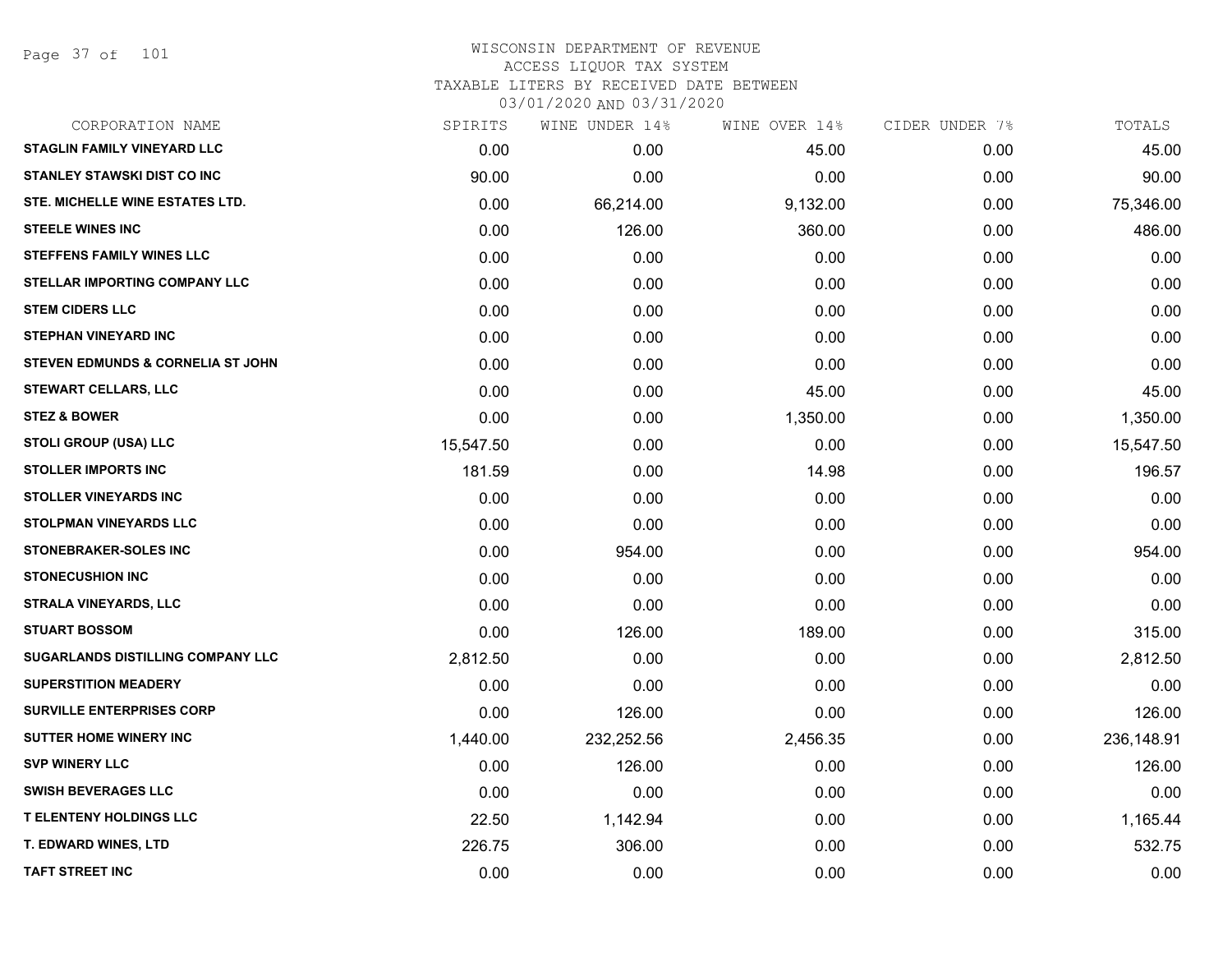Page 37 of 101

### WISCONSIN DEPARTMENT OF REVENUE ACCESS LIQUOR TAX SYSTEM TAXABLE LITERS BY RECEIVED DATE BETWEEN

| CORPORATION NAME                     | SPIRITS   | WINE UNDER 14% | WINE OVER 14% | CIDER UNDER 7% | TOTALS     |
|--------------------------------------|-----------|----------------|---------------|----------------|------------|
| <b>STAGLIN FAMILY VINEYARD LLC</b>   | 0.00      | 0.00           | 45.00         | 0.00           | 45.00      |
| <b>STANLEY STAWSKI DIST CO INC</b>   | 90.00     | 0.00           | 0.00          | 0.00           | 90.00      |
| STE. MICHELLE WINE ESTATES LTD.      | 0.00      | 66,214.00      | 9,132.00      | 0.00           | 75,346.00  |
| <b>STEELE WINES INC</b>              | 0.00      | 126.00         | 360.00        | 0.00           | 486.00     |
| <b>STEFFENS FAMILY WINES LLC</b>     | 0.00      | 0.00           | 0.00          | 0.00           | 0.00       |
| <b>STELLAR IMPORTING COMPANY LLC</b> | 0.00      | 0.00           | 0.00          | 0.00           | 0.00       |
| <b>STEM CIDERS LLC</b>               | 0.00      | 0.00           | 0.00          | 0.00           | 0.00       |
| <b>STEPHAN VINEYARD INC</b>          | 0.00      | 0.00           | 0.00          | 0.00           | 0.00       |
| STEVEN EDMUNDS & CORNELIA ST JOHN    | 0.00      | 0.00           | 0.00          | 0.00           | 0.00       |
| <b>STEWART CELLARS, LLC</b>          | 0.00      | 0.00           | 45.00         | 0.00           | 45.00      |
| <b>STEZ &amp; BOWER</b>              | 0.00      | 0.00           | 1,350.00      | 0.00           | 1,350.00   |
| STOLI GROUP (USA) LLC                | 15,547.50 | 0.00           | 0.00          | 0.00           | 15,547.50  |
| <b>STOLLER IMPORTS INC</b>           | 181.59    | 0.00           | 14.98         | 0.00           | 196.57     |
| <b>STOLLER VINEYARDS INC</b>         | 0.00      | 0.00           | 0.00          | 0.00           | 0.00       |
| <b>STOLPMAN VINEYARDS LLC</b>        | 0.00      | 0.00           | 0.00          | 0.00           | 0.00       |
| STONEBRAKER-SOLES INC                | 0.00      | 954.00         | 0.00          | 0.00           | 954.00     |
| <b>STONECUSHION INC</b>              | 0.00      | 0.00           | 0.00          | 0.00           | 0.00       |
| <b>STRALA VINEYARDS, LLC</b>         | 0.00      | 0.00           | 0.00          | 0.00           | 0.00       |
| <b>STUART BOSSOM</b>                 | 0.00      | 126.00         | 189.00        | 0.00           | 315.00     |
| SUGARLANDS DISTILLING COMPANY LLC    | 2,812.50  | 0.00           | 0.00          | 0.00           | 2,812.50   |
| <b>SUPERSTITION MEADERY</b>          | 0.00      | 0.00           | 0.00          | 0.00           | 0.00       |
| <b>SURVILLE ENTERPRISES CORP</b>     | 0.00      | 126.00         | 0.00          | 0.00           | 126.00     |
| <b>SUTTER HOME WINERY INC</b>        | 1,440.00  | 232,252.56     | 2,456.35      | 0.00           | 236,148.91 |
| <b>SVP WINERY LLC</b>                | 0.00      | 126.00         | 0.00          | 0.00           | 126.00     |
| <b>SWISH BEVERAGES LLC</b>           | 0.00      | 0.00           | 0.00          | 0.00           | 0.00       |
| <b>T ELENTENY HOLDINGS LLC</b>       | 22.50     | 1,142.94       | 0.00          | 0.00           | 1,165.44   |
| T. EDWARD WINES, LTD                 | 226.75    | 306.00         | 0.00          | 0.00           | 532.75     |
| <b>TAFT STREET INC</b>               | 0.00      | 0.00           | 0.00          | 0.00           | 0.00       |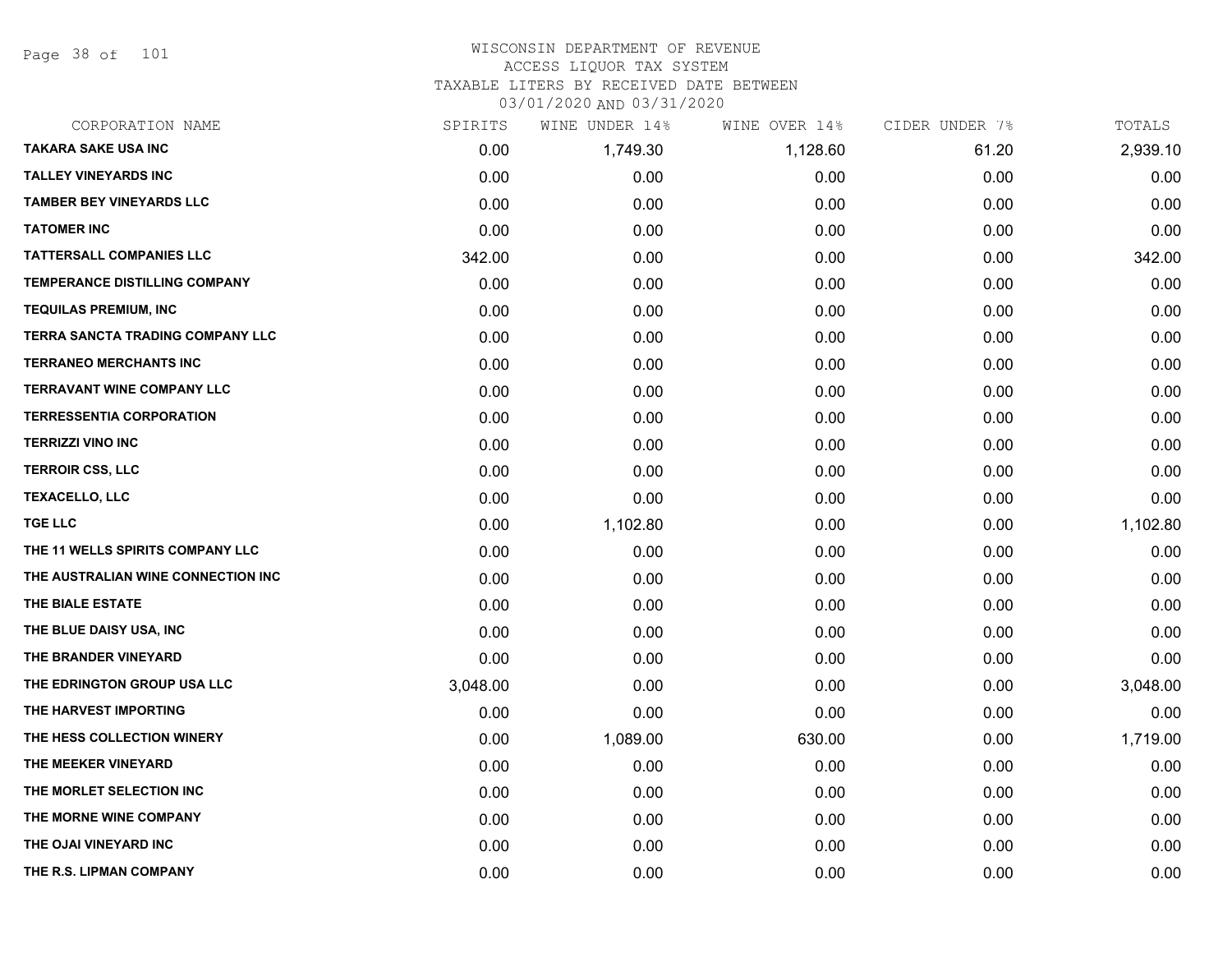Page 38 of 101

### WISCONSIN DEPARTMENT OF REVENUE ACCESS LIQUOR TAX SYSTEM TAXABLE LITERS BY RECEIVED DATE BETWEEN

| CORPORATION NAME                     | SPIRITS  | WINE UNDER 14% | WINE OVER 14% | CIDER UNDER 7% | TOTALS   |
|--------------------------------------|----------|----------------|---------------|----------------|----------|
| <b>TAKARA SAKE USA INC</b>           | 0.00     | 1,749.30       | 1,128.60      | 61.20          | 2,939.10 |
| <b>TALLEY VINEYARDS INC</b>          | 0.00     | 0.00           | 0.00          | 0.00           | 0.00     |
| <b>TAMBER BEY VINEYARDS LLC</b>      | 0.00     | 0.00           | 0.00          | 0.00           | 0.00     |
| <b>TATOMER INC</b>                   | 0.00     | 0.00           | 0.00          | 0.00           | 0.00     |
| <b>TATTERSALL COMPANIES LLC</b>      | 342.00   | 0.00           | 0.00          | 0.00           | 342.00   |
| <b>TEMPERANCE DISTILLING COMPANY</b> | 0.00     | 0.00           | 0.00          | 0.00           | 0.00     |
| <b>TEQUILAS PREMIUM, INC</b>         | 0.00     | 0.00           | 0.00          | 0.00           | 0.00     |
| TERRA SANCTA TRADING COMPANY LLC     | 0.00     | 0.00           | 0.00          | 0.00           | 0.00     |
| <b>TERRANEO MERCHANTS INC</b>        | 0.00     | 0.00           | 0.00          | 0.00           | 0.00     |
| <b>TERRAVANT WINE COMPANY LLC</b>    | 0.00     | 0.00           | 0.00          | 0.00           | 0.00     |
| <b>TERRESSENTIA CORPORATION</b>      | 0.00     | 0.00           | 0.00          | 0.00           | 0.00     |
| <b>TERRIZZI VINO INC</b>             | 0.00     | 0.00           | 0.00          | 0.00           | 0.00     |
| <b>TERROIR CSS, LLC</b>              | 0.00     | 0.00           | 0.00          | 0.00           | 0.00     |
| <b>TEXACELLO, LLC</b>                | 0.00     | 0.00           | 0.00          | 0.00           | 0.00     |
| <b>TGE LLC</b>                       | 0.00     | 1,102.80       | 0.00          | 0.00           | 1,102.80 |
| THE 11 WELLS SPIRITS COMPANY LLC     | 0.00     | 0.00           | 0.00          | 0.00           | 0.00     |
| THE AUSTRALIAN WINE CONNECTION INC   | 0.00     | 0.00           | 0.00          | 0.00           | 0.00     |
| THE BIALE ESTATE                     | 0.00     | 0.00           | 0.00          | 0.00           | 0.00     |
| THE BLUE DAISY USA, INC              | 0.00     | 0.00           | 0.00          | 0.00           | 0.00     |
| THE BRANDER VINEYARD                 | 0.00     | 0.00           | 0.00          | 0.00           | 0.00     |
| THE EDRINGTON GROUP USA LLC          | 3,048.00 | 0.00           | 0.00          | 0.00           | 3,048.00 |
| THE HARVEST IMPORTING                | 0.00     | 0.00           | 0.00          | 0.00           | 0.00     |
| THE HESS COLLECTION WINERY           | 0.00     | 1,089.00       | 630.00        | 0.00           | 1,719.00 |
| THE MEEKER VINEYARD                  | 0.00     | 0.00           | 0.00          | 0.00           | 0.00     |
| THE MORLET SELECTION INC             | 0.00     | 0.00           | 0.00          | 0.00           | 0.00     |
| THE MORNE WINE COMPANY               | 0.00     | 0.00           | 0.00          | 0.00           | 0.00     |
| THE OJAI VINEYARD INC                | 0.00     | 0.00           | 0.00          | 0.00           | 0.00     |
| THE R.S. LIPMAN COMPANY              | 0.00     | 0.00           | 0.00          | 0.00           | 0.00     |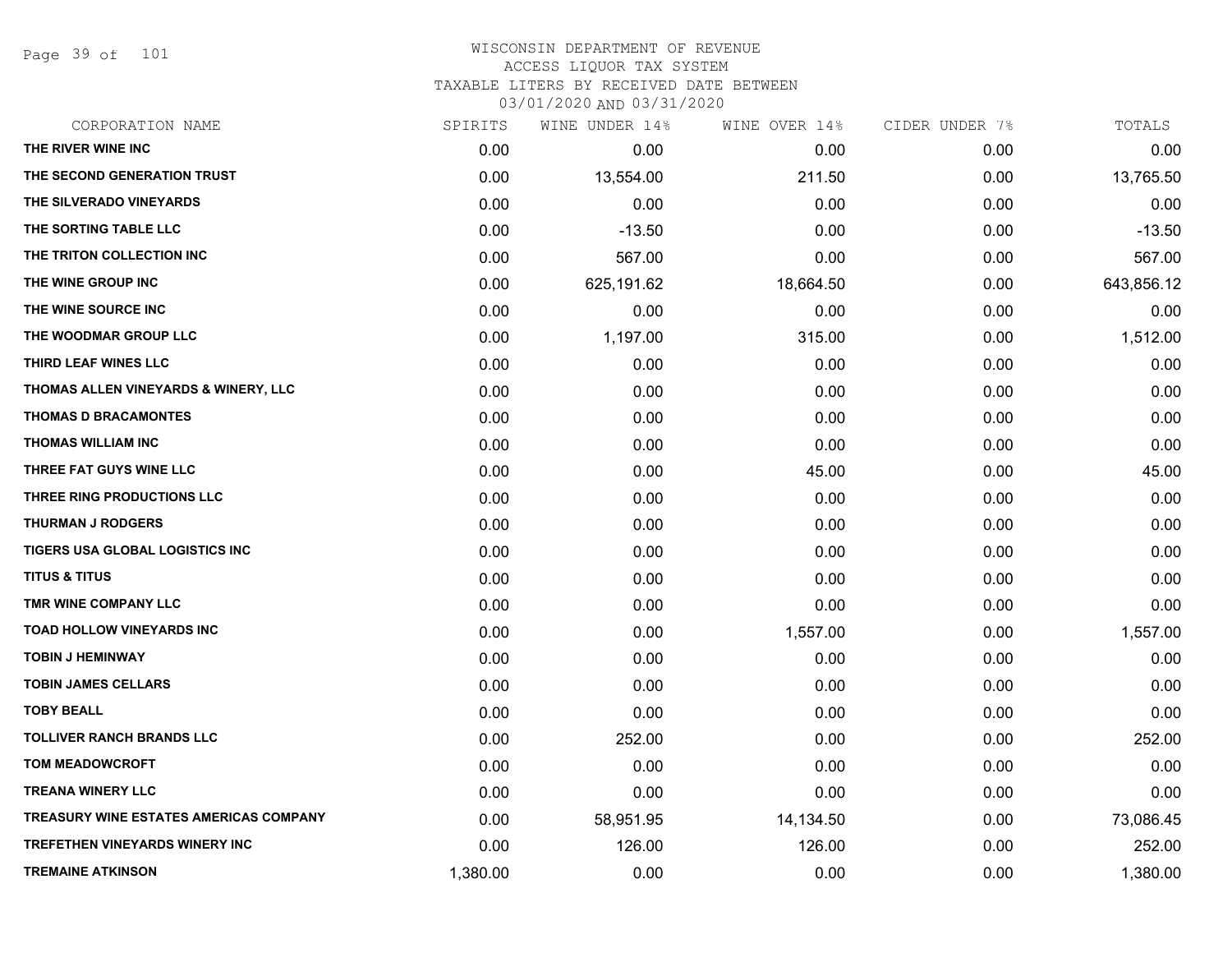Page 39 of 101

| CORPORATION NAME                       | SPIRITS  | WINE UNDER 14% | WINE OVER 14% | CIDER UNDER 7% | TOTALS     |
|----------------------------------------|----------|----------------|---------------|----------------|------------|
| THE RIVER WINE INC                     | 0.00     | 0.00           | 0.00          | 0.00           | 0.00       |
| THE SECOND GENERATION TRUST            | 0.00     | 13,554.00      | 211.50        | 0.00           | 13,765.50  |
| THE SILVERADO VINEYARDS                | 0.00     | 0.00           | 0.00          | 0.00           | 0.00       |
| THE SORTING TABLE LLC                  | 0.00     | $-13.50$       | 0.00          | 0.00           | $-13.50$   |
| THE TRITON COLLECTION INC              | 0.00     | 567.00         | 0.00          | 0.00           | 567.00     |
| THE WINE GROUP INC                     | 0.00     | 625,191.62     | 18,664.50     | 0.00           | 643,856.12 |
| THE WINE SOURCE INC                    | 0.00     | 0.00           | 0.00          | 0.00           | 0.00       |
| THE WOODMAR GROUP LLC                  | 0.00     | 1,197.00       | 315.00        | 0.00           | 1,512.00   |
| THIRD LEAF WINES LLC                   | 0.00     | 0.00           | 0.00          | 0.00           | 0.00       |
| THOMAS ALLEN VINEYARDS & WINERY, LLC   | 0.00     | 0.00           | 0.00          | 0.00           | 0.00       |
| <b>THOMAS D BRACAMONTES</b>            | 0.00     | 0.00           | 0.00          | 0.00           | 0.00       |
| <b>THOMAS WILLIAM INC</b>              | 0.00     | 0.00           | 0.00          | 0.00           | 0.00       |
| THREE FAT GUYS WINE LLC                | 0.00     | 0.00           | 45.00         | 0.00           | 45.00      |
| THREE RING PRODUCTIONS LLC             | 0.00     | 0.00           | 0.00          | 0.00           | 0.00       |
| <b>THURMAN J RODGERS</b>               | 0.00     | 0.00           | 0.00          | 0.00           | 0.00       |
| TIGERS USA GLOBAL LOGISTICS INC        | 0.00     | 0.00           | 0.00          | 0.00           | 0.00       |
| <b>TITUS &amp; TITUS</b>               | 0.00     | 0.00           | 0.00          | 0.00           | 0.00       |
| TMR WINE COMPANY LLC                   | 0.00     | 0.00           | 0.00          | 0.00           | 0.00       |
| <b>TOAD HOLLOW VINEYARDS INC</b>       | 0.00     | 0.00           | 1,557.00      | 0.00           | 1,557.00   |
| <b>TOBIN J HEMINWAY</b>                | 0.00     | 0.00           | 0.00          | 0.00           | 0.00       |
| <b>TOBIN JAMES CELLARS</b>             | 0.00     | 0.00           | 0.00          | 0.00           | 0.00       |
| <b>TOBY BEALL</b>                      | 0.00     | 0.00           | 0.00          | 0.00           | 0.00       |
| <b>TOLLIVER RANCH BRANDS LLC</b>       | 0.00     | 252.00         | 0.00          | 0.00           | 252.00     |
| <b>TOM MEADOWCROFT</b>                 | 0.00     | 0.00           | 0.00          | 0.00           | 0.00       |
| <b>TREANA WINERY LLC</b>               | 0.00     | 0.00           | 0.00          | 0.00           | 0.00       |
| TREASURY WINE ESTATES AMERICAS COMPANY | 0.00     | 58,951.95      | 14,134.50     | 0.00           | 73,086.45  |
| <b>TREFETHEN VINEYARDS WINERY INC</b>  | 0.00     | 126.00         | 126.00        | 0.00           | 252.00     |
| <b>TREMAINE ATKINSON</b>               | 1,380.00 | 0.00           | 0.00          | 0.00           | 1,380.00   |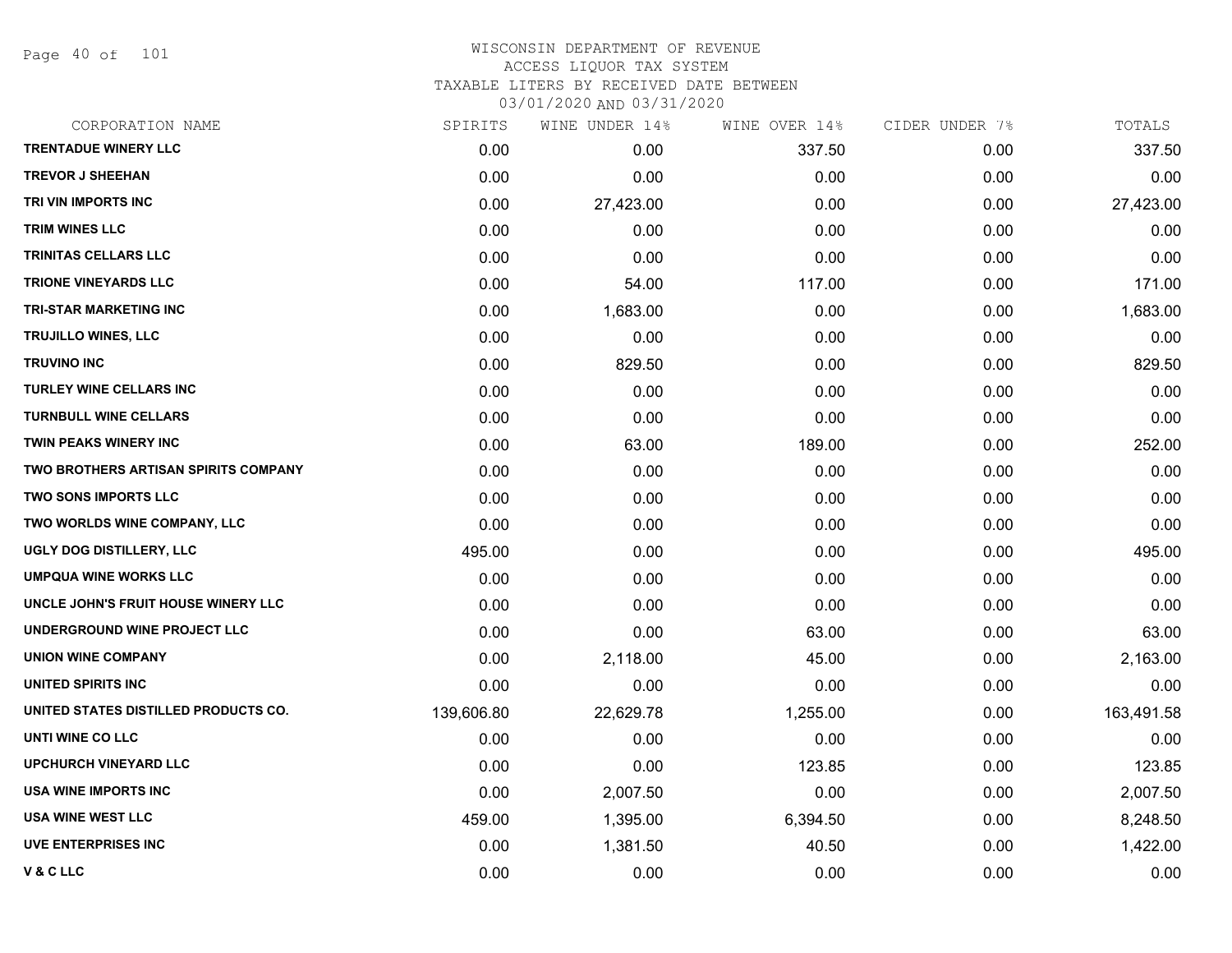Page 40 of 101

# WISCONSIN DEPARTMENT OF REVENUE ACCESS LIQUOR TAX SYSTEM TAXABLE LITERS BY RECEIVED DATE BETWEEN

| CORPORATION NAME                            | SPIRITS    | WINE UNDER 14% | WINE OVER 14% | CIDER UNDER 7% | TOTALS     |
|---------------------------------------------|------------|----------------|---------------|----------------|------------|
| <b>TRENTADUE WINERY LLC</b>                 | 0.00       | 0.00           | 337.50        | 0.00           | 337.50     |
| <b>TREVOR J SHEEHAN</b>                     | 0.00       | 0.00           | 0.00          | 0.00           | 0.00       |
| TRI VIN IMPORTS INC                         | 0.00       | 27,423.00      | 0.00          | 0.00           | 27,423.00  |
| <b>TRIM WINES LLC</b>                       | 0.00       | 0.00           | 0.00          | 0.00           | 0.00       |
| TRINITAS CELLARS LLC                        | 0.00       | 0.00           | 0.00          | 0.00           | 0.00       |
| <b>TRIONE VINEYARDS LLC</b>                 | 0.00       | 54.00          | 117.00        | 0.00           | 171.00     |
| TRI-STAR MARKETING INC                      | 0.00       | 1,683.00       | 0.00          | 0.00           | 1,683.00   |
| TRUJILLO WINES, LLC                         | 0.00       | 0.00           | 0.00          | 0.00           | 0.00       |
| <b>TRUVINO INC</b>                          | 0.00       | 829.50         | 0.00          | 0.00           | 829.50     |
| <b>TURLEY WINE CELLARS INC</b>              | 0.00       | 0.00           | 0.00          | 0.00           | 0.00       |
| <b>TURNBULL WINE CELLARS</b>                | 0.00       | 0.00           | 0.00          | 0.00           | 0.00       |
| TWIN PEAKS WINERY INC                       | 0.00       | 63.00          | 189.00        | 0.00           | 252.00     |
| <b>TWO BROTHERS ARTISAN SPIRITS COMPANY</b> | 0.00       | 0.00           | 0.00          | 0.00           | 0.00       |
| <b>TWO SONS IMPORTS LLC</b>                 | 0.00       | 0.00           | 0.00          | 0.00           | 0.00       |
| TWO WORLDS WINE COMPANY, LLC                | 0.00       | 0.00           | 0.00          | 0.00           | 0.00       |
| UGLY DOG DISTILLERY, LLC                    | 495.00     | 0.00           | 0.00          | 0.00           | 495.00     |
| <b>UMPQUA WINE WORKS LLC</b>                | 0.00       | 0.00           | 0.00          | 0.00           | 0.00       |
| UNCLE JOHN'S FRUIT HOUSE WINERY LLC         | 0.00       | 0.00           | 0.00          | 0.00           | 0.00       |
| UNDERGROUND WINE PROJECT LLC                | 0.00       | 0.00           | 63.00         | 0.00           | 63.00      |
| <b>UNION WINE COMPANY</b>                   | 0.00       | 2,118.00       | 45.00         | 0.00           | 2,163.00   |
| UNITED SPIRITS INC                          | 0.00       | 0.00           | 0.00          | 0.00           | 0.00       |
| UNITED STATES DISTILLED PRODUCTS CO.        | 139,606.80 | 22,629.78      | 1,255.00      | 0.00           | 163,491.58 |
| UNTI WINE CO LLC                            | 0.00       | 0.00           | 0.00          | 0.00           | 0.00       |
| <b>UPCHURCH VINEYARD LLC</b>                | 0.00       | 0.00           | 123.85        | 0.00           | 123.85     |
| USA WINE IMPORTS INC                        | 0.00       | 2,007.50       | 0.00          | 0.00           | 2,007.50   |
| <b>USA WINE WEST LLC</b>                    | 459.00     | 1,395.00       | 6,394.50      | 0.00           | 8,248.50   |
| <b>UVE ENTERPRISES INC</b>                  | 0.00       | 1,381.50       | 40.50         | 0.00           | 1,422.00   |
| <b>V&amp;CLLC</b>                           | 0.00       | 0.00           | 0.00          | 0.00           | 0.00       |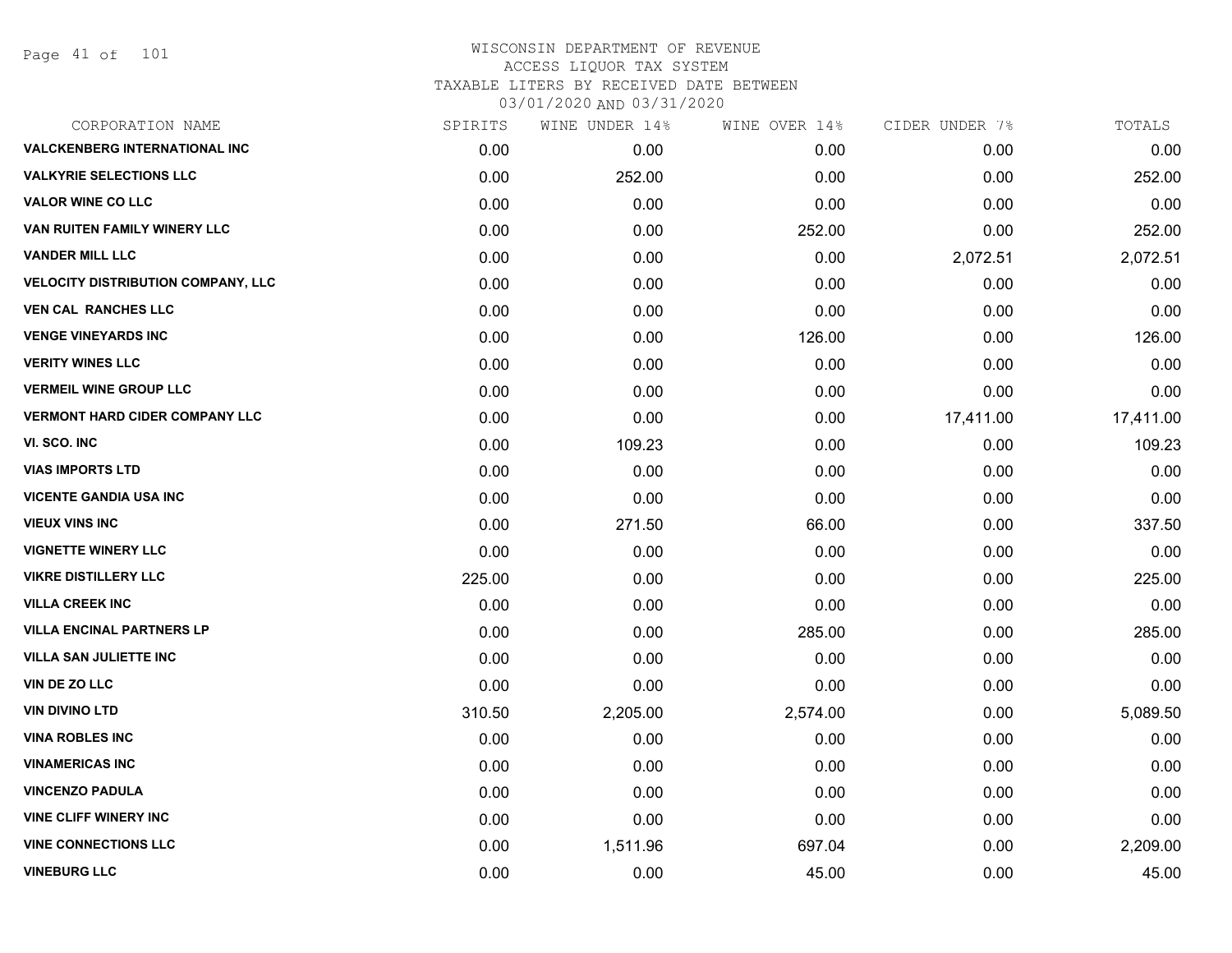| CORPORATION NAME                      | SPIRITS | WINE UNDER 14% | WINE OVER 14% | CIDER UNDER 7% | TOTALS    |
|---------------------------------------|---------|----------------|---------------|----------------|-----------|
| <b>VALCKENBERG INTERNATIONAL INC</b>  | 0.00    | 0.00           | 0.00          | 0.00           | 0.00      |
| <b>VALKYRIE SELECTIONS LLC</b>        | 0.00    | 252.00         | 0.00          | 0.00           | 252.00    |
| <b>VALOR WINE CO LLC</b>              | 0.00    | 0.00           | 0.00          | 0.00           | 0.00      |
| VAN RUITEN FAMILY WINERY LLC          | 0.00    | 0.00           | 252.00        | 0.00           | 252.00    |
| <b>VANDER MILL LLC</b>                | 0.00    | 0.00           | 0.00          | 2,072.51       | 2,072.51  |
| VELOCITY DISTRIBUTION COMPANY, LLC    | 0.00    | 0.00           | 0.00          | 0.00           | 0.00      |
| <b>VEN CAL RANCHES LLC</b>            | 0.00    | 0.00           | 0.00          | 0.00           | 0.00      |
| <b>VENGE VINEYARDS INC</b>            | 0.00    | 0.00           | 126.00        | 0.00           | 126.00    |
| <b>VERITY WINES LLC</b>               | 0.00    | 0.00           | 0.00          | 0.00           | 0.00      |
| <b>VERMEIL WINE GROUP LLC</b>         | 0.00    | 0.00           | 0.00          | 0.00           | 0.00      |
| <b>VERMONT HARD CIDER COMPANY LLC</b> | 0.00    | 0.00           | 0.00          | 17,411.00      | 17,411.00 |
| VI. SCO. INC                          | 0.00    | 109.23         | 0.00          | 0.00           | 109.23    |
| <b>VIAS IMPORTS LTD</b>               | 0.00    | 0.00           | 0.00          | 0.00           | 0.00      |
| <b>VICENTE GANDIA USA INC</b>         | 0.00    | 0.00           | 0.00          | 0.00           | 0.00      |
| <b>VIEUX VINS INC</b>                 | 0.00    | 271.50         | 66.00         | 0.00           | 337.50    |
| <b>VIGNETTE WINERY LLC</b>            | 0.00    | 0.00           | 0.00          | 0.00           | 0.00      |
| <b>VIKRE DISTILLERY LLC</b>           | 225.00  | 0.00           | 0.00          | 0.00           | 225.00    |
| <b>VILLA CREEK INC</b>                | 0.00    | 0.00           | 0.00          | 0.00           | 0.00      |
| <b>VILLA ENCINAL PARTNERS LP</b>      | 0.00    | 0.00           | 285.00        | 0.00           | 285.00    |
| <b>VILLA SAN JULIETTE INC</b>         | 0.00    | 0.00           | 0.00          | 0.00           | 0.00      |
| VIN DE ZO LLC                         | 0.00    | 0.00           | 0.00          | 0.00           | 0.00      |
| <b>VIN DIVINO LTD</b>                 | 310.50  | 2,205.00       | 2,574.00      | 0.00           | 5,089.50  |
| <b>VINA ROBLES INC</b>                | 0.00    | 0.00           | 0.00          | 0.00           | 0.00      |
| <b>VINAMERICAS INC</b>                | 0.00    | 0.00           | 0.00          | 0.00           | 0.00      |
| <b>VINCENZO PADULA</b>                | 0.00    | 0.00           | 0.00          | 0.00           | 0.00      |
| <b>VINE CLIFF WINERY INC</b>          | 0.00    | 0.00           | 0.00          | 0.00           | 0.00      |
| <b>VINE CONNECTIONS LLC</b>           | 0.00    | 1,511.96       | 697.04        | 0.00           | 2,209.00  |
| <b>VINEBURG LLC</b>                   | 0.00    | 0.00           | 45.00         | 0.00           | 45.00     |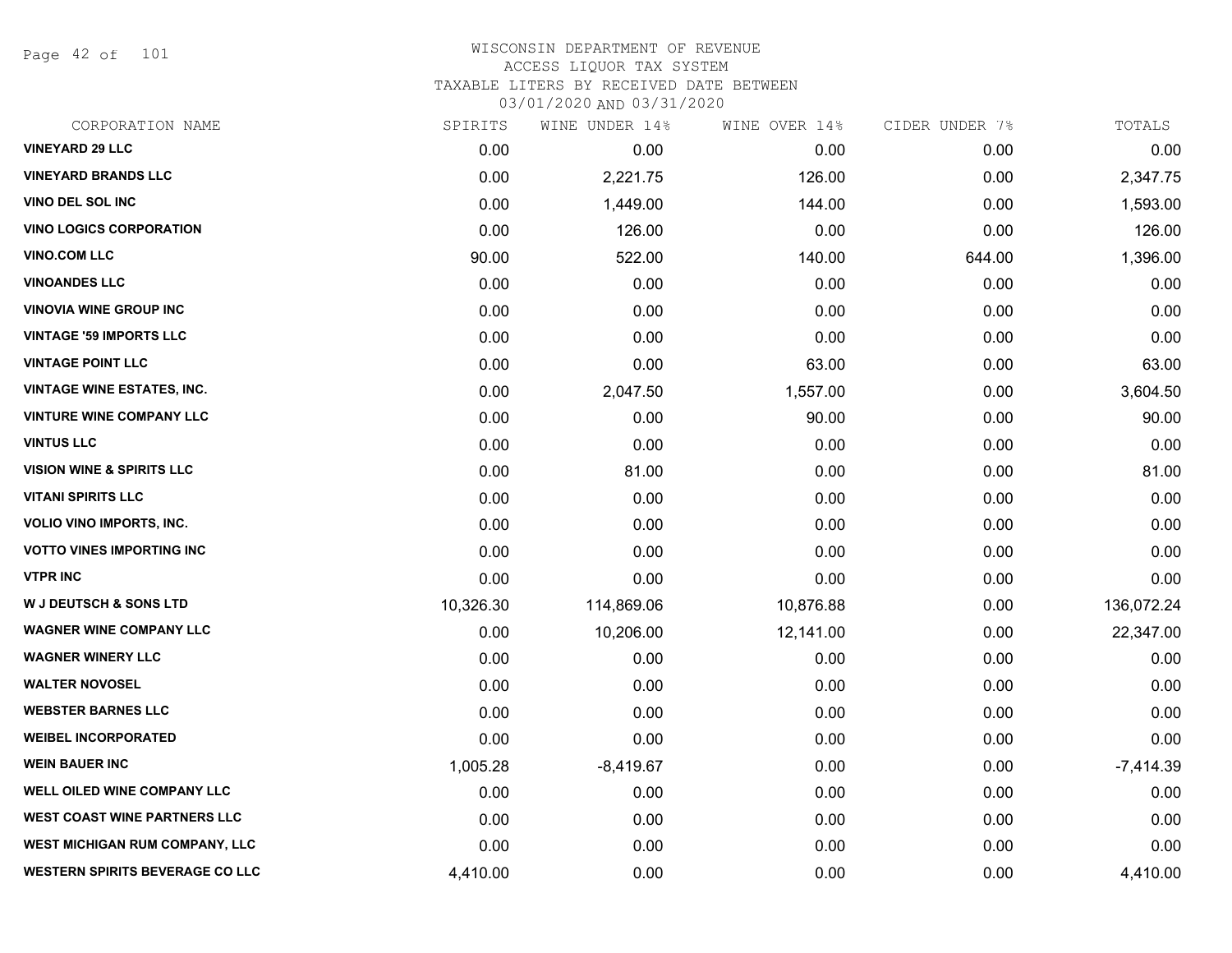Page 42 of 101

| CORPORATION NAME                       | SPIRITS   | WINE UNDER 14% | WINE OVER 14% | CIDER UNDER 7% | TOTALS      |
|----------------------------------------|-----------|----------------|---------------|----------------|-------------|
| <b>VINEYARD 29 LLC</b>                 | 0.00      | 0.00           | 0.00          | 0.00           | 0.00        |
| <b>VINEYARD BRANDS LLC</b>             | 0.00      | 2,221.75       | 126.00        | 0.00           | 2,347.75    |
| VINO DEL SOL INC                       | 0.00      | 1,449.00       | 144.00        | 0.00           | 1,593.00    |
| <b>VINO LOGICS CORPORATION</b>         | 0.00      | 126.00         | 0.00          | 0.00           | 126.00      |
| <b>VINO.COM LLC</b>                    | 90.00     | 522.00         | 140.00        | 644.00         | 1,396.00    |
| <b>VINOANDES LLC</b>                   | 0.00      | 0.00           | 0.00          | 0.00           | 0.00        |
| <b>VINOVIA WINE GROUP INC</b>          | 0.00      | 0.00           | 0.00          | 0.00           | 0.00        |
| <b>VINTAGE '59 IMPORTS LLC</b>         | 0.00      | 0.00           | 0.00          | 0.00           | 0.00        |
| <b>VINTAGE POINT LLC</b>               | 0.00      | 0.00           | 63.00         | 0.00           | 63.00       |
| <b>VINTAGE WINE ESTATES, INC.</b>      | 0.00      | 2,047.50       | 1,557.00      | 0.00           | 3,604.50    |
| <b>VINTURE WINE COMPANY LLC</b>        | 0.00      | 0.00           | 90.00         | 0.00           | 90.00       |
| <b>VINTUS LLC</b>                      | 0.00      | 0.00           | 0.00          | 0.00           | 0.00        |
| <b>VISION WINE &amp; SPIRITS LLC</b>   | 0.00      | 81.00          | 0.00          | 0.00           | 81.00       |
| <b>VITANI SPIRITS LLC</b>              | 0.00      | 0.00           | 0.00          | 0.00           | 0.00        |
| <b>VOLIO VINO IMPORTS, INC.</b>        | 0.00      | 0.00           | 0.00          | 0.00           | 0.00        |
| <b>VOTTO VINES IMPORTING INC</b>       | 0.00      | 0.00           | 0.00          | 0.00           | 0.00        |
| <b>VTPR INC</b>                        | 0.00      | 0.00           | 0.00          | 0.00           | 0.00        |
| <b>W J DEUTSCH &amp; SONS LTD</b>      | 10,326.30 | 114,869.06     | 10,876.88     | 0.00           | 136,072.24  |
| <b>WAGNER WINE COMPANY LLC</b>         | 0.00      | 10,206.00      | 12,141.00     | 0.00           | 22,347.00   |
| <b>WAGNER WINERY LLC</b>               | 0.00      | 0.00           | 0.00          | 0.00           | 0.00        |
| <b>WALTER NOVOSEL</b>                  | 0.00      | 0.00           | 0.00          | 0.00           | 0.00        |
| <b>WEBSTER BARNES LLC</b>              | 0.00      | 0.00           | 0.00          | 0.00           | 0.00        |
| <b>WEIBEL INCORPORATED</b>             | 0.00      | 0.00           | 0.00          | 0.00           | 0.00        |
| <b>WEIN BAUER INC</b>                  | 1,005.28  | $-8,419.67$    | 0.00          | 0.00           | $-7,414.39$ |
| <b>WELL OILED WINE COMPANY LLC</b>     | 0.00      | 0.00           | 0.00          | 0.00           | 0.00        |
| <b>WEST COAST WINE PARTNERS LLC</b>    | 0.00      | 0.00           | 0.00          | 0.00           | 0.00        |
| <b>WEST MICHIGAN RUM COMPANY, LLC</b>  | 0.00      | 0.00           | 0.00          | 0.00           | 0.00        |
| <b>WESTERN SPIRITS BEVERAGE CO LLC</b> | 4,410.00  | 0.00           | 0.00          | 0.00           | 4,410.00    |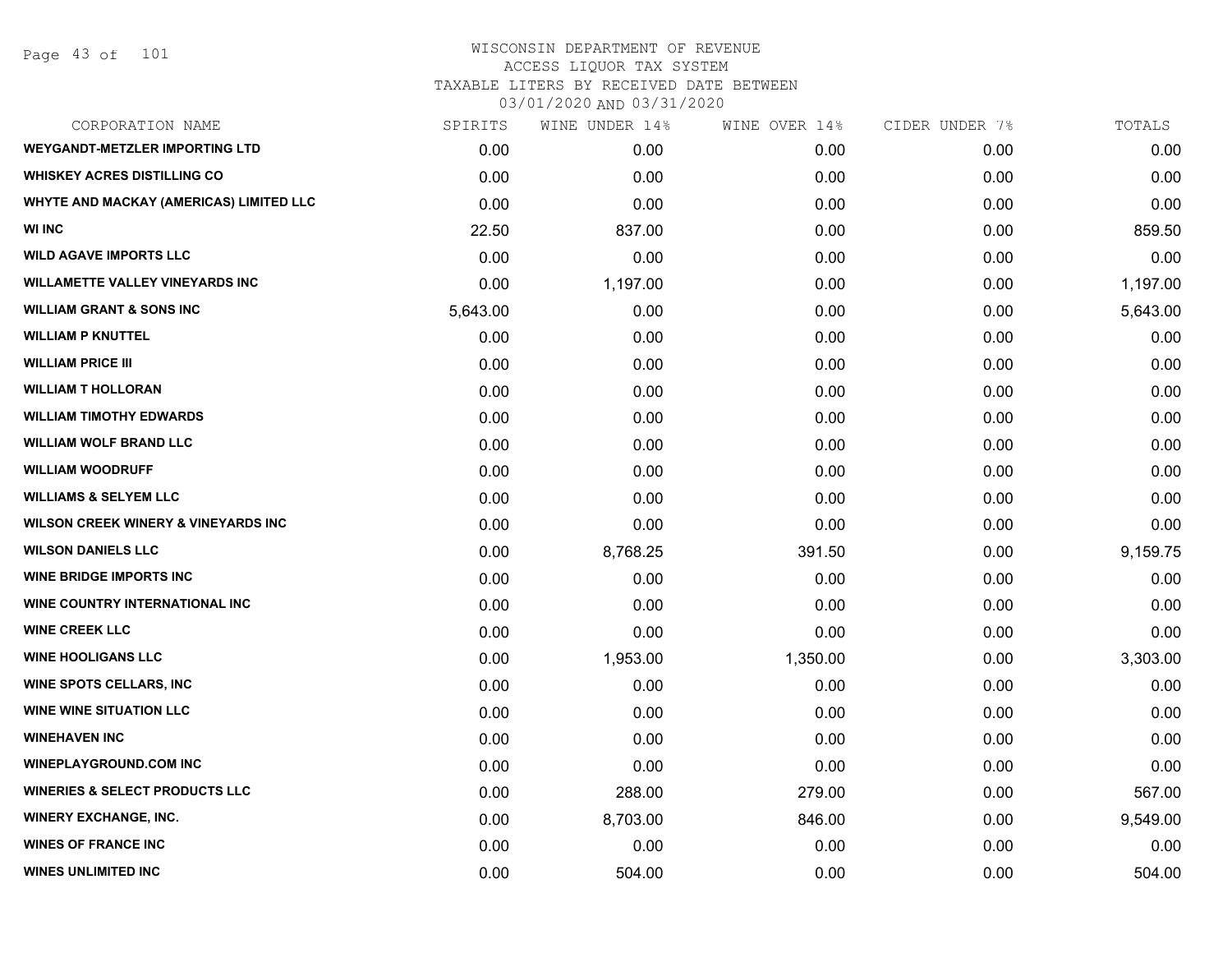Page 43 of 101

# WISCONSIN DEPARTMENT OF REVENUE ACCESS LIQUOR TAX SYSTEM TAXABLE LITERS BY RECEIVED DATE BETWEEN

| CORPORATION NAME                               | SPIRITS  | WINE UNDER 14% | WINE OVER 14% | CIDER UNDER 7% | TOTALS   |
|------------------------------------------------|----------|----------------|---------------|----------------|----------|
| <b>WEYGANDT-METZLER IMPORTING LTD</b>          | 0.00     | 0.00           | 0.00          | 0.00           | 0.00     |
| <b>WHISKEY ACRES DISTILLING CO</b>             | 0.00     | 0.00           | 0.00          | 0.00           | 0.00     |
| WHYTE AND MACKAY (AMERICAS) LIMITED LLC        | 0.00     | 0.00           | 0.00          | 0.00           | 0.00     |
| <b>WI INC</b>                                  | 22.50    | 837.00         | 0.00          | 0.00           | 859.50   |
| <b>WILD AGAVE IMPORTS LLC</b>                  | 0.00     | 0.00           | 0.00          | 0.00           | 0.00     |
| <b>WILLAMETTE VALLEY VINEYARDS INC</b>         | 0.00     | 1,197.00       | 0.00          | 0.00           | 1,197.00 |
| <b>WILLIAM GRANT &amp; SONS INC</b>            | 5,643.00 | 0.00           | 0.00          | 0.00           | 5,643.00 |
| <b>WILLIAM P KNUTTEL</b>                       | 0.00     | 0.00           | 0.00          | 0.00           | 0.00     |
| <b>WILLIAM PRICE III</b>                       | 0.00     | 0.00           | 0.00          | 0.00           | 0.00     |
| <b>WILLIAM T HOLLORAN</b>                      | 0.00     | 0.00           | 0.00          | 0.00           | 0.00     |
| <b>WILLIAM TIMOTHY EDWARDS</b>                 | 0.00     | 0.00           | 0.00          | 0.00           | 0.00     |
| <b>WILLIAM WOLF BRAND LLC</b>                  | 0.00     | 0.00           | 0.00          | 0.00           | 0.00     |
| <b>WILLIAM WOODRUFF</b>                        | 0.00     | 0.00           | 0.00          | 0.00           | 0.00     |
| <b>WILLIAMS &amp; SELYEM LLC</b>               | 0.00     | 0.00           | 0.00          | 0.00           | 0.00     |
| <b>WILSON CREEK WINERY &amp; VINEYARDS INC</b> | 0.00     | 0.00           | 0.00          | 0.00           | 0.00     |
| <b>WILSON DANIELS LLC</b>                      | 0.00     | 8,768.25       | 391.50        | 0.00           | 9,159.75 |
| <b>WINE BRIDGE IMPORTS INC</b>                 | 0.00     | 0.00           | 0.00          | 0.00           | 0.00     |
| <b>WINE COUNTRY INTERNATIONAL INC.</b>         | 0.00     | 0.00           | 0.00          | 0.00           | 0.00     |
| <b>WINE CREEK LLC</b>                          | 0.00     | 0.00           | 0.00          | 0.00           | 0.00     |
| <b>WINE HOOLIGANS LLC</b>                      | 0.00     | 1,953.00       | 1,350.00      | 0.00           | 3,303.00 |
| <b>WINE SPOTS CELLARS, INC</b>                 | 0.00     | 0.00           | 0.00          | 0.00           | 0.00     |
| <b>WINE WINE SITUATION LLC</b>                 | 0.00     | 0.00           | 0.00          | 0.00           | 0.00     |
| <b>WINEHAVEN INC</b>                           | 0.00     | 0.00           | 0.00          | 0.00           | 0.00     |
| <b>WINEPLAYGROUND.COM INC</b>                  | 0.00     | 0.00           | 0.00          | 0.00           | 0.00     |
| <b>WINERIES &amp; SELECT PRODUCTS LLC</b>      | 0.00     | 288.00         | 279.00        | 0.00           | 567.00   |
| <b>WINERY EXCHANGE, INC.</b>                   | 0.00     | 8,703.00       | 846.00        | 0.00           | 9,549.00 |
| <b>WINES OF FRANCE INC</b>                     | 0.00     | 0.00           | 0.00          | 0.00           | 0.00     |
| <b>WINES UNLIMITED INC</b>                     | 0.00     | 504.00         | 0.00          | 0.00           | 504.00   |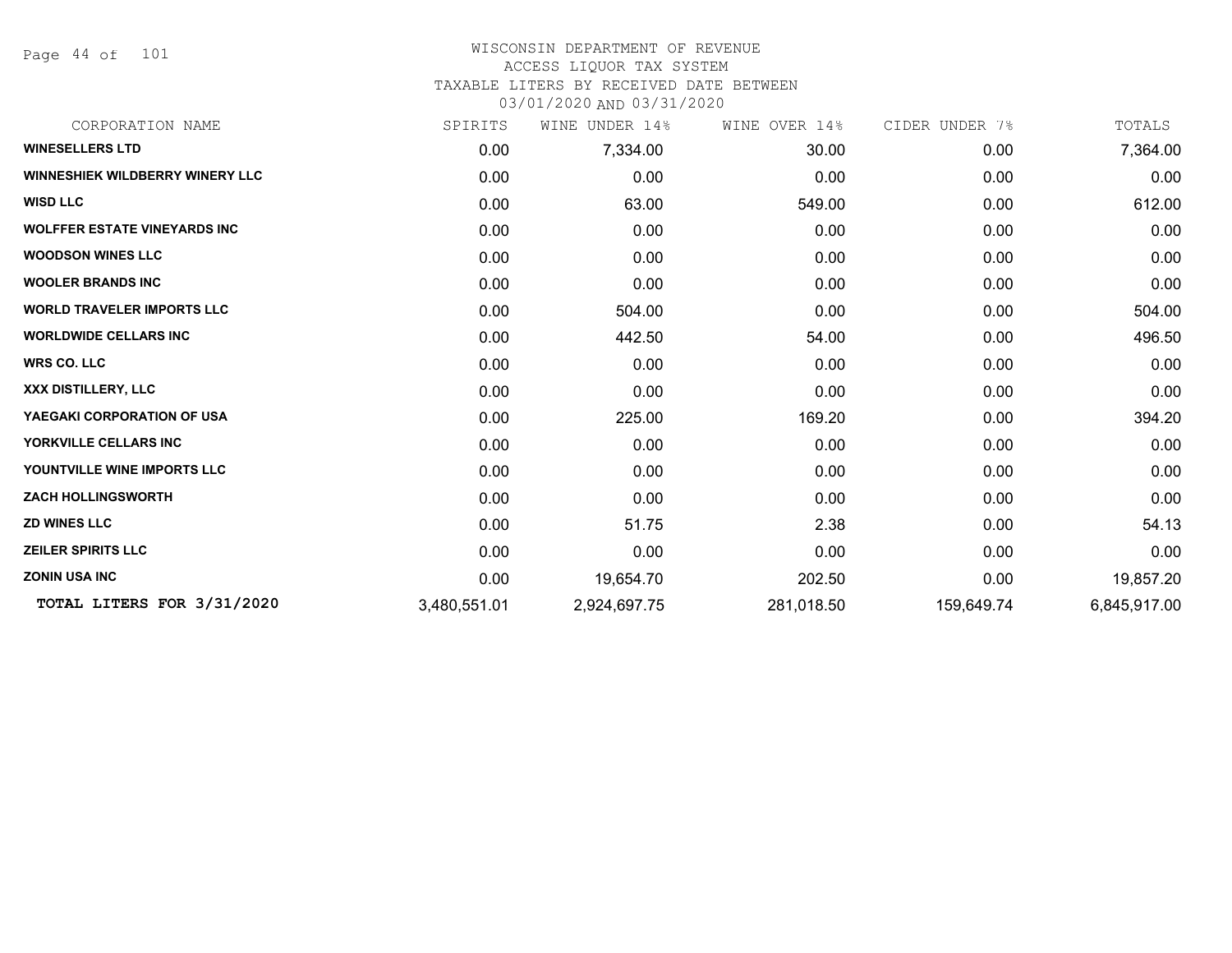Page 44 of 101

#### WISCONSIN DEPARTMENT OF REVENUE ACCESS LIQUOR TAX SYSTEM

TAXABLE LITERS BY RECEIVED DATE BETWEEN

| CORPORATION NAME                       | SPIRITS      | UNDER 14%<br>WINE | WINE OVER 14% | CIDER UNDER 7% | TOTALS       |
|----------------------------------------|--------------|-------------------|---------------|----------------|--------------|
| <b>WINESELLERS LTD</b>                 | 0.00         | 7,334.00          | 30.00         | 0.00           | 7,364.00     |
| <b>WINNESHIEK WILDBERRY WINERY LLC</b> | 0.00         | 0.00              | 0.00          | 0.00           | 0.00         |
| <b>WISD LLC</b>                        | 0.00         | 63.00             | 549.00        | 0.00           | 612.00       |
| <b>WOLFFER ESTATE VINEYARDS INC</b>    | 0.00         | 0.00              | 0.00          | 0.00           | 0.00         |
| <b>WOODSON WINES LLC</b>               | 0.00         | 0.00              | 0.00          | 0.00           | 0.00         |
| <b>WOOLER BRANDS INC</b>               | 0.00         | 0.00              | 0.00          | 0.00           | 0.00         |
| <b>WORLD TRAVELER IMPORTS LLC</b>      | 0.00         | 504.00            | 0.00          | 0.00           | 504.00       |
| <b>WORLDWIDE CELLARS INC</b>           | 0.00         | 442.50            | 54.00         | 0.00           | 496.50       |
| <b>WRS CO. LLC</b>                     | 0.00         | 0.00              | 0.00          | 0.00           | 0.00         |
| XXX DISTILLERY, LLC                    | 0.00         | 0.00              | 0.00          | 0.00           | 0.00         |
| YAEGAKI CORPORATION OF USA             | 0.00         | 225.00            | 169.20        | 0.00           | 394.20       |
| YORKVILLE CELLARS INC                  | 0.00         | 0.00              | 0.00          | 0.00           | 0.00         |
| YOUNTVILLE WINE IMPORTS LLC            | 0.00         | 0.00              | 0.00          | 0.00           | 0.00         |
| <b>ZACH HOLLINGSWORTH</b>              | 0.00         | 0.00              | 0.00          | 0.00           | 0.00         |
| <b>ZD WINES LLC</b>                    | 0.00         | 51.75             | 2.38          | 0.00           | 54.13        |
| <b>ZEILER SPIRITS LLC</b>              | 0.00         | 0.00              | 0.00          | 0.00           | 0.00         |
| <b>ZONIN USA INC</b>                   | 0.00         | 19,654.70         | 202.50        | 0.00           | 19,857.20    |
| TOTAL LITERS FOR 3/31/2020             | 3,480,551.01 | 2,924,697.75      | 281,018.50    | 159,649.74     | 6,845,917.00 |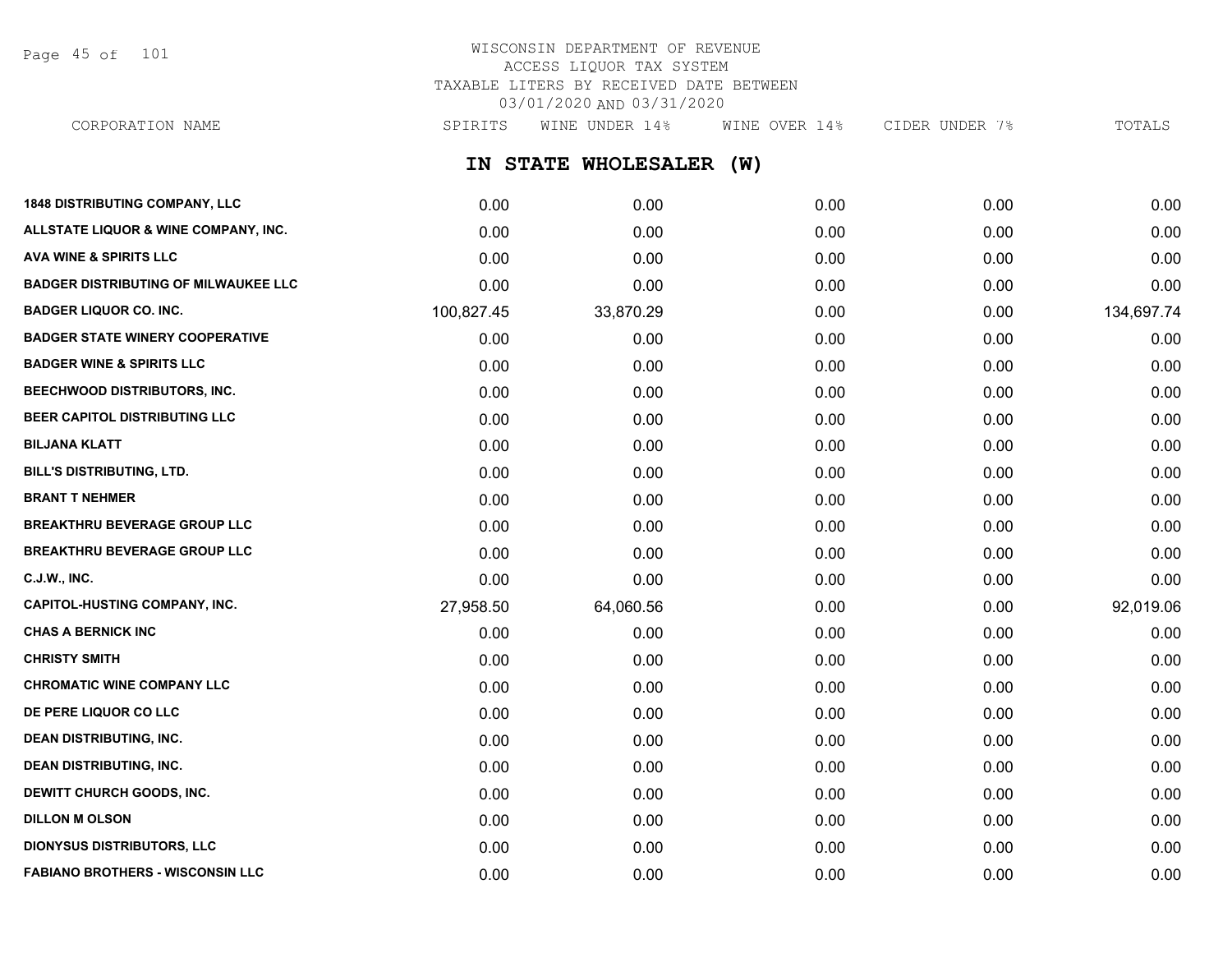Page 45 of 101

# WISCONSIN DEPARTMENT OF REVENUE ACCESS LIQUOR TAX SYSTEM TAXABLE LITERS BY RECEIVED DATE BETWEEN 03/01/2020 AND 03/31/2020

CORPORATION NAME SPIRITS WINE UNDER 14% WINE OVER 14% CIDER UNDER 7% TOTALS

# **IN STATE WHOLESALER (W)**

| <b>1848 DISTRIBUTING COMPANY, LLC</b>       | 0.00       | 0.00      | 0.00 | 0.00 | 0.00       |
|---------------------------------------------|------------|-----------|------|------|------------|
| ALLSTATE LIQUOR & WINE COMPANY, INC.        | 0.00       | 0.00      | 0.00 | 0.00 | 0.00       |
| <b>AVA WINE &amp; SPIRITS LLC</b>           | 0.00       | 0.00      | 0.00 | 0.00 | 0.00       |
| <b>BADGER DISTRIBUTING OF MILWAUKEE LLC</b> | 0.00       | 0.00      | 0.00 | 0.00 | 0.00       |
| <b>BADGER LIQUOR CO. INC.</b>               | 100,827.45 | 33,870.29 | 0.00 | 0.00 | 134,697.74 |
| <b>BADGER STATE WINERY COOPERATIVE</b>      | 0.00       | 0.00      | 0.00 | 0.00 | 0.00       |
| <b>BADGER WINE &amp; SPIRITS LLC</b>        | 0.00       | 0.00      | 0.00 | 0.00 | 0.00       |
| BEECHWOOD DISTRIBUTORS, INC.                | 0.00       | 0.00      | 0.00 | 0.00 | 0.00       |
| BEER CAPITOL DISTRIBUTING LLC               | 0.00       | 0.00      | 0.00 | 0.00 | 0.00       |
| <b>BILJANA KLATT</b>                        | 0.00       | 0.00      | 0.00 | 0.00 | 0.00       |
| BILL'S DISTRIBUTING, LTD.                   | 0.00       | 0.00      | 0.00 | 0.00 | 0.00       |
| <b>BRANT T NEHMER</b>                       | 0.00       | 0.00      | 0.00 | 0.00 | 0.00       |
| <b>BREAKTHRU BEVERAGE GROUP LLC</b>         | 0.00       | 0.00      | 0.00 | 0.00 | 0.00       |
| <b>BREAKTHRU BEVERAGE GROUP LLC</b>         | 0.00       | 0.00      | 0.00 | 0.00 | 0.00       |
| <b>C.J.W., INC.</b>                         | 0.00       | 0.00      | 0.00 | 0.00 | 0.00       |
| <b>CAPITOL-HUSTING COMPANY, INC.</b>        | 27,958.50  | 64,060.56 | 0.00 | 0.00 | 92,019.06  |
| <b>CHAS A BERNICK INC</b>                   | 0.00       | 0.00      | 0.00 | 0.00 | 0.00       |
| <b>CHRISTY SMITH</b>                        | 0.00       | 0.00      | 0.00 | 0.00 | 0.00       |
| <b>CHROMATIC WINE COMPANY LLC</b>           | 0.00       | 0.00      | 0.00 | 0.00 | 0.00       |
| DE PERE LIQUOR CO LLC                       | 0.00       | 0.00      | 0.00 | 0.00 | 0.00       |
| <b>DEAN DISTRIBUTING, INC.</b>              | 0.00       | 0.00      | 0.00 | 0.00 | 0.00       |
| <b>DEAN DISTRIBUTING, INC.</b>              | 0.00       | 0.00      | 0.00 | 0.00 | 0.00       |
| DEWITT CHURCH GOODS, INC.                   | 0.00       | 0.00      | 0.00 | 0.00 | 0.00       |
| <b>DILLON M OLSON</b>                       | 0.00       | 0.00      | 0.00 | 0.00 | 0.00       |
| <b>DIONYSUS DISTRIBUTORS, LLC</b>           | 0.00       | 0.00      | 0.00 | 0.00 | 0.00       |
| <b>FABIANO BROTHERS - WISCONSIN LLC</b>     | 0.00       | 0.00      | 0.00 | 0.00 | 0.00       |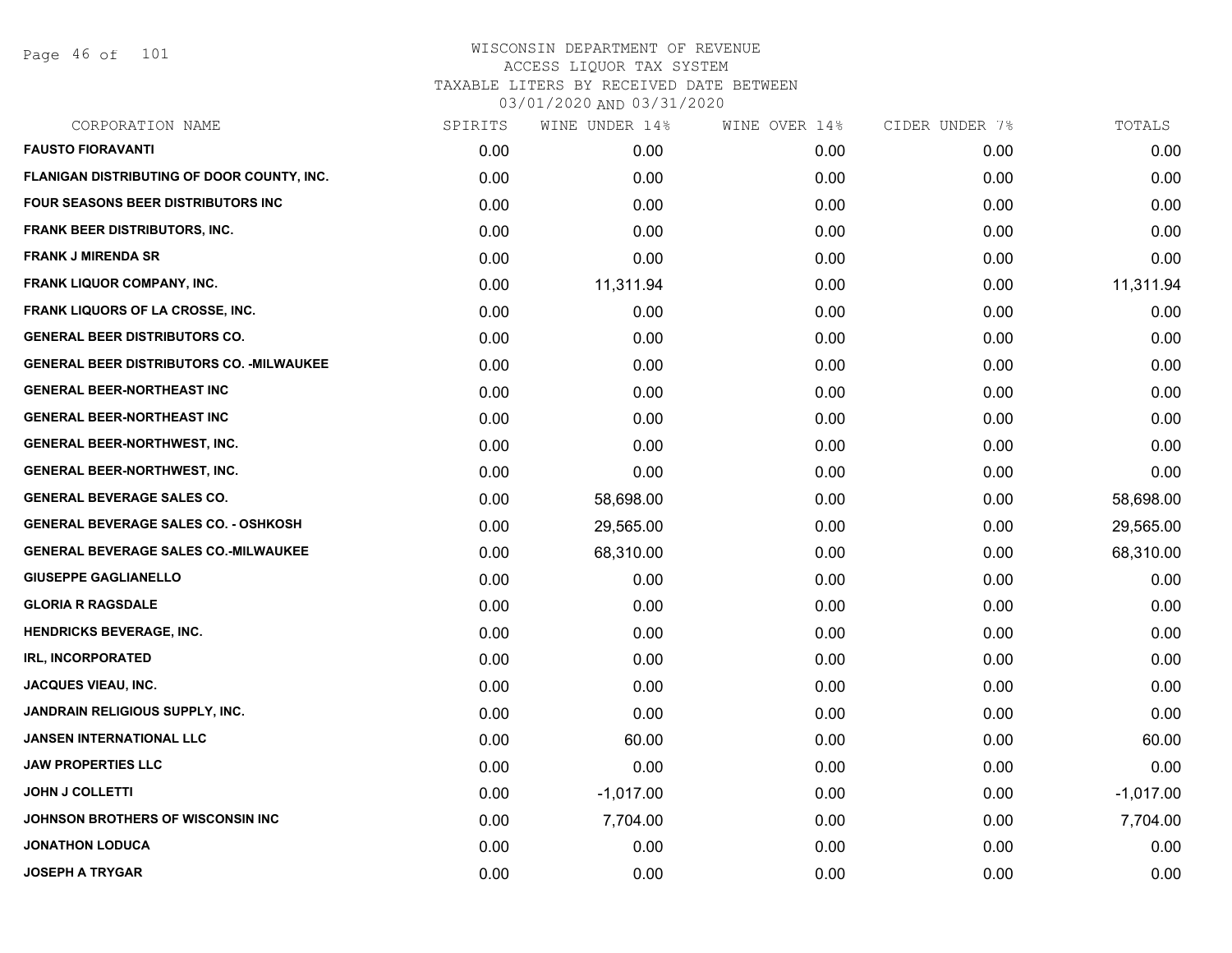Page 46 of 101

| SPIRITS | WINE UNDER 14% | WINE OVER 14% | CIDER UNDER 7% | TOTALS      |
|---------|----------------|---------------|----------------|-------------|
| 0.00    | 0.00           | 0.00          | 0.00           | 0.00        |
| 0.00    | 0.00           | 0.00          | 0.00           | 0.00        |
| 0.00    | 0.00           | 0.00          | 0.00           | 0.00        |
| 0.00    | 0.00           | 0.00          | 0.00           | 0.00        |
| 0.00    | 0.00           | 0.00          | 0.00           | 0.00        |
| 0.00    | 11,311.94      | 0.00          | 0.00           | 11,311.94   |
| 0.00    | 0.00           | 0.00          | 0.00           | 0.00        |
| 0.00    | 0.00           | 0.00          | 0.00           | 0.00        |
| 0.00    | 0.00           | 0.00          | 0.00           | 0.00        |
| 0.00    | 0.00           | 0.00          | 0.00           | 0.00        |
| 0.00    | 0.00           | 0.00          | 0.00           | 0.00        |
| 0.00    | 0.00           | 0.00          | 0.00           | 0.00        |
| 0.00    | 0.00           | 0.00          | 0.00           | 0.00        |
| 0.00    | 58,698.00      | 0.00          | 0.00           | 58,698.00   |
| 0.00    | 29,565.00      | 0.00          | 0.00           | 29,565.00   |
| 0.00    | 68,310.00      | 0.00          | 0.00           | 68,310.00   |
| 0.00    | 0.00           | 0.00          | 0.00           | 0.00        |
| 0.00    | 0.00           | 0.00          | 0.00           | 0.00        |
| 0.00    | 0.00           | 0.00          | 0.00           | 0.00        |
| 0.00    | 0.00           | 0.00          | 0.00           | 0.00        |
| 0.00    | 0.00           | 0.00          | 0.00           | 0.00        |
| 0.00    | 0.00           | 0.00          | 0.00           | 0.00        |
| 0.00    | 60.00          | 0.00          | 0.00           | 60.00       |
| 0.00    | 0.00           | 0.00          | 0.00           | 0.00        |
| 0.00    | $-1,017.00$    | 0.00          | 0.00           | $-1,017.00$ |
| 0.00    | 7,704.00       | 0.00          | 0.00           | 7,704.00    |
| 0.00    | 0.00           | 0.00          | 0.00           | 0.00        |
| 0.00    | 0.00           | 0.00          | 0.00           | 0.00        |
|         |                |               |                |             |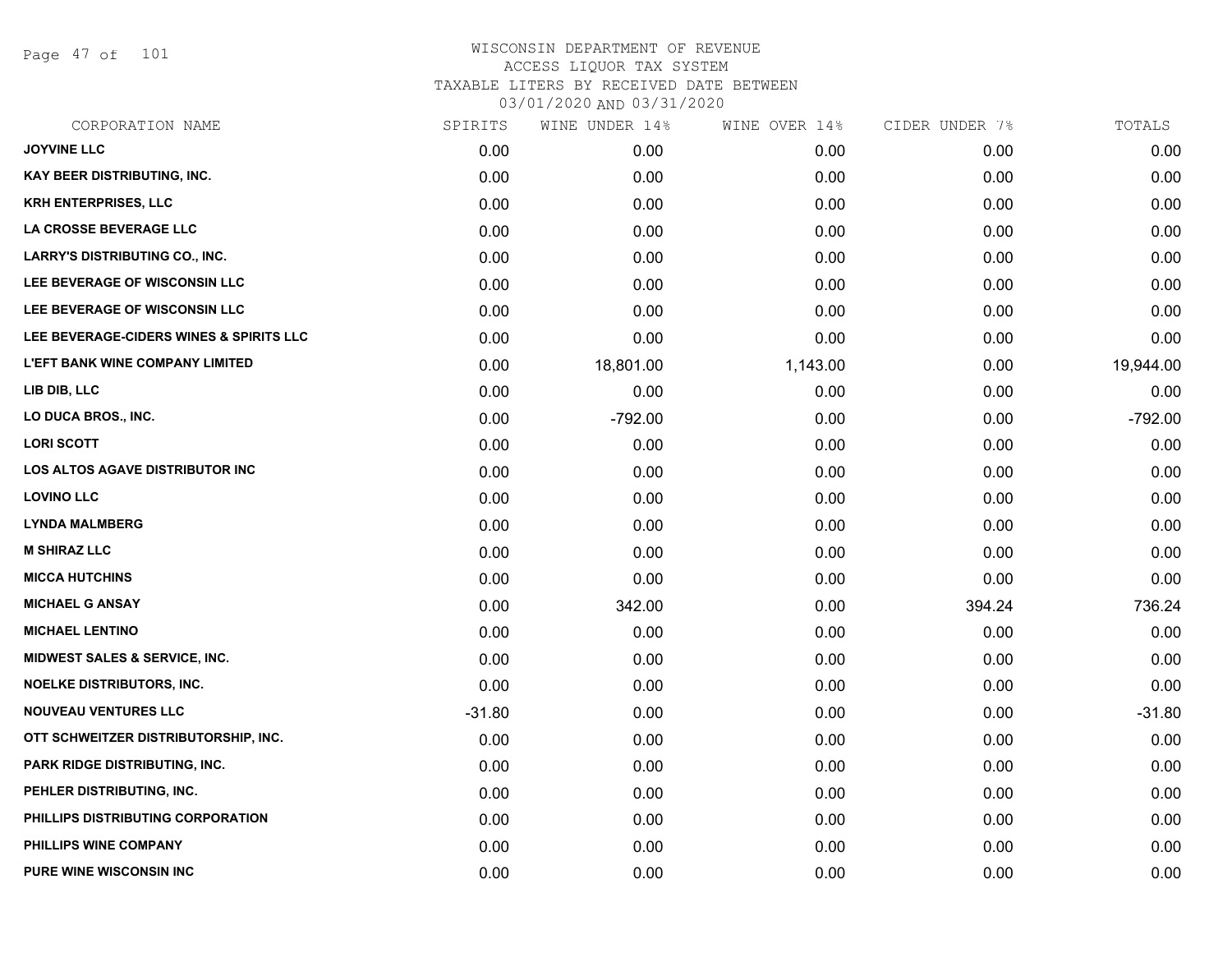Page 47 of 101

| CORPORATION NAME                         | SPIRITS  | WINE UNDER 14% | WINE OVER 14% | CIDER UNDER 7% | TOTALS    |
|------------------------------------------|----------|----------------|---------------|----------------|-----------|
| <b>JOYVINE LLC</b>                       | 0.00     | 0.00           | 0.00          | 0.00           | 0.00      |
| KAY BEER DISTRIBUTING, INC.              | 0.00     | 0.00           | 0.00          | 0.00           | 0.00      |
| <b>KRH ENTERPRISES, LLC</b>              | 0.00     | 0.00           | 0.00          | 0.00           | 0.00      |
| LA CROSSE BEVERAGE LLC                   | 0.00     | 0.00           | 0.00          | 0.00           | 0.00      |
| <b>LARRY'S DISTRIBUTING CO., INC.</b>    | 0.00     | 0.00           | 0.00          | 0.00           | 0.00      |
| LEE BEVERAGE OF WISCONSIN LLC            | 0.00     | 0.00           | 0.00          | 0.00           | 0.00      |
| LEE BEVERAGE OF WISCONSIN LLC            | 0.00     | 0.00           | 0.00          | 0.00           | 0.00      |
| LEE BEVERAGE-CIDERS WINES & SPIRITS LLC  | 0.00     | 0.00           | 0.00          | 0.00           | 0.00      |
| <b>L'EFT BANK WINE COMPANY LIMITED</b>   | 0.00     | 18,801.00      | 1,143.00      | 0.00           | 19,944.00 |
| LIB DIB, LLC                             | 0.00     | 0.00           | 0.00          | 0.00           | 0.00      |
| LO DUCA BROS., INC.                      | 0.00     | $-792.00$      | 0.00          | 0.00           | $-792.00$ |
| <b>LORI SCOTT</b>                        | 0.00     | 0.00           | 0.00          | 0.00           | 0.00      |
| LOS ALTOS AGAVE DISTRIBUTOR INC          | 0.00     | 0.00           | 0.00          | 0.00           | 0.00      |
| <b>LOVINO LLC</b>                        | 0.00     | 0.00           | 0.00          | 0.00           | 0.00      |
| <b>LYNDA MALMBERG</b>                    | 0.00     | 0.00           | 0.00          | 0.00           | 0.00      |
| <b>M SHIRAZ LLC</b>                      | 0.00     | 0.00           | 0.00          | 0.00           | 0.00      |
| <b>MICCA HUTCHINS</b>                    | 0.00     | 0.00           | 0.00          | 0.00           | 0.00      |
| <b>MICHAEL G ANSAY</b>                   | 0.00     | 342.00         | 0.00          | 394.24         | 736.24    |
| <b>MICHAEL LENTINO</b>                   | 0.00     | 0.00           | 0.00          | 0.00           | 0.00      |
| <b>MIDWEST SALES &amp; SERVICE, INC.</b> | 0.00     | 0.00           | 0.00          | 0.00           | 0.00      |
| <b>NOELKE DISTRIBUTORS, INC.</b>         | 0.00     | 0.00           | 0.00          | 0.00           | 0.00      |
| <b>NOUVEAU VENTURES LLC</b>              | $-31.80$ | 0.00           | 0.00          | 0.00           | $-31.80$  |
| OTT SCHWEITZER DISTRIBUTORSHIP, INC.     | 0.00     | 0.00           | 0.00          | 0.00           | 0.00      |
| <b>PARK RIDGE DISTRIBUTING, INC.</b>     | 0.00     | 0.00           | 0.00          | 0.00           | 0.00      |
| PEHLER DISTRIBUTING, INC.                | 0.00     | 0.00           | 0.00          | 0.00           | 0.00      |
| PHILLIPS DISTRIBUTING CORPORATION        | 0.00     | 0.00           | 0.00          | 0.00           | 0.00      |
| PHILLIPS WINE COMPANY                    | 0.00     | 0.00           | 0.00          | 0.00           | 0.00      |
| PURE WINE WISCONSIN INC                  | 0.00     | 0.00           | 0.00          | 0.00           | 0.00      |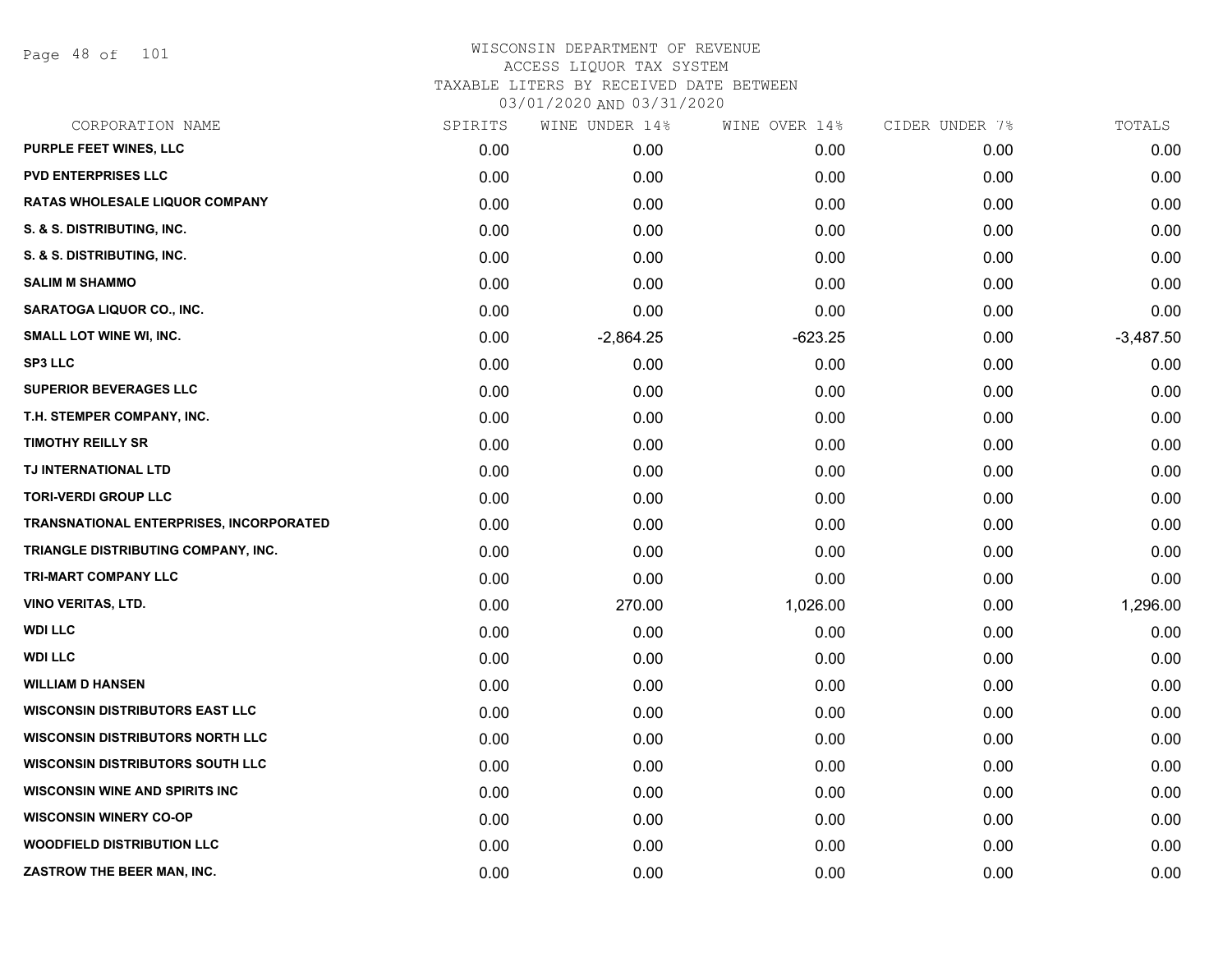Page 48 of 101

| CORPORATION NAME                        | SPIRITS | WINE UNDER 14% | WINE OVER 14% | CIDER UNDER 7% | TOTALS      |
|-----------------------------------------|---------|----------------|---------------|----------------|-------------|
| <b>PURPLE FEET WINES, LLC</b>           | 0.00    | 0.00           | 0.00          | 0.00           | 0.00        |
| <b>PVD ENTERPRISES LLC</b>              | 0.00    | 0.00           | 0.00          | 0.00           | 0.00        |
| <b>RATAS WHOLESALE LIQUOR COMPANY</b>   | 0.00    | 0.00           | 0.00          | 0.00           | 0.00        |
| S. & S. DISTRIBUTING, INC.              | 0.00    | 0.00           | 0.00          | 0.00           | 0.00        |
| S. & S. DISTRIBUTING, INC.              | 0.00    | 0.00           | 0.00          | 0.00           | 0.00        |
| <b>SALIM M SHAMMO</b>                   | 0.00    | 0.00           | 0.00          | 0.00           | 0.00        |
| SARATOGA LIQUOR CO., INC.               | 0.00    | 0.00           | 0.00          | 0.00           | 0.00        |
| <b>SMALL LOT WINE WI, INC.</b>          | 0.00    | $-2,864.25$    | $-623.25$     | 0.00           | $-3,487.50$ |
| <b>SP3 LLC</b>                          | 0.00    | 0.00           | 0.00          | 0.00           | 0.00        |
| <b>SUPERIOR BEVERAGES LLC</b>           | 0.00    | 0.00           | 0.00          | 0.00           | 0.00        |
| T.H. STEMPER COMPANY, INC.              | 0.00    | 0.00           | 0.00          | 0.00           | 0.00        |
| <b>TIMOTHY REILLY SR</b>                | 0.00    | 0.00           | 0.00          | 0.00           | 0.00        |
| TJ INTERNATIONAL LTD                    | 0.00    | 0.00           | 0.00          | 0.00           | 0.00        |
| <b>TORI-VERDI GROUP LLC</b>             | 0.00    | 0.00           | 0.00          | 0.00           | 0.00        |
| TRANSNATIONAL ENTERPRISES, INCORPORATED | 0.00    | 0.00           | 0.00          | 0.00           | 0.00        |
| TRIANGLE DISTRIBUTING COMPANY, INC.     | 0.00    | 0.00           | 0.00          | 0.00           | 0.00        |
| <b>TRI-MART COMPANY LLC</b>             | 0.00    | 0.00           | 0.00          | 0.00           | 0.00        |
| VINO VERITAS, LTD.                      | 0.00    | 270.00         | 1,026.00      | 0.00           | 1,296.00    |
| <b>WDI LLC</b>                          | 0.00    | 0.00           | 0.00          | 0.00           | 0.00        |
| <b>WDI LLC</b>                          | 0.00    | 0.00           | 0.00          | 0.00           | 0.00        |
| <b>WILLIAM D HANSEN</b>                 | 0.00    | 0.00           | 0.00          | 0.00           | 0.00        |
| <b>WISCONSIN DISTRIBUTORS EAST LLC</b>  | 0.00    | 0.00           | 0.00          | 0.00           | 0.00        |
| <b>WISCONSIN DISTRIBUTORS NORTH LLC</b> | 0.00    | 0.00           | 0.00          | 0.00           | 0.00        |
| <b>WISCONSIN DISTRIBUTORS SOUTH LLC</b> | 0.00    | 0.00           | 0.00          | 0.00           | 0.00        |
| <b>WISCONSIN WINE AND SPIRITS INC</b>   | 0.00    | 0.00           | 0.00          | 0.00           | 0.00        |
| <b>WISCONSIN WINERY CO-OP</b>           | 0.00    | 0.00           | 0.00          | 0.00           | 0.00        |
| <b>WOODFIELD DISTRIBUTION LLC</b>       | 0.00    | 0.00           | 0.00          | 0.00           | 0.00        |
| ZASTROW THE BEER MAN, INC.              | 0.00    | 0.00           | 0.00          | 0.00           | 0.00        |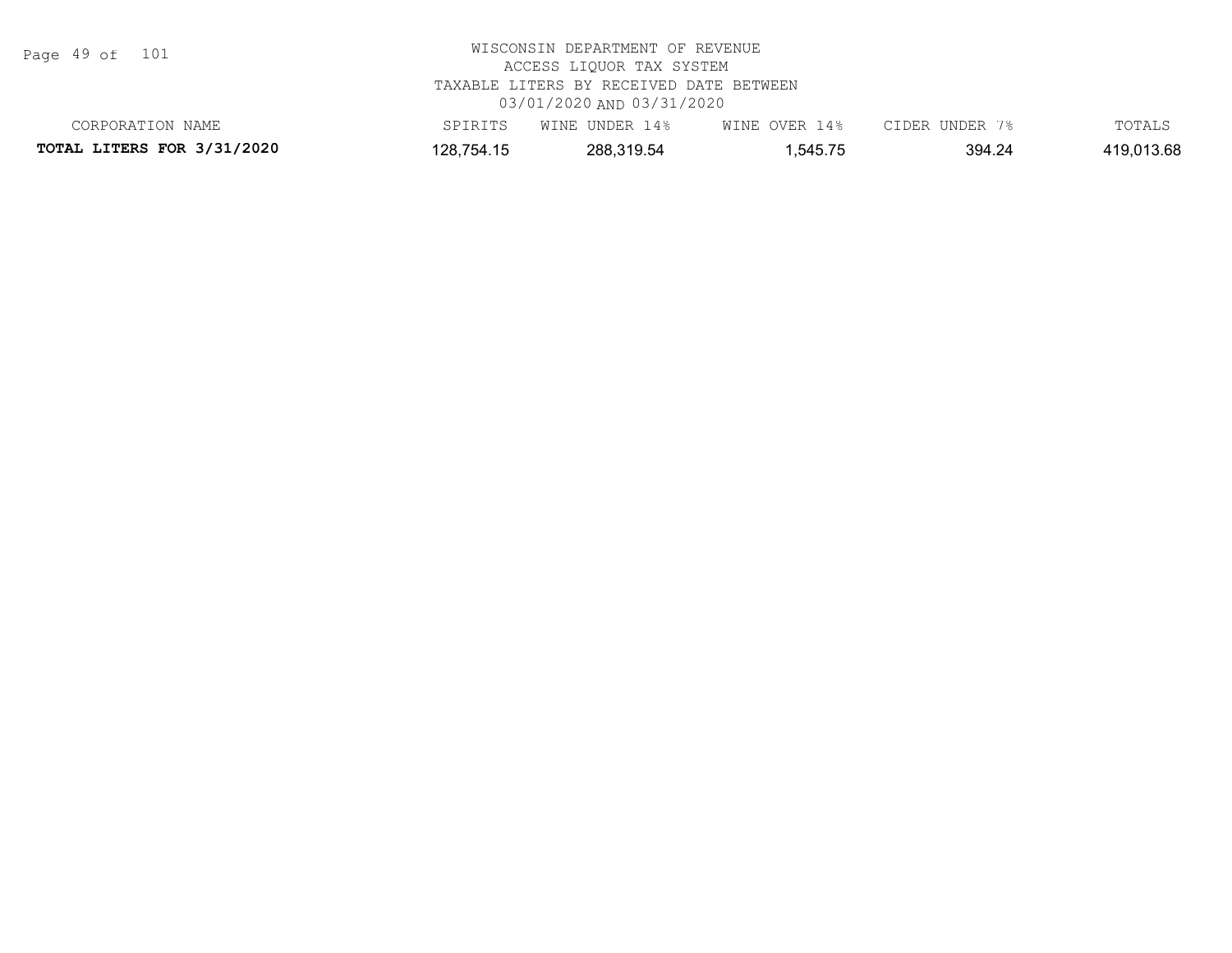Page 49 of 101

| CORPORATION NAME                  | SPIRITS    | WINE UNDER 14% | WINE OVER 14% | CIDER UNDER 7% | TOTALS     |  |  |
|-----------------------------------|------------|----------------|---------------|----------------|------------|--|--|
| <b>TOTAL LITERS FOR 3/31/2020</b> | 128,754.15 | 288,319.54     | .545.75       | 394.24         | 419,013.68 |  |  |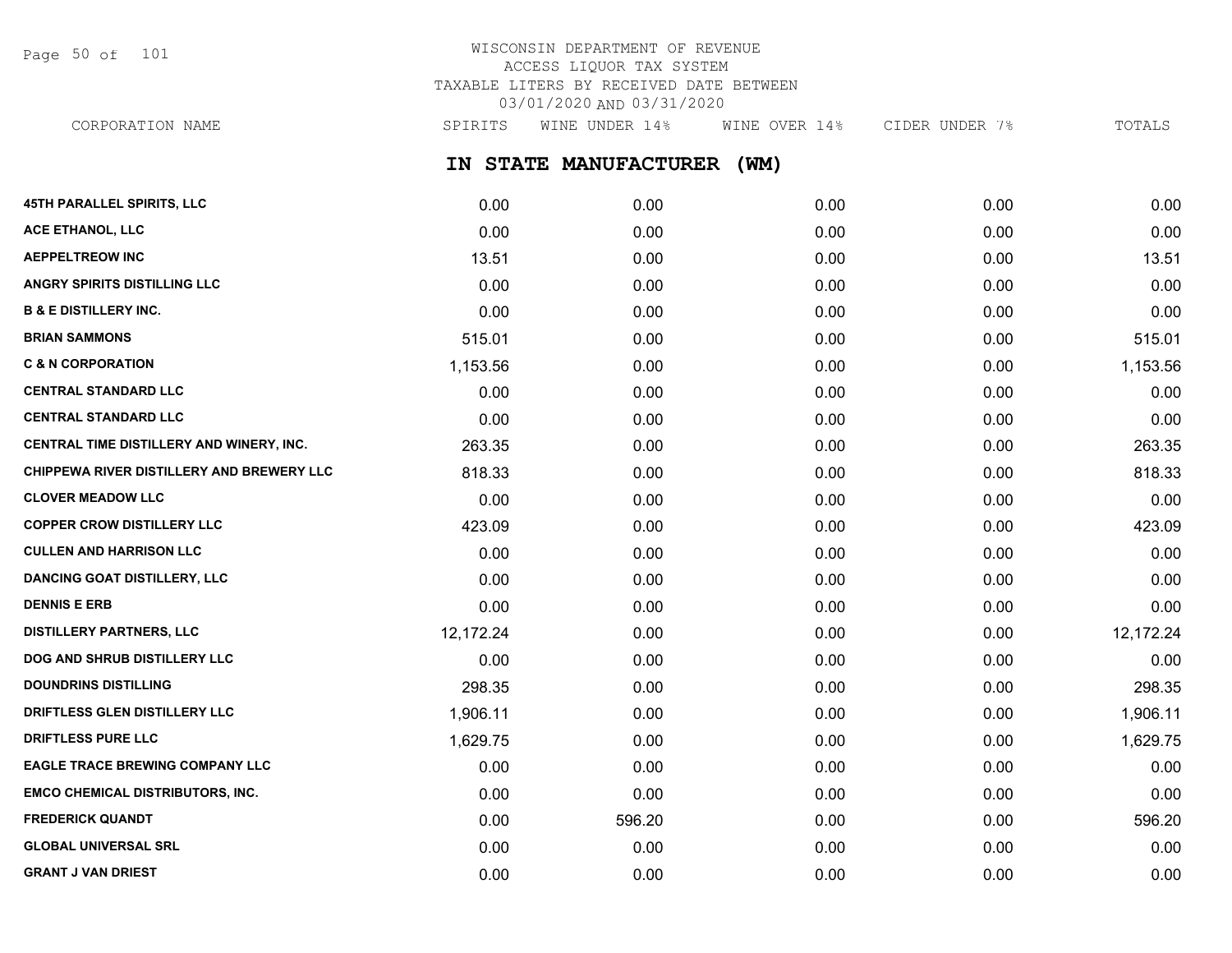Page 50 of 101

# WISCONSIN DEPARTMENT OF REVENUE ACCESS LIQUOR TAX SYSTEM TAXABLE LITERS BY RECEIVED DATE BETWEEN 03/01/2020 AND 03/31/2020

CORPORATION NAME SPIRITS WINE UNDER 14% WINE OVER 14% CIDER UNDER 7% TOTALS

**IN STATE MANUFACTURER (WM)**

| <b>45TH PARALLEL SPIRITS, LLC</b>         | 0.00      | 0.00   | 0.00 | 0.00 | 0.00      |
|-------------------------------------------|-----------|--------|------|------|-----------|
| ACE ETHANOL, LLC                          | 0.00      | 0.00   | 0.00 | 0.00 | 0.00      |
| <b>AEPPELTREOW INC</b>                    | 13.51     | 0.00   | 0.00 | 0.00 | 13.51     |
| ANGRY SPIRITS DISTILLING LLC              | 0.00      | 0.00   | 0.00 | 0.00 | 0.00      |
| <b>B &amp; E DISTILLERY INC.</b>          | 0.00      | 0.00   | 0.00 | 0.00 | 0.00      |
| <b>BRIAN SAMMONS</b>                      | 515.01    | 0.00   | 0.00 | 0.00 | 515.01    |
| <b>C &amp; N CORPORATION</b>              | 1,153.56  | 0.00   | 0.00 | 0.00 | 1,153.56  |
| <b>CENTRAL STANDARD LLC</b>               | 0.00      | 0.00   | 0.00 | 0.00 | 0.00      |
| <b>CENTRAL STANDARD LLC</b>               | 0.00      | 0.00   | 0.00 | 0.00 | 0.00      |
| CENTRAL TIME DISTILLERY AND WINERY, INC.  | 263.35    | 0.00   | 0.00 | 0.00 | 263.35    |
| CHIPPEWA RIVER DISTILLERY AND BREWERY LLC | 818.33    | 0.00   | 0.00 | 0.00 | 818.33    |
| <b>CLOVER MEADOW LLC</b>                  | 0.00      | 0.00   | 0.00 | 0.00 | 0.00      |
| <b>COPPER CROW DISTILLERY LLC</b>         | 423.09    | 0.00   | 0.00 | 0.00 | 423.09    |
| <b>CULLEN AND HARRISON LLC</b>            | 0.00      | 0.00   | 0.00 | 0.00 | 0.00      |
| <b>DANCING GOAT DISTILLERY, LLC</b>       | 0.00      | 0.00   | 0.00 | 0.00 | 0.00      |
| <b>DENNIS E ERB</b>                       | 0.00      | 0.00   | 0.00 | 0.00 | 0.00      |
| <b>DISTILLERY PARTNERS, LLC</b>           | 12,172.24 | 0.00   | 0.00 | 0.00 | 12,172.24 |
| DOG AND SHRUB DISTILLERY LLC              | 0.00      | 0.00   | 0.00 | 0.00 | 0.00      |
| <b>DOUNDRINS DISTILLING</b>               | 298.35    | 0.00   | 0.00 | 0.00 | 298.35    |
| DRIFTLESS GLEN DISTILLERY LLC             | 1,906.11  | 0.00   | 0.00 | 0.00 | 1,906.11  |
| <b>DRIFTLESS PURE LLC</b>                 | 1,629.75  | 0.00   | 0.00 | 0.00 | 1,629.75  |
| <b>EAGLE TRACE BREWING COMPANY LLC</b>    | 0.00      | 0.00   | 0.00 | 0.00 | 0.00      |
| <b>EMCO CHEMICAL DISTRIBUTORS, INC.</b>   | 0.00      | 0.00   | 0.00 | 0.00 | 0.00      |
| <b>FREDERICK QUANDT</b>                   | 0.00      | 596.20 | 0.00 | 0.00 | 596.20    |
| <b>GLOBAL UNIVERSAL SRL</b>               | 0.00      | 0.00   | 0.00 | 0.00 | 0.00      |
| <b>GRANT J VAN DRIEST</b>                 | 0.00      | 0.00   | 0.00 | 0.00 | 0.00      |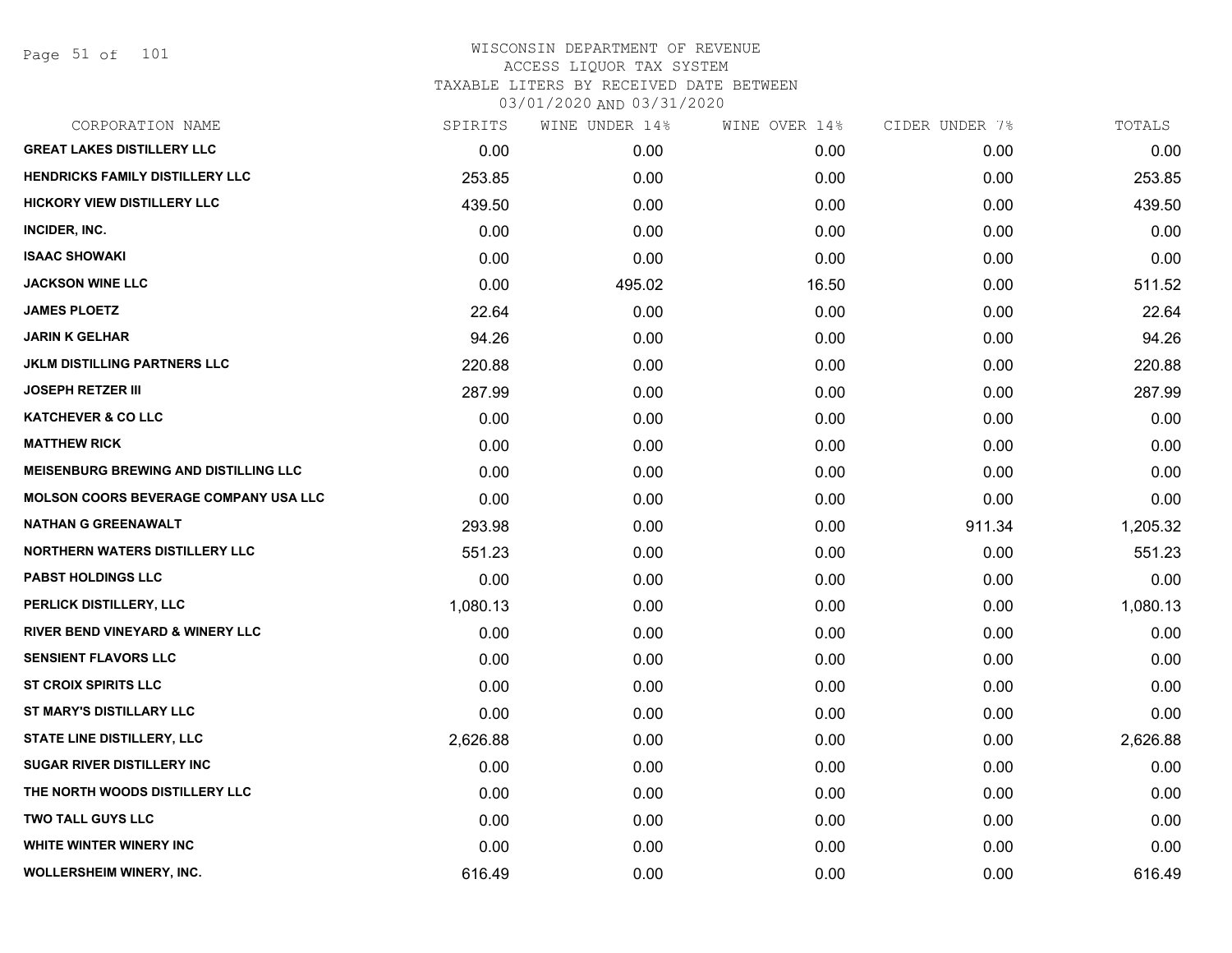Page 51 of 101

| CORPORATION NAME                             | SPIRITS  | WINE UNDER 14% | WINE OVER 14% | CIDER UNDER 7% | TOTALS   |
|----------------------------------------------|----------|----------------|---------------|----------------|----------|
| <b>GREAT LAKES DISTILLERY LLC</b>            | 0.00     | 0.00           | 0.00          | 0.00           | 0.00     |
| <b>HENDRICKS FAMILY DISTILLERY LLC</b>       | 253.85   | 0.00           | 0.00          | 0.00           | 253.85   |
| <b>HICKORY VIEW DISTILLERY LLC</b>           | 439.50   | 0.00           | 0.00          | 0.00           | 439.50   |
| INCIDER, INC.                                | 0.00     | 0.00           | 0.00          | 0.00           | 0.00     |
| <b>ISAAC SHOWAKI</b>                         | 0.00     | 0.00           | 0.00          | 0.00           | 0.00     |
| <b>JACKSON WINE LLC</b>                      | 0.00     | 495.02         | 16.50         | 0.00           | 511.52   |
| <b>JAMES PLOETZ</b>                          | 22.64    | 0.00           | 0.00          | 0.00           | 22.64    |
| <b>JARIN K GELHAR</b>                        | 94.26    | 0.00           | 0.00          | 0.00           | 94.26    |
| <b>JKLM DISTILLING PARTNERS LLC</b>          | 220.88   | 0.00           | 0.00          | 0.00           | 220.88   |
| <b>JOSEPH RETZER III</b>                     | 287.99   | 0.00           | 0.00          | 0.00           | 287.99   |
| <b>KATCHEVER &amp; CO LLC</b>                | 0.00     | 0.00           | 0.00          | 0.00           | 0.00     |
| <b>MATTHEW RICK</b>                          | 0.00     | 0.00           | 0.00          | 0.00           | 0.00     |
| <b>MEISENBURG BREWING AND DISTILLING LLC</b> | 0.00     | 0.00           | 0.00          | 0.00           | 0.00     |
| <b>MOLSON COORS BEVERAGE COMPANY USA LLC</b> | 0.00     | 0.00           | 0.00          | 0.00           | 0.00     |
| <b>NATHAN G GREENAWALT</b>                   | 293.98   | 0.00           | 0.00          | 911.34         | 1,205.32 |
| <b>NORTHERN WATERS DISTILLERY LLC</b>        | 551.23   | 0.00           | 0.00          | 0.00           | 551.23   |
| <b>PABST HOLDINGS LLC</b>                    | 0.00     | 0.00           | 0.00          | 0.00           | 0.00     |
| PERLICK DISTILLERY, LLC                      | 1,080.13 | 0.00           | 0.00          | 0.00           | 1,080.13 |
| <b>RIVER BEND VINEYARD &amp; WINERY LLC</b>  | 0.00     | 0.00           | 0.00          | 0.00           | 0.00     |
| <b>SENSIENT FLAVORS LLC</b>                  | 0.00     | 0.00           | 0.00          | 0.00           | 0.00     |
| <b>ST CROIX SPIRITS LLC</b>                  | 0.00     | 0.00           | 0.00          | 0.00           | 0.00     |
| ST MARY'S DISTILLARY LLC                     | 0.00     | 0.00           | 0.00          | 0.00           | 0.00     |
| STATE LINE DISTILLERY, LLC                   | 2,626.88 | 0.00           | 0.00          | 0.00           | 2,626.88 |
| <b>SUGAR RIVER DISTILLERY INC</b>            | 0.00     | 0.00           | 0.00          | 0.00           | 0.00     |
| THE NORTH WOODS DISTILLERY LLC               | 0.00     | 0.00           | 0.00          | 0.00           | 0.00     |
| <b>TWO TALL GUYS LLC</b>                     | 0.00     | 0.00           | 0.00          | 0.00           | 0.00     |
| WHITE WINTER WINERY INC                      | 0.00     | 0.00           | 0.00          | 0.00           | 0.00     |
| WOLLERSHEIM WINERY, INC.                     | 616.49   | 0.00           | 0.00          | 0.00           | 616.49   |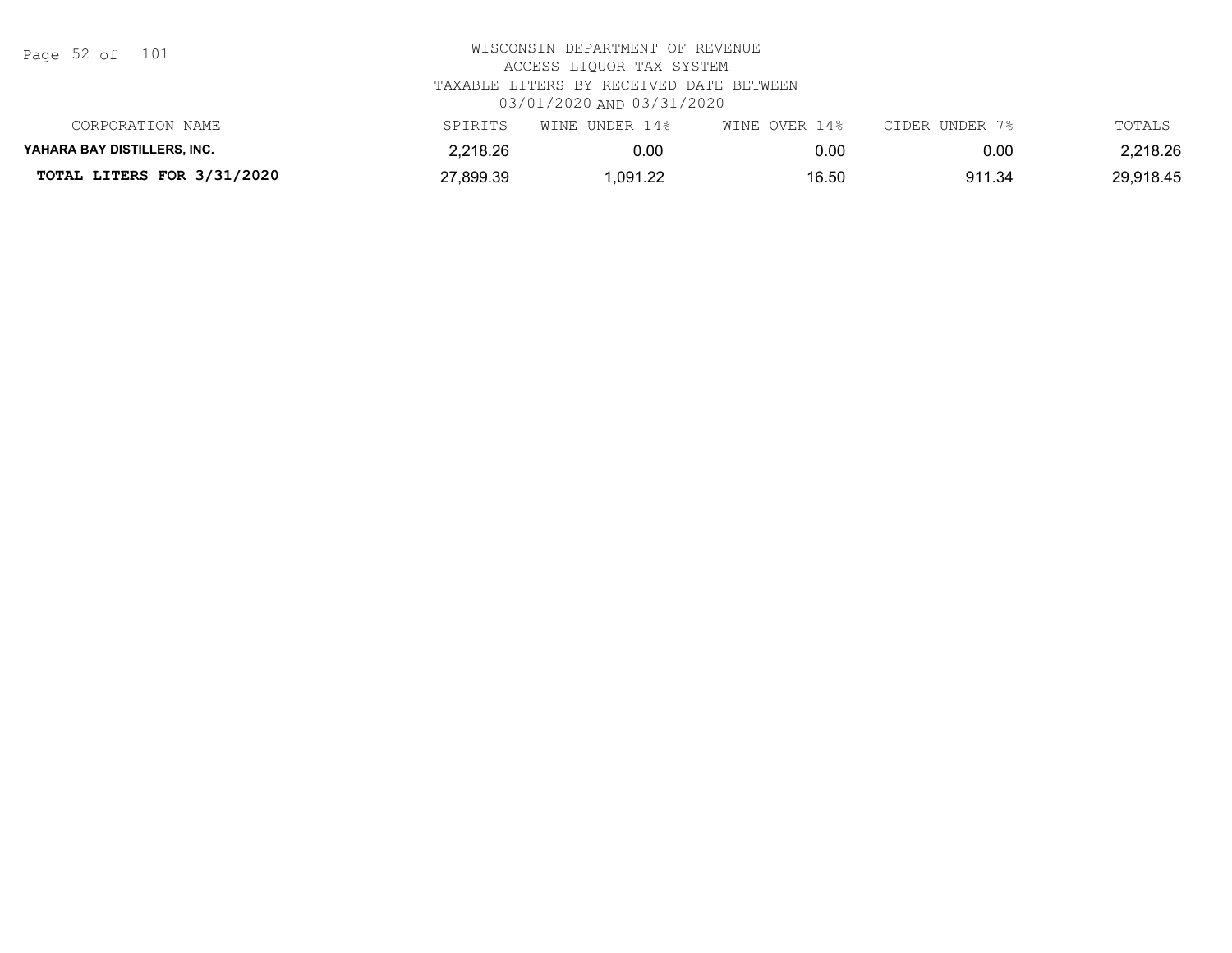Page 52 of 101

| CORPORATION NAME            | SPIRITS   | WINE UNDER 14% | WINE OVER 14% | CIDER UNDER 7% | TOTALS    |
|-----------------------------|-----------|----------------|---------------|----------------|-----------|
| YAHARA BAY DISTILLERS. INC. | 2,218.26  | 0.00           |               | 0.00           | 2,218.26  |
| TOTAL LITERS FOR 3/31/2020  | 27,899.39 | .091.22        | 16.50         | 911.34         | 29,918.45 |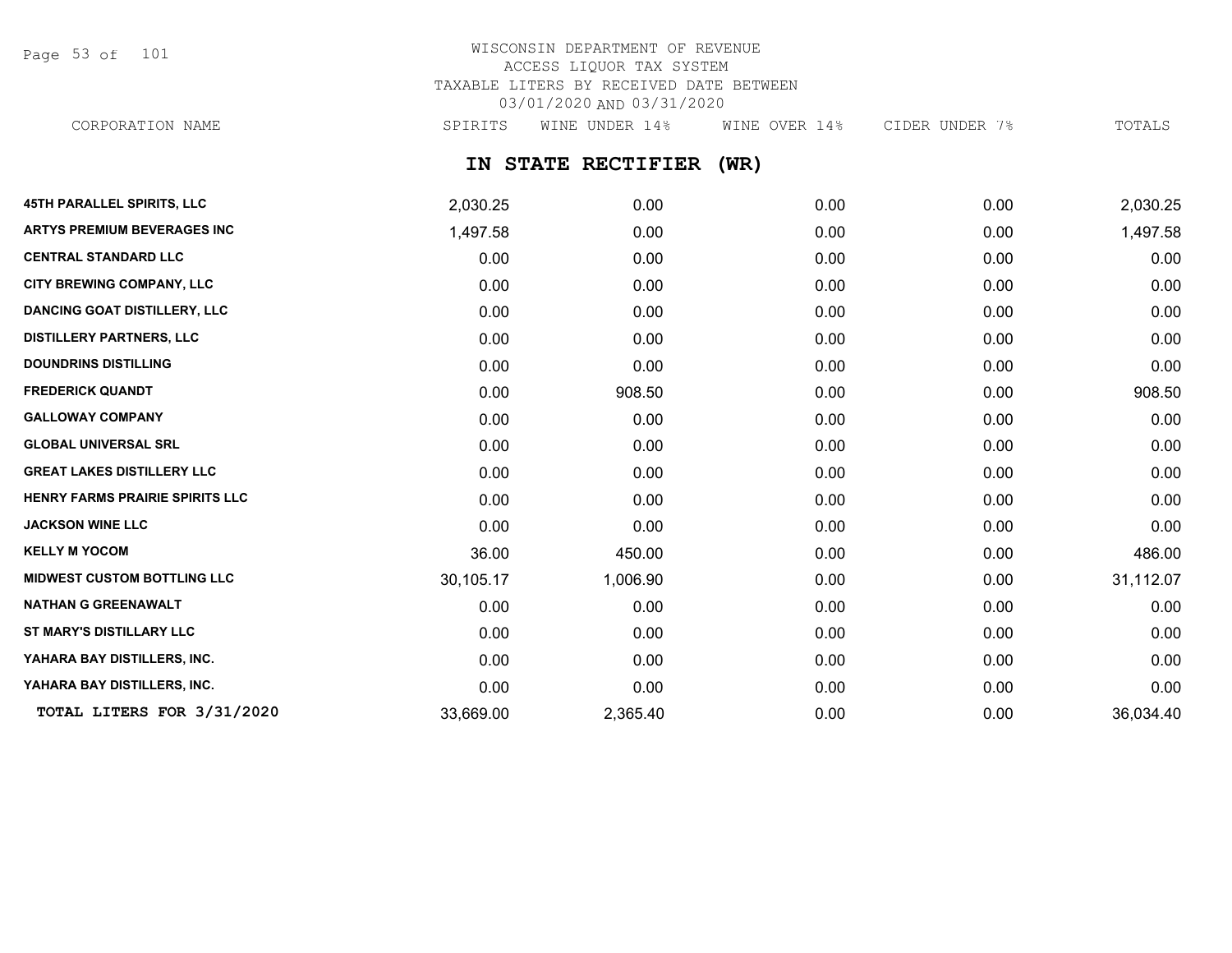Page 53 of 101

## WISCONSIN DEPARTMENT OF REVENUE ACCESS LIQUOR TAX SYSTEM TAXABLE LITERS BY RECEIVED DATE BETWEEN 03/01/2020 AND 03/31/2020 CORPORATION NAME SPIRITS WINE UNDER 14% WINE OVER 14% CIDER UNDER 7% TOTALS

## **IN STATE RECTIFIER (WR)**

| <b>45TH PARALLEL SPIRITS, LLC</b>   | 2,030.25  | 0.00     | 0.00 | 0.00 | 2,030.25  |
|-------------------------------------|-----------|----------|------|------|-----------|
| <b>ARTYS PREMIUM BEVERAGES INC</b>  | 1,497.58  | 0.00     | 0.00 | 0.00 | 1,497.58  |
| <b>CENTRAL STANDARD LLC</b>         | 0.00      | 0.00     | 0.00 | 0.00 | 0.00      |
| <b>CITY BREWING COMPANY, LLC</b>    | 0.00      | 0.00     | 0.00 | 0.00 | 0.00      |
| <b>DANCING GOAT DISTILLERY, LLC</b> | 0.00      | 0.00     | 0.00 | 0.00 | 0.00      |
| <b>DISTILLERY PARTNERS, LLC</b>     | 0.00      | 0.00     | 0.00 | 0.00 | 0.00      |
| <b>DOUNDRINS DISTILLING</b>         | 0.00      | 0.00     | 0.00 | 0.00 | 0.00      |
| <b>FREDERICK QUANDT</b>             | 0.00      | 908.50   | 0.00 | 0.00 | 908.50    |
| <b>GALLOWAY COMPANY</b>             | 0.00      | 0.00     | 0.00 | 0.00 | 0.00      |
| <b>GLOBAL UNIVERSAL SRL</b>         | 0.00      | 0.00     | 0.00 | 0.00 | 0.00      |
| <b>GREAT LAKES DISTILLERY LLC</b>   | 0.00      | 0.00     | 0.00 | 0.00 | 0.00      |
| HENRY FARMS PRAIRIE SPIRITS LLC     | 0.00      | 0.00     | 0.00 | 0.00 | 0.00      |
| <b>JACKSON WINE LLC</b>             | 0.00      | 0.00     | 0.00 | 0.00 | 0.00      |
| <b>KELLY M YOCOM</b>                | 36.00     | 450.00   | 0.00 | 0.00 | 486.00    |
| <b>MIDWEST CUSTOM BOTTLING LLC</b>  | 30,105.17 | 1,006.90 | 0.00 | 0.00 | 31,112.07 |
| <b>NATHAN G GREENAWALT</b>          | 0.00      | 0.00     | 0.00 | 0.00 | 0.00      |
| ST MARY'S DISTILLARY LLC            | 0.00      | 0.00     | 0.00 | 0.00 | 0.00      |
| YAHARA BAY DISTILLERS, INC.         | 0.00      | 0.00     | 0.00 | 0.00 | 0.00      |
| YAHARA BAY DISTILLERS, INC.         | 0.00      | 0.00     | 0.00 | 0.00 | 0.00      |
| TOTAL LITERS FOR 3/31/2020          | 33,669.00 | 2,365.40 | 0.00 | 0.00 | 36,034.40 |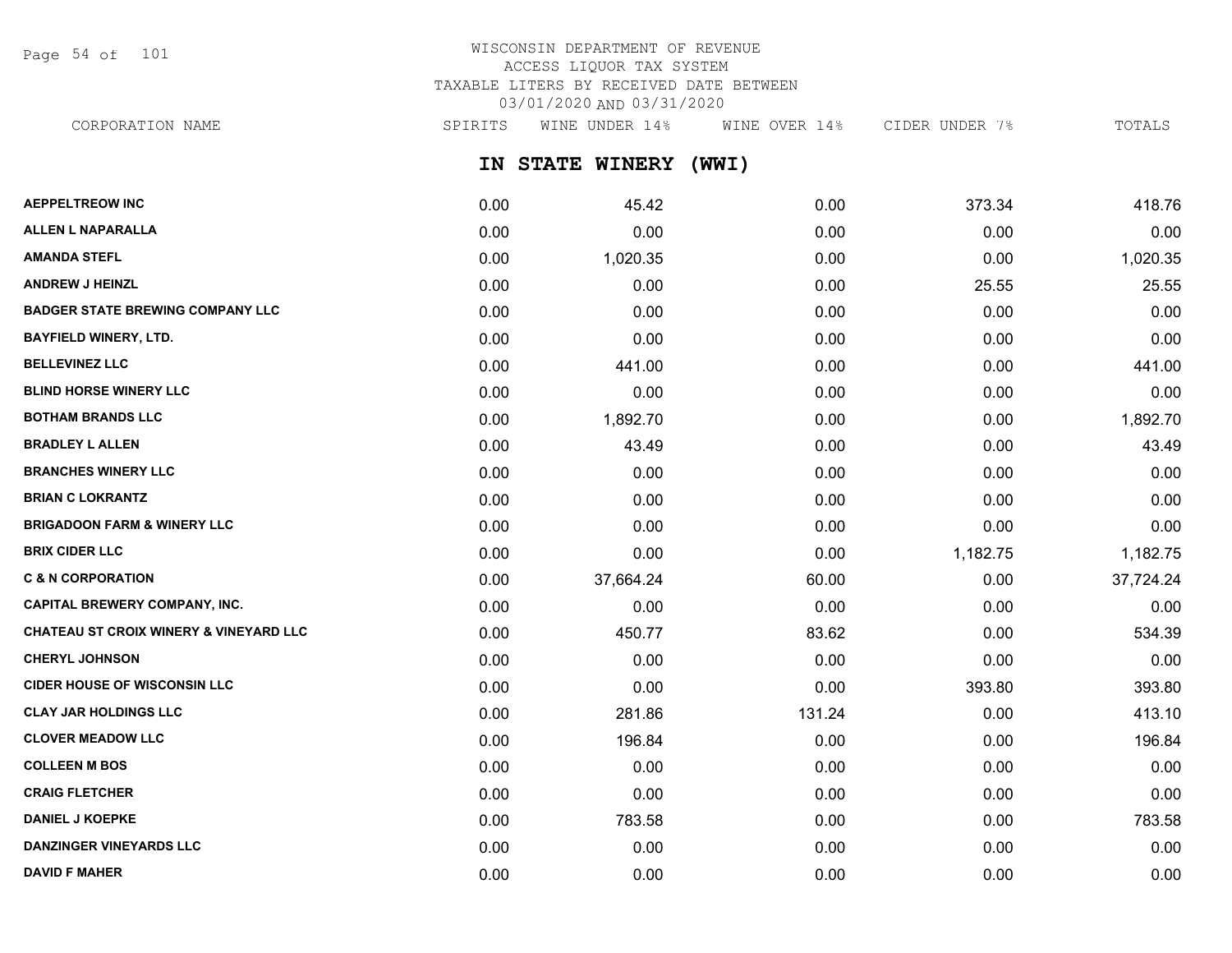Page 54 of 101

# WISCONSIN DEPARTMENT OF REVENUE ACCESS LIQUOR TAX SYSTEM TAXABLE LITERS BY RECEIVED DATE BETWEEN 03/01/2020 AND 03/31/2020

CORPORATION NAME SPIRITS WINE UNDER 14% WINE OVER 14% CIDER UNDER 7% TOTALS

**IN STATE WINERY (WWI)**

| <b>AEPPELTREOW INC</b>                  | 0.00 | 45.42     | 0.00   | 373.34   | 418.76    |
|-----------------------------------------|------|-----------|--------|----------|-----------|
| ALLEN L NAPARALLA                       | 0.00 | 0.00      | 0.00   | 0.00     | 0.00      |
| <b>AMANDA STEFL</b>                     | 0.00 | 1,020.35  | 0.00   | 0.00     | 1,020.35  |
| <b>ANDREW J HEINZL</b>                  | 0.00 | 0.00      | 0.00   | 25.55    | 25.55     |
| <b>BADGER STATE BREWING COMPANY LLC</b> | 0.00 | 0.00      | 0.00   | 0.00     | 0.00      |
| <b>BAYFIELD WINERY, LTD.</b>            | 0.00 | 0.00      | 0.00   | 0.00     | 0.00      |
| <b>BELLEVINEZ LLC</b>                   | 0.00 | 441.00    | 0.00   | 0.00     | 441.00    |
| <b>BLIND HORSE WINERY LLC</b>           | 0.00 | 0.00      | 0.00   | 0.00     | 0.00      |
| <b>BOTHAM BRANDS LLC</b>                | 0.00 | 1,892.70  | 0.00   | 0.00     | 1,892.70  |
| <b>BRADLEY L ALLEN</b>                  | 0.00 | 43.49     | 0.00   | 0.00     | 43.49     |
| <b>BRANCHES WINERY LLC</b>              | 0.00 | 0.00      | 0.00   | 0.00     | 0.00      |
| <b>BRIAN C LOKRANTZ</b>                 | 0.00 | 0.00      | 0.00   | 0.00     | 0.00      |
| <b>BRIGADOON FARM &amp; WINERY LLC</b>  | 0.00 | 0.00      | 0.00   | 0.00     | 0.00      |
| <b>BRIX CIDER LLC</b>                   | 0.00 | 0.00      | 0.00   | 1,182.75 | 1,182.75  |
| <b>C &amp; N CORPORATION</b>            | 0.00 | 37,664.24 | 60.00  | 0.00     | 37,724.24 |
| <b>CAPITAL BREWERY COMPANY, INC.</b>    | 0.00 | 0.00      | 0.00   | 0.00     | 0.00      |
| CHATEAU ST CROIX WINERY & VINEYARD LLC  | 0.00 | 450.77    | 83.62  | 0.00     | 534.39    |
| <b>CHERYL JOHNSON</b>                   | 0.00 | 0.00      | 0.00   | 0.00     | 0.00      |
| <b>CIDER HOUSE OF WISCONSIN LLC</b>     | 0.00 | 0.00      | 0.00   | 393.80   | 393.80    |
| <b>CLAY JAR HOLDINGS LLC</b>            | 0.00 | 281.86    | 131.24 | 0.00     | 413.10    |
| <b>CLOVER MEADOW LLC</b>                | 0.00 | 196.84    | 0.00   | 0.00     | 196.84    |
| <b>COLLEEN M BOS</b>                    | 0.00 | 0.00      | 0.00   | 0.00     | 0.00      |
| <b>CRAIG FLETCHER</b>                   | 0.00 | 0.00      | 0.00   | 0.00     | 0.00      |
| <b>DANIEL J KOEPKE</b>                  | 0.00 | 783.58    | 0.00   | 0.00     | 783.58    |
| <b>DANZINGER VINEYARDS LLC</b>          | 0.00 | 0.00      | 0.00   | 0.00     | 0.00      |
| <b>DAVID F MAHER</b>                    | 0.00 | 0.00      | 0.00   | 0.00     | 0.00      |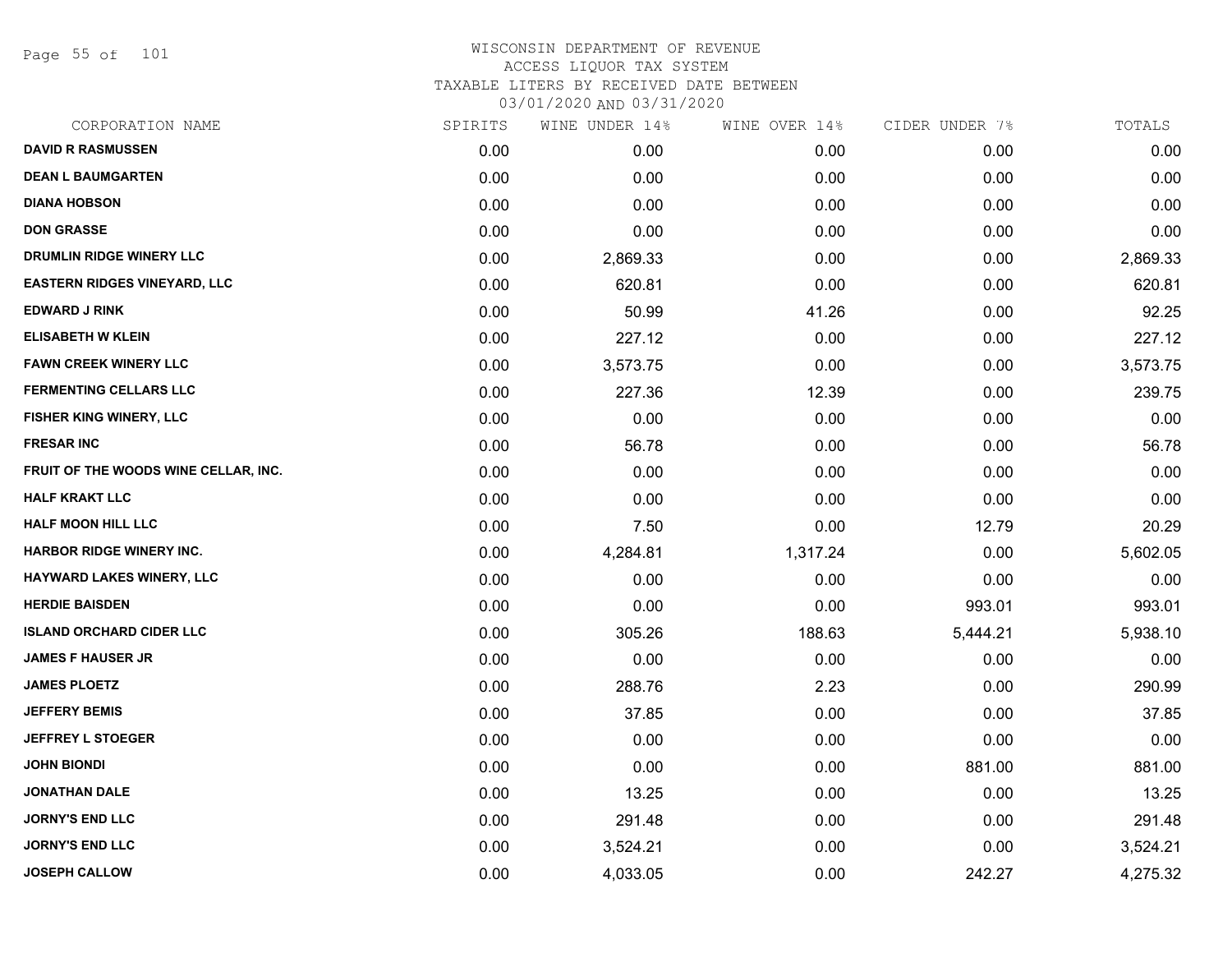Page 55 of 101

| CORPORATION NAME                     | SPIRITS | WINE UNDER 14% | WINE OVER 14% | CIDER UNDER 7% | TOTALS   |
|--------------------------------------|---------|----------------|---------------|----------------|----------|
| <b>DAVID R RASMUSSEN</b>             | 0.00    | 0.00           | 0.00          | 0.00           | 0.00     |
| <b>DEAN L BAUMGARTEN</b>             | 0.00    | 0.00           | 0.00          | 0.00           | 0.00     |
| <b>DIANA HOBSON</b>                  | 0.00    | 0.00           | 0.00          | 0.00           | 0.00     |
| <b>DON GRASSE</b>                    | 0.00    | 0.00           | 0.00          | 0.00           | 0.00     |
| <b>DRUMLIN RIDGE WINERY LLC</b>      | 0.00    | 2,869.33       | 0.00          | 0.00           | 2,869.33 |
| <b>EASTERN RIDGES VINEYARD, LLC</b>  | 0.00    | 620.81         | 0.00          | 0.00           | 620.81   |
| <b>EDWARD J RINK</b>                 | 0.00    | 50.99          | 41.26         | 0.00           | 92.25    |
| <b>ELISABETH W KLEIN</b>             | 0.00    | 227.12         | 0.00          | 0.00           | 227.12   |
| <b>FAWN CREEK WINERY LLC</b>         | 0.00    | 3,573.75       | 0.00          | 0.00           | 3,573.75 |
| <b>FERMENTING CELLARS LLC</b>        | 0.00    | 227.36         | 12.39         | 0.00           | 239.75   |
| FISHER KING WINERY, LLC              | 0.00    | 0.00           | 0.00          | 0.00           | 0.00     |
| <b>FRESAR INC</b>                    | 0.00    | 56.78          | 0.00          | 0.00           | 56.78    |
| FRUIT OF THE WOODS WINE CELLAR, INC. | 0.00    | 0.00           | 0.00          | 0.00           | 0.00     |
| <b>HALF KRAKT LLC</b>                | 0.00    | 0.00           | 0.00          | 0.00           | 0.00     |
| HALF MOON HILL LLC                   | 0.00    | 7.50           | 0.00          | 12.79          | 20.29    |
| <b>HARBOR RIDGE WINERY INC.</b>      | 0.00    | 4,284.81       | 1,317.24      | 0.00           | 5,602.05 |
| HAYWARD LAKES WINERY, LLC            | 0.00    | 0.00           | 0.00          | 0.00           | 0.00     |
| <b>HERDIE BAISDEN</b>                | 0.00    | 0.00           | 0.00          | 993.01         | 993.01   |
| <b>ISLAND ORCHARD CIDER LLC</b>      | 0.00    | 305.26         | 188.63        | 5,444.21       | 5,938.10 |
| <b>JAMES F HAUSER JR</b>             | 0.00    | 0.00           | 0.00          | 0.00           | 0.00     |
| <b>JAMES PLOETZ</b>                  | 0.00    | 288.76         | 2.23          | 0.00           | 290.99   |
| <b>JEFFERY BEMIS</b>                 | 0.00    | 37.85          | 0.00          | 0.00           | 37.85    |
| <b>JEFFREY L STOEGER</b>             | 0.00    | 0.00           | 0.00          | 0.00           | 0.00     |
| <b>JOHN BIONDI</b>                   | 0.00    | 0.00           | 0.00          | 881.00         | 881.00   |
| <b>JONATHAN DALE</b>                 | 0.00    | 13.25          | 0.00          | 0.00           | 13.25    |
| <b>JORNY'S END LLC</b>               | 0.00    | 291.48         | 0.00          | 0.00           | 291.48   |
| <b>JORNY'S END LLC</b>               | 0.00    | 3,524.21       | 0.00          | 0.00           | 3,524.21 |
| <b>JOSEPH CALLOW</b>                 | 0.00    | 4,033.05       | 0.00          | 242.27         | 4,275.32 |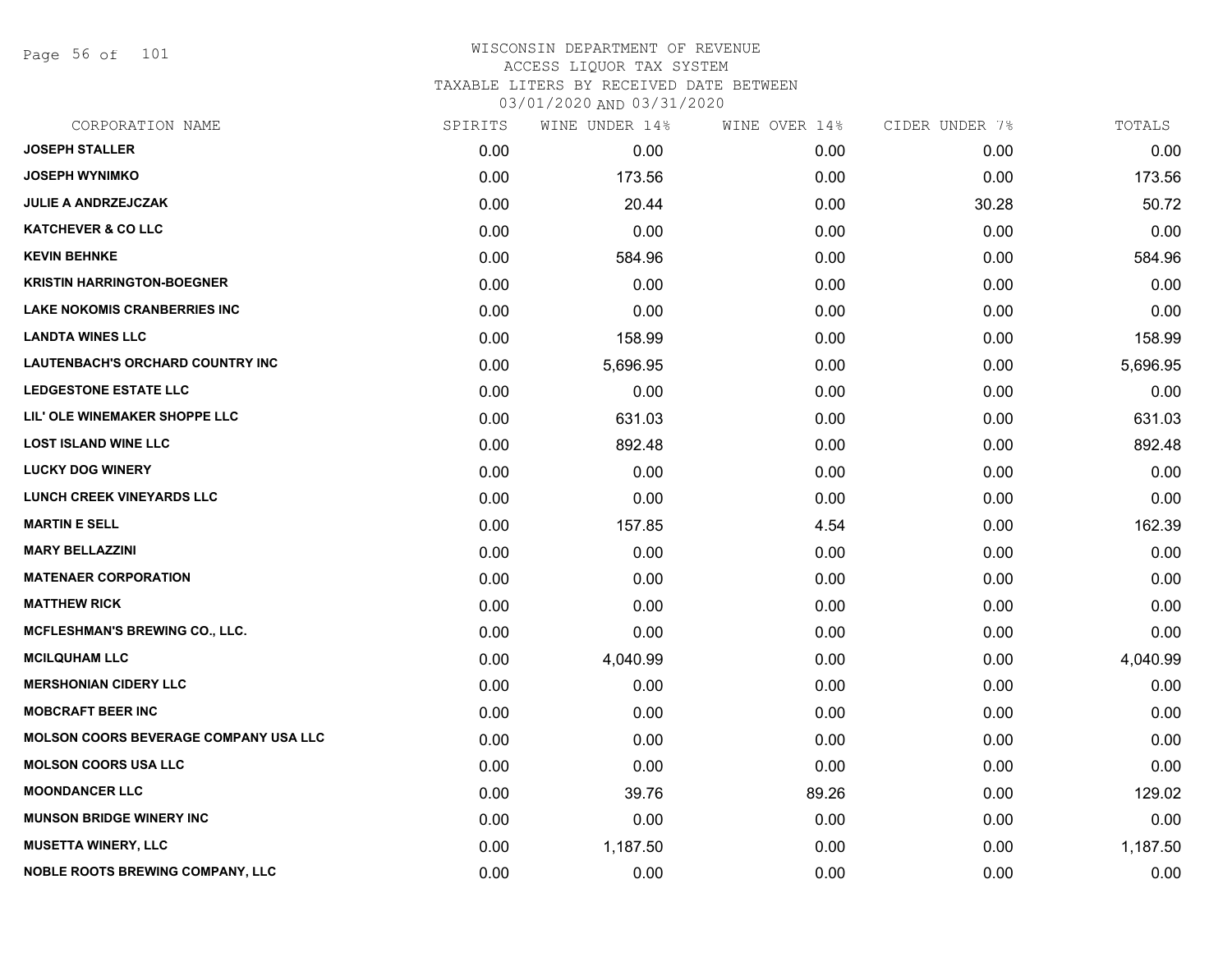Page 56 of 101

# WISCONSIN DEPARTMENT OF REVENUE ACCESS LIQUOR TAX SYSTEM TAXABLE LITERS BY RECEIVED DATE BETWEEN

| CORPORATION NAME                             | SPIRITS | WINE UNDER 14% | WINE OVER 14% | CIDER UNDER 7% | TOTALS   |
|----------------------------------------------|---------|----------------|---------------|----------------|----------|
| <b>JOSEPH STALLER</b>                        | 0.00    | 0.00           | 0.00          | 0.00           | 0.00     |
| <b>JOSEPH WYNIMKO</b>                        | 0.00    | 173.56         | 0.00          | 0.00           | 173.56   |
| <b>JULIE A ANDRZEJCZAK</b>                   | 0.00    | 20.44          | 0.00          | 30.28          | 50.72    |
| <b>KATCHEVER &amp; CO LLC</b>                | 0.00    | 0.00           | 0.00          | 0.00           | 0.00     |
| <b>KEVIN BEHNKE</b>                          | 0.00    | 584.96         | 0.00          | 0.00           | 584.96   |
| <b>KRISTIN HARRINGTON-BOEGNER</b>            | 0.00    | 0.00           | 0.00          | 0.00           | 0.00     |
| <b>LAKE NOKOMIS CRANBERRIES INC</b>          | 0.00    | 0.00           | 0.00          | 0.00           | 0.00     |
| <b>LANDTA WINES LLC</b>                      | 0.00    | 158.99         | 0.00          | 0.00           | 158.99   |
| LAUTENBACH'S ORCHARD COUNTRY INC             | 0.00    | 5,696.95       | 0.00          | 0.00           | 5,696.95 |
| <b>LEDGESTONE ESTATE LLC</b>                 | 0.00    | 0.00           | 0.00          | 0.00           | 0.00     |
| LIL' OLE WINEMAKER SHOPPE LLC                | 0.00    | 631.03         | 0.00          | 0.00           | 631.03   |
| <b>LOST ISLAND WINE LLC</b>                  | 0.00    | 892.48         | 0.00          | 0.00           | 892.48   |
| <b>LUCKY DOG WINERY</b>                      | 0.00    | 0.00           | 0.00          | 0.00           | 0.00     |
| <b>LUNCH CREEK VINEYARDS LLC</b>             | 0.00    | 0.00           | 0.00          | 0.00           | 0.00     |
| <b>MARTIN E SELL</b>                         | 0.00    | 157.85         | 4.54          | 0.00           | 162.39   |
| <b>MARY BELLAZZINI</b>                       | 0.00    | 0.00           | 0.00          | 0.00           | 0.00     |
| <b>MATENAER CORPORATION</b>                  | 0.00    | 0.00           | 0.00          | 0.00           | 0.00     |
| <b>MATTHEW RICK</b>                          | 0.00    | 0.00           | 0.00          | 0.00           | 0.00     |
| MCFLESHMAN'S BREWING CO., LLC.               | 0.00    | 0.00           | 0.00          | 0.00           | 0.00     |
| <b>MCILQUHAM LLC</b>                         | 0.00    | 4,040.99       | 0.00          | 0.00           | 4,040.99 |
| <b>MERSHONIAN CIDERY LLC</b>                 | 0.00    | 0.00           | 0.00          | 0.00           | 0.00     |
| <b>MOBCRAFT BEER INC</b>                     | 0.00    | 0.00           | 0.00          | 0.00           | 0.00     |
| <b>MOLSON COORS BEVERAGE COMPANY USA LLC</b> | 0.00    | 0.00           | 0.00          | 0.00           | 0.00     |
| <b>MOLSON COORS USA LLC</b>                  | 0.00    | 0.00           | 0.00          | 0.00           | 0.00     |
| <b>MOONDANCER LLC</b>                        | 0.00    | 39.76          | 89.26         | 0.00           | 129.02   |
| <b>MUNSON BRIDGE WINERY INC</b>              | 0.00    | 0.00           | 0.00          | 0.00           | 0.00     |
| <b>MUSETTA WINERY, LLC</b>                   | 0.00    | 1,187.50       | 0.00          | 0.00           | 1,187.50 |
| <b>NOBLE ROOTS BREWING COMPANY, LLC</b>      | 0.00    | 0.00           | 0.00          | 0.00           | 0.00     |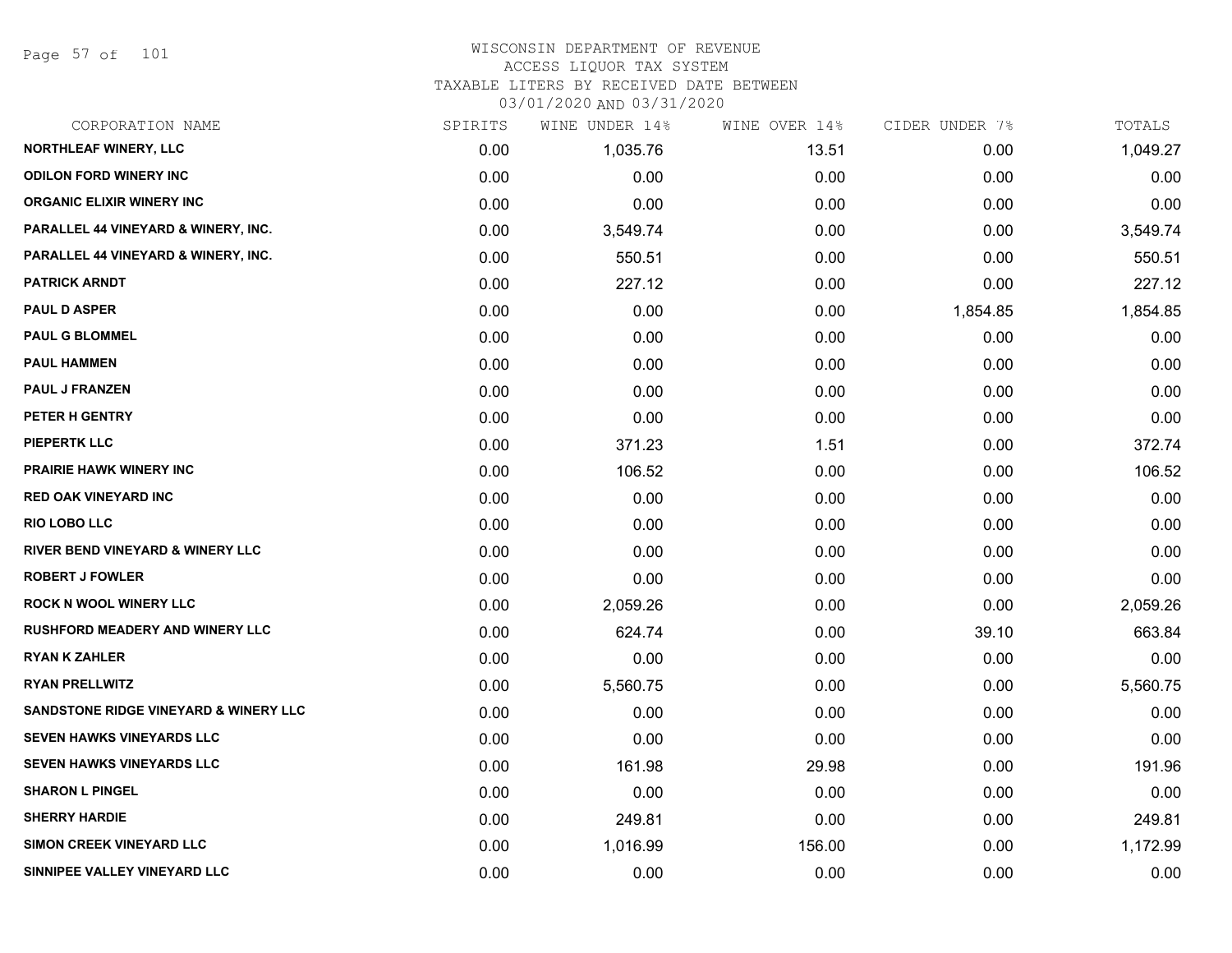Page 57 of 101

# WISCONSIN DEPARTMENT OF REVENUE ACCESS LIQUOR TAX SYSTEM

TAXABLE LITERS BY RECEIVED DATE BETWEEN

| CORPORATION NAME                                 | SPIRITS | WINE UNDER 14% | WINE OVER 14% | CIDER UNDER 7% | TOTALS   |
|--------------------------------------------------|---------|----------------|---------------|----------------|----------|
| NORTHLEAF WINERY, LLC                            | 0.00    | 1,035.76       | 13.51         | 0.00           | 1,049.27 |
| <b>ODILON FORD WINERY INC</b>                    | 0.00    | 0.00           | 0.00          | 0.00           | 0.00     |
| <b>ORGANIC ELIXIR WINERY INC</b>                 | 0.00    | 0.00           | 0.00          | 0.00           | 0.00     |
| PARALLEL 44 VINEYARD & WINERY, INC.              | 0.00    | 3,549.74       | 0.00          | 0.00           | 3,549.74 |
| PARALLEL 44 VINEYARD & WINERY, INC.              | 0.00    | 550.51         | 0.00          | 0.00           | 550.51   |
| <b>PATRICK ARNDT</b>                             | 0.00    | 227.12         | 0.00          | 0.00           | 227.12   |
| <b>PAUL D ASPER</b>                              | 0.00    | 0.00           | 0.00          | 1,854.85       | 1,854.85 |
| <b>PAUL G BLOMMEL</b>                            | 0.00    | 0.00           | 0.00          | 0.00           | 0.00     |
| <b>PAUL HAMMEN</b>                               | 0.00    | 0.00           | 0.00          | 0.00           | 0.00     |
| <b>PAUL J FRANZEN</b>                            | 0.00    | 0.00           | 0.00          | 0.00           | 0.00     |
| PETER H GENTRY                                   | 0.00    | 0.00           | 0.00          | 0.00           | 0.00     |
| <b>PIEPERTK LLC</b>                              | 0.00    | 371.23         | 1.51          | 0.00           | 372.74   |
| <b>PRAIRIE HAWK WINERY INC</b>                   | 0.00    | 106.52         | 0.00          | 0.00           | 106.52   |
| <b>RED OAK VINEYARD INC</b>                      | 0.00    | 0.00           | 0.00          | 0.00           | 0.00     |
| <b>RIO LOBO LLC</b>                              | 0.00    | 0.00           | 0.00          | 0.00           | 0.00     |
| RIVER BEND VINEYARD & WINERY LLC                 | 0.00    | 0.00           | 0.00          | 0.00           | 0.00     |
| <b>ROBERT J FOWLER</b>                           | 0.00    | 0.00           | 0.00          | 0.00           | 0.00     |
| <b>ROCK N WOOL WINERY LLC</b>                    | 0.00    | 2,059.26       | 0.00          | 0.00           | 2,059.26 |
| <b>RUSHFORD MEADERY AND WINERY LLC</b>           | 0.00    | 624.74         | 0.00          | 39.10          | 663.84   |
| <b>RYAN K ZAHLER</b>                             | 0.00    | 0.00           | 0.00          | 0.00           | 0.00     |
| <b>RYAN PRELLWITZ</b>                            | 0.00    | 5,560.75       | 0.00          | 0.00           | 5,560.75 |
| <b>SANDSTONE RIDGE VINEYARD &amp; WINERY LLC</b> | 0.00    | 0.00           | 0.00          | 0.00           | 0.00     |
| <b>SEVEN HAWKS VINEYARDS LLC</b>                 | 0.00    | 0.00           | 0.00          | 0.00           | 0.00     |
| SEVEN HAWKS VINEYARDS LLC                        | 0.00    | 161.98         | 29.98         | 0.00           | 191.96   |
| <b>SHARON L PINGEL</b>                           | 0.00    | 0.00           | 0.00          | 0.00           | 0.00     |
| <b>SHERRY HARDIE</b>                             | 0.00    | 249.81         | 0.00          | 0.00           | 249.81   |
| <b>SIMON CREEK VINEYARD LLC</b>                  | 0.00    | 1,016.99       | 156.00        | 0.00           | 1,172.99 |
| SINNIPEE VALLEY VINEYARD LLC                     | 0.00    | 0.00           | 0.00          | 0.00           | 0.00     |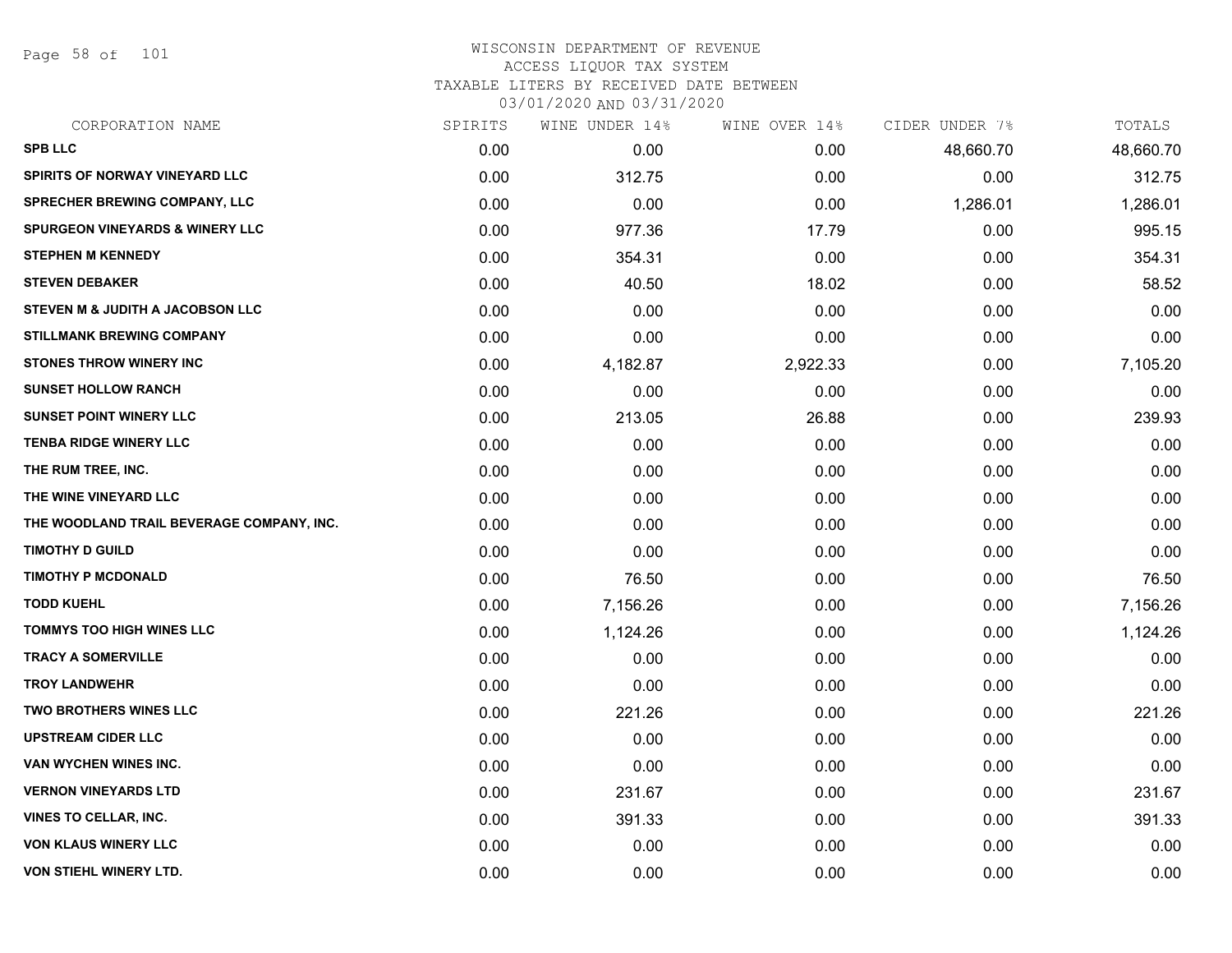Page 58 of 101

### WISCONSIN DEPARTMENT OF REVENUE ACCESS LIQUOR TAX SYSTEM TAXABLE LITERS BY RECEIVED DATE BETWEEN

| CORPORATION NAME                            | SPIRITS | WINE UNDER 14% | WINE OVER 14% | CIDER UNDER 7% | TOTALS    |
|---------------------------------------------|---------|----------------|---------------|----------------|-----------|
| <b>SPB LLC</b>                              | 0.00    | 0.00           | 0.00          | 48,660.70      | 48,660.70 |
| <b>SPIRITS OF NORWAY VINEYARD LLC</b>       | 0.00    | 312.75         | 0.00          | 0.00           | 312.75    |
| SPRECHER BREWING COMPANY, LLC               | 0.00    | 0.00           | 0.00          | 1,286.01       | 1,286.01  |
| <b>SPURGEON VINEYARDS &amp; WINERY LLC</b>  | 0.00    | 977.36         | 17.79         | 0.00           | 995.15    |
| <b>STEPHEN M KENNEDY</b>                    | 0.00    | 354.31         | 0.00          | 0.00           | 354.31    |
| <b>STEVEN DEBAKER</b>                       | 0.00    | 40.50          | 18.02         | 0.00           | 58.52     |
| <b>STEVEN M &amp; JUDITH A JACOBSON LLC</b> | 0.00    | 0.00           | 0.00          | 0.00           | 0.00      |
| <b>STILLMANK BREWING COMPANY</b>            | 0.00    | 0.00           | 0.00          | 0.00           | 0.00      |
| <b>STONES THROW WINERY INC</b>              | 0.00    | 4,182.87       | 2,922.33      | 0.00           | 7,105.20  |
| <b>SUNSET HOLLOW RANCH</b>                  | 0.00    | 0.00           | 0.00          | 0.00           | 0.00      |
| <b>SUNSET POINT WINERY LLC</b>              | 0.00    | 213.05         | 26.88         | 0.00           | 239.93    |
| <b>TENBA RIDGE WINERY LLC</b>               | 0.00    | 0.00           | 0.00          | 0.00           | 0.00      |
| THE RUM TREE, INC.                          | 0.00    | 0.00           | 0.00          | 0.00           | 0.00      |
| THE WINE VINEYARD LLC                       | 0.00    | 0.00           | 0.00          | 0.00           | 0.00      |
| THE WOODLAND TRAIL BEVERAGE COMPANY, INC.   | 0.00    | 0.00           | 0.00          | 0.00           | 0.00      |
| <b>TIMOTHY D GUILD</b>                      | 0.00    | 0.00           | 0.00          | 0.00           | 0.00      |
| <b>TIMOTHY P MCDONALD</b>                   | 0.00    | 76.50          | 0.00          | 0.00           | 76.50     |
| <b>TODD KUEHL</b>                           | 0.00    | 7,156.26       | 0.00          | 0.00           | 7,156.26  |
| <b>TOMMYS TOO HIGH WINES LLC</b>            | 0.00    | 1,124.26       | 0.00          | 0.00           | 1,124.26  |
| <b>TRACY A SOMERVILLE</b>                   | 0.00    | 0.00           | 0.00          | 0.00           | 0.00      |
| <b>TROY LANDWEHR</b>                        | 0.00    | 0.00           | 0.00          | 0.00           | 0.00      |
| TWO BROTHERS WINES LLC                      | 0.00    | 221.26         | 0.00          | 0.00           | 221.26    |
| <b>UPSTREAM CIDER LLC</b>                   | 0.00    | 0.00           | 0.00          | 0.00           | 0.00      |
| <b>VAN WYCHEN WINES INC.</b>                | 0.00    | 0.00           | 0.00          | 0.00           | 0.00      |
| <b>VERNON VINEYARDS LTD</b>                 | 0.00    | 231.67         | 0.00          | 0.00           | 231.67    |
| <b>VINES TO CELLAR, INC.</b>                | 0.00    | 391.33         | 0.00          | 0.00           | 391.33    |
| <b>VON KLAUS WINERY LLC</b>                 | 0.00    | 0.00           | 0.00          | 0.00           | 0.00      |
| <b>VON STIEHL WINERY LTD.</b>               | 0.00    | 0.00           | 0.00          | 0.00           | 0.00      |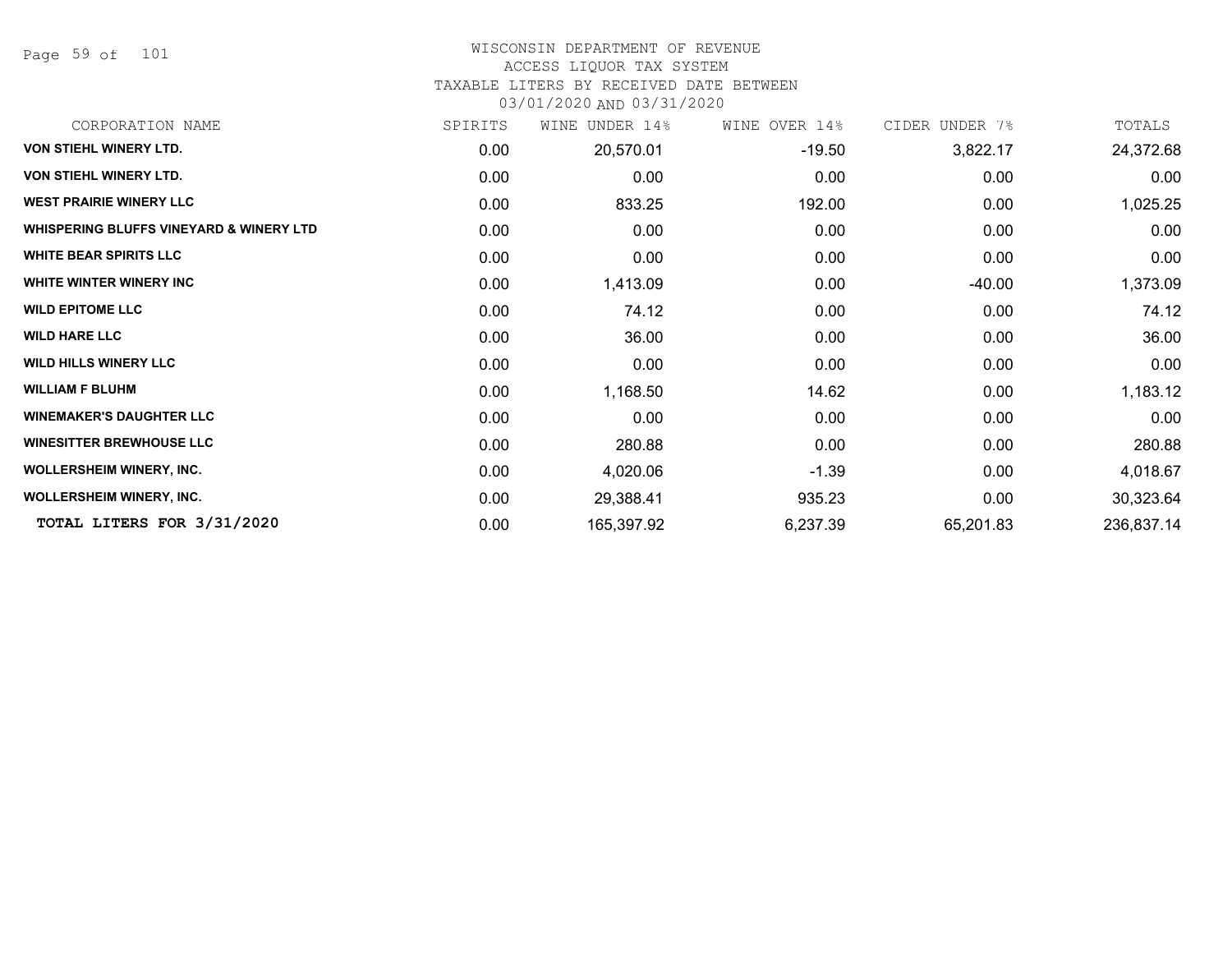Page 59 of 101

# WISCONSIN DEPARTMENT OF REVENUE

#### ACCESS LIQUOR TAX SYSTEM

TAXABLE LITERS BY RECEIVED DATE BETWEEN

| CORPORATION NAME                                   | SPIRITS | UNDER 14%<br>WINE | WINE OVER 14% | CIDER UNDER 7% | TOTALS     |
|----------------------------------------------------|---------|-------------------|---------------|----------------|------------|
| <b>VON STIEHL WINERY LTD.</b>                      | 0.00    | 20,570.01         | $-19.50$      | 3,822.17       | 24,372.68  |
| VON STIEHL WINERY LTD.                             | 0.00    | 0.00              | 0.00          | 0.00           | 0.00       |
| <b>WEST PRAIRIE WINERY LLC</b>                     | 0.00    | 833.25            | 192.00        | 0.00           | 1,025.25   |
| <b>WHISPERING BLUFFS VINEYARD &amp; WINERY LTD</b> | 0.00    | 0.00              | 0.00          | 0.00           | 0.00       |
| <b>WHITE BEAR SPIRITS LLC</b>                      | 0.00    | 0.00              | 0.00          | 0.00           | 0.00       |
| WHITE WINTER WINERY INC                            | 0.00    | 1,413.09          | 0.00          | -40.00         | 1,373.09   |
| <b>WILD EPITOME LLC</b>                            | 0.00    | 74.12             | 0.00          | 0.00           | 74.12      |
| <b>WILD HARE LLC</b>                               | 0.00    | 36.00             | 0.00          | 0.00           | 36.00      |
| <b>WILD HILLS WINERY LLC</b>                       | 0.00    | 0.00              | 0.00          | 0.00           | 0.00       |
| <b>WILLIAM F BLUHM</b>                             | 0.00    | 1,168.50          | 14.62         | 0.00           | 1,183.12   |
| <b>WINEMAKER'S DAUGHTER LLC</b>                    | 0.00    | 0.00              | 0.00          | 0.00           | 0.00       |
| <b>WINESITTER BREWHOUSE LLC</b>                    | 0.00    | 280.88            | 0.00          | 0.00           | 280.88     |
| WOLLERSHEIM WINERY, INC.                           | 0.00    | 4,020.06          | $-1.39$       | 0.00           | 4,018.67   |
| <b>WOLLERSHEIM WINERY, INC.</b>                    | 0.00    | 29,388.41         | 935.23        | 0.00           | 30,323.64  |
| TOTAL LITERS FOR 3/31/2020                         | 0.00    | 165,397.92        | 6,237.39      | 65,201.83      | 236,837.14 |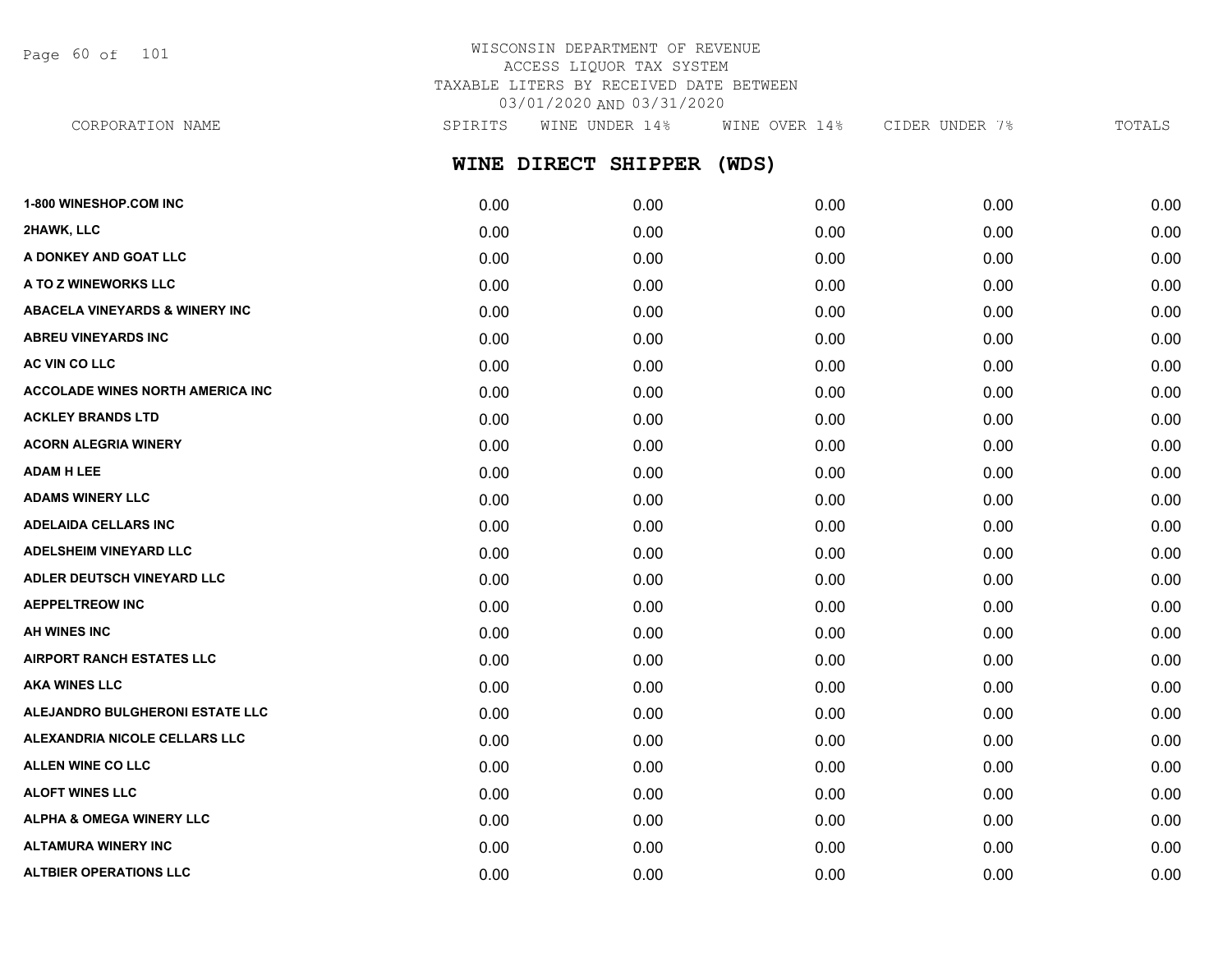Page 60 of 101

# WISCONSIN DEPARTMENT OF REVENUE ACCESS LIQUOR TAX SYSTEM TAXABLE LITERS BY RECEIVED DATE BETWEEN 03/01/2020 AND 03/31/2020

**WINE DIRECT SHIPPER (WDS) 1-800 WINESHOP.COM INC** 0.00 0.00 0.00 0.00 0.00 CORPORATION NAME SPIRITS WINE UNDER 14% WINE OVER 14% CIDER UNDER 7% TOTALS

| 0.00 | 0.00 | 0.00 | 0.00 | 0.00 |
|------|------|------|------|------|
| 0.00 | 0.00 | 0.00 | 0.00 | 0.00 |
| 0.00 | 0.00 | 0.00 | 0.00 | 0.00 |
| 0.00 | 0.00 | 0.00 | 0.00 | 0.00 |
| 0.00 | 0.00 | 0.00 | 0.00 | 0.00 |
| 0.00 | 0.00 | 0.00 | 0.00 | 0.00 |
| 0.00 | 0.00 | 0.00 | 0.00 | 0.00 |
| 0.00 | 0.00 | 0.00 | 0.00 | 0.00 |
| 0.00 | 0.00 | 0.00 | 0.00 | 0.00 |
| 0.00 | 0.00 | 0.00 | 0.00 | 0.00 |
| 0.00 | 0.00 | 0.00 | 0.00 | 0.00 |
| 0.00 | 0.00 | 0.00 | 0.00 | 0.00 |
| 0.00 | 0.00 | 0.00 | 0.00 | 0.00 |
| 0.00 | 0.00 | 0.00 | 0.00 | 0.00 |
| 0.00 | 0.00 | 0.00 | 0.00 | 0.00 |
| 0.00 | 0.00 | 0.00 | 0.00 | 0.00 |
| 0.00 | 0.00 | 0.00 | 0.00 | 0.00 |
| 0.00 | 0.00 | 0.00 | 0.00 | 0.00 |
| 0.00 | 0.00 | 0.00 | 0.00 | 0.00 |
| 0.00 | 0.00 | 0.00 | 0.00 | 0.00 |
| 0.00 | 0.00 | 0.00 | 0.00 | 0.00 |
| 0.00 | 0.00 | 0.00 | 0.00 | 0.00 |
| 0.00 | 0.00 | 0.00 | 0.00 | 0.00 |
| 0.00 | 0.00 | 0.00 | 0.00 | 0.00 |
| 0.00 | 0.00 | 0.00 | 0.00 | 0.00 |
| 0.00 | 0.00 | 0.00 | 0.00 | 0.00 |
|      |      |      |      |      |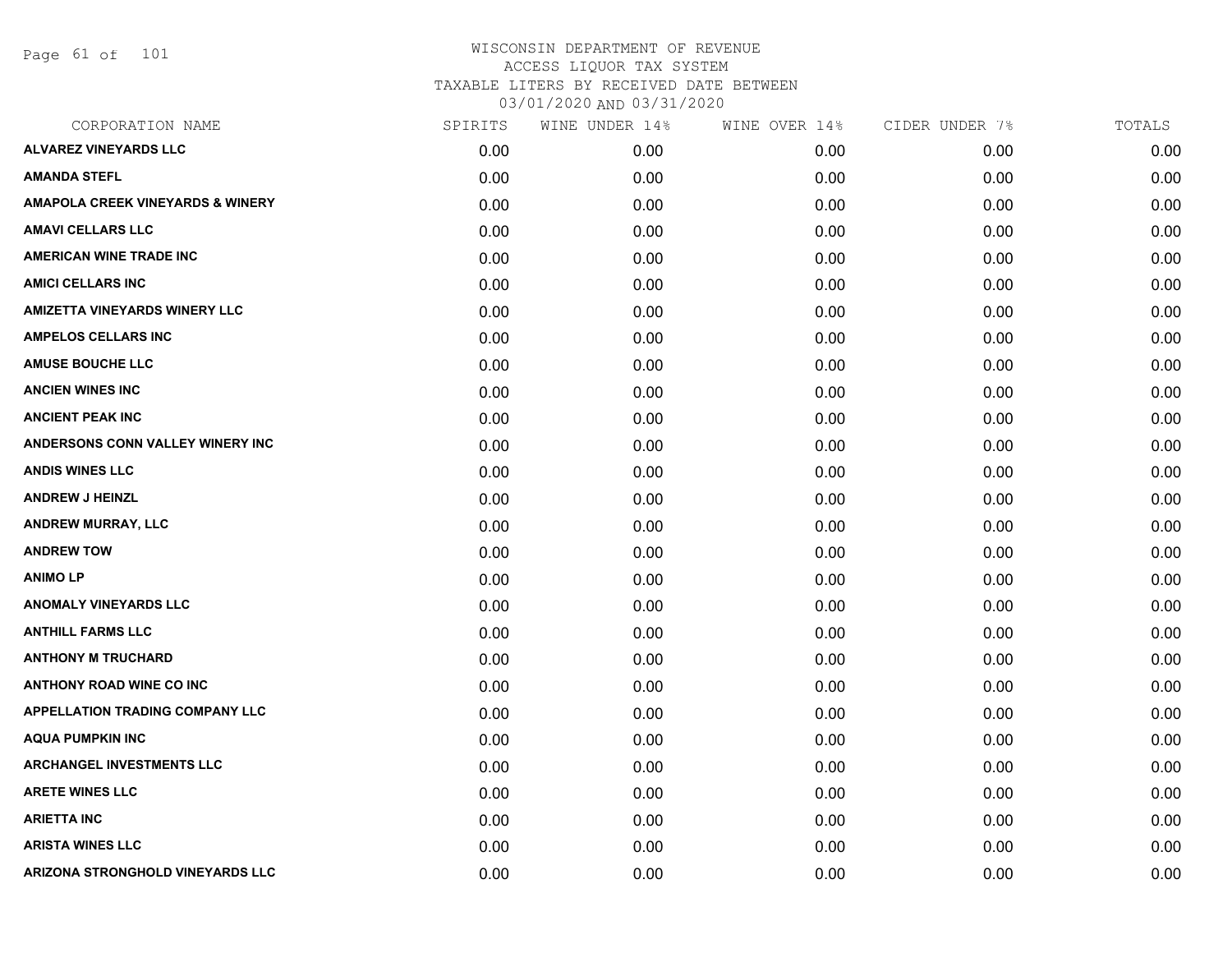Page 61 of 101

| CORPORATION NAME                            | SPIRITS | WINE UNDER 14% | WINE OVER 14% | CIDER UNDER 7% | TOTALS |
|---------------------------------------------|---------|----------------|---------------|----------------|--------|
| <b>ALVAREZ VINEYARDS LLC</b>                | 0.00    | 0.00           | 0.00          | 0.00           | 0.00   |
| <b>AMANDA STEFL</b>                         | 0.00    | 0.00           | 0.00          | 0.00           | 0.00   |
| <b>AMAPOLA CREEK VINEYARDS &amp; WINERY</b> | 0.00    | 0.00           | 0.00          | 0.00           | 0.00   |
| <b>AMAVI CELLARS LLC</b>                    | 0.00    | 0.00           | 0.00          | 0.00           | 0.00   |
| <b>AMERICAN WINE TRADE INC</b>              | 0.00    | 0.00           | 0.00          | 0.00           | 0.00   |
| <b>AMICI CELLARS INC</b>                    | 0.00    | 0.00           | 0.00          | 0.00           | 0.00   |
| <b>AMIZETTA VINEYARDS WINERY LLC</b>        | 0.00    | 0.00           | 0.00          | 0.00           | 0.00   |
| <b>AMPELOS CELLARS INC</b>                  | 0.00    | 0.00           | 0.00          | 0.00           | 0.00   |
| <b>AMUSE BOUCHE LLC</b>                     | 0.00    | 0.00           | 0.00          | 0.00           | 0.00   |
| <b>ANCIEN WINES INC</b>                     | 0.00    | 0.00           | 0.00          | 0.00           | 0.00   |
| <b>ANCIENT PEAK INC</b>                     | 0.00    | 0.00           | 0.00          | 0.00           | 0.00   |
| ANDERSONS CONN VALLEY WINERY INC            | 0.00    | 0.00           | 0.00          | 0.00           | 0.00   |
| <b>ANDIS WINES LLC</b>                      | 0.00    | 0.00           | 0.00          | 0.00           | 0.00   |
| <b>ANDREW J HEINZL</b>                      | 0.00    | 0.00           | 0.00          | 0.00           | 0.00   |
| <b>ANDREW MURRAY, LLC</b>                   | 0.00    | 0.00           | 0.00          | 0.00           | 0.00   |
| <b>ANDREW TOW</b>                           | 0.00    | 0.00           | 0.00          | 0.00           | 0.00   |
| <b>ANIMOLP</b>                              | 0.00    | 0.00           | 0.00          | 0.00           | 0.00   |
| <b>ANOMALY VINEYARDS LLC</b>                | 0.00    | 0.00           | 0.00          | 0.00           | 0.00   |
| <b>ANTHILL FARMS LLC</b>                    | 0.00    | 0.00           | 0.00          | 0.00           | 0.00   |
| <b>ANTHONY M TRUCHARD</b>                   | 0.00    | 0.00           | 0.00          | 0.00           | 0.00   |
| <b>ANTHONY ROAD WINE CO INC</b>             | 0.00    | 0.00           | 0.00          | 0.00           | 0.00   |
| <b>APPELLATION TRADING COMPANY LLC</b>      | 0.00    | 0.00           | 0.00          | 0.00           | 0.00   |
| <b>AQUA PUMPKIN INC</b>                     | 0.00    | 0.00           | 0.00          | 0.00           | 0.00   |
| <b>ARCHANGEL INVESTMENTS LLC</b>            | 0.00    | 0.00           | 0.00          | 0.00           | 0.00   |
| <b>ARETE WINES LLC</b>                      | 0.00    | 0.00           | 0.00          | 0.00           | 0.00   |
| <b>ARIETTA INC</b>                          | 0.00    | 0.00           | 0.00          | 0.00           | 0.00   |
| <b>ARISTA WINES LLC</b>                     | 0.00    | 0.00           | 0.00          | 0.00           | 0.00   |
| ARIZONA STRONGHOLD VINEYARDS LLC            | 0.00    | 0.00           | 0.00          | 0.00           | 0.00   |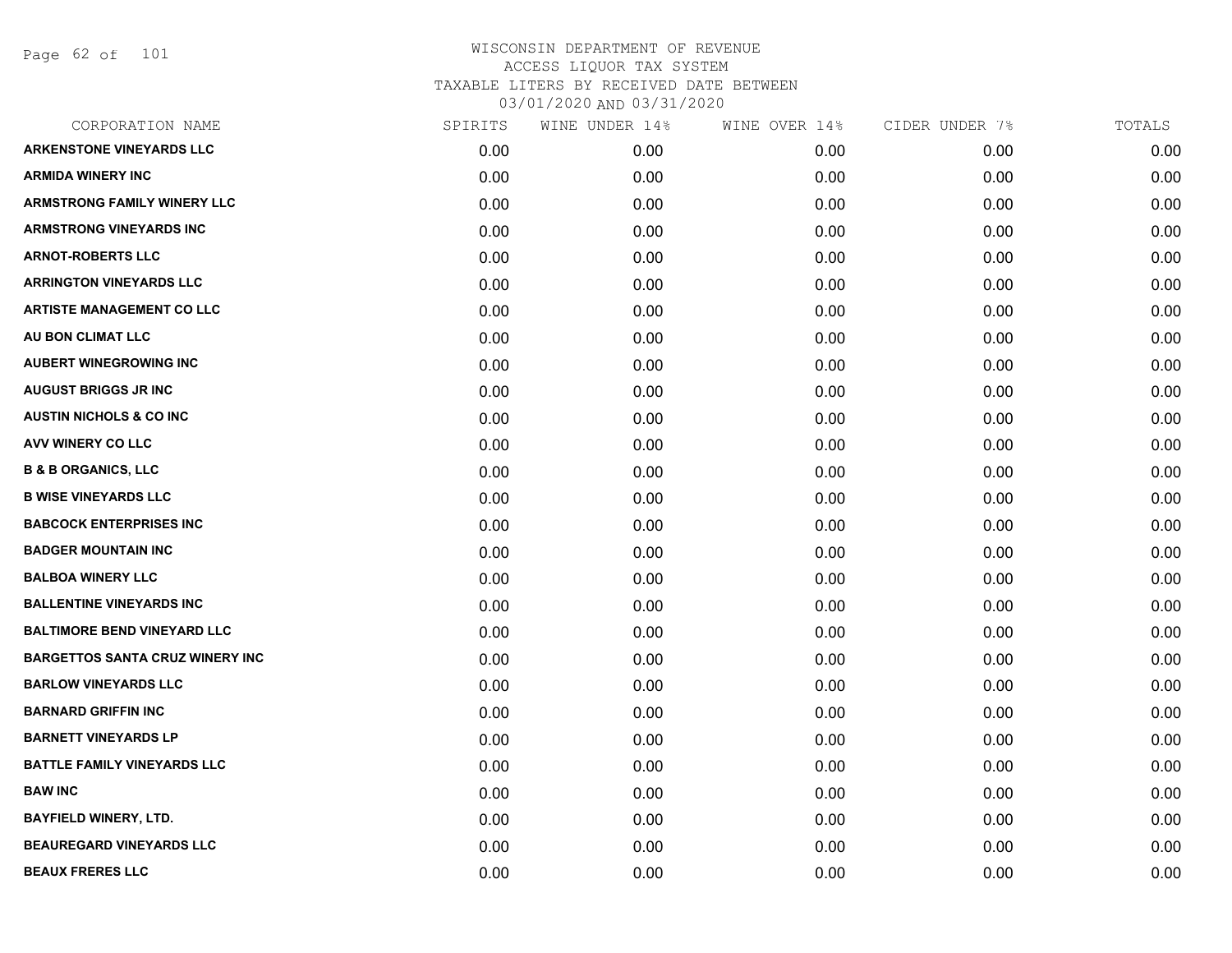Page 62 of 101

| CORPORATION NAME                       | SPIRITS | WINE UNDER 14% | WINE OVER 14% | CIDER UNDER 7% | TOTALS |
|----------------------------------------|---------|----------------|---------------|----------------|--------|
| <b>ARKENSTONE VINEYARDS LLC</b>        | 0.00    | 0.00           | 0.00          | 0.00           | 0.00   |
| <b>ARMIDA WINERY INC</b>               | 0.00    | 0.00           | 0.00          | 0.00           | 0.00   |
| <b>ARMSTRONG FAMILY WINERY LLC</b>     | 0.00    | 0.00           | 0.00          | 0.00           | 0.00   |
| <b>ARMSTRONG VINEYARDS INC</b>         | 0.00    | 0.00           | 0.00          | 0.00           | 0.00   |
| <b>ARNOT-ROBERTS LLC</b>               | 0.00    | 0.00           | 0.00          | 0.00           | 0.00   |
| <b>ARRINGTON VINEYARDS LLC</b>         | 0.00    | 0.00           | 0.00          | 0.00           | 0.00   |
| <b>ARTISTE MANAGEMENT CO LLC</b>       | 0.00    | 0.00           | 0.00          | 0.00           | 0.00   |
| AU BON CLIMAT LLC                      | 0.00    | 0.00           | 0.00          | 0.00           | 0.00   |
| <b>AUBERT WINEGROWING INC</b>          | 0.00    | 0.00           | 0.00          | 0.00           | 0.00   |
| <b>AUGUST BRIGGS JR INC</b>            | 0.00    | 0.00           | 0.00          | 0.00           | 0.00   |
| <b>AUSTIN NICHOLS &amp; CO INC</b>     | 0.00    | 0.00           | 0.00          | 0.00           | 0.00   |
| AVV WINERY CO LLC                      | 0.00    | 0.00           | 0.00          | 0.00           | 0.00   |
| <b>B &amp; B ORGANICS, LLC</b>         | 0.00    | 0.00           | 0.00          | 0.00           | 0.00   |
| <b>B WISE VINEYARDS LLC</b>            | 0.00    | 0.00           | 0.00          | 0.00           | 0.00   |
| <b>BABCOCK ENTERPRISES INC</b>         | 0.00    | 0.00           | 0.00          | 0.00           | 0.00   |
| <b>BADGER MOUNTAIN INC</b>             | 0.00    | 0.00           | 0.00          | 0.00           | 0.00   |
| <b>BALBOA WINERY LLC</b>               | 0.00    | 0.00           | 0.00          | 0.00           | 0.00   |
| <b>BALLENTINE VINEYARDS INC</b>        | 0.00    | 0.00           | 0.00          | 0.00           | 0.00   |
| <b>BALTIMORE BEND VINEYARD LLC</b>     | 0.00    | 0.00           | 0.00          | 0.00           | 0.00   |
| <b>BARGETTOS SANTA CRUZ WINERY INC</b> | 0.00    | 0.00           | 0.00          | 0.00           | 0.00   |
| <b>BARLOW VINEYARDS LLC</b>            | 0.00    | 0.00           | 0.00          | 0.00           | 0.00   |
| <b>BARNARD GRIFFIN INC</b>             | 0.00    | 0.00           | 0.00          | 0.00           | 0.00   |
| <b>BARNETT VINEYARDS LP</b>            | 0.00    | 0.00           | 0.00          | 0.00           | 0.00   |
| <b>BATTLE FAMILY VINEYARDS LLC</b>     | 0.00    | 0.00           | 0.00          | 0.00           | 0.00   |
| <b>BAW INC</b>                         | 0.00    | 0.00           | 0.00          | 0.00           | 0.00   |
| <b>BAYFIELD WINERY, LTD.</b>           | 0.00    | 0.00           | 0.00          | 0.00           | 0.00   |
| <b>BEAUREGARD VINEYARDS LLC</b>        | 0.00    | 0.00           | 0.00          | 0.00           | 0.00   |
| <b>BEAUX FRERES LLC</b>                | 0.00    | 0.00           | 0.00          | 0.00           | 0.00   |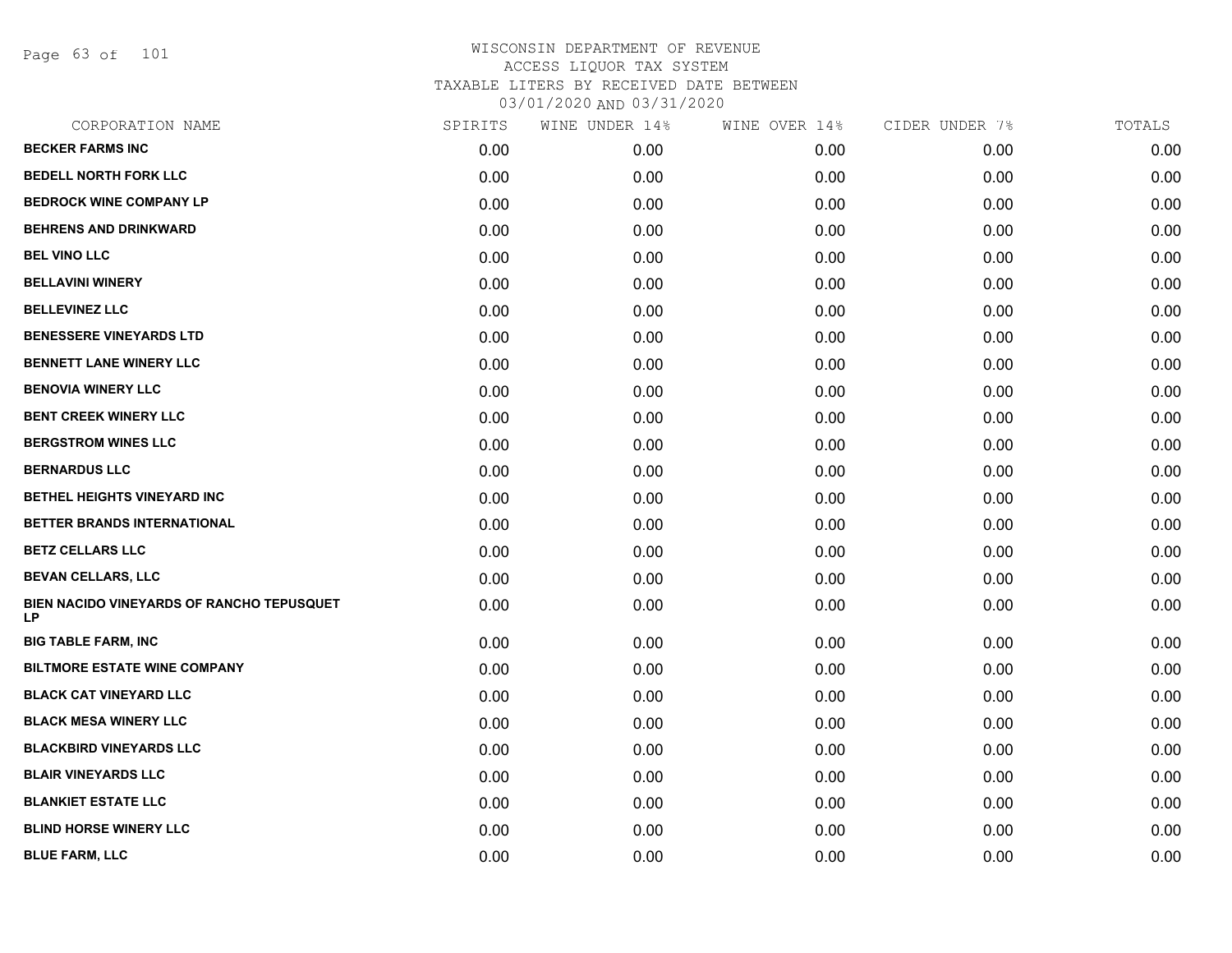Page 63 of 101

| CORPORATION NAME                                | SPIRITS | WINE UNDER 14% | WINE OVER 14% | CIDER UNDER 7% | TOTALS |
|-------------------------------------------------|---------|----------------|---------------|----------------|--------|
| <b>BECKER FARMS INC</b>                         | 0.00    | 0.00           | 0.00          | 0.00           | 0.00   |
| <b>BEDELL NORTH FORK LLC</b>                    | 0.00    | 0.00           | 0.00          | 0.00           | 0.00   |
| <b>BEDROCK WINE COMPANY LP</b>                  | 0.00    | 0.00           | 0.00          | 0.00           | 0.00   |
| <b>BEHRENS AND DRINKWARD</b>                    | 0.00    | 0.00           | 0.00          | 0.00           | 0.00   |
| <b>BEL VINO LLC</b>                             | 0.00    | 0.00           | 0.00          | 0.00           | 0.00   |
| <b>BELLAVINI WINERY</b>                         | 0.00    | 0.00           | 0.00          | 0.00           | 0.00   |
| <b>BELLEVINEZ LLC</b>                           | 0.00    | 0.00           | 0.00          | 0.00           | 0.00   |
| <b>BENESSERE VINEYARDS LTD</b>                  | 0.00    | 0.00           | 0.00          | 0.00           | 0.00   |
| <b>BENNETT LANE WINERY LLC</b>                  | 0.00    | 0.00           | 0.00          | 0.00           | 0.00   |
| <b>BENOVIA WINERY LLC</b>                       | 0.00    | 0.00           | 0.00          | 0.00           | 0.00   |
| <b>BENT CREEK WINERY LLC</b>                    | 0.00    | 0.00           | 0.00          | 0.00           | 0.00   |
| <b>BERGSTROM WINES LLC</b>                      | 0.00    | 0.00           | 0.00          | 0.00           | 0.00   |
| <b>BERNARDUS LLC</b>                            | 0.00    | 0.00           | 0.00          | 0.00           | 0.00   |
| BETHEL HEIGHTS VINEYARD INC                     | 0.00    | 0.00           | 0.00          | 0.00           | 0.00   |
| BETTER BRANDS INTERNATIONAL                     | 0.00    | 0.00           | 0.00          | 0.00           | 0.00   |
| <b>BETZ CELLARS LLC</b>                         | 0.00    | 0.00           | 0.00          | 0.00           | 0.00   |
| <b>BEVAN CELLARS, LLC</b>                       | 0.00    | 0.00           | 0.00          | 0.00           | 0.00   |
| BIEN NACIDO VINEYARDS OF RANCHO TEPUSQUET<br>LP | 0.00    | 0.00           | 0.00          | 0.00           | 0.00   |
| <b>BIG TABLE FARM, INC</b>                      | 0.00    | 0.00           | 0.00          | 0.00           | 0.00   |
| <b>BILTMORE ESTATE WINE COMPANY</b>             | 0.00    | 0.00           | 0.00          | 0.00           | 0.00   |
| <b>BLACK CAT VINEYARD LLC</b>                   | 0.00    | 0.00           | 0.00          | 0.00           | 0.00   |
| <b>BLACK MESA WINERY LLC</b>                    | 0.00    | 0.00           | 0.00          | 0.00           | 0.00   |
| <b>BLACKBIRD VINEYARDS LLC</b>                  | 0.00    | 0.00           | 0.00          | 0.00           | 0.00   |
| <b>BLAIR VINEYARDS LLC</b>                      | 0.00    | 0.00           | 0.00          | 0.00           | 0.00   |
| <b>BLANKIET ESTATE LLC</b>                      | 0.00    | 0.00           | 0.00          | 0.00           | 0.00   |
| <b>BLIND HORSE WINERY LLC</b>                   | 0.00    | 0.00           | 0.00          | 0.00           | 0.00   |
| <b>BLUE FARM, LLC</b>                           | 0.00    | 0.00           | 0.00          | 0.00           | 0.00   |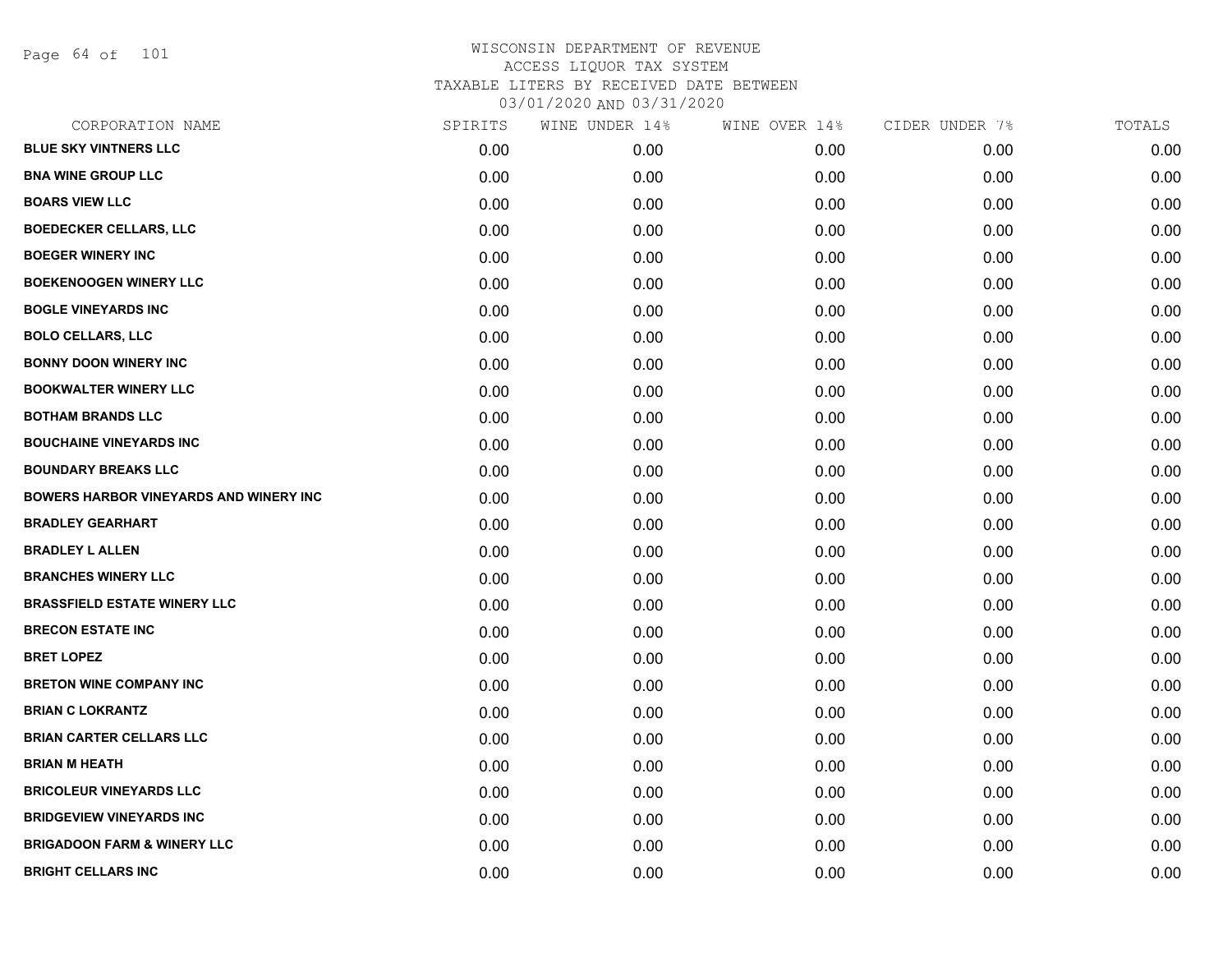Page 64 of 101

| CORPORATION NAME                              | SPIRITS | WINE UNDER 14% | WINE OVER 14% | CIDER UNDER 7% | TOTALS |
|-----------------------------------------------|---------|----------------|---------------|----------------|--------|
| <b>BLUE SKY VINTNERS LLC</b>                  | 0.00    | 0.00           | 0.00          | 0.00           | 0.00   |
| <b>BNA WINE GROUP LLC</b>                     | 0.00    | 0.00           | 0.00          | 0.00           | 0.00   |
| <b>BOARS VIEW LLC</b>                         | 0.00    | 0.00           | 0.00          | 0.00           | 0.00   |
| <b>BOEDECKER CELLARS, LLC</b>                 | 0.00    | 0.00           | 0.00          | 0.00           | 0.00   |
| <b>BOEGER WINERY INC</b>                      | 0.00    | 0.00           | 0.00          | 0.00           | 0.00   |
| <b>BOEKENOOGEN WINERY LLC</b>                 | 0.00    | 0.00           | 0.00          | 0.00           | 0.00   |
| <b>BOGLE VINEYARDS INC</b>                    | 0.00    | 0.00           | 0.00          | 0.00           | 0.00   |
| <b>BOLO CELLARS, LLC</b>                      | 0.00    | 0.00           | 0.00          | 0.00           | 0.00   |
| <b>BONNY DOON WINERY INC</b>                  | 0.00    | 0.00           | 0.00          | 0.00           | 0.00   |
| <b>BOOKWALTER WINERY LLC</b>                  | 0.00    | 0.00           | 0.00          | 0.00           | 0.00   |
| <b>BOTHAM BRANDS LLC</b>                      | 0.00    | 0.00           | 0.00          | 0.00           | 0.00   |
| <b>BOUCHAINE VINEYARDS INC</b>                | 0.00    | 0.00           | 0.00          | 0.00           | 0.00   |
| <b>BOUNDARY BREAKS LLC</b>                    | 0.00    | 0.00           | 0.00          | 0.00           | 0.00   |
| <b>BOWERS HARBOR VINEYARDS AND WINERY INC</b> | 0.00    | 0.00           | 0.00          | 0.00           | 0.00   |
| <b>BRADLEY GEARHART</b>                       | 0.00    | 0.00           | 0.00          | 0.00           | 0.00   |
| <b>BRADLEY L ALLEN</b>                        | 0.00    | 0.00           | 0.00          | 0.00           | 0.00   |
| <b>BRANCHES WINERY LLC</b>                    | 0.00    | 0.00           | 0.00          | 0.00           | 0.00   |
| <b>BRASSFIELD ESTATE WINERY LLC</b>           | 0.00    | 0.00           | 0.00          | 0.00           | 0.00   |
| <b>BRECON ESTATE INC</b>                      | 0.00    | 0.00           | 0.00          | 0.00           | 0.00   |
| <b>BRET LOPEZ</b>                             | 0.00    | 0.00           | 0.00          | 0.00           | 0.00   |
| <b>BRETON WINE COMPANY INC</b>                | 0.00    | 0.00           | 0.00          | 0.00           | 0.00   |
| <b>BRIAN C LOKRANTZ</b>                       | 0.00    | 0.00           | 0.00          | 0.00           | 0.00   |
| <b>BRIAN CARTER CELLARS LLC</b>               | 0.00    | 0.00           | 0.00          | 0.00           | 0.00   |
| <b>BRIAN M HEATH</b>                          | 0.00    | 0.00           | 0.00          | 0.00           | 0.00   |
| <b>BRICOLEUR VINEYARDS LLC</b>                | 0.00    | 0.00           | 0.00          | 0.00           | 0.00   |
| <b>BRIDGEVIEW VINEYARDS INC</b>               | 0.00    | 0.00           | 0.00          | 0.00           | 0.00   |
| <b>BRIGADOON FARM &amp; WINERY LLC</b>        | 0.00    | 0.00           | 0.00          | 0.00           | 0.00   |
| <b>BRIGHT CELLARS INC</b>                     | 0.00    | 0.00           | 0.00          | 0.00           | 0.00   |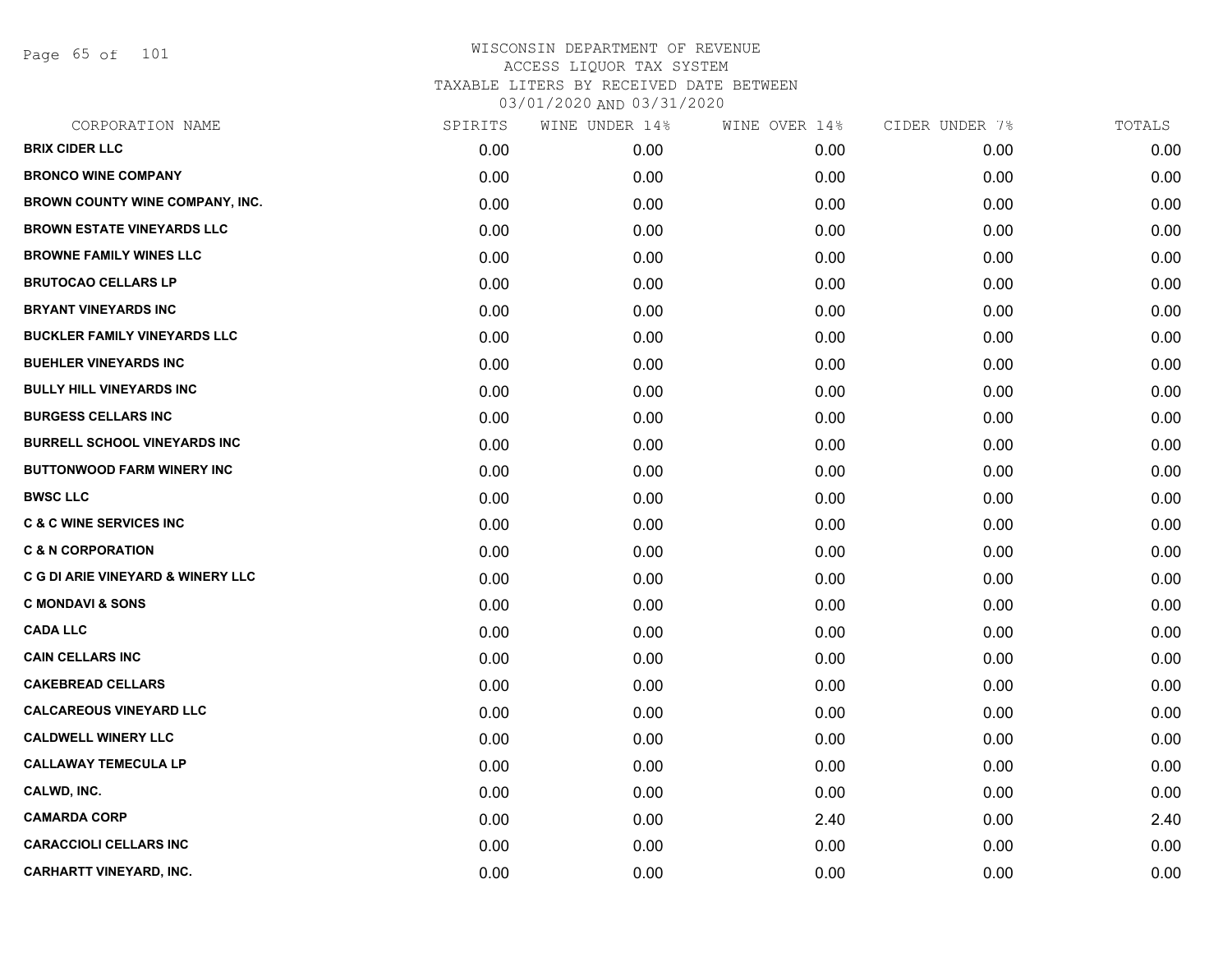Page 65 of 101

| CORPORATION NAME                             | SPIRITS | WINE UNDER 14% | WINE OVER 14% | CIDER UNDER 7% | TOTALS |
|----------------------------------------------|---------|----------------|---------------|----------------|--------|
| <b>BRIX CIDER LLC</b>                        | 0.00    | 0.00           | 0.00          | 0.00           | 0.00   |
| <b>BRONCO WINE COMPANY</b>                   | 0.00    | 0.00           | 0.00          | 0.00           | 0.00   |
| BROWN COUNTY WINE COMPANY, INC.              | 0.00    | 0.00           | 0.00          | 0.00           | 0.00   |
| <b>BROWN ESTATE VINEYARDS LLC</b>            | 0.00    | 0.00           | 0.00          | 0.00           | 0.00   |
| <b>BROWNE FAMILY WINES LLC</b>               | 0.00    | 0.00           | 0.00          | 0.00           | 0.00   |
| <b>BRUTOCAO CELLARS LP</b>                   | 0.00    | 0.00           | 0.00          | 0.00           | 0.00   |
| <b>BRYANT VINEYARDS INC</b>                  | 0.00    | 0.00           | 0.00          | 0.00           | 0.00   |
| <b>BUCKLER FAMILY VINEYARDS LLC</b>          | 0.00    | 0.00           | 0.00          | 0.00           | 0.00   |
| <b>BUEHLER VINEYARDS INC</b>                 | 0.00    | 0.00           | 0.00          | 0.00           | 0.00   |
| <b>BULLY HILL VINEYARDS INC</b>              | 0.00    | 0.00           | 0.00          | 0.00           | 0.00   |
| <b>BURGESS CELLARS INC</b>                   | 0.00    | 0.00           | 0.00          | 0.00           | 0.00   |
| <b>BURRELL SCHOOL VINEYARDS INC</b>          | 0.00    | 0.00           | 0.00          | 0.00           | 0.00   |
| <b>BUTTONWOOD FARM WINERY INC</b>            | 0.00    | 0.00           | 0.00          | 0.00           | 0.00   |
| <b>BWSC LLC</b>                              | 0.00    | 0.00           | 0.00          | 0.00           | 0.00   |
| <b>C &amp; C WINE SERVICES INC</b>           | 0.00    | 0.00           | 0.00          | 0.00           | 0.00   |
| <b>C &amp; N CORPORATION</b>                 | 0.00    | 0.00           | 0.00          | 0.00           | 0.00   |
| <b>C G DI ARIE VINEYARD &amp; WINERY LLC</b> | 0.00    | 0.00           | 0.00          | 0.00           | 0.00   |
| <b>C MONDAVI &amp; SONS</b>                  | 0.00    | 0.00           | 0.00          | 0.00           | 0.00   |
| <b>CADA LLC</b>                              | 0.00    | 0.00           | 0.00          | 0.00           | 0.00   |
| <b>CAIN CELLARS INC</b>                      | 0.00    | 0.00           | 0.00          | 0.00           | 0.00   |
| <b>CAKEBREAD CELLARS</b>                     | 0.00    | 0.00           | 0.00          | 0.00           | 0.00   |
| <b>CALCAREOUS VINEYARD LLC</b>               | 0.00    | 0.00           | 0.00          | 0.00           | 0.00   |
| <b>CALDWELL WINERY LLC</b>                   | 0.00    | 0.00           | 0.00          | 0.00           | 0.00   |
| <b>CALLAWAY TEMECULA LP</b>                  | 0.00    | 0.00           | 0.00          | 0.00           | 0.00   |
| CALWD, INC.                                  | 0.00    | 0.00           | 0.00          | 0.00           | 0.00   |
| <b>CAMARDA CORP</b>                          | 0.00    | 0.00           | 2.40          | 0.00           | 2.40   |
| <b>CARACCIOLI CELLARS INC</b>                | 0.00    | 0.00           | 0.00          | 0.00           | 0.00   |
| <b>CARHARTT VINEYARD, INC.</b>               | 0.00    | 0.00           | 0.00          | 0.00           | 0.00   |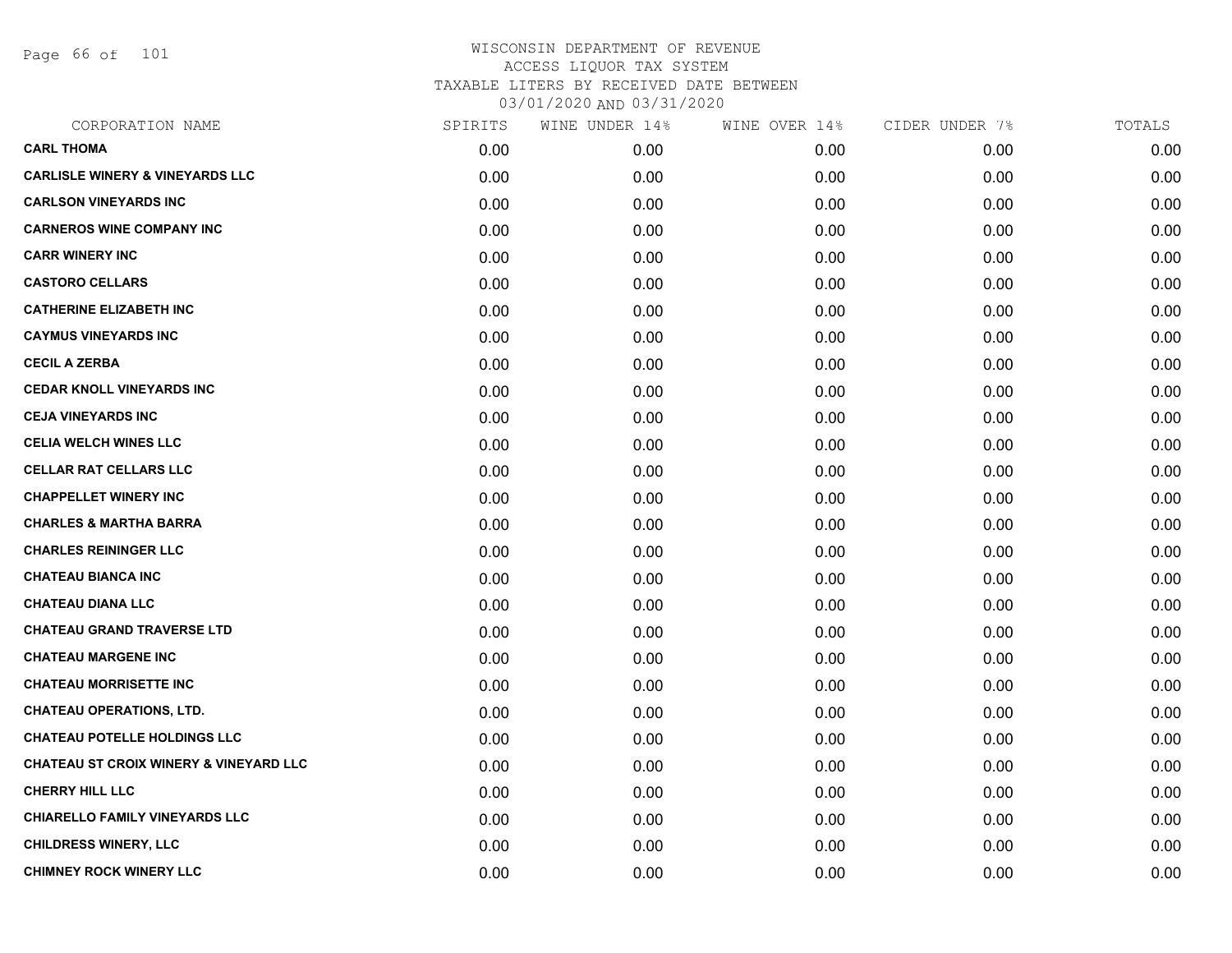Page 66 of 101

| CORPORATION NAME                           | SPIRITS | WINE UNDER 14% | WINE OVER 14% | CIDER UNDER 7% | TOTALS |
|--------------------------------------------|---------|----------------|---------------|----------------|--------|
| <b>CARL THOMA</b>                          | 0.00    | 0.00           | 0.00          | 0.00           | 0.00   |
| <b>CARLISLE WINERY &amp; VINEYARDS LLC</b> | 0.00    | 0.00           | 0.00          | 0.00           | 0.00   |
| <b>CARLSON VINEYARDS INC</b>               | 0.00    | 0.00           | 0.00          | 0.00           | 0.00   |
| <b>CARNEROS WINE COMPANY INC</b>           | 0.00    | 0.00           | 0.00          | 0.00           | 0.00   |
| <b>CARR WINERY INC</b>                     | 0.00    | 0.00           | 0.00          | 0.00           | 0.00   |
| <b>CASTORO CELLARS</b>                     | 0.00    | 0.00           | 0.00          | 0.00           | 0.00   |
| <b>CATHERINE ELIZABETH INC</b>             | 0.00    | 0.00           | 0.00          | 0.00           | 0.00   |
| <b>CAYMUS VINEYARDS INC</b>                | 0.00    | 0.00           | 0.00          | 0.00           | 0.00   |
| <b>CECIL A ZERBA</b>                       | 0.00    | 0.00           | 0.00          | 0.00           | 0.00   |
| <b>CEDAR KNOLL VINEYARDS INC</b>           | 0.00    | 0.00           | 0.00          | 0.00           | 0.00   |
| <b>CEJA VINEYARDS INC</b>                  | 0.00    | 0.00           | 0.00          | 0.00           | 0.00   |
| <b>CELIA WELCH WINES LLC</b>               | 0.00    | 0.00           | 0.00          | 0.00           | 0.00   |
| <b>CELLAR RAT CELLARS LLC</b>              | 0.00    | 0.00           | 0.00          | 0.00           | 0.00   |
| <b>CHAPPELLET WINERY INC</b>               | 0.00    | 0.00           | 0.00          | 0.00           | 0.00   |
| <b>CHARLES &amp; MARTHA BARRA</b>          | 0.00    | 0.00           | 0.00          | 0.00           | 0.00   |
| <b>CHARLES REININGER LLC</b>               | 0.00    | 0.00           | 0.00          | 0.00           | 0.00   |
| <b>CHATEAU BIANCA INC</b>                  | 0.00    | 0.00           | 0.00          | 0.00           | 0.00   |
| <b>CHATEAU DIANA LLC</b>                   | 0.00    | 0.00           | 0.00          | 0.00           | 0.00   |
| <b>CHATEAU GRAND TRAVERSE LTD</b>          | 0.00    | 0.00           | 0.00          | 0.00           | 0.00   |
| <b>CHATEAU MARGENE INC</b>                 | 0.00    | 0.00           | 0.00          | 0.00           | 0.00   |
| <b>CHATEAU MORRISETTE INC</b>              | 0.00    | 0.00           | 0.00          | 0.00           | 0.00   |
| <b>CHATEAU OPERATIONS, LTD.</b>            | 0.00    | 0.00           | 0.00          | 0.00           | 0.00   |
| <b>CHATEAU POTELLE HOLDINGS LLC</b>        | 0.00    | 0.00           | 0.00          | 0.00           | 0.00   |
| CHATEAU ST CROIX WINERY & VINEYARD LLC     | 0.00    | 0.00           | 0.00          | 0.00           | 0.00   |
| <b>CHERRY HILL LLC</b>                     | 0.00    | 0.00           | 0.00          | 0.00           | 0.00   |
| <b>CHIARELLO FAMILY VINEYARDS LLC</b>      | 0.00    | 0.00           | 0.00          | 0.00           | 0.00   |
| <b>CHILDRESS WINERY, LLC</b>               | 0.00    | 0.00           | 0.00          | 0.00           | 0.00   |
| <b>CHIMNEY ROCK WINERY LLC</b>             | 0.00    | 0.00           | 0.00          | 0.00           | 0.00   |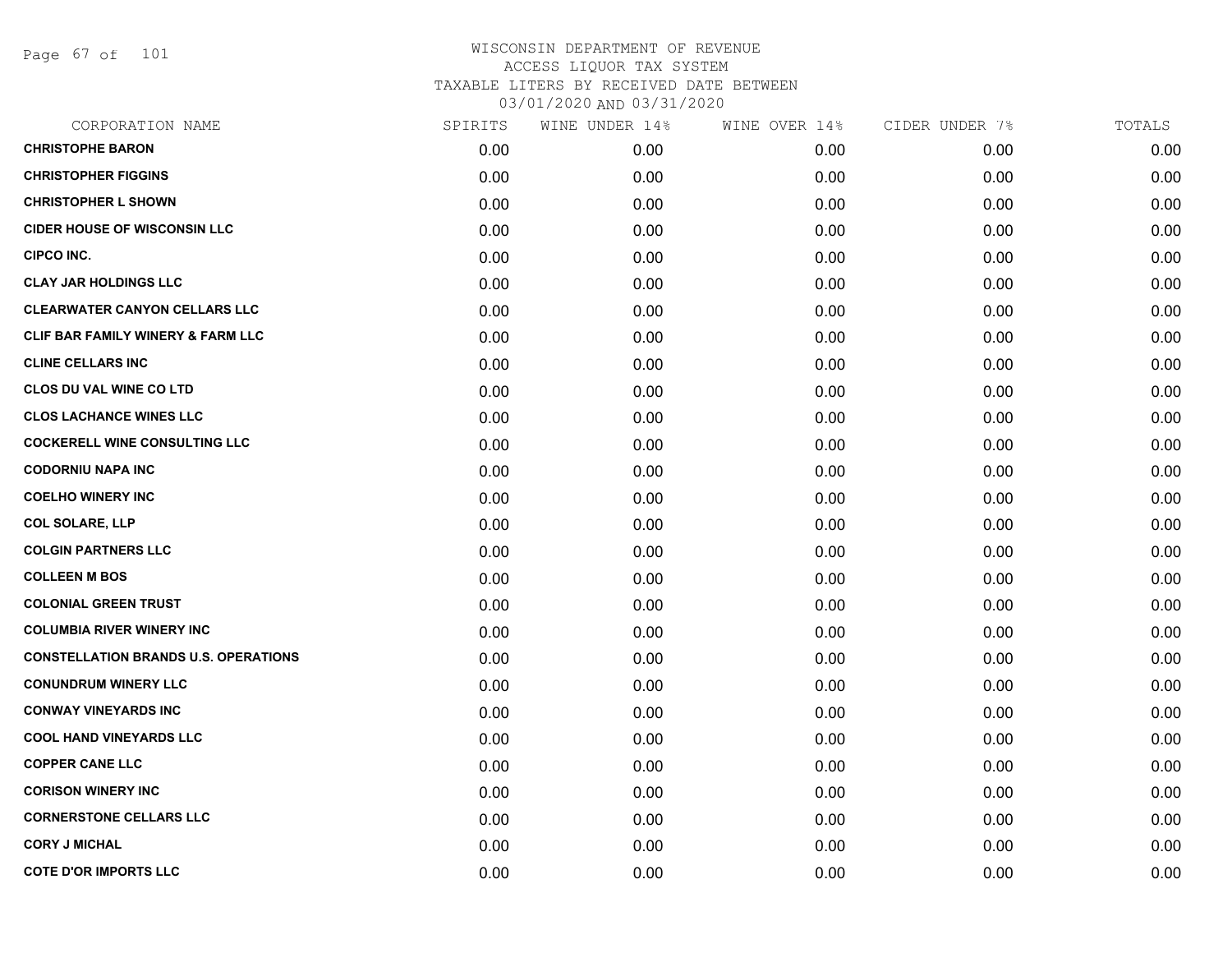Page 67 of 101

| CORPORATION NAME                             | SPIRITS | WINE UNDER 14% | WINE OVER 14% | CIDER UNDER 7% | TOTALS |
|----------------------------------------------|---------|----------------|---------------|----------------|--------|
| <b>CHRISTOPHE BARON</b>                      | 0.00    | 0.00           | 0.00          | 0.00           | 0.00   |
| <b>CHRISTOPHER FIGGINS</b>                   | 0.00    | 0.00           | 0.00          | 0.00           | 0.00   |
| <b>CHRISTOPHER L SHOWN</b>                   | 0.00    | 0.00           | 0.00          | 0.00           | 0.00   |
| <b>CIDER HOUSE OF WISCONSIN LLC</b>          | 0.00    | 0.00           | 0.00          | 0.00           | 0.00   |
| <b>CIPCO INC.</b>                            | 0.00    | 0.00           | 0.00          | 0.00           | 0.00   |
| <b>CLAY JAR HOLDINGS LLC</b>                 | 0.00    | 0.00           | 0.00          | 0.00           | 0.00   |
| <b>CLEARWATER CANYON CELLARS LLC</b>         | 0.00    | 0.00           | 0.00          | 0.00           | 0.00   |
| <b>CLIF BAR FAMILY WINERY &amp; FARM LLC</b> | 0.00    | 0.00           | 0.00          | 0.00           | 0.00   |
| <b>CLINE CELLARS INC</b>                     | 0.00    | 0.00           | 0.00          | 0.00           | 0.00   |
| <b>CLOS DU VAL WINE CO LTD</b>               | 0.00    | 0.00           | 0.00          | 0.00           | 0.00   |
| <b>CLOS LACHANCE WINES LLC</b>               | 0.00    | 0.00           | 0.00          | 0.00           | 0.00   |
| <b>COCKERELL WINE CONSULTING LLC</b>         | 0.00    | 0.00           | 0.00          | 0.00           | 0.00   |
| <b>CODORNIU NAPA INC</b>                     | 0.00    | 0.00           | 0.00          | 0.00           | 0.00   |
| <b>COELHO WINERY INC</b>                     | 0.00    | 0.00           | 0.00          | 0.00           | 0.00   |
| <b>COL SOLARE, LLP</b>                       | 0.00    | 0.00           | 0.00          | 0.00           | 0.00   |
| <b>COLGIN PARTNERS LLC</b>                   | 0.00    | 0.00           | 0.00          | 0.00           | 0.00   |
| <b>COLLEEN M BOS</b>                         | 0.00    | 0.00           | 0.00          | 0.00           | 0.00   |
| <b>COLONIAL GREEN TRUST</b>                  | 0.00    | 0.00           | 0.00          | 0.00           | 0.00   |
| <b>COLUMBIA RIVER WINERY INC</b>             | 0.00    | 0.00           | 0.00          | 0.00           | 0.00   |
| <b>CONSTELLATION BRANDS U.S. OPERATIONS</b>  | 0.00    | 0.00           | 0.00          | 0.00           | 0.00   |
| <b>CONUNDRUM WINERY LLC</b>                  | 0.00    | 0.00           | 0.00          | 0.00           | 0.00   |
| <b>CONWAY VINEYARDS INC</b>                  | 0.00    | 0.00           | 0.00          | 0.00           | 0.00   |
| <b>COOL HAND VINEYARDS LLC</b>               | 0.00    | 0.00           | 0.00          | 0.00           | 0.00   |
| <b>COPPER CANE LLC</b>                       | 0.00    | 0.00           | 0.00          | 0.00           | 0.00   |
| <b>CORISON WINERY INC</b>                    | 0.00    | 0.00           | 0.00          | 0.00           | 0.00   |
| <b>CORNERSTONE CELLARS LLC</b>               | 0.00    | 0.00           | 0.00          | 0.00           | 0.00   |
| <b>CORY J MICHAL</b>                         | 0.00    | 0.00           | 0.00          | 0.00           | 0.00   |
| <b>COTE D'OR IMPORTS LLC</b>                 | 0.00    | 0.00           | 0.00          | 0.00           | 0.00   |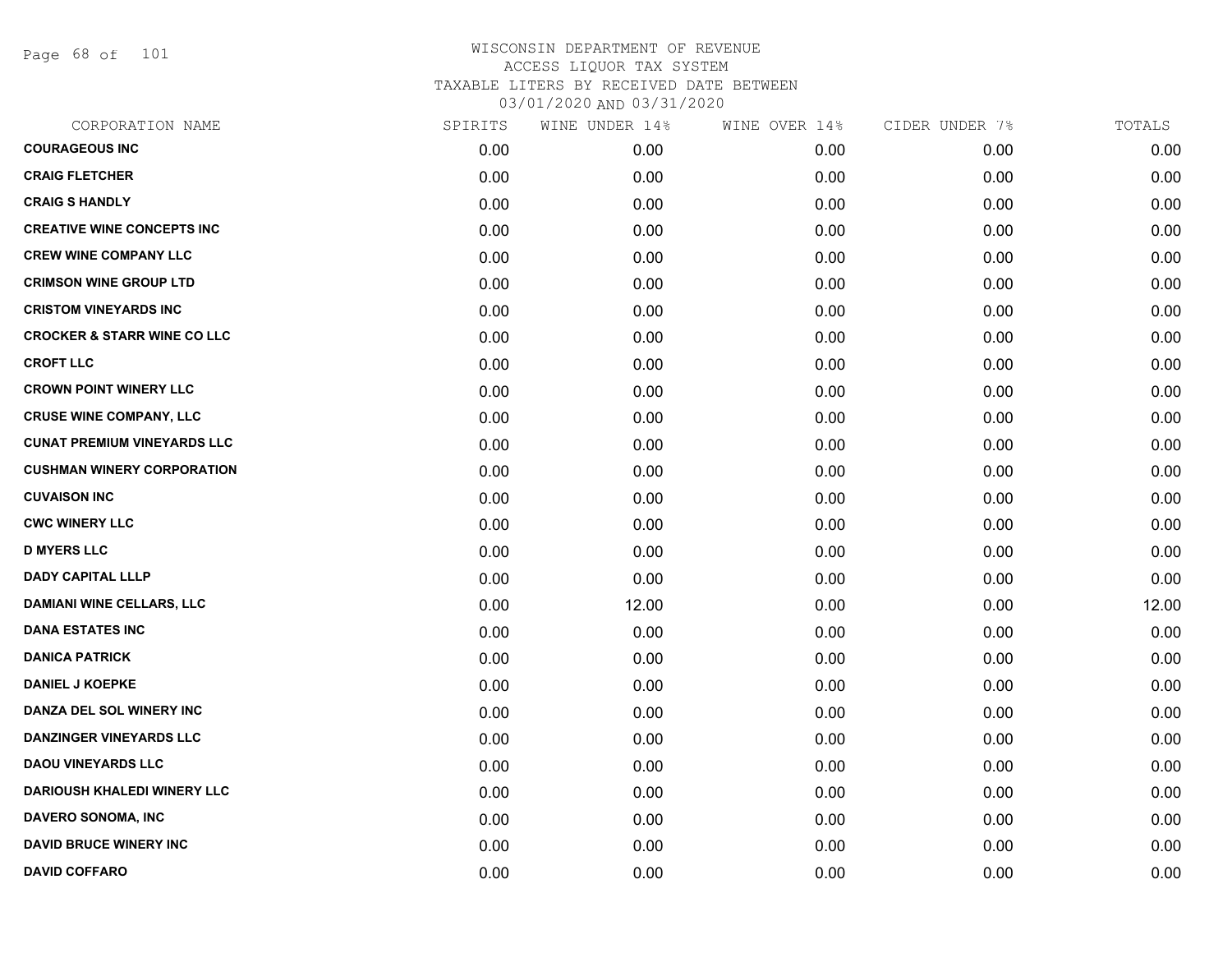Page 68 of 101

| CORPORATION NAME                       | SPIRITS | WINE UNDER 14% | WINE OVER 14% | CIDER UNDER 7% | TOTALS |
|----------------------------------------|---------|----------------|---------------|----------------|--------|
| <b>COURAGEOUS INC</b>                  | 0.00    | 0.00           | 0.00          | 0.00           | 0.00   |
| <b>CRAIG FLETCHER</b>                  | 0.00    | 0.00           | 0.00          | 0.00           | 0.00   |
| <b>CRAIG S HANDLY</b>                  | 0.00    | 0.00           | 0.00          | 0.00           | 0.00   |
| <b>CREATIVE WINE CONCEPTS INC</b>      | 0.00    | 0.00           | 0.00          | 0.00           | 0.00   |
| <b>CREW WINE COMPANY LLC</b>           | 0.00    | 0.00           | 0.00          | 0.00           | 0.00   |
| <b>CRIMSON WINE GROUP LTD</b>          | 0.00    | 0.00           | 0.00          | 0.00           | 0.00   |
| <b>CRISTOM VINEYARDS INC</b>           | 0.00    | 0.00           | 0.00          | 0.00           | 0.00   |
| <b>CROCKER &amp; STARR WINE CO LLC</b> | 0.00    | 0.00           | 0.00          | 0.00           | 0.00   |
| <b>CROFT LLC</b>                       | 0.00    | 0.00           | 0.00          | 0.00           | 0.00   |
| <b>CROWN POINT WINERY LLC</b>          | 0.00    | 0.00           | 0.00          | 0.00           | 0.00   |
| <b>CRUSE WINE COMPANY, LLC</b>         | 0.00    | 0.00           | 0.00          | 0.00           | 0.00   |
| <b>CUNAT PREMIUM VINEYARDS LLC</b>     | 0.00    | 0.00           | 0.00          | 0.00           | 0.00   |
| <b>CUSHMAN WINERY CORPORATION</b>      | 0.00    | 0.00           | 0.00          | 0.00           | 0.00   |
| <b>CUVAISON INC</b>                    | 0.00    | 0.00           | 0.00          | 0.00           | 0.00   |
| <b>CWC WINERY LLC</b>                  | 0.00    | 0.00           | 0.00          | 0.00           | 0.00   |
| <b>D MYERS LLC</b>                     | 0.00    | 0.00           | 0.00          | 0.00           | 0.00   |
| <b>DADY CAPITAL LLLP</b>               | 0.00    | 0.00           | 0.00          | 0.00           | 0.00   |
| <b>DAMIANI WINE CELLARS, LLC</b>       | 0.00    | 12.00          | 0.00          | 0.00           | 12.00  |
| <b>DANA ESTATES INC</b>                | 0.00    | 0.00           | 0.00          | 0.00           | 0.00   |
| <b>DANICA PATRICK</b>                  | 0.00    | 0.00           | 0.00          | 0.00           | 0.00   |
| <b>DANIEL J KOEPKE</b>                 | 0.00    | 0.00           | 0.00          | 0.00           | 0.00   |
| DANZA DEL SOL WINERY INC               | 0.00    | 0.00           | 0.00          | 0.00           | 0.00   |
| <b>DANZINGER VINEYARDS LLC</b>         | 0.00    | 0.00           | 0.00          | 0.00           | 0.00   |
| <b>DAOU VINEYARDS LLC</b>              | 0.00    | 0.00           | 0.00          | 0.00           | 0.00   |
| <b>DARIOUSH KHALEDI WINERY LLC</b>     | 0.00    | 0.00           | 0.00          | 0.00           | 0.00   |
| DAVERO SONOMA, INC                     | 0.00    | 0.00           | 0.00          | 0.00           | 0.00   |
| <b>DAVID BRUCE WINERY INC</b>          | 0.00    | 0.00           | 0.00          | 0.00           | 0.00   |
| <b>DAVID COFFARO</b>                   | 0.00    | 0.00           | 0.00          | 0.00           | 0.00   |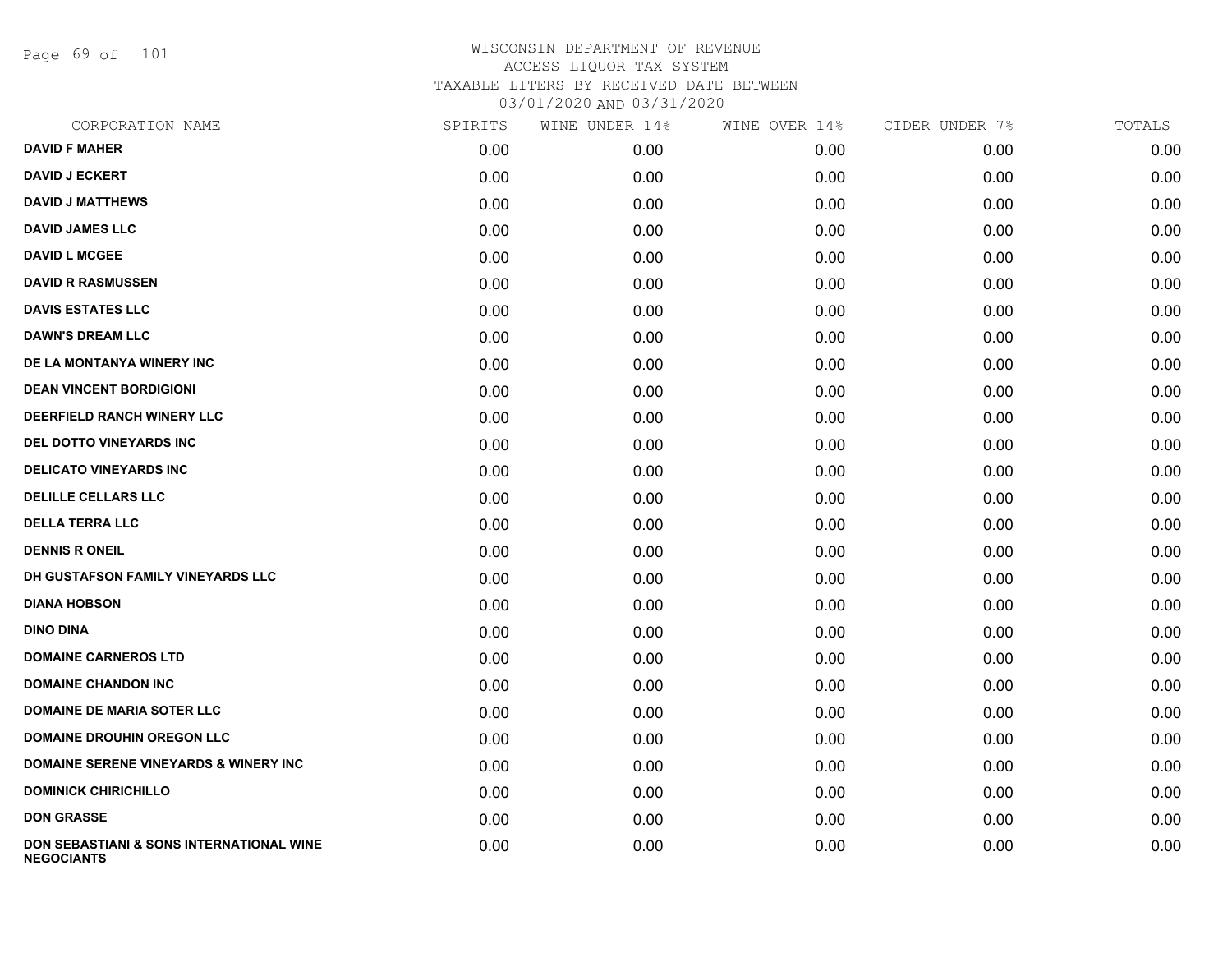Page 69 of 101

| CORPORATION NAME                                                         | SPIRITS | WINE UNDER 14% | WINE OVER 14% | CIDER UNDER 7% | TOTALS |
|--------------------------------------------------------------------------|---------|----------------|---------------|----------------|--------|
| <b>DAVID F MAHER</b>                                                     | 0.00    | 0.00           | 0.00          | 0.00           | 0.00   |
| <b>DAVID J ECKERT</b>                                                    | 0.00    | 0.00           | 0.00          | 0.00           | 0.00   |
| <b>DAVID J MATTHEWS</b>                                                  | 0.00    | 0.00           | 0.00          | 0.00           | 0.00   |
| <b>DAVID JAMES LLC</b>                                                   | 0.00    | 0.00           | 0.00          | 0.00           | 0.00   |
| <b>DAVID L MCGEE</b>                                                     | 0.00    | 0.00           | 0.00          | 0.00           | 0.00   |
| <b>DAVID R RASMUSSEN</b>                                                 | 0.00    | 0.00           | 0.00          | 0.00           | 0.00   |
| <b>DAVIS ESTATES LLC</b>                                                 | 0.00    | 0.00           | 0.00          | 0.00           | 0.00   |
| <b>DAWN'S DREAM LLC</b>                                                  | 0.00    | 0.00           | 0.00          | 0.00           | 0.00   |
| DE LA MONTANYA WINERY INC                                                | 0.00    | 0.00           | 0.00          | 0.00           | 0.00   |
| <b>DEAN VINCENT BORDIGIONI</b>                                           | 0.00    | 0.00           | 0.00          | 0.00           | 0.00   |
| <b>DEERFIELD RANCH WINERY LLC</b>                                        | 0.00    | 0.00           | 0.00          | 0.00           | 0.00   |
| DEL DOTTO VINEYARDS INC                                                  | 0.00    | 0.00           | 0.00          | 0.00           | 0.00   |
| <b>DELICATO VINEYARDS INC</b>                                            | 0.00    | 0.00           | 0.00          | 0.00           | 0.00   |
| <b>DELILLE CELLARS LLC</b>                                               | 0.00    | 0.00           | 0.00          | 0.00           | 0.00   |
| <b>DELLA TERRA LLC</b>                                                   | 0.00    | 0.00           | 0.00          | 0.00           | 0.00   |
| <b>DENNIS R ONEIL</b>                                                    | 0.00    | 0.00           | 0.00          | 0.00           | 0.00   |
| DH GUSTAFSON FAMILY VINEYARDS LLC                                        | 0.00    | 0.00           | 0.00          | 0.00           | 0.00   |
| <b>DIANA HOBSON</b>                                                      | 0.00    | 0.00           | 0.00          | 0.00           | 0.00   |
| <b>DINO DINA</b>                                                         | 0.00    | 0.00           | 0.00          | 0.00           | 0.00   |
| <b>DOMAINE CARNEROS LTD</b>                                              | 0.00    | 0.00           | 0.00          | 0.00           | 0.00   |
| <b>DOMAINE CHANDON INC</b>                                               | 0.00    | 0.00           | 0.00          | 0.00           | 0.00   |
| <b>DOMAINE DE MARIA SOTER LLC</b>                                        | 0.00    | 0.00           | 0.00          | 0.00           | 0.00   |
| <b>DOMAINE DROUHIN OREGON LLC</b>                                        | 0.00    | 0.00           | 0.00          | 0.00           | 0.00   |
| <b>DOMAINE SERENE VINEYARDS &amp; WINERY INC</b>                         | 0.00    | 0.00           | 0.00          | 0.00           | 0.00   |
| <b>DOMINICK CHIRICHILLO</b>                                              | 0.00    | 0.00           | 0.00          | 0.00           | 0.00   |
| <b>DON GRASSE</b>                                                        | 0.00    | 0.00           | 0.00          | 0.00           | 0.00   |
| <b>DON SEBASTIANI &amp; SONS INTERNATIONAL WINE</b><br><b>NEGOCIANTS</b> | 0.00    | 0.00           | 0.00          | 0.00           | 0.00   |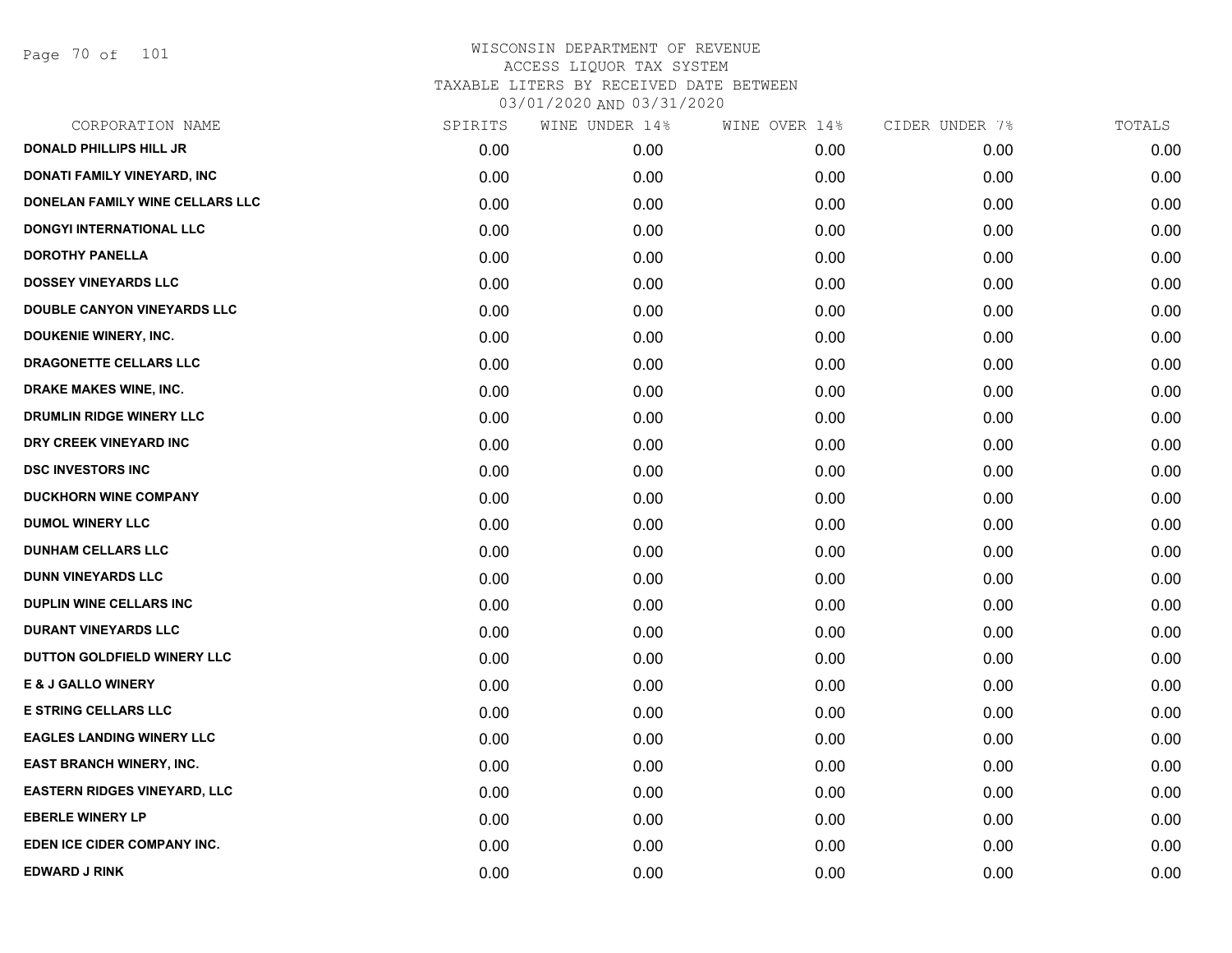Page 70 of 101

| CORPORATION NAME                    | SPIRITS | WINE UNDER 14% | WINE OVER 14% | CIDER UNDER 7% | TOTALS |
|-------------------------------------|---------|----------------|---------------|----------------|--------|
| <b>DONALD PHILLIPS HILL JR</b>      | 0.00    | 0.00           | 0.00          | 0.00           | 0.00   |
| <b>DONATI FAMILY VINEYARD, INC</b>  | 0.00    | 0.00           | 0.00          | 0.00           | 0.00   |
| DONELAN FAMILY WINE CELLARS LLC     | 0.00    | 0.00           | 0.00          | 0.00           | 0.00   |
| <b>DONGYI INTERNATIONAL LLC</b>     | 0.00    | 0.00           | 0.00          | 0.00           | 0.00   |
| <b>DOROTHY PANELLA</b>              | 0.00    | 0.00           | 0.00          | 0.00           | 0.00   |
| <b>DOSSEY VINEYARDS LLC</b>         | 0.00    | 0.00           | 0.00          | 0.00           | 0.00   |
| DOUBLE CANYON VINEYARDS LLC         | 0.00    | 0.00           | 0.00          | 0.00           | 0.00   |
| DOUKENIE WINERY, INC.               | 0.00    | 0.00           | 0.00          | 0.00           | 0.00   |
| DRAGONETTE CELLARS LLC              | 0.00    | 0.00           | 0.00          | 0.00           | 0.00   |
| DRAKE MAKES WINE, INC.              | 0.00    | 0.00           | 0.00          | 0.00           | 0.00   |
| DRUMLIN RIDGE WINERY LLC            | 0.00    | 0.00           | 0.00          | 0.00           | 0.00   |
| DRY CREEK VINEYARD INC              | 0.00    | 0.00           | 0.00          | 0.00           | 0.00   |
| <b>DSC INVESTORS INC</b>            | 0.00    | 0.00           | 0.00          | 0.00           | 0.00   |
| <b>DUCKHORN WINE COMPANY</b>        | 0.00    | 0.00           | 0.00          | 0.00           | 0.00   |
| <b>DUMOL WINERY LLC</b>             | 0.00    | 0.00           | 0.00          | 0.00           | 0.00   |
| <b>DUNHAM CELLARS LLC</b>           | 0.00    | 0.00           | 0.00          | 0.00           | 0.00   |
| <b>DUNN VINEYARDS LLC</b>           | 0.00    | 0.00           | 0.00          | 0.00           | 0.00   |
| <b>DUPLIN WINE CELLARS INC</b>      | 0.00    | 0.00           | 0.00          | 0.00           | 0.00   |
| <b>DURANT VINEYARDS LLC</b>         | 0.00    | 0.00           | 0.00          | 0.00           | 0.00   |
| DUTTON GOLDFIELD WINERY LLC         | 0.00    | 0.00           | 0.00          | 0.00           | 0.00   |
| <b>E &amp; J GALLO WINERY</b>       | 0.00    | 0.00           | 0.00          | 0.00           | 0.00   |
| <b>E STRING CELLARS LLC</b>         | 0.00    | 0.00           | 0.00          | 0.00           | 0.00   |
| <b>EAGLES LANDING WINERY LLC</b>    | 0.00    | 0.00           | 0.00          | 0.00           | 0.00   |
| <b>EAST BRANCH WINERY, INC.</b>     | 0.00    | 0.00           | 0.00          | 0.00           | 0.00   |
| <b>EASTERN RIDGES VINEYARD, LLC</b> | 0.00    | 0.00           | 0.00          | 0.00           | 0.00   |
| <b>EBERLE WINERY LP</b>             | 0.00    | 0.00           | 0.00          | 0.00           | 0.00   |
| EDEN ICE CIDER COMPANY INC.         | 0.00    | 0.00           | 0.00          | 0.00           | 0.00   |
| <b>EDWARD J RINK</b>                | 0.00    | 0.00           | 0.00          | 0.00           | 0.00   |
|                                     |         |                |               |                |        |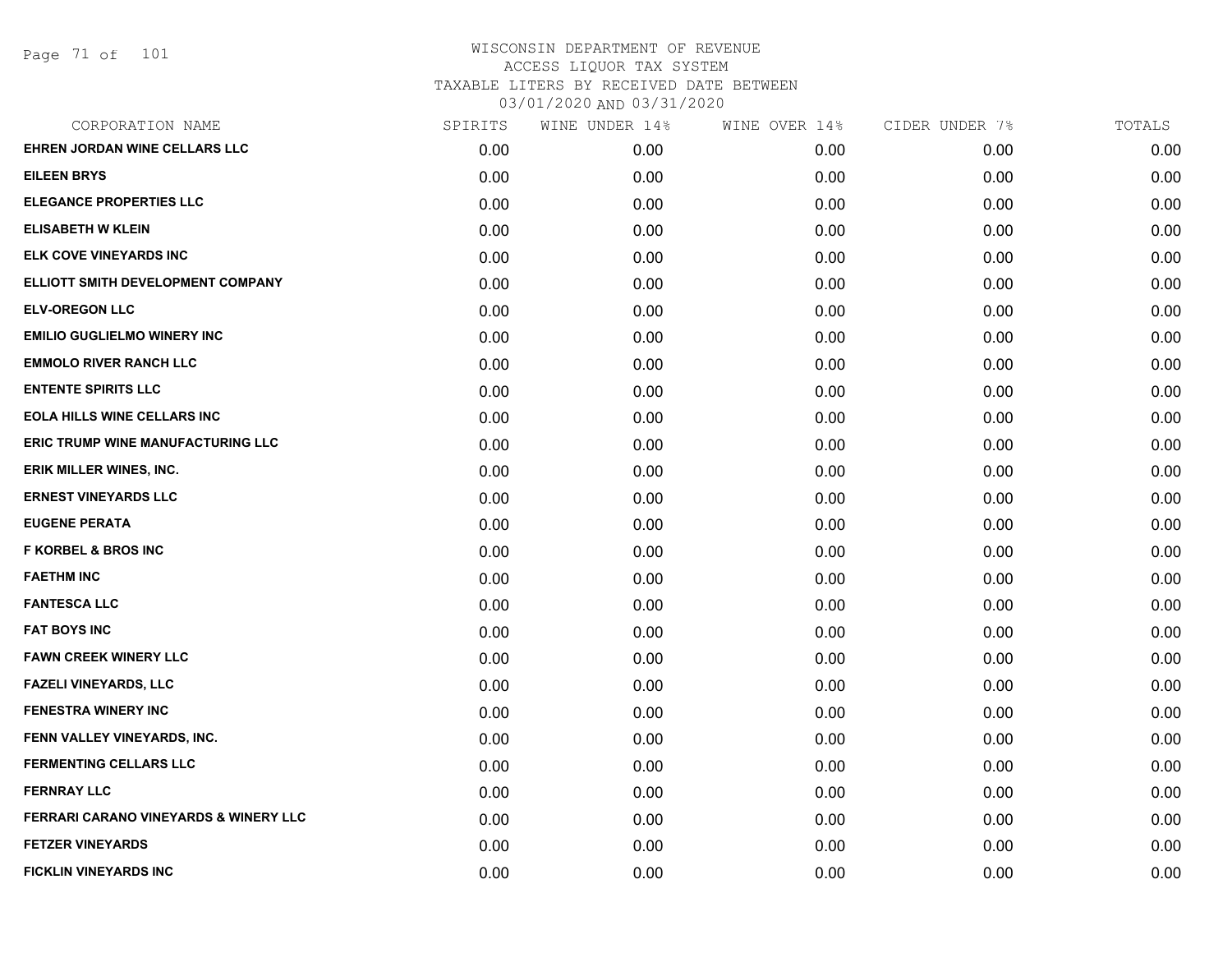Page 71 of 101

| CORPORATION NAME                                 | SPIRITS | WINE UNDER 14% | WINE OVER 14% | CIDER UNDER 7% | TOTALS |
|--------------------------------------------------|---------|----------------|---------------|----------------|--------|
| EHREN JORDAN WINE CELLARS LLC                    | 0.00    | 0.00           | 0.00          | 0.00           | 0.00   |
| <b>EILEEN BRYS</b>                               | 0.00    | 0.00           | 0.00          | 0.00           | 0.00   |
| <b>ELEGANCE PROPERTIES LLC</b>                   | 0.00    | 0.00           | 0.00          | 0.00           | 0.00   |
| <b>ELISABETH W KLEIN</b>                         | 0.00    | 0.00           | 0.00          | 0.00           | 0.00   |
| ELK COVE VINEYARDS INC                           | 0.00    | 0.00           | 0.00          | 0.00           | 0.00   |
| ELLIOTT SMITH DEVELOPMENT COMPANY                | 0.00    | 0.00           | 0.00          | 0.00           | 0.00   |
| <b>ELV-OREGON LLC</b>                            | 0.00    | 0.00           | 0.00          | 0.00           | 0.00   |
| <b>EMILIO GUGLIELMO WINERY INC</b>               | 0.00    | 0.00           | 0.00          | 0.00           | 0.00   |
| <b>EMMOLO RIVER RANCH LLC</b>                    | 0.00    | 0.00           | 0.00          | 0.00           | 0.00   |
| <b>ENTENTE SPIRITS LLC</b>                       | 0.00    | 0.00           | 0.00          | 0.00           | 0.00   |
| <b>EOLA HILLS WINE CELLARS INC</b>               | 0.00    | 0.00           | 0.00          | 0.00           | 0.00   |
| ERIC TRUMP WINE MANUFACTURING LLC                | 0.00    | 0.00           | 0.00          | 0.00           | 0.00   |
| ERIK MILLER WINES, INC.                          | 0.00    | 0.00           | 0.00          | 0.00           | 0.00   |
| <b>ERNEST VINEYARDS LLC</b>                      | 0.00    | 0.00           | 0.00          | 0.00           | 0.00   |
| <b>EUGENE PERATA</b>                             | 0.00    | 0.00           | 0.00          | 0.00           | 0.00   |
| <b>F KORBEL &amp; BROS INC</b>                   | 0.00    | 0.00           | 0.00          | 0.00           | 0.00   |
| <b>FAETHM INC</b>                                | 0.00    | 0.00           | 0.00          | 0.00           | 0.00   |
| <b>FANTESCA LLC</b>                              | 0.00    | 0.00           | 0.00          | 0.00           | 0.00   |
| <b>FAT BOYS INC</b>                              | 0.00    | 0.00           | 0.00          | 0.00           | 0.00   |
| <b>FAWN CREEK WINERY LLC</b>                     | 0.00    | 0.00           | 0.00          | 0.00           | 0.00   |
| <b>FAZELI VINEYARDS, LLC</b>                     | 0.00    | 0.00           | 0.00          | 0.00           | 0.00   |
| <b>FENESTRA WINERY INC</b>                       | 0.00    | 0.00           | 0.00          | 0.00           | 0.00   |
| FENN VALLEY VINEYARDS, INC.                      | 0.00    | 0.00           | 0.00          | 0.00           | 0.00   |
| <b>FERMENTING CELLARS LLC</b>                    | 0.00    | 0.00           | 0.00          | 0.00           | 0.00   |
| <b>FERNRAY LLC</b>                               | 0.00    | 0.00           | 0.00          | 0.00           | 0.00   |
| <b>FERRARI CARANO VINEYARDS &amp; WINERY LLC</b> | 0.00    | 0.00           | 0.00          | 0.00           | 0.00   |
| <b>FETZER VINEYARDS</b>                          | 0.00    | 0.00           | 0.00          | 0.00           | 0.00   |
| <b>FICKLIN VINEYARDS INC</b>                     | 0.00    | 0.00           | 0.00          | 0.00           | 0.00   |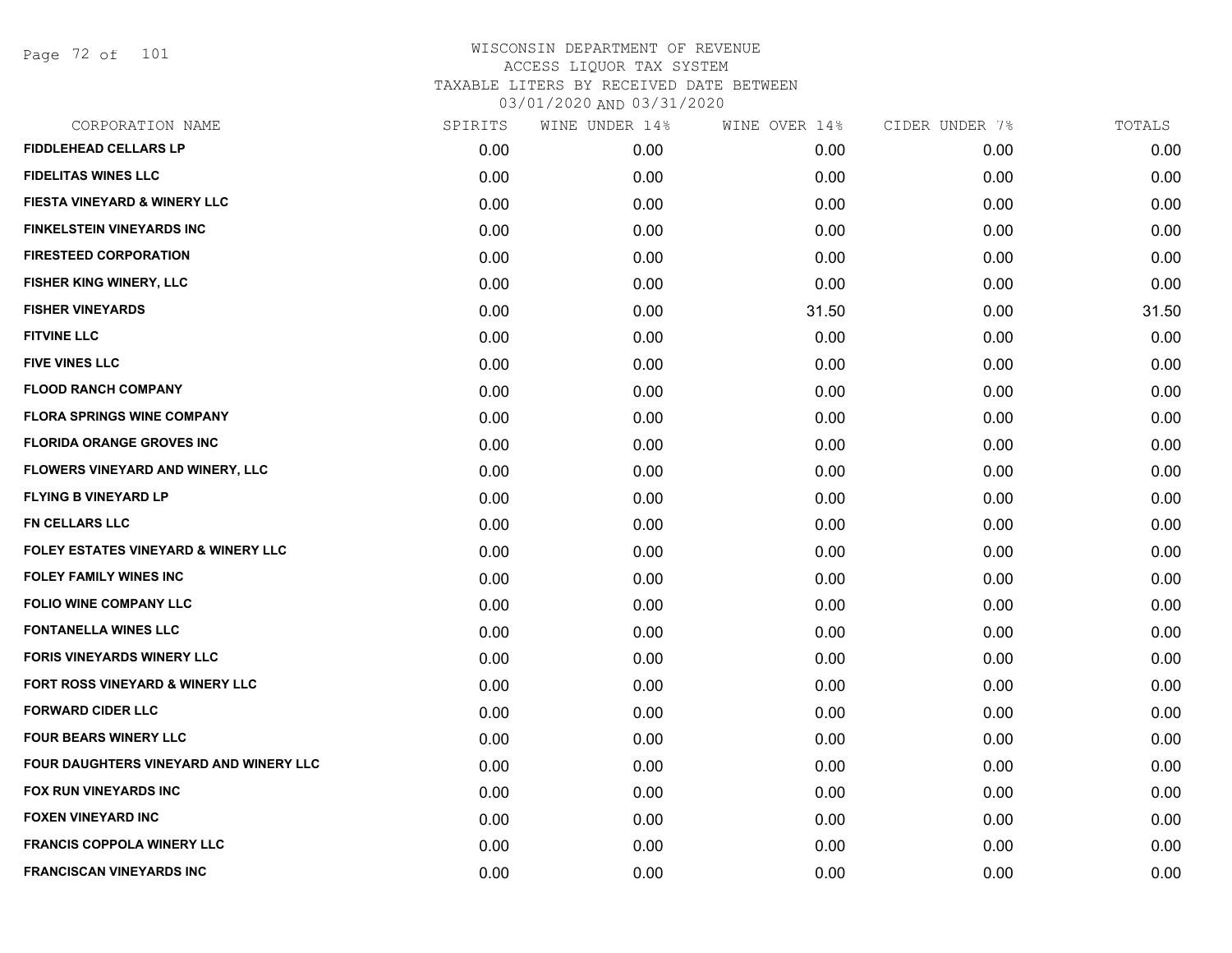Page 72 of 101

| CORPORATION NAME                               | SPIRITS | WINE UNDER 14% | WINE OVER 14% | CIDER UNDER 7% | TOTALS |
|------------------------------------------------|---------|----------------|---------------|----------------|--------|
| <b>FIDDLEHEAD CELLARS LP</b>                   | 0.00    | 0.00           | 0.00          | 0.00           | 0.00   |
| <b>FIDELITAS WINES LLC</b>                     | 0.00    | 0.00           | 0.00          | 0.00           | 0.00   |
| FIESTA VINEYARD & WINERY LLC                   | 0.00    | 0.00           | 0.00          | 0.00           | 0.00   |
| <b>FINKELSTEIN VINEYARDS INC</b>               | 0.00    | 0.00           | 0.00          | 0.00           | 0.00   |
| <b>FIRESTEED CORPORATION</b>                   | 0.00    | 0.00           | 0.00          | 0.00           | 0.00   |
| <b>FISHER KING WINERY, LLC</b>                 | 0.00    | 0.00           | 0.00          | 0.00           | 0.00   |
| <b>FISHER VINEYARDS</b>                        | 0.00    | 0.00           | 31.50         | 0.00           | 31.50  |
| <b>FITVINE LLC</b>                             | 0.00    | 0.00           | 0.00          | 0.00           | 0.00   |
| <b>FIVE VINES LLC</b>                          | 0.00    | 0.00           | 0.00          | 0.00           | 0.00   |
| <b>FLOOD RANCH COMPANY</b>                     | 0.00    | 0.00           | 0.00          | 0.00           | 0.00   |
| <b>FLORA SPRINGS WINE COMPANY</b>              | 0.00    | 0.00           | 0.00          | 0.00           | 0.00   |
| <b>FLORIDA ORANGE GROVES INC</b>               | 0.00    | 0.00           | 0.00          | 0.00           | 0.00   |
| <b>FLOWERS VINEYARD AND WINERY, LLC</b>        | 0.00    | 0.00           | 0.00          | 0.00           | 0.00   |
| <b>FLYING B VINEYARD LP</b>                    | 0.00    | 0.00           | 0.00          | 0.00           | 0.00   |
| FN CELLARS LLC                                 | 0.00    | 0.00           | 0.00          | 0.00           | 0.00   |
| <b>FOLEY ESTATES VINEYARD &amp; WINERY LLC</b> | 0.00    | 0.00           | 0.00          | 0.00           | 0.00   |
| <b>FOLEY FAMILY WINES INC</b>                  | 0.00    | 0.00           | 0.00          | 0.00           | 0.00   |
| <b>FOLIO WINE COMPANY LLC</b>                  | 0.00    | 0.00           | 0.00          | 0.00           | 0.00   |
| <b>FONTANELLA WINES LLC</b>                    | 0.00    | 0.00           | 0.00          | 0.00           | 0.00   |
| <b>FORIS VINEYARDS WINERY LLC</b>              | 0.00    | 0.00           | 0.00          | 0.00           | 0.00   |
| <b>FORT ROSS VINEYARD &amp; WINERY LLC</b>     | 0.00    | 0.00           | 0.00          | 0.00           | 0.00   |
| <b>FORWARD CIDER LLC</b>                       | 0.00    | 0.00           | 0.00          | 0.00           | 0.00   |
| <b>FOUR BEARS WINERY LLC</b>                   | 0.00    | 0.00           | 0.00          | 0.00           | 0.00   |
| FOUR DAUGHTERS VINEYARD AND WINERY LLC         | 0.00    | 0.00           | 0.00          | 0.00           | 0.00   |
| <b>FOX RUN VINEYARDS INC</b>                   | 0.00    | 0.00           | 0.00          | 0.00           | 0.00   |
| <b>FOXEN VINEYARD INC</b>                      | 0.00    | 0.00           | 0.00          | 0.00           | 0.00   |
| <b>FRANCIS COPPOLA WINERY LLC</b>              | 0.00    | 0.00           | 0.00          | 0.00           | 0.00   |
| <b>FRANCISCAN VINEYARDS INC</b>                | 0.00    | 0.00           | 0.00          | 0.00           | 0.00   |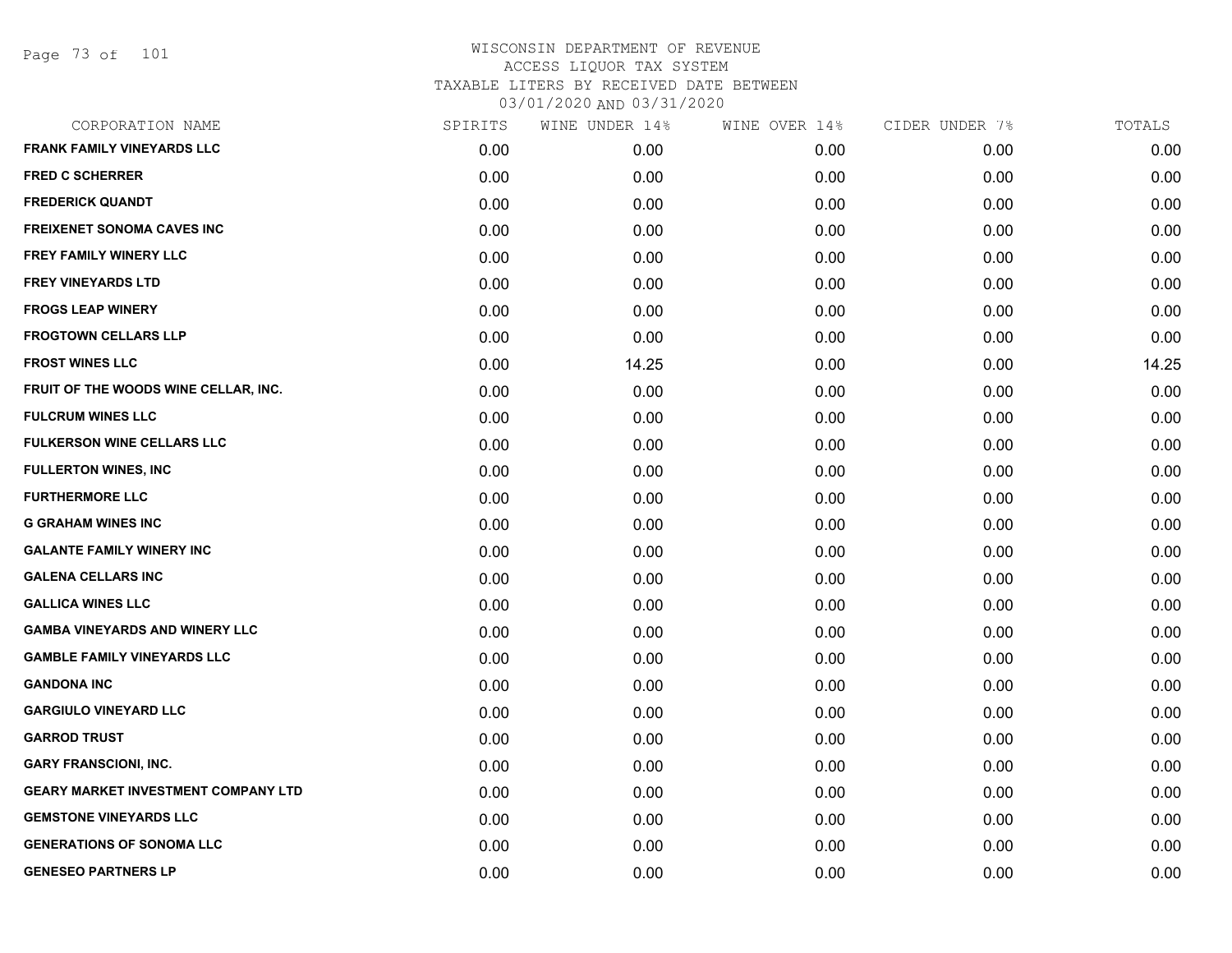Page 73 of 101

| CORPORATION NAME                           | SPIRITS | WINE UNDER 14% | WINE OVER 14% | CIDER UNDER 7% | TOTALS |
|--------------------------------------------|---------|----------------|---------------|----------------|--------|
| <b>FRANK FAMILY VINEYARDS LLC</b>          | 0.00    | 0.00           | 0.00          | 0.00           | 0.00   |
| <b>FRED C SCHERRER</b>                     | 0.00    | 0.00           | 0.00          | 0.00           | 0.00   |
| <b>FREDERICK QUANDT</b>                    | 0.00    | 0.00           | 0.00          | 0.00           | 0.00   |
| <b>FREIXENET SONOMA CAVES INC</b>          | 0.00    | 0.00           | 0.00          | 0.00           | 0.00   |
| <b>FREY FAMILY WINERY LLC</b>              | 0.00    | 0.00           | 0.00          | 0.00           | 0.00   |
| <b>FREY VINEYARDS LTD</b>                  | 0.00    | 0.00           | 0.00          | 0.00           | 0.00   |
| <b>FROGS LEAP WINERY</b>                   | 0.00    | 0.00           | 0.00          | 0.00           | 0.00   |
| <b>FROGTOWN CELLARS LLP</b>                | 0.00    | 0.00           | 0.00          | 0.00           | 0.00   |
| <b>FROST WINES LLC</b>                     | 0.00    | 14.25          | 0.00          | 0.00           | 14.25  |
| FRUIT OF THE WOODS WINE CELLAR, INC.       | 0.00    | 0.00           | 0.00          | 0.00           | 0.00   |
| <b>FULCRUM WINES LLC</b>                   | 0.00    | 0.00           | 0.00          | 0.00           | 0.00   |
| <b>FULKERSON WINE CELLARS LLC</b>          | 0.00    | 0.00           | 0.00          | 0.00           | 0.00   |
| <b>FULLERTON WINES, INC</b>                | 0.00    | 0.00           | 0.00          | 0.00           | 0.00   |
| <b>FURTHERMORE LLC</b>                     | 0.00    | 0.00           | 0.00          | 0.00           | 0.00   |
| <b>G GRAHAM WINES INC</b>                  | 0.00    | 0.00           | 0.00          | 0.00           | 0.00   |
| <b>GALANTE FAMILY WINERY INC</b>           | 0.00    | 0.00           | 0.00          | 0.00           | 0.00   |
| <b>GALENA CELLARS INC</b>                  | 0.00    | 0.00           | 0.00          | 0.00           | 0.00   |
| <b>GALLICA WINES LLC</b>                   | 0.00    | 0.00           | 0.00          | 0.00           | 0.00   |
| <b>GAMBA VINEYARDS AND WINERY LLC</b>      | 0.00    | 0.00           | 0.00          | 0.00           | 0.00   |
| <b>GAMBLE FAMILY VINEYARDS LLC</b>         | 0.00    | 0.00           | 0.00          | 0.00           | 0.00   |
| <b>GANDONA INC</b>                         | 0.00    | 0.00           | 0.00          | 0.00           | 0.00   |
| <b>GARGIULO VINEYARD LLC</b>               | 0.00    | 0.00           | 0.00          | 0.00           | 0.00   |
| <b>GARROD TRUST</b>                        | 0.00    | 0.00           | 0.00          | 0.00           | 0.00   |
| <b>GARY FRANSCIONI, INC.</b>               | 0.00    | 0.00           | 0.00          | 0.00           | 0.00   |
| <b>GEARY MARKET INVESTMENT COMPANY LTD</b> | 0.00    | 0.00           | 0.00          | 0.00           | 0.00   |
| <b>GEMSTONE VINEYARDS LLC</b>              | 0.00    | 0.00           | 0.00          | 0.00           | 0.00   |
| <b>GENERATIONS OF SONOMA LLC</b>           | 0.00    | 0.00           | 0.00          | 0.00           | 0.00   |
| <b>GENESEO PARTNERS LP</b>                 | 0.00    | 0.00           | 0.00          | 0.00           | 0.00   |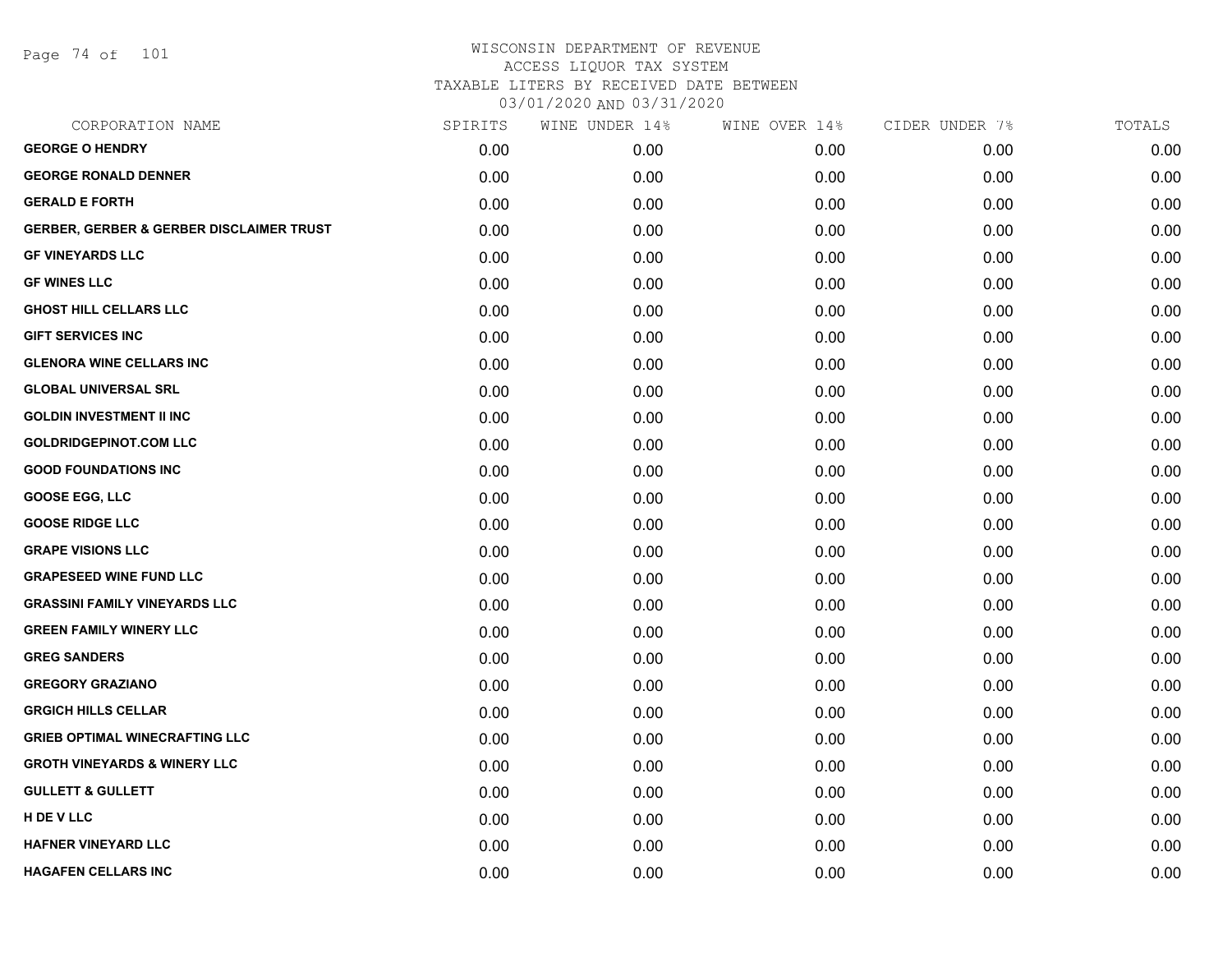Page 74 of 101

| CORPORATION NAME                                    | SPIRITS | WINE UNDER 14% | WINE OVER 14% | CIDER UNDER 7% | TOTALS |
|-----------------------------------------------------|---------|----------------|---------------|----------------|--------|
| <b>GEORGE O HENDRY</b>                              | 0.00    | 0.00           | 0.00          | 0.00           | 0.00   |
| <b>GEORGE RONALD DENNER</b>                         | 0.00    | 0.00           | 0.00          | 0.00           | 0.00   |
| <b>GERALD E FORTH</b>                               | 0.00    | 0.00           | 0.00          | 0.00           | 0.00   |
| <b>GERBER, GERBER &amp; GERBER DISCLAIMER TRUST</b> | 0.00    | 0.00           | 0.00          | 0.00           | 0.00   |
| <b>GF VINEYARDS LLC</b>                             | 0.00    | 0.00           | 0.00          | 0.00           | 0.00   |
| <b>GF WINES LLC</b>                                 | 0.00    | 0.00           | 0.00          | 0.00           | 0.00   |
| <b>GHOST HILL CELLARS LLC</b>                       | 0.00    | 0.00           | 0.00          | 0.00           | 0.00   |
| <b>GIFT SERVICES INC</b>                            | 0.00    | 0.00           | 0.00          | 0.00           | 0.00   |
| <b>GLENORA WINE CELLARS INC</b>                     | 0.00    | 0.00           | 0.00          | 0.00           | 0.00   |
| <b>GLOBAL UNIVERSAL SRL</b>                         | 0.00    | 0.00           | 0.00          | 0.00           | 0.00   |
| <b>GOLDIN INVESTMENT II INC</b>                     | 0.00    | 0.00           | 0.00          | 0.00           | 0.00   |
| <b>GOLDRIDGEPINOT.COM LLC</b>                       | 0.00    | 0.00           | 0.00          | 0.00           | 0.00   |
| <b>GOOD FOUNDATIONS INC</b>                         | 0.00    | 0.00           | 0.00          | 0.00           | 0.00   |
| <b>GOOSE EGG, LLC</b>                               | 0.00    | 0.00           | 0.00          | 0.00           | 0.00   |
| <b>GOOSE RIDGE LLC</b>                              | 0.00    | 0.00           | 0.00          | 0.00           | 0.00   |
| <b>GRAPE VISIONS LLC</b>                            | 0.00    | 0.00           | 0.00          | 0.00           | 0.00   |
| <b>GRAPESEED WINE FUND LLC</b>                      | 0.00    | 0.00           | 0.00          | 0.00           | 0.00   |
| <b>GRASSINI FAMILY VINEYARDS LLC</b>                | 0.00    | 0.00           | 0.00          | 0.00           | 0.00   |
| <b>GREEN FAMILY WINERY LLC</b>                      | 0.00    | 0.00           | 0.00          | 0.00           | 0.00   |
| <b>GREG SANDERS</b>                                 | 0.00    | 0.00           | 0.00          | 0.00           | 0.00   |
| <b>GREGORY GRAZIANO</b>                             | 0.00    | 0.00           | 0.00          | 0.00           | 0.00   |
| <b>GRGICH HILLS CELLAR</b>                          | 0.00    | 0.00           | 0.00          | 0.00           | 0.00   |
| <b>GRIEB OPTIMAL WINECRAFTING LLC</b>               | 0.00    | 0.00           | 0.00          | 0.00           | 0.00   |
| <b>GROTH VINEYARDS &amp; WINERY LLC</b>             | 0.00    | 0.00           | 0.00          | 0.00           | 0.00   |
| <b>GULLETT &amp; GULLETT</b>                        | 0.00    | 0.00           | 0.00          | 0.00           | 0.00   |
| H DE V LLC                                          | 0.00    | 0.00           | 0.00          | 0.00           | 0.00   |
| <b>HAFNER VINEYARD LLC</b>                          | 0.00    | 0.00           | 0.00          | 0.00           | 0.00   |
| <b>HAGAFEN CELLARS INC</b>                          | 0.00    | 0.00           | 0.00          | 0.00           | 0.00   |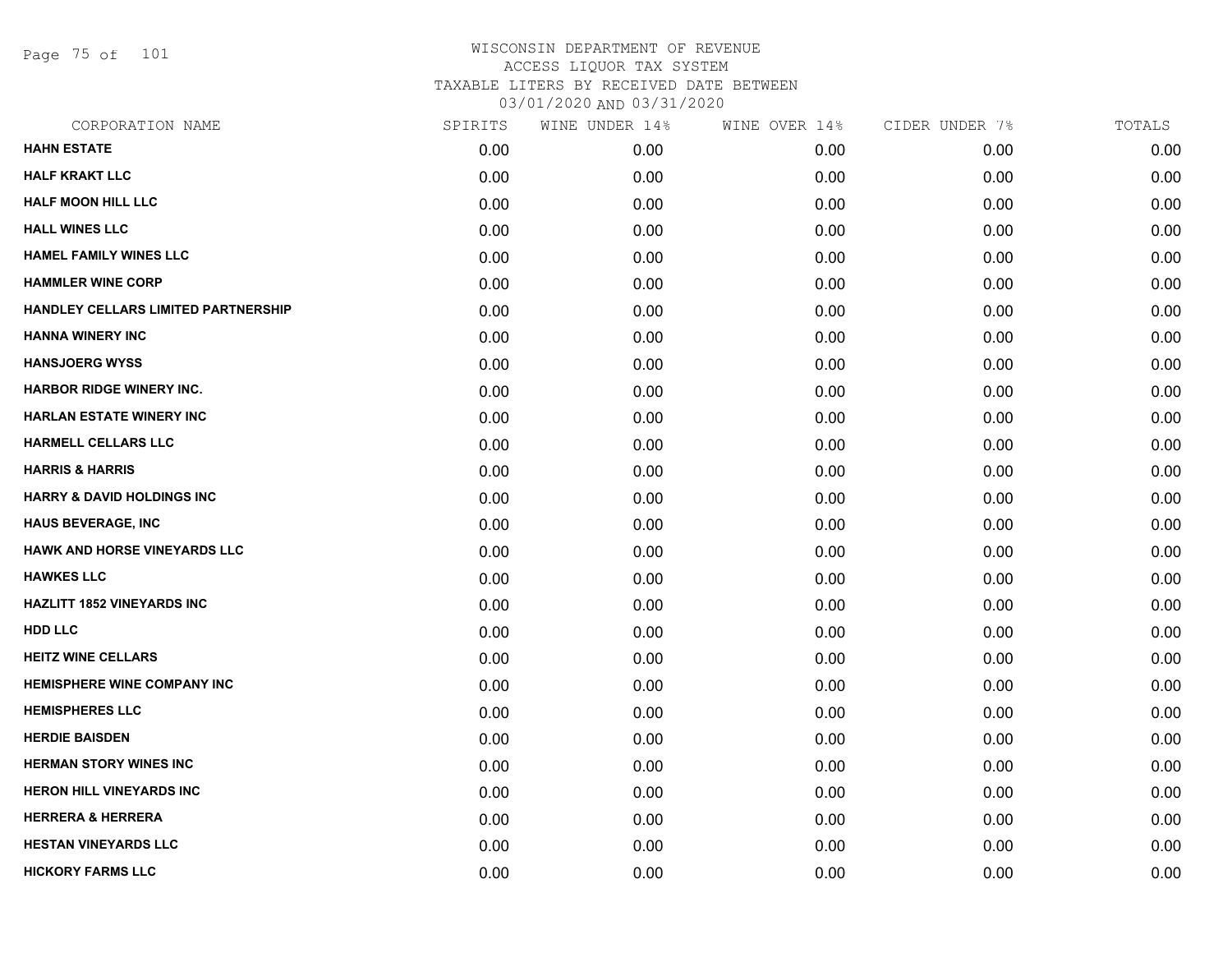Page 75 of 101

| CORPORATION NAME                    | SPIRITS | WINE UNDER 14% | WINE OVER 14% | CIDER UNDER 7% | TOTALS |
|-------------------------------------|---------|----------------|---------------|----------------|--------|
| <b>HAHN ESTATE</b>                  | 0.00    | 0.00           | 0.00          | 0.00           | 0.00   |
| <b>HALF KRAKT LLC</b>               | 0.00    | 0.00           | 0.00          | 0.00           | 0.00   |
| <b>HALF MOON HILL LLC</b>           | 0.00    | 0.00           | 0.00          | 0.00           | 0.00   |
| <b>HALL WINES LLC</b>               | 0.00    | 0.00           | 0.00          | 0.00           | 0.00   |
| <b>HAMEL FAMILY WINES LLC</b>       | 0.00    | 0.00           | 0.00          | 0.00           | 0.00   |
| <b>HAMMLER WINE CORP</b>            | 0.00    | 0.00           | 0.00          | 0.00           | 0.00   |
| HANDLEY CELLARS LIMITED PARTNERSHIP | 0.00    | 0.00           | 0.00          | 0.00           | 0.00   |
| <b>HANNA WINERY INC</b>             | 0.00    | 0.00           | 0.00          | 0.00           | 0.00   |
| <b>HANSJOERG WYSS</b>               | 0.00    | 0.00           | 0.00          | 0.00           | 0.00   |
| <b>HARBOR RIDGE WINERY INC.</b>     | 0.00    | 0.00           | 0.00          | 0.00           | 0.00   |
| <b>HARLAN ESTATE WINERY INC</b>     | 0.00    | 0.00           | 0.00          | 0.00           | 0.00   |
| HARMELL CELLARS LLC                 | 0.00    | 0.00           | 0.00          | 0.00           | 0.00   |
| <b>HARRIS &amp; HARRIS</b>          | 0.00    | 0.00           | 0.00          | 0.00           | 0.00   |
| HARRY & DAVID HOLDINGS INC          | 0.00    | 0.00           | 0.00          | 0.00           | 0.00   |
| HAUS BEVERAGE, INC                  | 0.00    | 0.00           | 0.00          | 0.00           | 0.00   |
| <b>HAWK AND HORSE VINEYARDS LLC</b> | 0.00    | 0.00           | 0.00          | 0.00           | 0.00   |
| <b>HAWKES LLC</b>                   | 0.00    | 0.00           | 0.00          | 0.00           | 0.00   |
| <b>HAZLITT 1852 VINEYARDS INC</b>   | 0.00    | 0.00           | 0.00          | 0.00           | 0.00   |
| <b>HDD LLC</b>                      | 0.00    | 0.00           | 0.00          | 0.00           | 0.00   |
| <b>HEITZ WINE CELLARS</b>           | 0.00    | 0.00           | 0.00          | 0.00           | 0.00   |
| <b>HEMISPHERE WINE COMPANY INC</b>  | 0.00    | 0.00           | 0.00          | 0.00           | 0.00   |
| <b>HEMISPHERES LLC</b>              | 0.00    | 0.00           | 0.00          | 0.00           | 0.00   |
| <b>HERDIE BAISDEN</b>               | 0.00    | 0.00           | 0.00          | 0.00           | 0.00   |
| <b>HERMAN STORY WINES INC</b>       | 0.00    | 0.00           | 0.00          | 0.00           | 0.00   |
| <b>HERON HILL VINEYARDS INC</b>     | 0.00    | 0.00           | 0.00          | 0.00           | 0.00   |
| <b>HERRERA &amp; HERRERA</b>        | 0.00    | 0.00           | 0.00          | 0.00           | 0.00   |
| <b>HESTAN VINEYARDS LLC</b>         | 0.00    | 0.00           | 0.00          | 0.00           | 0.00   |
| <b>HICKORY FARMS LLC</b>            | 0.00    | 0.00           | 0.00          | 0.00           | 0.00   |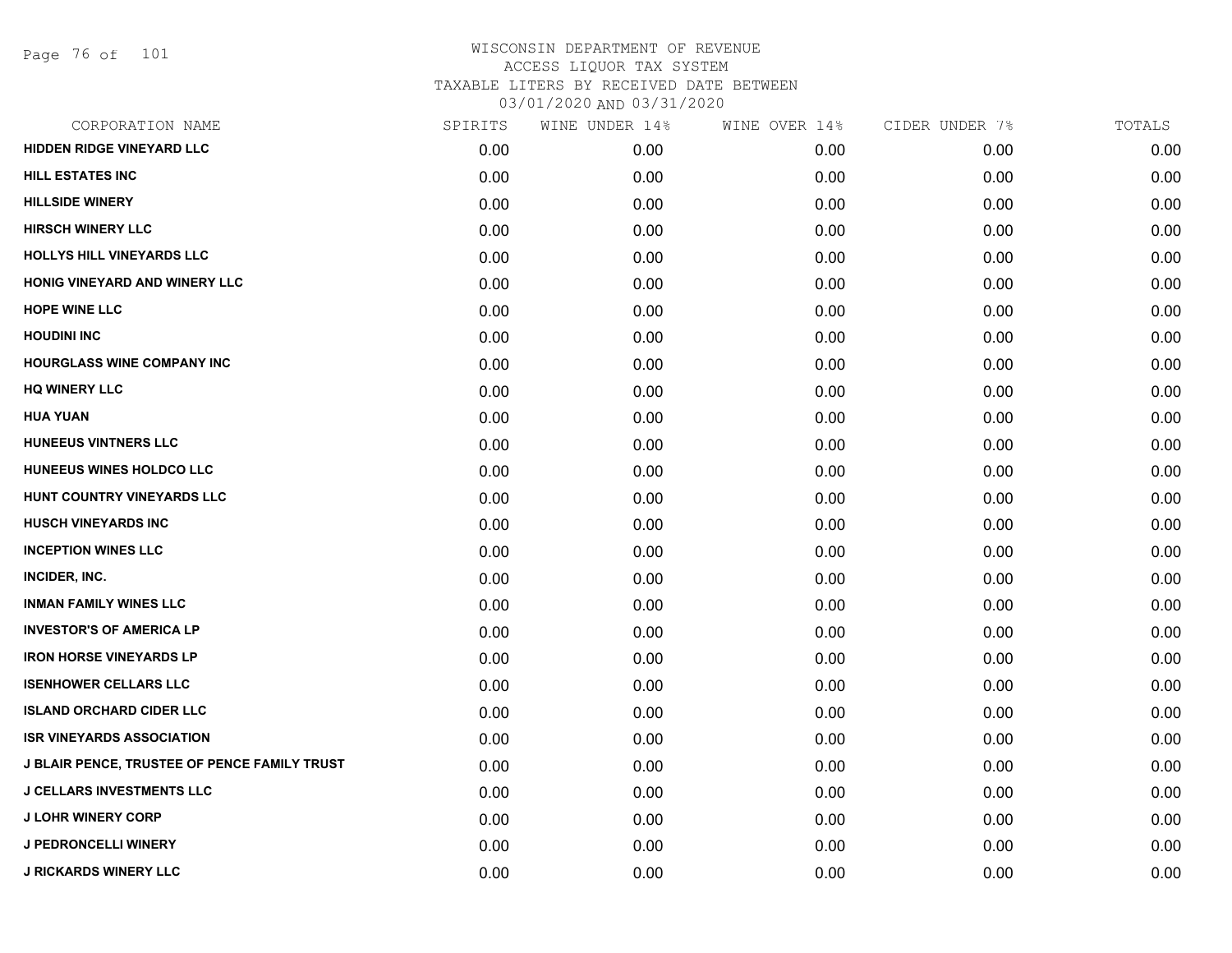| CORPORATION NAME                             | SPIRITS | WINE UNDER 14% | WINE OVER 14% | CIDER UNDER 7% | TOTALS |
|----------------------------------------------|---------|----------------|---------------|----------------|--------|
| <b>HIDDEN RIDGE VINEYARD LLC</b>             | 0.00    | 0.00           | 0.00          | 0.00           | 0.00   |
| <b>HILL ESTATES INC</b>                      | 0.00    | 0.00           | 0.00          | 0.00           | 0.00   |
| <b>HILLSIDE WINERY</b>                       | 0.00    | 0.00           | 0.00          | 0.00           | 0.00   |
| <b>HIRSCH WINERY LLC</b>                     | 0.00    | 0.00           | 0.00          | 0.00           | 0.00   |
| HOLLYS HILL VINEYARDS LLC                    | 0.00    | 0.00           | 0.00          | 0.00           | 0.00   |
| HONIG VINEYARD AND WINERY LLC                | 0.00    | 0.00           | 0.00          | 0.00           | 0.00   |
| <b>HOPE WINE LLC</b>                         | 0.00    | 0.00           | 0.00          | 0.00           | 0.00   |
| <b>HOUDINI INC</b>                           | 0.00    | 0.00           | 0.00          | 0.00           | 0.00   |
| <b>HOURGLASS WINE COMPANY INC</b>            | 0.00    | 0.00           | 0.00          | 0.00           | 0.00   |
| <b>HQ WINERY LLC</b>                         | 0.00    | 0.00           | 0.00          | 0.00           | 0.00   |
| <b>HUA YUAN</b>                              | 0.00    | 0.00           | 0.00          | 0.00           | 0.00   |
| <b>HUNEEUS VINTNERS LLC</b>                  | 0.00    | 0.00           | 0.00          | 0.00           | 0.00   |
| HUNEEUS WINES HOLDCO LLC                     | 0.00    | 0.00           | 0.00          | 0.00           | 0.00   |
| HUNT COUNTRY VINEYARDS LLC                   | 0.00    | 0.00           | 0.00          | 0.00           | 0.00   |
| <b>HUSCH VINEYARDS INC</b>                   | 0.00    | 0.00           | 0.00          | 0.00           | 0.00   |
| <b>INCEPTION WINES LLC</b>                   | 0.00    | 0.00           | 0.00          | 0.00           | 0.00   |
| INCIDER, INC.                                | 0.00    | 0.00           | 0.00          | 0.00           | 0.00   |
| <b>INMAN FAMILY WINES LLC</b>                | 0.00    | 0.00           | 0.00          | 0.00           | 0.00   |
| <b>INVESTOR'S OF AMERICA LP</b>              | 0.00    | 0.00           | 0.00          | 0.00           | 0.00   |
| <b>IRON HORSE VINEYARDS LP</b>               | 0.00    | 0.00           | 0.00          | 0.00           | 0.00   |
| <b>ISENHOWER CELLARS LLC</b>                 | 0.00    | 0.00           | 0.00          | 0.00           | 0.00   |
| <b>ISLAND ORCHARD CIDER LLC</b>              | 0.00    | 0.00           | 0.00          | 0.00           | 0.00   |
| <b>ISR VINEYARDS ASSOCIATION</b>             | 0.00    | 0.00           | 0.00          | 0.00           | 0.00   |
| J BLAIR PENCE, TRUSTEE OF PENCE FAMILY TRUST | 0.00    | 0.00           | 0.00          | 0.00           | 0.00   |
| <b>J CELLARS INVESTMENTS LLC</b>             | 0.00    | 0.00           | 0.00          | 0.00           | 0.00   |
| <b>J LOHR WINERY CORP</b>                    | 0.00    | 0.00           | 0.00          | 0.00           | 0.00   |
| <b>J PEDRONCELLI WINERY</b>                  | 0.00    | 0.00           | 0.00          | 0.00           | 0.00   |
| <b>J RICKARDS WINERY LLC</b>                 | 0.00    | 0.00           | 0.00          | 0.00           | 0.00   |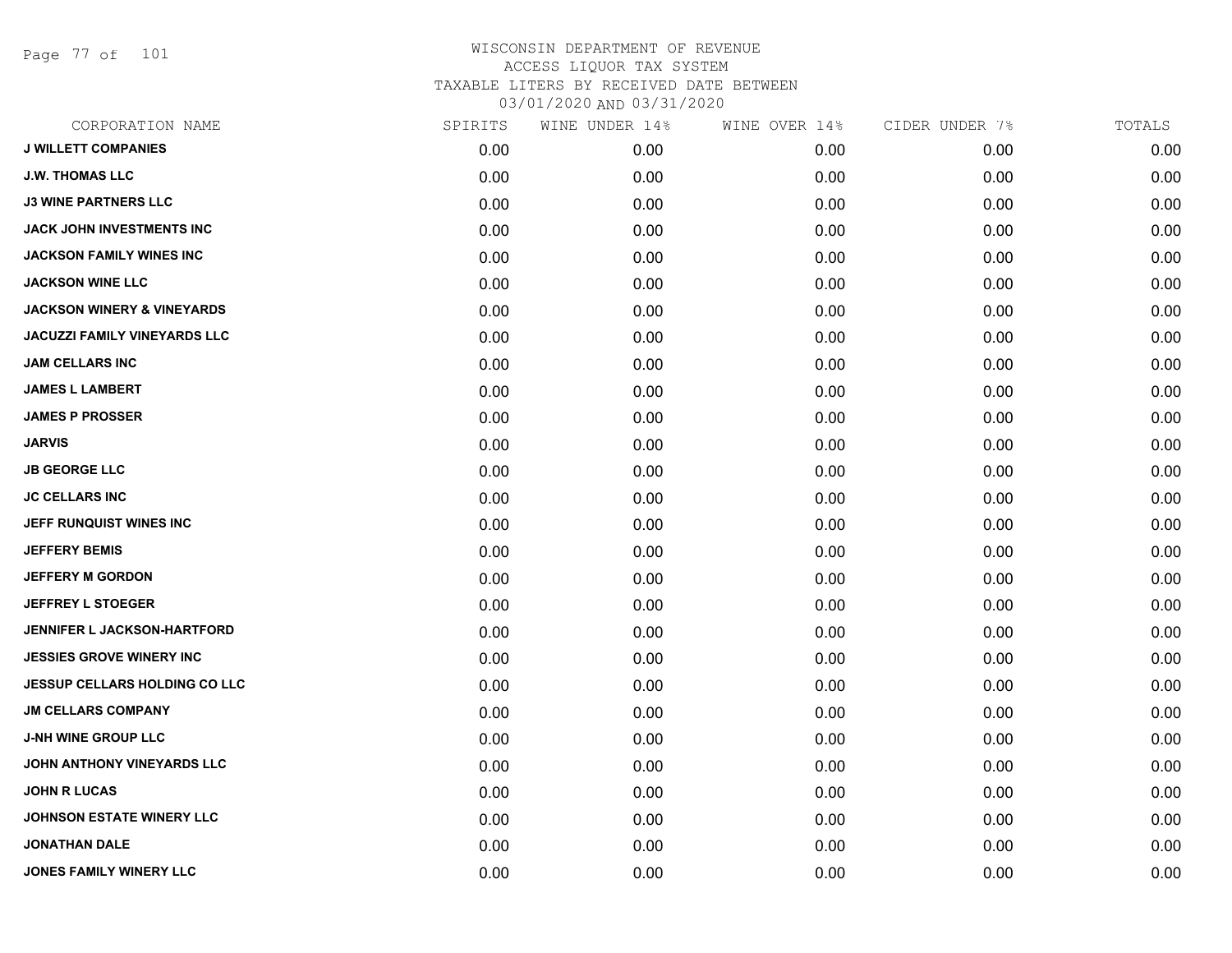Page 77 of 101

|      | WINE UNDER 14% | WINE OVER 14% | CIDER UNDER 7% | TOTALS |
|------|----------------|---------------|----------------|--------|
| 0.00 | 0.00           | 0.00          | 0.00           | 0.00   |
| 0.00 | 0.00           | 0.00          | 0.00           | 0.00   |
| 0.00 | 0.00           | 0.00          | 0.00           | 0.00   |
| 0.00 | 0.00           | 0.00          | 0.00           | 0.00   |
| 0.00 | 0.00           | 0.00          | 0.00           | 0.00   |
| 0.00 | 0.00           | 0.00          | 0.00           | 0.00   |
| 0.00 | 0.00           | 0.00          | 0.00           | 0.00   |
| 0.00 | 0.00           | 0.00          | 0.00           | 0.00   |
| 0.00 | 0.00           | 0.00          | 0.00           | 0.00   |
| 0.00 | 0.00           | 0.00          | 0.00           | 0.00   |
| 0.00 | 0.00           | 0.00          | 0.00           | 0.00   |
| 0.00 | 0.00           | 0.00          | 0.00           | 0.00   |
| 0.00 | 0.00           | 0.00          | 0.00           | 0.00   |
| 0.00 | 0.00           | 0.00          | 0.00           | 0.00   |
| 0.00 | 0.00           | 0.00          | 0.00           | 0.00   |
| 0.00 | 0.00           | 0.00          | 0.00           | 0.00   |
| 0.00 | 0.00           | 0.00          | 0.00           | 0.00   |
| 0.00 | 0.00           | 0.00          | 0.00           | 0.00   |
| 0.00 | 0.00           | 0.00          | 0.00           | 0.00   |
| 0.00 | 0.00           | 0.00          | 0.00           | 0.00   |
| 0.00 | 0.00           | 0.00          | 0.00           | 0.00   |
| 0.00 | 0.00           | 0.00          | 0.00           | 0.00   |
| 0.00 | 0.00           | 0.00          | 0.00           | 0.00   |
| 0.00 | 0.00           | 0.00          | 0.00           | 0.00   |
| 0.00 | 0.00           | 0.00          | 0.00           | 0.00   |
| 0.00 | 0.00           | 0.00          | 0.00           | 0.00   |
| 0.00 | 0.00           | 0.00          | 0.00           | 0.00   |
| 0.00 | 0.00           | 0.00          | 0.00           | 0.00   |
|      | SPIRITS        |               |                |        |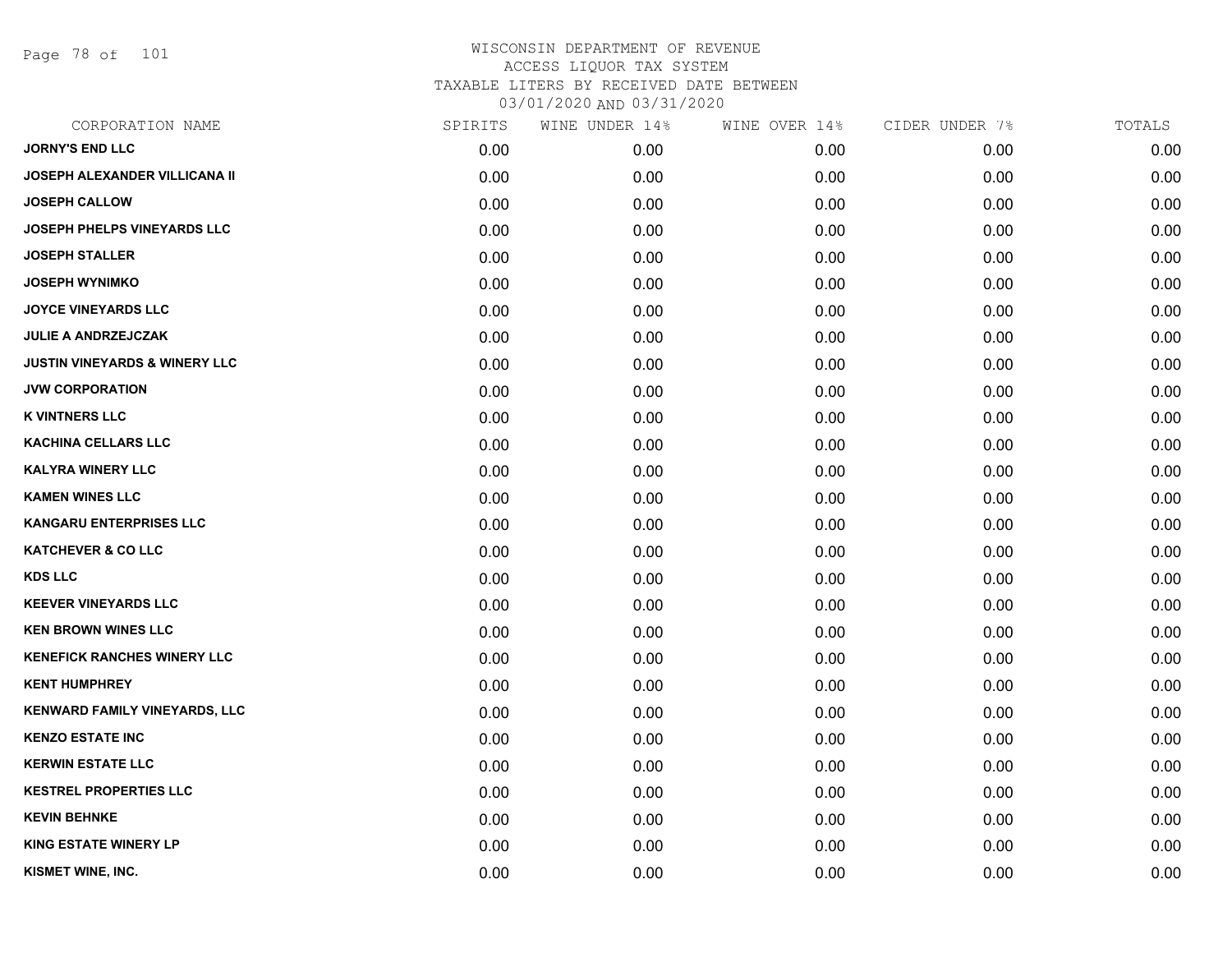Page 78 of 101

| CORPORATION NAME                         | SPIRITS | WINE UNDER 14% | WINE OVER 14% | CIDER UNDER 7% | TOTALS |
|------------------------------------------|---------|----------------|---------------|----------------|--------|
| <b>JORNY'S END LLC</b>                   | 0.00    | 0.00           | 0.00          | 0.00           | 0.00   |
| <b>JOSEPH ALEXANDER VILLICANA II</b>     | 0.00    | 0.00           | 0.00          | 0.00           | 0.00   |
| <b>JOSEPH CALLOW</b>                     | 0.00    | 0.00           | 0.00          | 0.00           | 0.00   |
| <b>JOSEPH PHELPS VINEYARDS LLC</b>       | 0.00    | 0.00           | 0.00          | 0.00           | 0.00   |
| <b>JOSEPH STALLER</b>                    | 0.00    | 0.00           | 0.00          | 0.00           | 0.00   |
| <b>JOSEPH WYNIMKO</b>                    | 0.00    | 0.00           | 0.00          | 0.00           | 0.00   |
| <b>JOYCE VINEYARDS LLC</b>               | 0.00    | 0.00           | 0.00          | 0.00           | 0.00   |
| <b>JULIE A ANDRZEJCZAK</b>               | 0.00    | 0.00           | 0.00          | 0.00           | 0.00   |
| <b>JUSTIN VINEYARDS &amp; WINERY LLC</b> | 0.00    | 0.00           | 0.00          | 0.00           | 0.00   |
| <b>JVW CORPORATION</b>                   | 0.00    | 0.00           | 0.00          | 0.00           | 0.00   |
| <b>K VINTNERS LLC</b>                    | 0.00    | 0.00           | 0.00          | 0.00           | 0.00   |
| <b>KACHINA CELLARS LLC</b>               | 0.00    | 0.00           | 0.00          | 0.00           | 0.00   |
| <b>KALYRA WINERY LLC</b>                 | 0.00    | 0.00           | 0.00          | 0.00           | 0.00   |
| <b>KAMEN WINES LLC</b>                   | 0.00    | 0.00           | 0.00          | 0.00           | 0.00   |
| <b>KANGARU ENTERPRISES LLC</b>           | 0.00    | 0.00           | 0.00          | 0.00           | 0.00   |
| <b>KATCHEVER &amp; CO LLC</b>            | 0.00    | 0.00           | 0.00          | 0.00           | 0.00   |
| <b>KDS LLC</b>                           | 0.00    | 0.00           | 0.00          | 0.00           | 0.00   |
| <b>KEEVER VINEYARDS LLC</b>              | 0.00    | 0.00           | 0.00          | 0.00           | 0.00   |
| <b>KEN BROWN WINES LLC</b>               | 0.00    | 0.00           | 0.00          | 0.00           | 0.00   |
| <b>KENEFICK RANCHES WINERY LLC</b>       | 0.00    | 0.00           | 0.00          | 0.00           | 0.00   |
| <b>KENT HUMPHREY</b>                     | 0.00    | 0.00           | 0.00          | 0.00           | 0.00   |
| <b>KENWARD FAMILY VINEYARDS, LLC</b>     | 0.00    | 0.00           | 0.00          | 0.00           | 0.00   |
| <b>KENZO ESTATE INC</b>                  | 0.00    | 0.00           | 0.00          | 0.00           | 0.00   |
| <b>KERWIN ESTATE LLC</b>                 | 0.00    | 0.00           | 0.00          | 0.00           | 0.00   |
| <b>KESTREL PROPERTIES LLC</b>            | 0.00    | 0.00           | 0.00          | 0.00           | 0.00   |
| <b>KEVIN BEHNKE</b>                      | 0.00    | 0.00           | 0.00          | 0.00           | 0.00   |
| <b>KING ESTATE WINERY LP</b>             | 0.00    | 0.00           | 0.00          | 0.00           | 0.00   |
| KISMET WINE, INC.                        | 0.00    | 0.00           | 0.00          | 0.00           | 0.00   |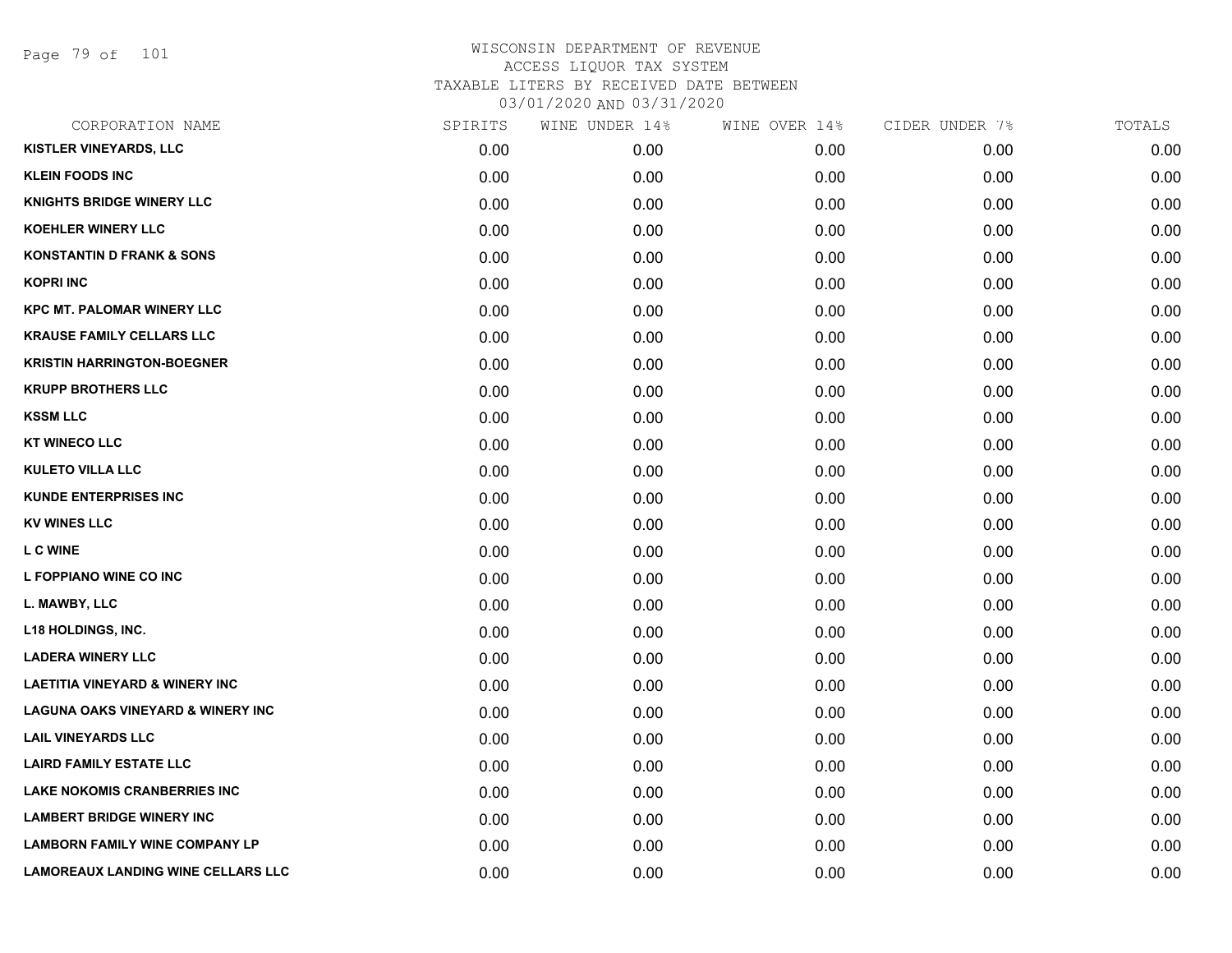Page 79 of 101

| CORPORATION NAME                             | SPIRITS | WINE UNDER 14% | WINE OVER 14% | CIDER UNDER 7% | TOTALS |
|----------------------------------------------|---------|----------------|---------------|----------------|--------|
| <b>KISTLER VINEYARDS, LLC</b>                | 0.00    | 0.00           | 0.00          | 0.00           | 0.00   |
| <b>KLEIN FOODS INC</b>                       | 0.00    | 0.00           | 0.00          | 0.00           | 0.00   |
| <b>KNIGHTS BRIDGE WINERY LLC</b>             | 0.00    | 0.00           | 0.00          | 0.00           | 0.00   |
| <b>KOEHLER WINERY LLC</b>                    | 0.00    | 0.00           | 0.00          | 0.00           | 0.00   |
| <b>KONSTANTIN D FRANK &amp; SONS</b>         | 0.00    | 0.00           | 0.00          | 0.00           | 0.00   |
| <b>KOPRI INC</b>                             | 0.00    | 0.00           | 0.00          | 0.00           | 0.00   |
| <b>KPC MT. PALOMAR WINERY LLC</b>            | 0.00    | 0.00           | 0.00          | 0.00           | 0.00   |
| <b>KRAUSE FAMILY CELLARS LLC</b>             | 0.00    | 0.00           | 0.00          | 0.00           | 0.00   |
| <b>KRISTIN HARRINGTON-BOEGNER</b>            | 0.00    | 0.00           | 0.00          | 0.00           | 0.00   |
| <b>KRUPP BROTHERS LLC</b>                    | 0.00    | 0.00           | 0.00          | 0.00           | 0.00   |
| <b>KSSM LLC</b>                              | 0.00    | 0.00           | 0.00          | 0.00           | 0.00   |
| <b>KT WINECO LLC</b>                         | 0.00    | 0.00           | 0.00          | 0.00           | 0.00   |
| <b>KULETO VILLA LLC</b>                      | 0.00    | 0.00           | 0.00          | 0.00           | 0.00   |
| <b>KUNDE ENTERPRISES INC</b>                 | 0.00    | 0.00           | 0.00          | 0.00           | 0.00   |
| <b>KV WINES LLC</b>                          | 0.00    | 0.00           | 0.00          | 0.00           | 0.00   |
| L C WINE                                     | 0.00    | 0.00           | 0.00          | 0.00           | 0.00   |
| L FOPPIANO WINE CO INC                       | 0.00    | 0.00           | 0.00          | 0.00           | 0.00   |
| L. MAWBY, LLC                                | 0.00    | 0.00           | 0.00          | 0.00           | 0.00   |
| L18 HOLDINGS, INC.                           | 0.00    | 0.00           | 0.00          | 0.00           | 0.00   |
| <b>LADERA WINERY LLC</b>                     | 0.00    | 0.00           | 0.00          | 0.00           | 0.00   |
| <b>LAETITIA VINEYARD &amp; WINERY INC</b>    | 0.00    | 0.00           | 0.00          | 0.00           | 0.00   |
| <b>LAGUNA OAKS VINEYARD &amp; WINERY INC</b> | 0.00    | 0.00           | 0.00          | 0.00           | 0.00   |
| <b>LAIL VINEYARDS LLC</b>                    | 0.00    | 0.00           | 0.00          | 0.00           | 0.00   |
| <b>LAIRD FAMILY ESTATE LLC</b>               | 0.00    | 0.00           | 0.00          | 0.00           | 0.00   |
| <b>LAKE NOKOMIS CRANBERRIES INC</b>          | 0.00    | 0.00           | 0.00          | 0.00           | 0.00   |
| <b>LAMBERT BRIDGE WINERY INC</b>             | 0.00    | 0.00           | 0.00          | 0.00           | 0.00   |
| <b>LAMBORN FAMILY WINE COMPANY LP</b>        | 0.00    | 0.00           | 0.00          | 0.00           | 0.00   |
| <b>LAMOREAUX LANDING WINE CELLARS LLC</b>    | 0.00    | 0.00           | 0.00          | 0.00           | 0.00   |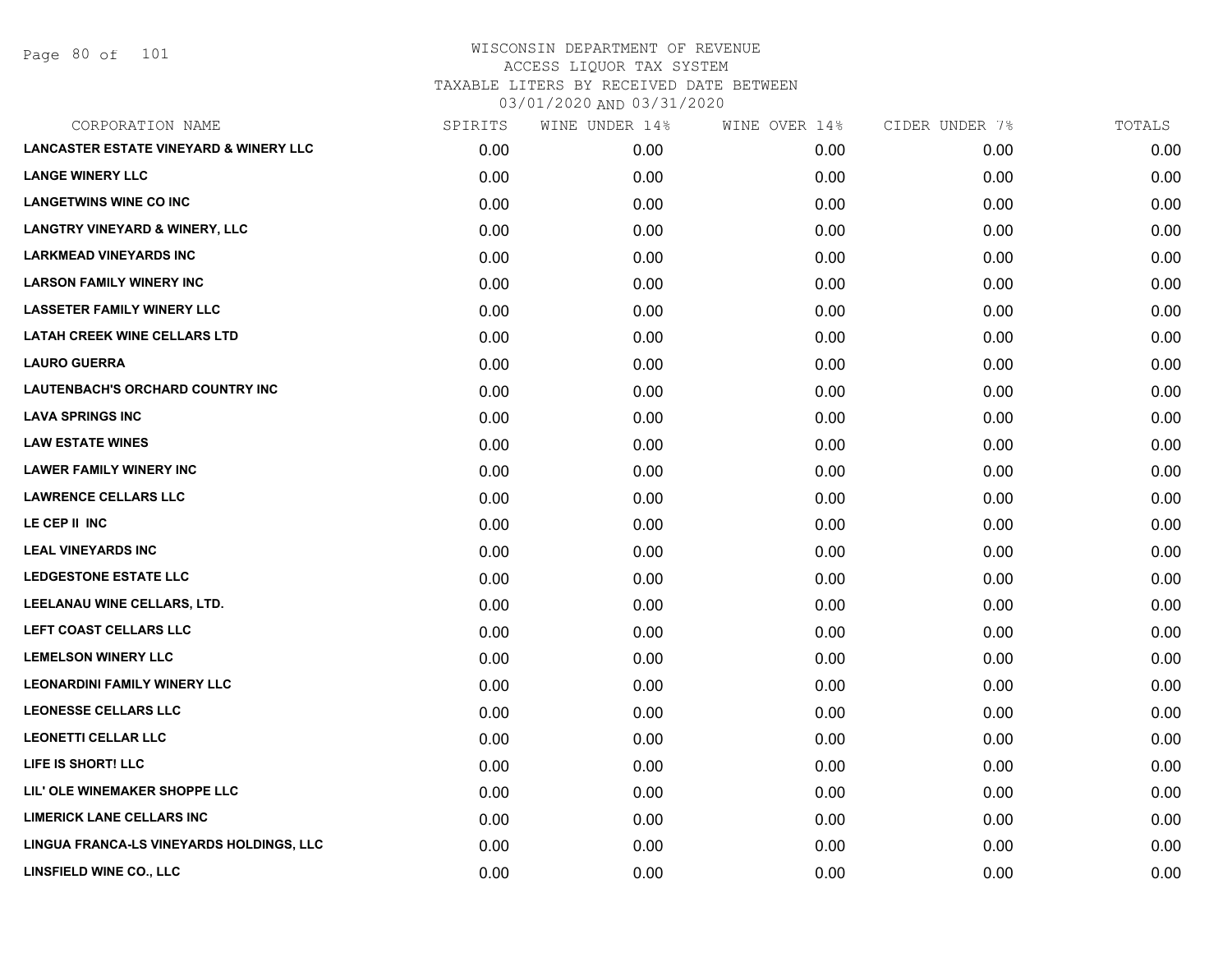Page 80 of 101

| CORPORATION NAME                                  | SPIRITS | WINE UNDER 14% | WINE OVER 14% | CIDER UNDER 7% | TOTALS |
|---------------------------------------------------|---------|----------------|---------------|----------------|--------|
| <b>LANCASTER ESTATE VINEYARD &amp; WINERY LLC</b> | 0.00    | 0.00           | 0.00          | 0.00           | 0.00   |
| <b>LANGE WINERY LLC</b>                           | 0.00    | 0.00           | 0.00          | 0.00           | 0.00   |
| <b>LANGETWINS WINE CO INC</b>                     | 0.00    | 0.00           | 0.00          | 0.00           | 0.00   |
| <b>LANGTRY VINEYARD &amp; WINERY, LLC</b>         | 0.00    | 0.00           | 0.00          | 0.00           | 0.00   |
| <b>LARKMEAD VINEYARDS INC</b>                     | 0.00    | 0.00           | 0.00          | 0.00           | 0.00   |
| <b>LARSON FAMILY WINERY INC</b>                   | 0.00    | 0.00           | 0.00          | 0.00           | 0.00   |
| <b>LASSETER FAMILY WINERY LLC</b>                 | 0.00    | 0.00           | 0.00          | 0.00           | 0.00   |
| <b>LATAH CREEK WINE CELLARS LTD</b>               | 0.00    | 0.00           | 0.00          | 0.00           | 0.00   |
| <b>LAURO GUERRA</b>                               | 0.00    | 0.00           | 0.00          | 0.00           | 0.00   |
| LAUTENBACH'S ORCHARD COUNTRY INC                  | 0.00    | 0.00           | 0.00          | 0.00           | 0.00   |
| <b>LAVA SPRINGS INC</b>                           | 0.00    | 0.00           | 0.00          | 0.00           | 0.00   |
| <b>LAW ESTATE WINES</b>                           | 0.00    | 0.00           | 0.00          | 0.00           | 0.00   |
| <b>LAWER FAMILY WINERY INC</b>                    | 0.00    | 0.00           | 0.00          | 0.00           | 0.00   |
| <b>LAWRENCE CELLARS LLC</b>                       | 0.00    | 0.00           | 0.00          | 0.00           | 0.00   |
| LE CEP II INC                                     | 0.00    | 0.00           | 0.00          | 0.00           | 0.00   |
| <b>LEAL VINEYARDS INC</b>                         | 0.00    | 0.00           | 0.00          | 0.00           | 0.00   |
| <b>LEDGESTONE ESTATE LLC</b>                      | 0.00    | 0.00           | 0.00          | 0.00           | 0.00   |
| LEELANAU WINE CELLARS, LTD.                       | 0.00    | 0.00           | 0.00          | 0.00           | 0.00   |
| LEFT COAST CELLARS LLC                            | 0.00    | 0.00           | 0.00          | 0.00           | 0.00   |
| <b>LEMELSON WINERY LLC</b>                        | 0.00    | 0.00           | 0.00          | 0.00           | 0.00   |
| <b>LEONARDINI FAMILY WINERY LLC</b>               | 0.00    | 0.00           | 0.00          | 0.00           | 0.00   |
| <b>LEONESSE CELLARS LLC</b>                       | 0.00    | 0.00           | 0.00          | 0.00           | 0.00   |
| <b>LEONETTI CELLAR LLC</b>                        | 0.00    | 0.00           | 0.00          | 0.00           | 0.00   |
| LIFE IS SHORT! LLC                                | 0.00    | 0.00           | 0.00          | 0.00           | 0.00   |
| LIL' OLE WINEMAKER SHOPPE LLC                     | 0.00    | 0.00           | 0.00          | 0.00           | 0.00   |
| <b>LIMERICK LANE CELLARS INC</b>                  | 0.00    | 0.00           | 0.00          | 0.00           | 0.00   |
| LINGUA FRANCA-LS VINEYARDS HOLDINGS, LLC          | 0.00    | 0.00           | 0.00          | 0.00           | 0.00   |
| LINSFIELD WINE CO., LLC                           | 0.00    | 0.00           | 0.00          | 0.00           | 0.00   |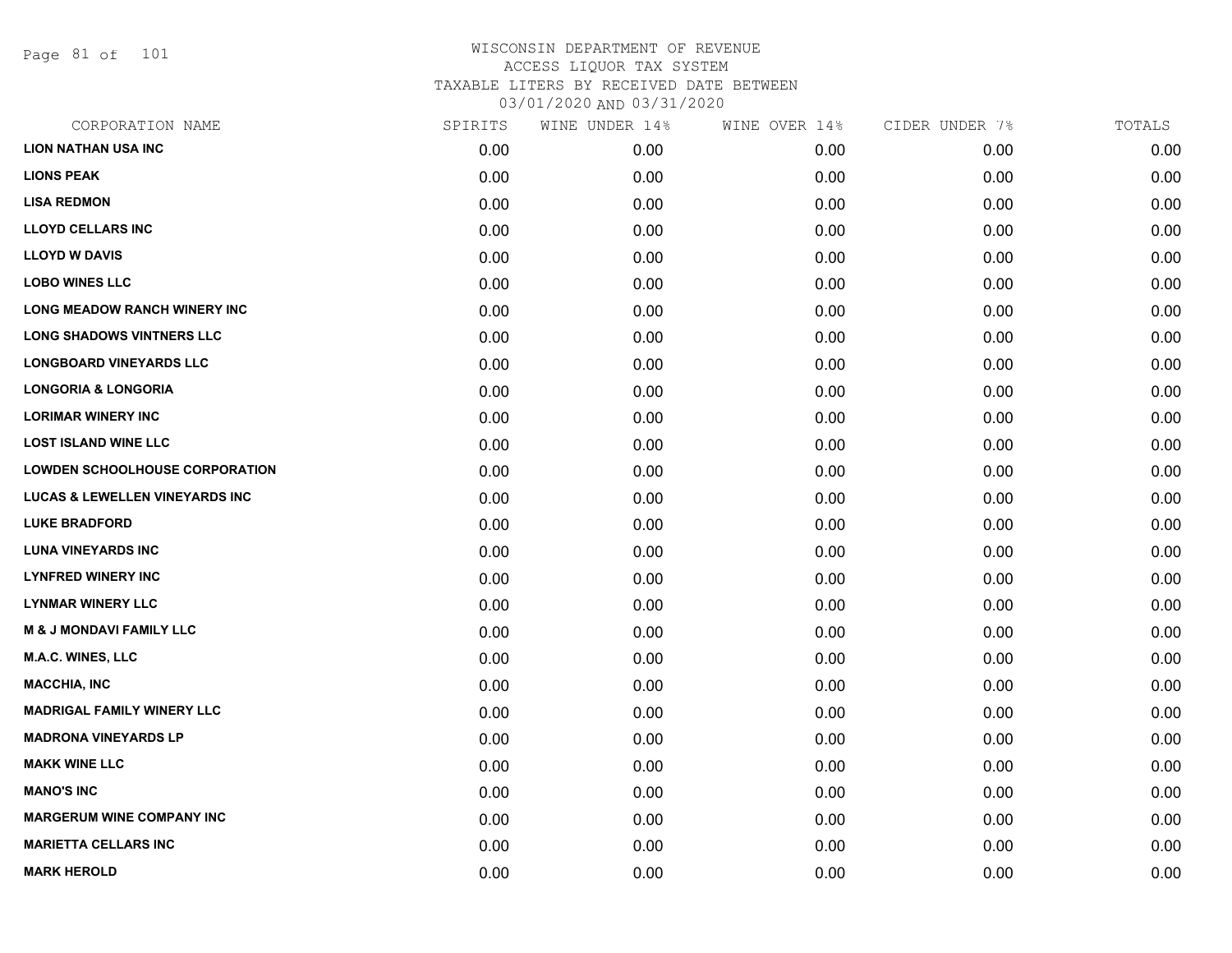Page 81 of 101

| CORPORATION NAME                          | SPIRITS | WINE UNDER 14% | WINE OVER 14% | CIDER UNDER 7% | TOTALS |
|-------------------------------------------|---------|----------------|---------------|----------------|--------|
| <b>LION NATHAN USA INC</b>                | 0.00    | 0.00           | 0.00          | 0.00           | 0.00   |
| <b>LIONS PEAK</b>                         | 0.00    | 0.00           | 0.00          | 0.00           | 0.00   |
| <b>LISA REDMON</b>                        | 0.00    | 0.00           | 0.00          | 0.00           | 0.00   |
| <b>LLOYD CELLARS INC</b>                  | 0.00    | 0.00           | 0.00          | 0.00           | 0.00   |
| <b>LLOYD W DAVIS</b>                      | 0.00    | 0.00           | 0.00          | 0.00           | 0.00   |
| <b>LOBO WINES LLC</b>                     | 0.00    | 0.00           | 0.00          | 0.00           | 0.00   |
| <b>LONG MEADOW RANCH WINERY INC</b>       | 0.00    | 0.00           | 0.00          | 0.00           | 0.00   |
| <b>LONG SHADOWS VINTNERS LLC</b>          | 0.00    | 0.00           | 0.00          | 0.00           | 0.00   |
| <b>LONGBOARD VINEYARDS LLC</b>            | 0.00    | 0.00           | 0.00          | 0.00           | 0.00   |
| <b>LONGORIA &amp; LONGORIA</b>            | 0.00    | 0.00           | 0.00          | 0.00           | 0.00   |
| <b>LORIMAR WINERY INC</b>                 | 0.00    | 0.00           | 0.00          | 0.00           | 0.00   |
| <b>LOST ISLAND WINE LLC</b>               | 0.00    | 0.00           | 0.00          | 0.00           | 0.00   |
| <b>LOWDEN SCHOOLHOUSE CORPORATION</b>     | 0.00    | 0.00           | 0.00          | 0.00           | 0.00   |
| <b>LUCAS &amp; LEWELLEN VINEYARDS INC</b> | 0.00    | 0.00           | 0.00          | 0.00           | 0.00   |
| <b>LUKE BRADFORD</b>                      | 0.00    | 0.00           | 0.00          | 0.00           | 0.00   |
| <b>LUNA VINEYARDS INC</b>                 | 0.00    | 0.00           | 0.00          | 0.00           | 0.00   |
| <b>LYNFRED WINERY INC</b>                 | 0.00    | 0.00           | 0.00          | 0.00           | 0.00   |
| <b>LYNMAR WINERY LLC</b>                  | 0.00    | 0.00           | 0.00          | 0.00           | 0.00   |
| <b>M &amp; J MONDAVI FAMILY LLC</b>       | 0.00    | 0.00           | 0.00          | 0.00           | 0.00   |
| <b>M.A.C. WINES, LLC</b>                  | 0.00    | 0.00           | 0.00          | 0.00           | 0.00   |
| <b>MACCHIA, INC</b>                       | 0.00    | 0.00           | 0.00          | 0.00           | 0.00   |
| <b>MADRIGAL FAMILY WINERY LLC</b>         | 0.00    | 0.00           | 0.00          | 0.00           | 0.00   |
| <b>MADRONA VINEYARDS LP</b>               | 0.00    | 0.00           | 0.00          | 0.00           | 0.00   |
| <b>MAKK WINE LLC</b>                      | 0.00    | 0.00           | 0.00          | 0.00           | 0.00   |
| <b>MANO'S INC</b>                         | 0.00    | 0.00           | 0.00          | 0.00           | 0.00   |
| <b>MARGERUM WINE COMPANY INC</b>          | 0.00    | 0.00           | 0.00          | 0.00           | 0.00   |
| <b>MARIETTA CELLARS INC</b>               | 0.00    | 0.00           | 0.00          | 0.00           | 0.00   |
| <b>MARK HEROLD</b>                        | 0.00    | 0.00           | 0.00          | 0.00           | 0.00   |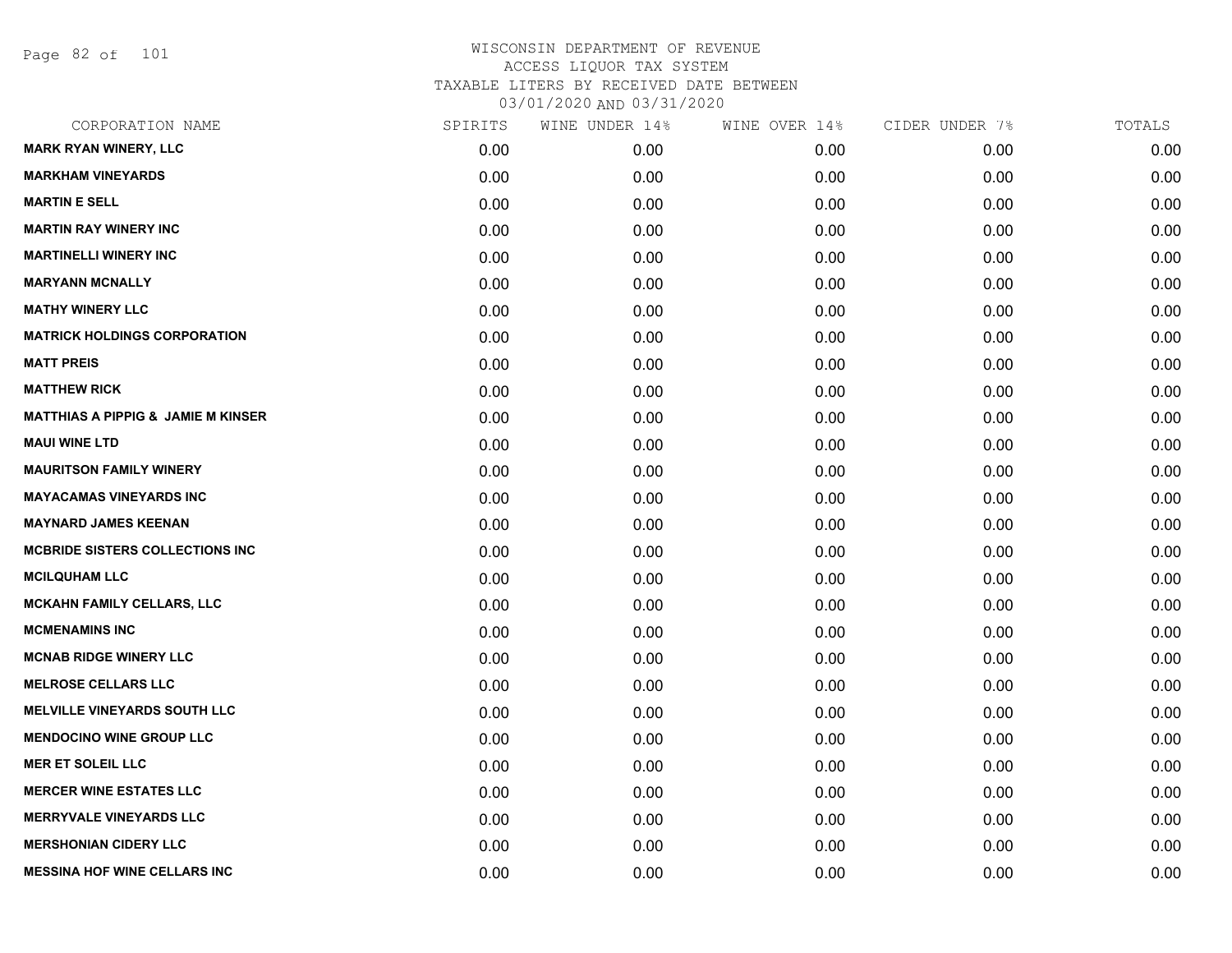Page 82 of 101

| <b>MARK RYAN WINERY, LLC</b><br>0.00<br>0.00<br>0.00<br>0.00<br><b>MARKHAM VINEYARDS</b><br>0.00<br>0.00<br>0.00<br>0.00<br><b>MARTIN E SELL</b><br>0.00<br>0.00<br>0.00<br>0.00<br><b>MARTIN RAY WINERY INC</b><br>0.00<br>0.00<br>0.00<br>0.00<br><b>MARTINELLI WINERY INC</b><br>0.00<br>0.00<br>0.00<br>0.00<br><b>MARYANN MCNALLY</b><br>0.00<br>0.00<br>0.00<br>0.00<br><b>MATHY WINERY LLC</b><br>0.00<br>0.00<br>0.00<br>0.00<br><b>MATRICK HOLDINGS CORPORATION</b><br>0.00<br>0.00<br>0.00<br>0.00<br><b>MATT PREIS</b><br>0.00<br>0.00<br>0.00<br>0.00<br><b>MATTHEW RICK</b><br>0.00<br>0.00<br>0.00<br>0.00<br><b>MATTHIAS A PIPPIG &amp; JAMIE M KINSER</b><br>0.00<br>0.00<br>0.00<br>0.00<br><b>MAUI WINE LTD</b><br>0.00<br>0.00<br>0.00<br>0.00<br><b>MAURITSON FAMILY WINERY</b><br>0.00<br>0.00<br>0.00<br>0.00<br><b>MAYACAMAS VINEYARDS INC</b><br>0.00<br>0.00<br>0.00<br>0.00<br><b>MAYNARD JAMES KEENAN</b><br>0.00<br>0.00<br>0.00<br>0.00<br><b>MCBRIDE SISTERS COLLECTIONS INC</b><br>0.00<br>0.00<br>0.00<br>0.00<br><b>MCILQUHAM LLC</b><br>0.00<br>0.00<br>0.00<br>0.00<br>MCKAHN FAMILY CELLARS, LLC<br>0.00<br>0.00<br>0.00<br>0.00<br><b>MCMENAMINS INC</b><br>0.00<br>0.00<br>0.00<br>0.00<br><b>MCNAB RIDGE WINERY LLC</b><br>0.00<br>0.00<br>0.00<br>0.00<br><b>MELROSE CELLARS LLC</b><br>0.00<br>0.00<br>0.00<br>0.00<br><b>MELVILLE VINEYARDS SOUTH LLC</b><br>0.00<br>0.00<br>0.00<br>0.00<br><b>MENDOCINO WINE GROUP LLC</b><br>0.00<br>0.00<br>0.00<br>0.00<br><b>MER ET SOLEIL LLC</b><br>0.00<br>0.00<br>0.00<br>0.00<br><b>MERCER WINE ESTATES LLC</b><br>0.00<br>0.00<br>0.00<br>0.00<br><b>MERRYVALE VINEYARDS LLC</b><br>0.00<br>0.00<br>0.00<br>0.00<br><b>MERSHONIAN CIDERY LLC</b><br>0.00<br>0.00<br>0.00<br>0.00<br><b>MESSINA HOF WINE CELLARS INC</b><br>0.00<br>0.00<br>0.00<br>0.00 | CORPORATION NAME | SPIRITS | WINE UNDER 14% | WINE OVER 14% | CIDER UNDER 7% | TOTALS |
|-----------------------------------------------------------------------------------------------------------------------------------------------------------------------------------------------------------------------------------------------------------------------------------------------------------------------------------------------------------------------------------------------------------------------------------------------------------------------------------------------------------------------------------------------------------------------------------------------------------------------------------------------------------------------------------------------------------------------------------------------------------------------------------------------------------------------------------------------------------------------------------------------------------------------------------------------------------------------------------------------------------------------------------------------------------------------------------------------------------------------------------------------------------------------------------------------------------------------------------------------------------------------------------------------------------------------------------------------------------------------------------------------------------------------------------------------------------------------------------------------------------------------------------------------------------------------------------------------------------------------------------------------------------------------------------------------------------------------------------------------------------------------------------------------------------------------------------------------|------------------|---------|----------------|---------------|----------------|--------|
|                                                                                                                                                                                                                                                                                                                                                                                                                                                                                                                                                                                                                                                                                                                                                                                                                                                                                                                                                                                                                                                                                                                                                                                                                                                                                                                                                                                                                                                                                                                                                                                                                                                                                                                                                                                                                                               |                  |         |                |               |                | 0.00   |
|                                                                                                                                                                                                                                                                                                                                                                                                                                                                                                                                                                                                                                                                                                                                                                                                                                                                                                                                                                                                                                                                                                                                                                                                                                                                                                                                                                                                                                                                                                                                                                                                                                                                                                                                                                                                                                               |                  |         |                |               |                | 0.00   |
|                                                                                                                                                                                                                                                                                                                                                                                                                                                                                                                                                                                                                                                                                                                                                                                                                                                                                                                                                                                                                                                                                                                                                                                                                                                                                                                                                                                                                                                                                                                                                                                                                                                                                                                                                                                                                                               |                  |         |                |               |                | 0.00   |
|                                                                                                                                                                                                                                                                                                                                                                                                                                                                                                                                                                                                                                                                                                                                                                                                                                                                                                                                                                                                                                                                                                                                                                                                                                                                                                                                                                                                                                                                                                                                                                                                                                                                                                                                                                                                                                               |                  |         |                |               |                | 0.00   |
|                                                                                                                                                                                                                                                                                                                                                                                                                                                                                                                                                                                                                                                                                                                                                                                                                                                                                                                                                                                                                                                                                                                                                                                                                                                                                                                                                                                                                                                                                                                                                                                                                                                                                                                                                                                                                                               |                  |         |                |               |                | 0.00   |
|                                                                                                                                                                                                                                                                                                                                                                                                                                                                                                                                                                                                                                                                                                                                                                                                                                                                                                                                                                                                                                                                                                                                                                                                                                                                                                                                                                                                                                                                                                                                                                                                                                                                                                                                                                                                                                               |                  |         |                |               |                | 0.00   |
|                                                                                                                                                                                                                                                                                                                                                                                                                                                                                                                                                                                                                                                                                                                                                                                                                                                                                                                                                                                                                                                                                                                                                                                                                                                                                                                                                                                                                                                                                                                                                                                                                                                                                                                                                                                                                                               |                  |         |                |               |                | 0.00   |
|                                                                                                                                                                                                                                                                                                                                                                                                                                                                                                                                                                                                                                                                                                                                                                                                                                                                                                                                                                                                                                                                                                                                                                                                                                                                                                                                                                                                                                                                                                                                                                                                                                                                                                                                                                                                                                               |                  |         |                |               |                | 0.00   |
|                                                                                                                                                                                                                                                                                                                                                                                                                                                                                                                                                                                                                                                                                                                                                                                                                                                                                                                                                                                                                                                                                                                                                                                                                                                                                                                                                                                                                                                                                                                                                                                                                                                                                                                                                                                                                                               |                  |         |                |               |                | 0.00   |
|                                                                                                                                                                                                                                                                                                                                                                                                                                                                                                                                                                                                                                                                                                                                                                                                                                                                                                                                                                                                                                                                                                                                                                                                                                                                                                                                                                                                                                                                                                                                                                                                                                                                                                                                                                                                                                               |                  |         |                |               |                | 0.00   |
|                                                                                                                                                                                                                                                                                                                                                                                                                                                                                                                                                                                                                                                                                                                                                                                                                                                                                                                                                                                                                                                                                                                                                                                                                                                                                                                                                                                                                                                                                                                                                                                                                                                                                                                                                                                                                                               |                  |         |                |               |                | 0.00   |
|                                                                                                                                                                                                                                                                                                                                                                                                                                                                                                                                                                                                                                                                                                                                                                                                                                                                                                                                                                                                                                                                                                                                                                                                                                                                                                                                                                                                                                                                                                                                                                                                                                                                                                                                                                                                                                               |                  |         |                |               |                | 0.00   |
|                                                                                                                                                                                                                                                                                                                                                                                                                                                                                                                                                                                                                                                                                                                                                                                                                                                                                                                                                                                                                                                                                                                                                                                                                                                                                                                                                                                                                                                                                                                                                                                                                                                                                                                                                                                                                                               |                  |         |                |               |                | 0.00   |
|                                                                                                                                                                                                                                                                                                                                                                                                                                                                                                                                                                                                                                                                                                                                                                                                                                                                                                                                                                                                                                                                                                                                                                                                                                                                                                                                                                                                                                                                                                                                                                                                                                                                                                                                                                                                                                               |                  |         |                |               |                | 0.00   |
|                                                                                                                                                                                                                                                                                                                                                                                                                                                                                                                                                                                                                                                                                                                                                                                                                                                                                                                                                                                                                                                                                                                                                                                                                                                                                                                                                                                                                                                                                                                                                                                                                                                                                                                                                                                                                                               |                  |         |                |               |                | 0.00   |
|                                                                                                                                                                                                                                                                                                                                                                                                                                                                                                                                                                                                                                                                                                                                                                                                                                                                                                                                                                                                                                                                                                                                                                                                                                                                                                                                                                                                                                                                                                                                                                                                                                                                                                                                                                                                                                               |                  |         |                |               |                | 0.00   |
|                                                                                                                                                                                                                                                                                                                                                                                                                                                                                                                                                                                                                                                                                                                                                                                                                                                                                                                                                                                                                                                                                                                                                                                                                                                                                                                                                                                                                                                                                                                                                                                                                                                                                                                                                                                                                                               |                  |         |                |               |                | 0.00   |
|                                                                                                                                                                                                                                                                                                                                                                                                                                                                                                                                                                                                                                                                                                                                                                                                                                                                                                                                                                                                                                                                                                                                                                                                                                                                                                                                                                                                                                                                                                                                                                                                                                                                                                                                                                                                                                               |                  |         |                |               |                | 0.00   |
|                                                                                                                                                                                                                                                                                                                                                                                                                                                                                                                                                                                                                                                                                                                                                                                                                                                                                                                                                                                                                                                                                                                                                                                                                                                                                                                                                                                                                                                                                                                                                                                                                                                                                                                                                                                                                                               |                  |         |                |               |                | 0.00   |
|                                                                                                                                                                                                                                                                                                                                                                                                                                                                                                                                                                                                                                                                                                                                                                                                                                                                                                                                                                                                                                                                                                                                                                                                                                                                                                                                                                                                                                                                                                                                                                                                                                                                                                                                                                                                                                               |                  |         |                |               |                | 0.00   |
|                                                                                                                                                                                                                                                                                                                                                                                                                                                                                                                                                                                                                                                                                                                                                                                                                                                                                                                                                                                                                                                                                                                                                                                                                                                                                                                                                                                                                                                                                                                                                                                                                                                                                                                                                                                                                                               |                  |         |                |               |                | 0.00   |
|                                                                                                                                                                                                                                                                                                                                                                                                                                                                                                                                                                                                                                                                                                                                                                                                                                                                                                                                                                                                                                                                                                                                                                                                                                                                                                                                                                                                                                                                                                                                                                                                                                                                                                                                                                                                                                               |                  |         |                |               |                | 0.00   |
|                                                                                                                                                                                                                                                                                                                                                                                                                                                                                                                                                                                                                                                                                                                                                                                                                                                                                                                                                                                                                                                                                                                                                                                                                                                                                                                                                                                                                                                                                                                                                                                                                                                                                                                                                                                                                                               |                  |         |                |               |                | 0.00   |
|                                                                                                                                                                                                                                                                                                                                                                                                                                                                                                                                                                                                                                                                                                                                                                                                                                                                                                                                                                                                                                                                                                                                                                                                                                                                                                                                                                                                                                                                                                                                                                                                                                                                                                                                                                                                                                               |                  |         |                |               |                | 0.00   |
|                                                                                                                                                                                                                                                                                                                                                                                                                                                                                                                                                                                                                                                                                                                                                                                                                                                                                                                                                                                                                                                                                                                                                                                                                                                                                                                                                                                                                                                                                                                                                                                                                                                                                                                                                                                                                                               |                  |         |                |               |                | 0.00   |
|                                                                                                                                                                                                                                                                                                                                                                                                                                                                                                                                                                                                                                                                                                                                                                                                                                                                                                                                                                                                                                                                                                                                                                                                                                                                                                                                                                                                                                                                                                                                                                                                                                                                                                                                                                                                                                               |                  |         |                |               |                | 0.00   |
|                                                                                                                                                                                                                                                                                                                                                                                                                                                                                                                                                                                                                                                                                                                                                                                                                                                                                                                                                                                                                                                                                                                                                                                                                                                                                                                                                                                                                                                                                                                                                                                                                                                                                                                                                                                                                                               |                  |         |                |               |                | 0.00   |
|                                                                                                                                                                                                                                                                                                                                                                                                                                                                                                                                                                                                                                                                                                                                                                                                                                                                                                                                                                                                                                                                                                                                                                                                                                                                                                                                                                                                                                                                                                                                                                                                                                                                                                                                                                                                                                               |                  |         |                |               |                | 0.00   |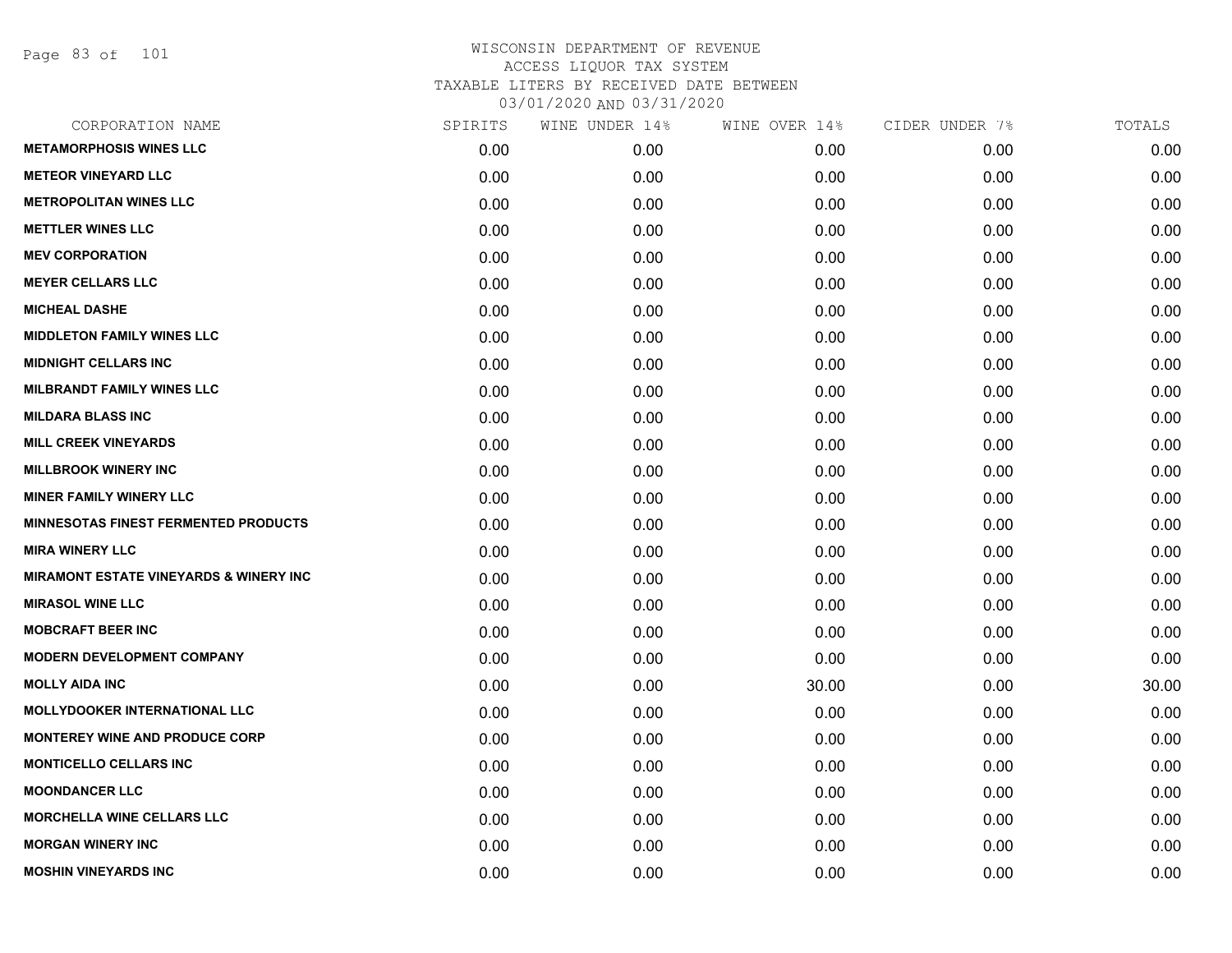Page 83 of 101

| CORPORATION NAME                                  | SPIRITS | WINE UNDER 14% | WINE OVER 14% | CIDER UNDER 7% | TOTALS |
|---------------------------------------------------|---------|----------------|---------------|----------------|--------|
| <b>METAMORPHOSIS WINES LLC</b>                    | 0.00    | 0.00           | 0.00          | 0.00           | 0.00   |
| <b>METEOR VINEYARD LLC</b>                        | 0.00    | 0.00           | 0.00          | 0.00           | 0.00   |
| <b>METROPOLITAN WINES LLC</b>                     | 0.00    | 0.00           | 0.00          | 0.00           | 0.00   |
| <b>METTLER WINES LLC</b>                          | 0.00    | 0.00           | 0.00          | 0.00           | 0.00   |
| <b>MEV CORPORATION</b>                            | 0.00    | 0.00           | 0.00          | 0.00           | 0.00   |
| <b>MEYER CELLARS LLC</b>                          | 0.00    | 0.00           | 0.00          | 0.00           | 0.00   |
| <b>MICHEAL DASHE</b>                              | 0.00    | 0.00           | 0.00          | 0.00           | 0.00   |
| <b>MIDDLETON FAMILY WINES LLC</b>                 | 0.00    | 0.00           | 0.00          | 0.00           | 0.00   |
| <b>MIDNIGHT CELLARS INC</b>                       | 0.00    | 0.00           | 0.00          | 0.00           | 0.00   |
| <b>MILBRANDT FAMILY WINES LLC</b>                 | 0.00    | 0.00           | 0.00          | 0.00           | 0.00   |
| <b>MILDARA BLASS INC</b>                          | 0.00    | 0.00           | 0.00          | 0.00           | 0.00   |
| <b>MILL CREEK VINEYARDS</b>                       | 0.00    | 0.00           | 0.00          | 0.00           | 0.00   |
| <b>MILLBROOK WINERY INC</b>                       | 0.00    | 0.00           | 0.00          | 0.00           | 0.00   |
| <b>MINER FAMILY WINERY LLC</b>                    | 0.00    | 0.00           | 0.00          | 0.00           | 0.00   |
| <b>MINNESOTAS FINEST FERMENTED PRODUCTS</b>       | 0.00    | 0.00           | 0.00          | 0.00           | 0.00   |
| <b>MIRA WINERY LLC</b>                            | 0.00    | 0.00           | 0.00          | 0.00           | 0.00   |
| <b>MIRAMONT ESTATE VINEYARDS &amp; WINERY INC</b> | 0.00    | 0.00           | 0.00          | 0.00           | 0.00   |
| <b>MIRASOL WINE LLC</b>                           | 0.00    | 0.00           | 0.00          | 0.00           | 0.00   |
| <b>MOBCRAFT BEER INC</b>                          | 0.00    | 0.00           | 0.00          | 0.00           | 0.00   |
| <b>MODERN DEVELOPMENT COMPANY</b>                 | 0.00    | 0.00           | 0.00          | 0.00           | 0.00   |
| <b>MOLLY AIDA INC</b>                             | 0.00    | 0.00           | 30.00         | 0.00           | 30.00  |
| <b>MOLLYDOOKER INTERNATIONAL LLC</b>              | 0.00    | 0.00           | 0.00          | 0.00           | 0.00   |
| <b>MONTEREY WINE AND PRODUCE CORP</b>             | 0.00    | 0.00           | 0.00          | 0.00           | 0.00   |
| <b>MONTICELLO CELLARS INC</b>                     | 0.00    | 0.00           | 0.00          | 0.00           | 0.00   |
| <b>MOONDANCER LLC</b>                             | 0.00    | 0.00           | 0.00          | 0.00           | 0.00   |
| <b>MORCHELLA WINE CELLARS LLC</b>                 | 0.00    | 0.00           | 0.00          | 0.00           | 0.00   |
| <b>MORGAN WINERY INC</b>                          | 0.00    | 0.00           | 0.00          | 0.00           | 0.00   |
| <b>MOSHIN VINEYARDS INC</b>                       | 0.00    | 0.00           | 0.00          | 0.00           | 0.00   |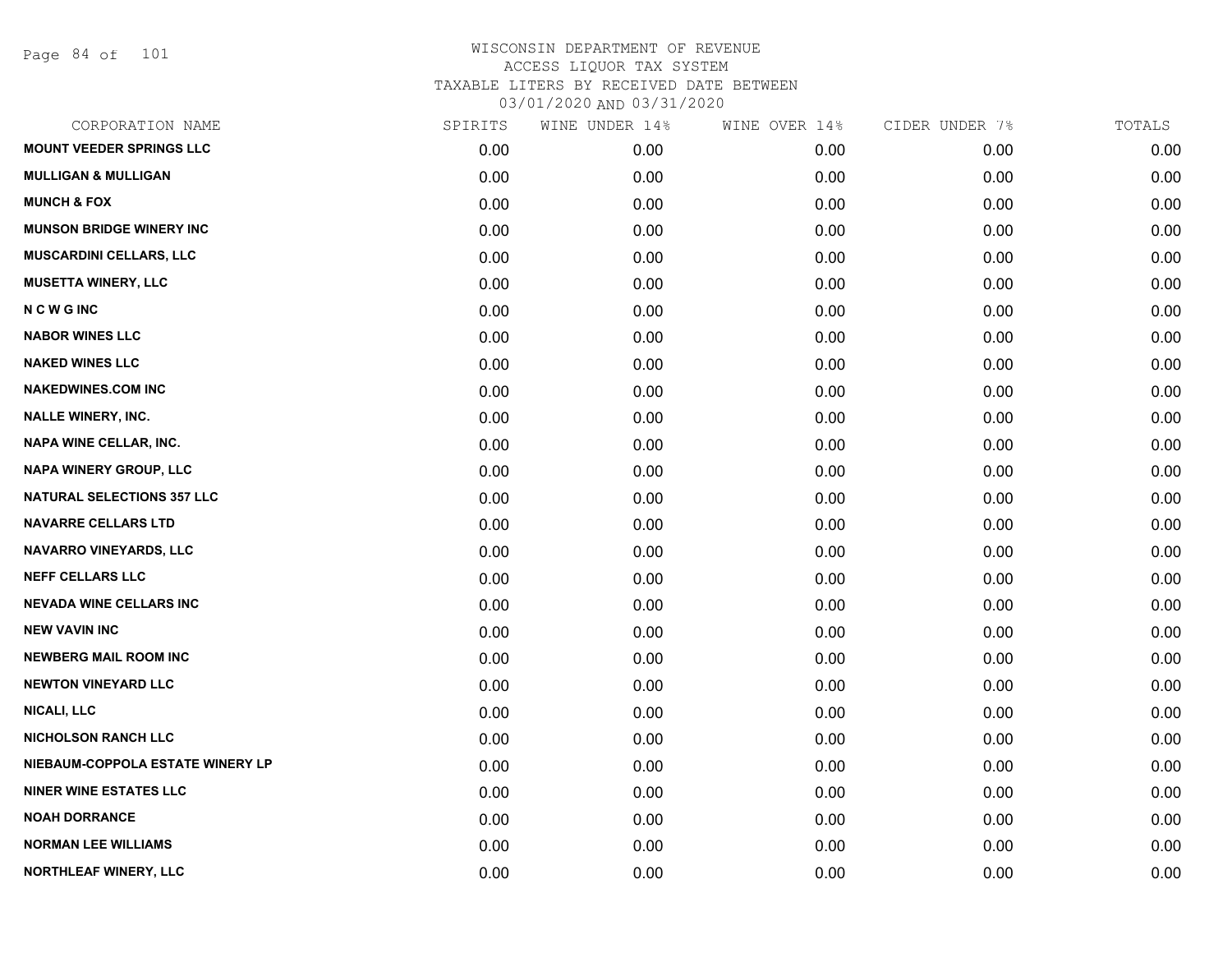Page 84 of 101

| CORPORATION NAME                  | SPIRITS | WINE UNDER 14% | WINE OVER 14% | CIDER UNDER 7% | TOTALS |
|-----------------------------------|---------|----------------|---------------|----------------|--------|
| <b>MOUNT VEEDER SPRINGS LLC</b>   | 0.00    | 0.00           | 0.00          | 0.00           | 0.00   |
| <b>MULLIGAN &amp; MULLIGAN</b>    | 0.00    | 0.00           | 0.00          | 0.00           | 0.00   |
| <b>MUNCH &amp; FOX</b>            | 0.00    | 0.00           | 0.00          | 0.00           | 0.00   |
| <b>MUNSON BRIDGE WINERY INC</b>   | 0.00    | 0.00           | 0.00          | 0.00           | 0.00   |
| <b>MUSCARDINI CELLARS, LLC</b>    | 0.00    | 0.00           | 0.00          | 0.00           | 0.00   |
| <b>MUSETTA WINERY, LLC</b>        | 0.00    | 0.00           | 0.00          | 0.00           | 0.00   |
| <b>NCWGINC</b>                    | 0.00    | 0.00           | 0.00          | 0.00           | 0.00   |
| <b>NABOR WINES LLC</b>            | 0.00    | 0.00           | 0.00          | 0.00           | 0.00   |
| <b>NAKED WINES LLC</b>            | 0.00    | 0.00           | 0.00          | 0.00           | 0.00   |
| <b>NAKEDWINES.COM INC</b>         | 0.00    | 0.00           | 0.00          | 0.00           | 0.00   |
| <b>NALLE WINERY, INC.</b>         | 0.00    | 0.00           | 0.00          | 0.00           | 0.00   |
| NAPA WINE CELLAR, INC.            | 0.00    | 0.00           | 0.00          | 0.00           | 0.00   |
| NAPA WINERY GROUP, LLC            | 0.00    | 0.00           | 0.00          | 0.00           | 0.00   |
| <b>NATURAL SELECTIONS 357 LLC</b> | 0.00    | 0.00           | 0.00          | 0.00           | 0.00   |
| <b>NAVARRE CELLARS LTD</b>        | 0.00    | 0.00           | 0.00          | 0.00           | 0.00   |
| NAVARRO VINEYARDS, LLC            | 0.00    | 0.00           | 0.00          | 0.00           | 0.00   |
| <b>NEFF CELLARS LLC</b>           | 0.00    | 0.00           | 0.00          | 0.00           | 0.00   |
| <b>NEVADA WINE CELLARS INC</b>    | 0.00    | 0.00           | 0.00          | 0.00           | 0.00   |
| <b>NEW VAVIN INC</b>              | 0.00    | 0.00           | 0.00          | 0.00           | 0.00   |
| <b>NEWBERG MAIL ROOM INC</b>      | 0.00    | 0.00           | 0.00          | 0.00           | 0.00   |
| <b>NEWTON VINEYARD LLC</b>        | 0.00    | 0.00           | 0.00          | 0.00           | 0.00   |
| <b>NICALI, LLC</b>                | 0.00    | 0.00           | 0.00          | 0.00           | 0.00   |
| <b>NICHOLSON RANCH LLC</b>        | 0.00    | 0.00           | 0.00          | 0.00           | 0.00   |
| NIEBAUM-COPPOLA ESTATE WINERY LP  | 0.00    | 0.00           | 0.00          | 0.00           | 0.00   |
| <b>NINER WINE ESTATES LLC</b>     | 0.00    | 0.00           | 0.00          | 0.00           | 0.00   |
| <b>NOAH DORRANCE</b>              | 0.00    | 0.00           | 0.00          | 0.00           | 0.00   |
| <b>NORMAN LEE WILLIAMS</b>        | 0.00    | 0.00           | 0.00          | 0.00           | 0.00   |
| NORTHLEAF WINERY, LLC             | 0.00    | 0.00           | 0.00          | 0.00           | 0.00   |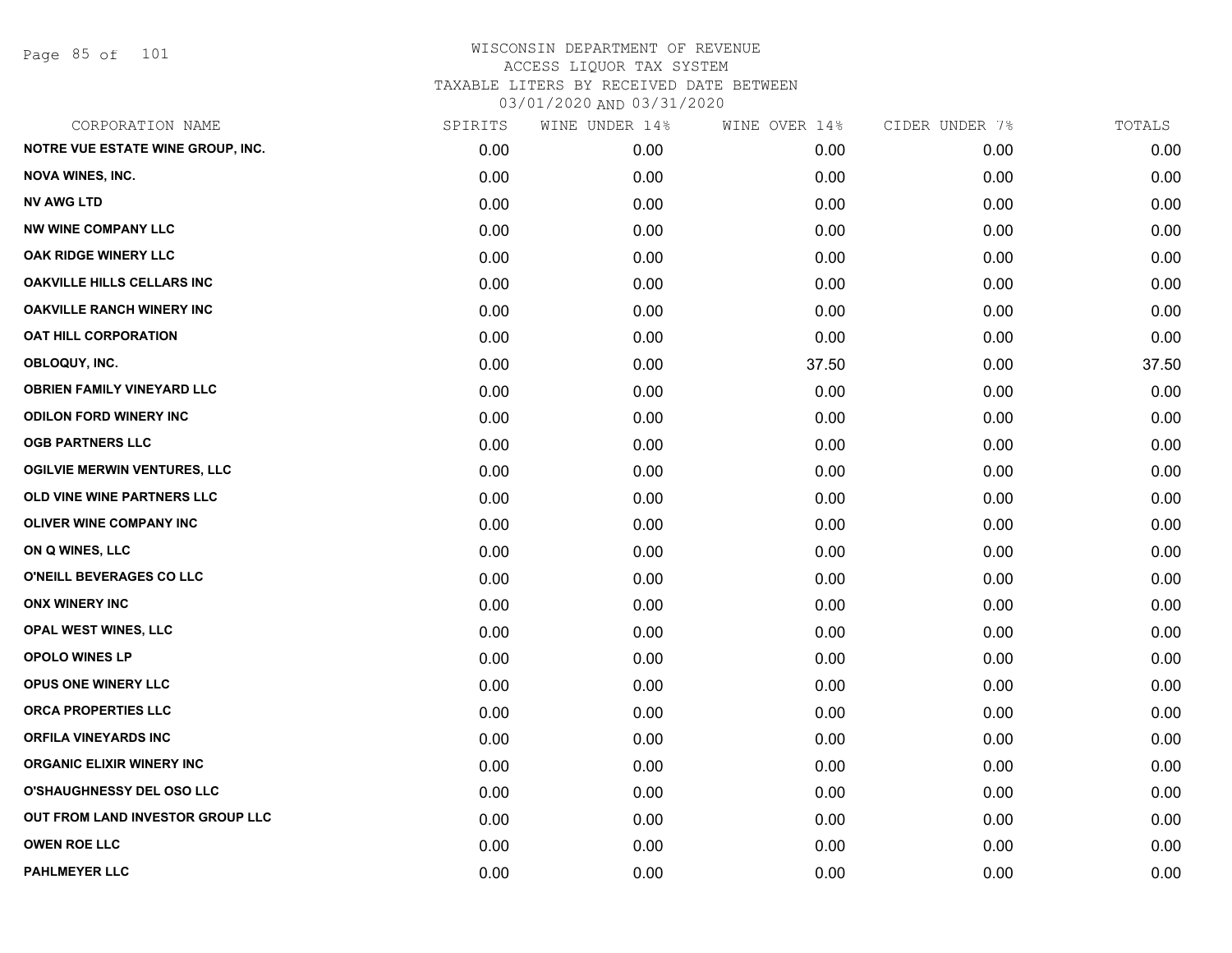Page 85 of 101

| CORPORATION NAME                    | SPIRITS | WINE UNDER 14% | WINE OVER 14% | CIDER UNDER 7% | TOTALS |
|-------------------------------------|---------|----------------|---------------|----------------|--------|
| NOTRE VUE ESTATE WINE GROUP, INC.   | 0.00    | 0.00           | 0.00          | 0.00           | 0.00   |
| <b>NOVA WINES, INC.</b>             | 0.00    | 0.00           | 0.00          | 0.00           | 0.00   |
| <b>NV AWG LTD</b>                   | 0.00    | 0.00           | 0.00          | 0.00           | 0.00   |
| <b>NW WINE COMPANY LLC</b>          | 0.00    | 0.00           | 0.00          | 0.00           | 0.00   |
| OAK RIDGE WINERY LLC                | 0.00    | 0.00           | 0.00          | 0.00           | 0.00   |
| OAKVILLE HILLS CELLARS INC          | 0.00    | 0.00           | 0.00          | 0.00           | 0.00   |
| <b>OAKVILLE RANCH WINERY INC</b>    | 0.00    | 0.00           | 0.00          | 0.00           | 0.00   |
| <b>OAT HILL CORPORATION</b>         | 0.00    | 0.00           | 0.00          | 0.00           | 0.00   |
| OBLOQUY, INC.                       | 0.00    | 0.00           | 37.50         | 0.00           | 37.50  |
| <b>OBRIEN FAMILY VINEYARD LLC</b>   | 0.00    | 0.00           | 0.00          | 0.00           | 0.00   |
| <b>ODILON FORD WINERY INC</b>       | 0.00    | 0.00           | 0.00          | 0.00           | 0.00   |
| <b>OGB PARTNERS LLC</b>             | 0.00    | 0.00           | 0.00          | 0.00           | 0.00   |
| <b>OGILVIE MERWIN VENTURES, LLC</b> | 0.00    | 0.00           | 0.00          | 0.00           | 0.00   |
| OLD VINE WINE PARTNERS LLC          | 0.00    | 0.00           | 0.00          | 0.00           | 0.00   |
| <b>OLIVER WINE COMPANY INC</b>      | 0.00    | 0.00           | 0.00          | 0.00           | 0.00   |
| ON Q WINES, LLC                     | 0.00    | 0.00           | 0.00          | 0.00           | 0.00   |
| O'NEILL BEVERAGES CO LLC            | 0.00    | 0.00           | 0.00          | 0.00           | 0.00   |
| <b>ONX WINERY INC</b>               | 0.00    | 0.00           | 0.00          | 0.00           | 0.00   |
| OPAL WEST WINES, LLC                | 0.00    | 0.00           | 0.00          | 0.00           | 0.00   |
| OPOLO WINES LP                      | 0.00    | 0.00           | 0.00          | 0.00           | 0.00   |
| OPUS ONE WINERY LLC                 | 0.00    | 0.00           | 0.00          | 0.00           | 0.00   |
| ORCA PROPERTIES LLC                 | 0.00    | 0.00           | 0.00          | 0.00           | 0.00   |
| <b>ORFILA VINEYARDS INC</b>         | 0.00    | 0.00           | 0.00          | 0.00           | 0.00   |
| <b>ORGANIC ELIXIR WINERY INC</b>    | 0.00    | 0.00           | 0.00          | 0.00           | 0.00   |
| <b>O'SHAUGHNESSY DEL OSO LLC</b>    | 0.00    | 0.00           | 0.00          | 0.00           | 0.00   |
| OUT FROM LAND INVESTOR GROUP LLC    | 0.00    | 0.00           | 0.00          | 0.00           | 0.00   |
| <b>OWEN ROE LLC</b>                 | 0.00    | 0.00           | 0.00          | 0.00           | 0.00   |
| <b>PAHLMEYER LLC</b>                | 0.00    | 0.00           | 0.00          | 0.00           | 0.00   |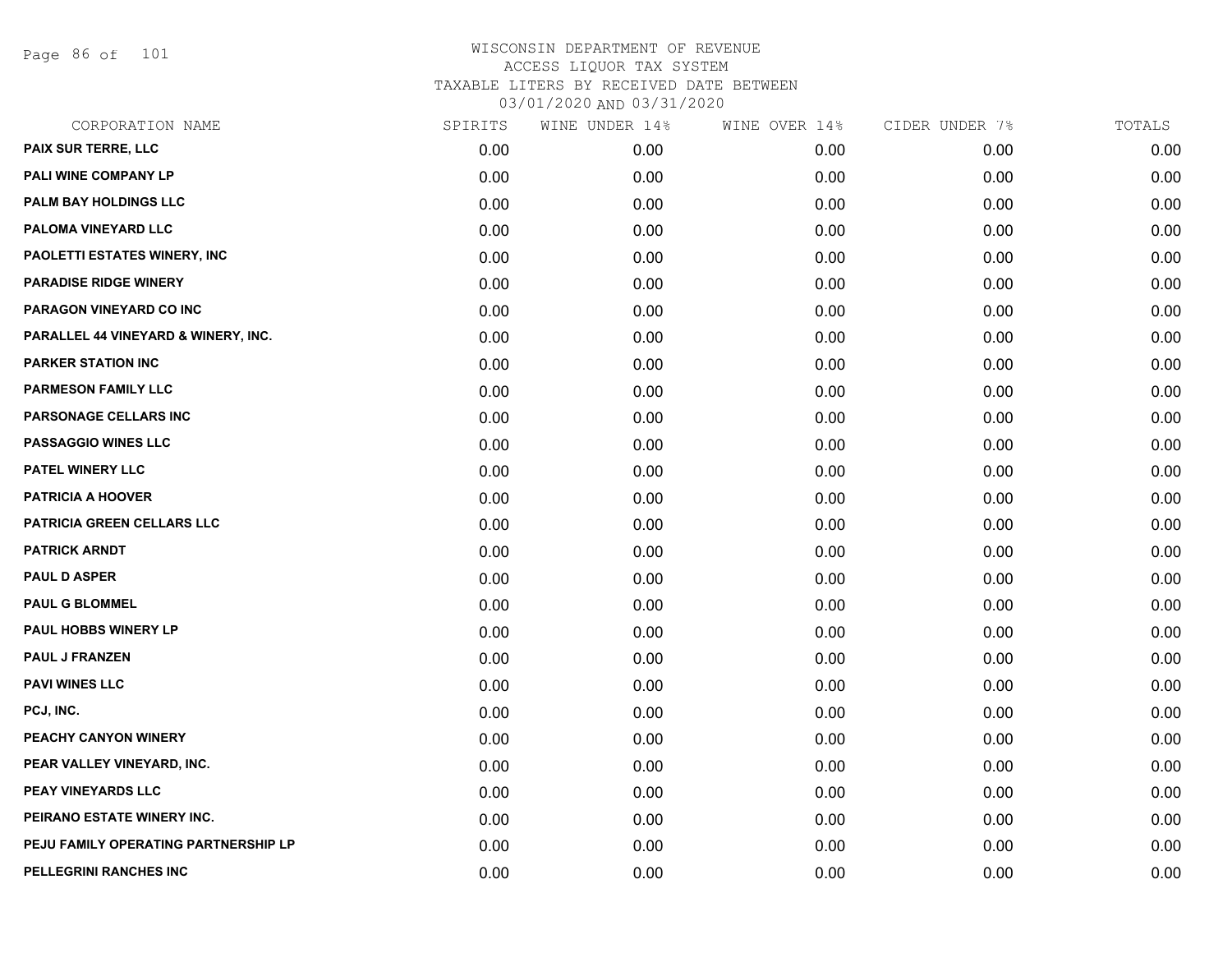Page 86 of 101

|      | WINE UNDER 14% | WINE OVER 14% | CIDER UNDER 7% | TOTALS |
|------|----------------|---------------|----------------|--------|
| 0.00 | 0.00           | 0.00          | 0.00           | 0.00   |
| 0.00 | 0.00           | 0.00          | 0.00           | 0.00   |
| 0.00 | 0.00           | 0.00          | 0.00           | 0.00   |
| 0.00 | 0.00           | 0.00          | 0.00           | 0.00   |
| 0.00 | 0.00           | 0.00          | 0.00           | 0.00   |
| 0.00 | 0.00           | 0.00          | 0.00           | 0.00   |
| 0.00 | 0.00           | 0.00          | 0.00           | 0.00   |
| 0.00 | 0.00           | 0.00          | 0.00           | 0.00   |
| 0.00 | 0.00           | 0.00          | 0.00           | 0.00   |
| 0.00 | 0.00           | 0.00          | 0.00           | 0.00   |
| 0.00 | 0.00           | 0.00          | 0.00           | 0.00   |
| 0.00 | 0.00           | 0.00          | 0.00           | 0.00   |
| 0.00 | 0.00           | 0.00          | 0.00           | 0.00   |
| 0.00 | 0.00           | 0.00          | 0.00           | 0.00   |
| 0.00 | 0.00           | 0.00          | 0.00           | 0.00   |
| 0.00 | 0.00           | 0.00          | 0.00           | 0.00   |
| 0.00 | 0.00           | 0.00          | 0.00           | 0.00   |
| 0.00 | 0.00           | 0.00          | 0.00           | 0.00   |
| 0.00 | 0.00           | 0.00          | 0.00           | 0.00   |
| 0.00 | 0.00           | 0.00          | 0.00           | 0.00   |
| 0.00 | 0.00           | 0.00          | 0.00           | 0.00   |
| 0.00 | 0.00           | 0.00          | 0.00           | 0.00   |
| 0.00 | 0.00           | 0.00          | 0.00           | 0.00   |
| 0.00 | 0.00           | 0.00          | 0.00           | 0.00   |
| 0.00 | 0.00           | 0.00          | 0.00           | 0.00   |
| 0.00 | 0.00           | 0.00          | 0.00           | 0.00   |
| 0.00 | 0.00           | 0.00          | 0.00           | 0.00   |
| 0.00 | 0.00           | 0.00          | 0.00           | 0.00   |
|      | SPIRITS        |               |                |        |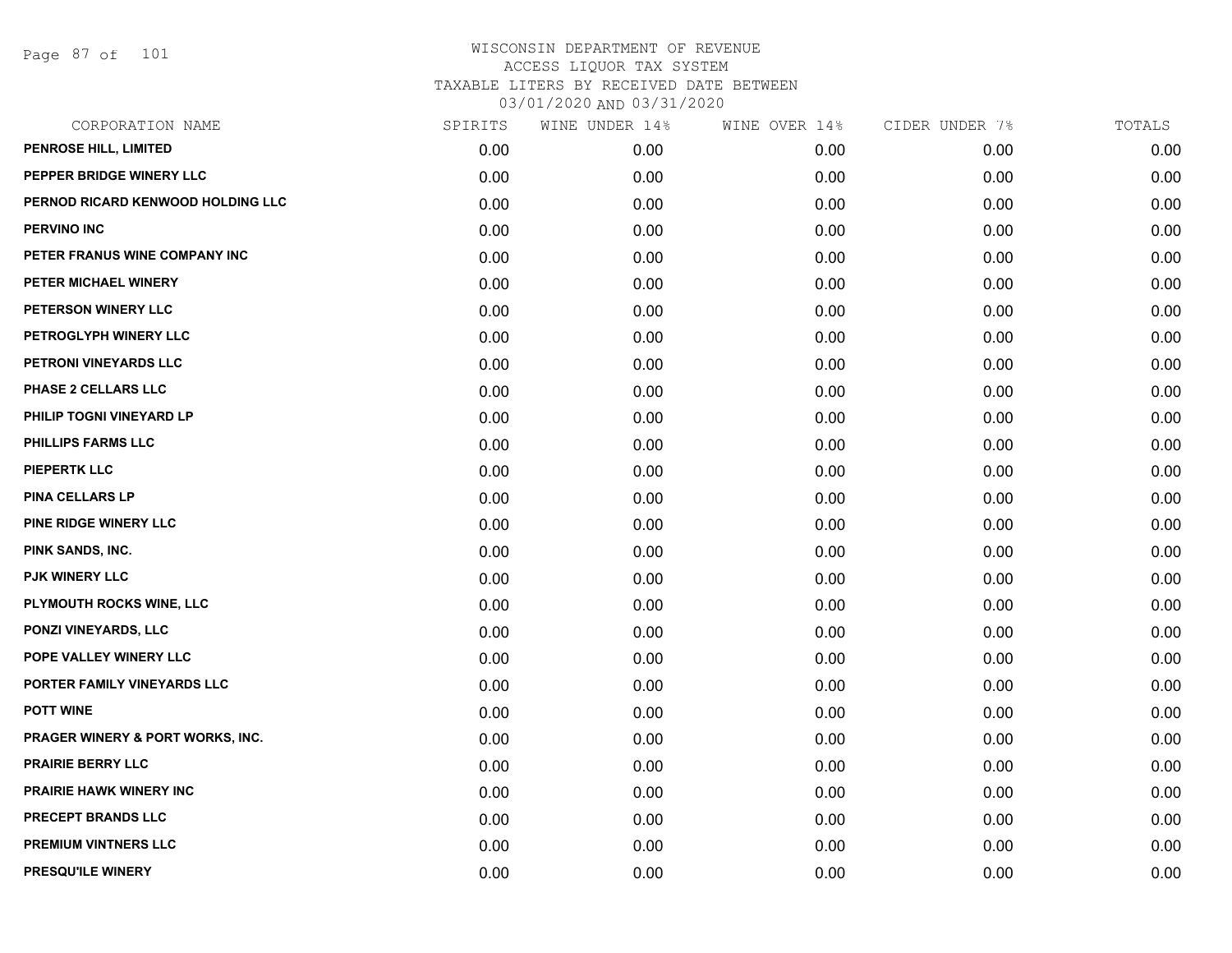Page 87 of 101

| CORPORATION NAME                            | SPIRITS | WINE UNDER 14% | WINE OVER 14% | CIDER UNDER 7% | TOTALS |
|---------------------------------------------|---------|----------------|---------------|----------------|--------|
| PENROSE HILL, LIMITED                       | 0.00    | 0.00           | 0.00          | 0.00           | 0.00   |
| PEPPER BRIDGE WINERY LLC                    | 0.00    | 0.00           | 0.00          | 0.00           | 0.00   |
| PERNOD RICARD KENWOOD HOLDING LLC           | 0.00    | 0.00           | 0.00          | 0.00           | 0.00   |
| <b>PERVINO INC</b>                          | 0.00    | 0.00           | 0.00          | 0.00           | 0.00   |
| PETER FRANUS WINE COMPANY INC               | 0.00    | 0.00           | 0.00          | 0.00           | 0.00   |
| PETER MICHAEL WINERY                        | 0.00    | 0.00           | 0.00          | 0.00           | 0.00   |
| PETERSON WINERY LLC                         | 0.00    | 0.00           | 0.00          | 0.00           | 0.00   |
| PETROGLYPH WINERY LLC                       | 0.00    | 0.00           | 0.00          | 0.00           | 0.00   |
| PETRONI VINEYARDS LLC                       | 0.00    | 0.00           | 0.00          | 0.00           | 0.00   |
| PHASE 2 CELLARS LLC                         | 0.00    | 0.00           | 0.00          | 0.00           | 0.00   |
| PHILIP TOGNI VINEYARD LP                    | 0.00    | 0.00           | 0.00          | 0.00           | 0.00   |
| PHILLIPS FARMS LLC                          | 0.00    | 0.00           | 0.00          | 0.00           | 0.00   |
| <b>PIEPERTK LLC</b>                         | 0.00    | 0.00           | 0.00          | 0.00           | 0.00   |
| <b>PINA CELLARS LP</b>                      | 0.00    | 0.00           | 0.00          | 0.00           | 0.00   |
| PINE RIDGE WINERY LLC                       | 0.00    | 0.00           | 0.00          | 0.00           | 0.00   |
| PINK SANDS, INC.                            | 0.00    | 0.00           | 0.00          | 0.00           | 0.00   |
| <b>PJK WINERY LLC</b>                       | 0.00    | 0.00           | 0.00          | 0.00           | 0.00   |
| PLYMOUTH ROCKS WINE, LLC                    | 0.00    | 0.00           | 0.00          | 0.00           | 0.00   |
| PONZI VINEYARDS, LLC                        | 0.00    | 0.00           | 0.00          | 0.00           | 0.00   |
| POPE VALLEY WINERY LLC                      | 0.00    | 0.00           | 0.00          | 0.00           | 0.00   |
| PORTER FAMILY VINEYARDS LLC                 | 0.00    | 0.00           | 0.00          | 0.00           | 0.00   |
| <b>POTT WINE</b>                            | 0.00    | 0.00           | 0.00          | 0.00           | 0.00   |
| <b>PRAGER WINERY &amp; PORT WORKS, INC.</b> | 0.00    | 0.00           | 0.00          | 0.00           | 0.00   |
| <b>PRAIRIE BERRY LLC</b>                    | 0.00    | 0.00           | 0.00          | 0.00           | 0.00   |
| <b>PRAIRIE HAWK WINERY INC</b>              | 0.00    | 0.00           | 0.00          | 0.00           | 0.00   |
| PRECEPT BRANDS LLC                          | 0.00    | 0.00           | 0.00          | 0.00           | 0.00   |
| <b>PREMIUM VINTNERS LLC</b>                 | 0.00    | 0.00           | 0.00          | 0.00           | 0.00   |
| PRESQU'ILE WINERY                           | 0.00    | 0.00           | 0.00          | 0.00           | 0.00   |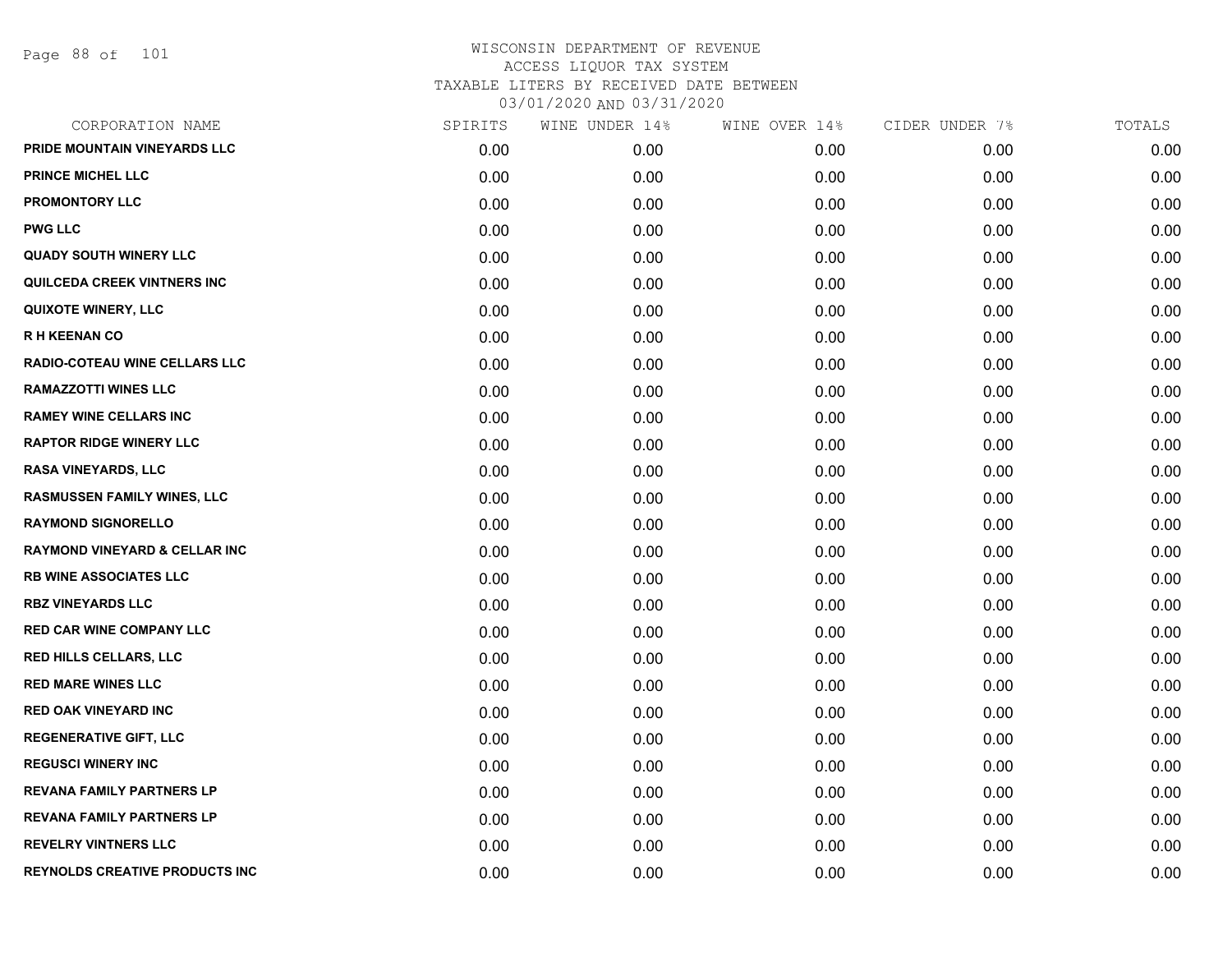Page 88 of 101

| CORPORATION NAME                         | SPIRITS | WINE UNDER 14% | WINE OVER 14% | CIDER UNDER 7% | TOTALS |
|------------------------------------------|---------|----------------|---------------|----------------|--------|
| PRIDE MOUNTAIN VINEYARDS LLC             | 0.00    | 0.00           | 0.00          | 0.00           | 0.00   |
| PRINCE MICHEL LLC                        | 0.00    | 0.00           | 0.00          | 0.00           | 0.00   |
| <b>PROMONTORY LLC</b>                    | 0.00    | 0.00           | 0.00          | 0.00           | 0.00   |
| <b>PWG LLC</b>                           | 0.00    | 0.00           | 0.00          | 0.00           | 0.00   |
| <b>QUADY SOUTH WINERY LLC</b>            | 0.00    | 0.00           | 0.00          | 0.00           | 0.00   |
| QUILCEDA CREEK VINTNERS INC              | 0.00    | 0.00           | 0.00          | 0.00           | 0.00   |
| <b>QUIXOTE WINERY, LLC</b>               | 0.00    | 0.00           | 0.00          | 0.00           | 0.00   |
| <b>RH KEENAN CO</b>                      | 0.00    | 0.00           | 0.00          | 0.00           | 0.00   |
| RADIO-COTEAU WINE CELLARS LLC            | 0.00    | 0.00           | 0.00          | 0.00           | 0.00   |
| <b>RAMAZZOTTI WINES LLC</b>              | 0.00    | 0.00           | 0.00          | 0.00           | 0.00   |
| <b>RAMEY WINE CELLARS INC</b>            | 0.00    | 0.00           | 0.00          | 0.00           | 0.00   |
| <b>RAPTOR RIDGE WINERY LLC</b>           | 0.00    | 0.00           | 0.00          | 0.00           | 0.00   |
| RASA VINEYARDS, LLC                      | 0.00    | 0.00           | 0.00          | 0.00           | 0.00   |
| <b>RASMUSSEN FAMILY WINES, LLC</b>       | 0.00    | 0.00           | 0.00          | 0.00           | 0.00   |
| <b>RAYMOND SIGNORELLO</b>                | 0.00    | 0.00           | 0.00          | 0.00           | 0.00   |
| <b>RAYMOND VINEYARD &amp; CELLAR INC</b> | 0.00    | 0.00           | 0.00          | 0.00           | 0.00   |
| <b>RB WINE ASSOCIATES LLC</b>            | 0.00    | 0.00           | 0.00          | 0.00           | 0.00   |
| <b>RBZ VINEYARDS LLC</b>                 | 0.00    | 0.00           | 0.00          | 0.00           | 0.00   |
| <b>RED CAR WINE COMPANY LLC</b>          | 0.00    | 0.00           | 0.00          | 0.00           | 0.00   |
| <b>RED HILLS CELLARS, LLC</b>            | 0.00    | 0.00           | 0.00          | 0.00           | 0.00   |
| <b>RED MARE WINES LLC</b>                | 0.00    | 0.00           | 0.00          | 0.00           | 0.00   |
| <b>RED OAK VINEYARD INC</b>              | 0.00    | 0.00           | 0.00          | 0.00           | 0.00   |
| <b>REGENERATIVE GIFT, LLC</b>            | 0.00    | 0.00           | 0.00          | 0.00           | 0.00   |
| <b>REGUSCI WINERY INC</b>                | 0.00    | 0.00           | 0.00          | 0.00           | 0.00   |
| <b>REVANA FAMILY PARTNERS LP</b>         | 0.00    | 0.00           | 0.00          | 0.00           | 0.00   |
| <b>REVANA FAMILY PARTNERS LP</b>         | 0.00    | 0.00           | 0.00          | 0.00           | 0.00   |
| <b>REVELRY VINTNERS LLC</b>              | 0.00    | 0.00           | 0.00          | 0.00           | 0.00   |
| REYNOLDS CREATIVE PRODUCTS INC           | 0.00    | 0.00           | 0.00          | 0.00           | 0.00   |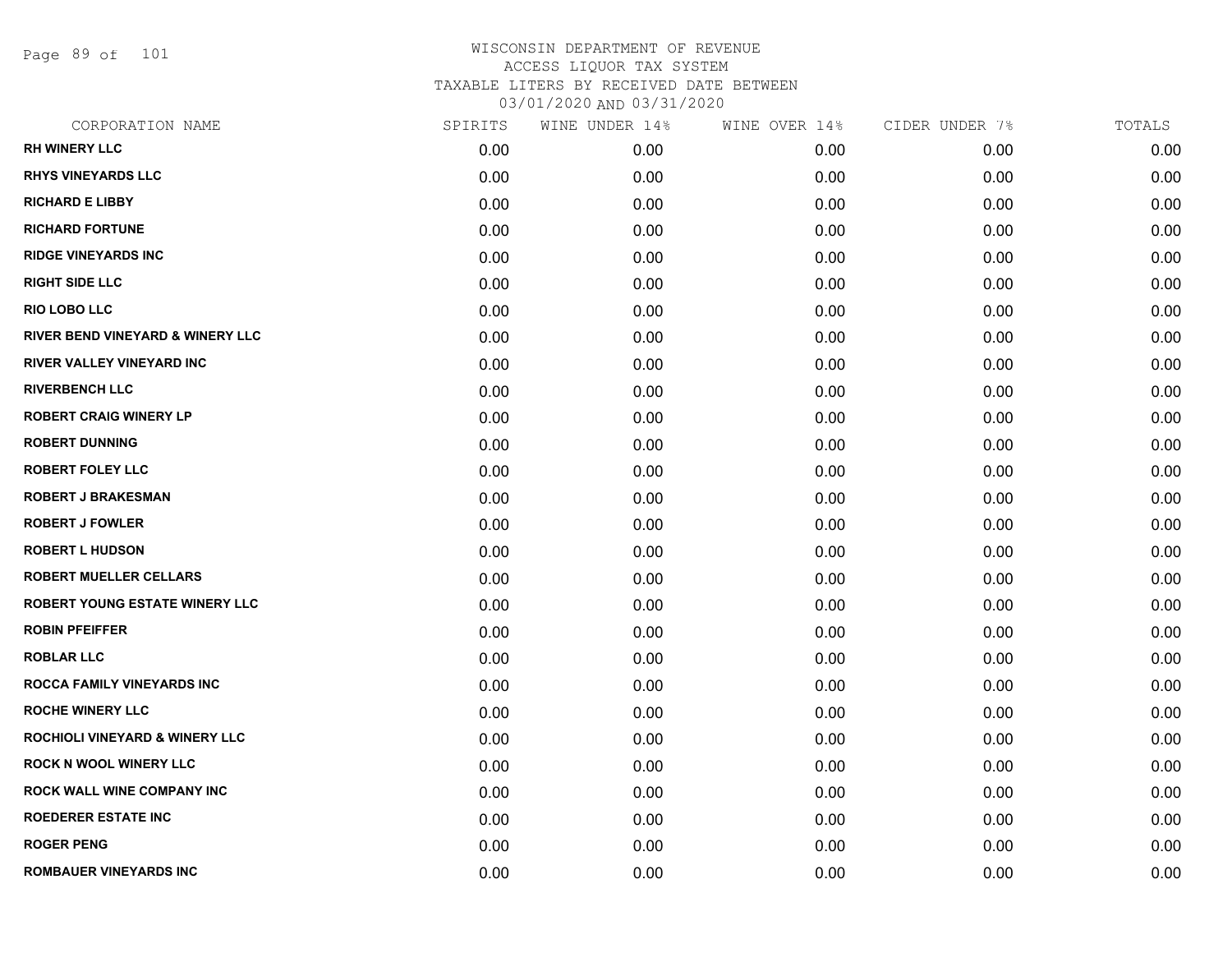Page 89 of 101

| CORPORATION NAME                            | SPIRITS | WINE UNDER 14% | WINE OVER 14% | CIDER UNDER 7% | TOTALS |
|---------------------------------------------|---------|----------------|---------------|----------------|--------|
| <b>RH WINERY LLC</b>                        | 0.00    | 0.00           | 0.00          | 0.00           | 0.00   |
| <b>RHYS VINEYARDS LLC</b>                   | 0.00    | 0.00           | 0.00          | 0.00           | 0.00   |
| <b>RICHARD E LIBBY</b>                      | 0.00    | 0.00           | 0.00          | 0.00           | 0.00   |
| <b>RICHARD FORTUNE</b>                      | 0.00    | 0.00           | 0.00          | 0.00           | 0.00   |
| <b>RIDGE VINEYARDS INC</b>                  | 0.00    | 0.00           | 0.00          | 0.00           | 0.00   |
| <b>RIGHT SIDE LLC</b>                       | 0.00    | 0.00           | 0.00          | 0.00           | 0.00   |
| RIO LOBO LLC                                | 0.00    | 0.00           | 0.00          | 0.00           | 0.00   |
| <b>RIVER BEND VINEYARD &amp; WINERY LLC</b> | 0.00    | 0.00           | 0.00          | 0.00           | 0.00   |
| RIVER VALLEY VINEYARD INC                   | 0.00    | 0.00           | 0.00          | 0.00           | 0.00   |
| <b>RIVERBENCH LLC</b>                       | 0.00    | 0.00           | 0.00          | 0.00           | 0.00   |
| <b>ROBERT CRAIG WINERY LP</b>               | 0.00    | 0.00           | 0.00          | 0.00           | 0.00   |
| <b>ROBERT DUNNING</b>                       | 0.00    | 0.00           | 0.00          | 0.00           | 0.00   |
| <b>ROBERT FOLEY LLC</b>                     | 0.00    | 0.00           | 0.00          | 0.00           | 0.00   |
| <b>ROBERT J BRAKESMAN</b>                   | 0.00    | 0.00           | 0.00          | 0.00           | 0.00   |
| <b>ROBERT J FOWLER</b>                      | 0.00    | 0.00           | 0.00          | 0.00           | 0.00   |
| <b>ROBERT L HUDSON</b>                      | 0.00    | 0.00           | 0.00          | 0.00           | 0.00   |
| <b>ROBERT MUELLER CELLARS</b>               | 0.00    | 0.00           | 0.00          | 0.00           | 0.00   |
| ROBERT YOUNG ESTATE WINERY LLC              | 0.00    | 0.00           | 0.00          | 0.00           | 0.00   |
| <b>ROBIN PFEIFFER</b>                       | 0.00    | 0.00           | 0.00          | 0.00           | 0.00   |
| <b>ROBLAR LLC</b>                           | 0.00    | 0.00           | 0.00          | 0.00           | 0.00   |
| <b>ROCCA FAMILY VINEYARDS INC</b>           | 0.00    | 0.00           | 0.00          | 0.00           | 0.00   |
| <b>ROCHE WINERY LLC</b>                     | 0.00    | 0.00           | 0.00          | 0.00           | 0.00   |
| ROCHIOLI VINEYARD & WINERY LLC              | 0.00    | 0.00           | 0.00          | 0.00           | 0.00   |
| <b>ROCK N WOOL WINERY LLC</b>               | 0.00    | 0.00           | 0.00          | 0.00           | 0.00   |
| <b>ROCK WALL WINE COMPANY INC</b>           | 0.00    | 0.00           | 0.00          | 0.00           | 0.00   |
| <b>ROEDERER ESTATE INC</b>                  | 0.00    | 0.00           | 0.00          | 0.00           | 0.00   |
| <b>ROGER PENG</b>                           | 0.00    | 0.00           | 0.00          | 0.00           | 0.00   |
| ROMBAUER VINEYARDS INC                      | 0.00    | 0.00           | 0.00          | 0.00           | 0.00   |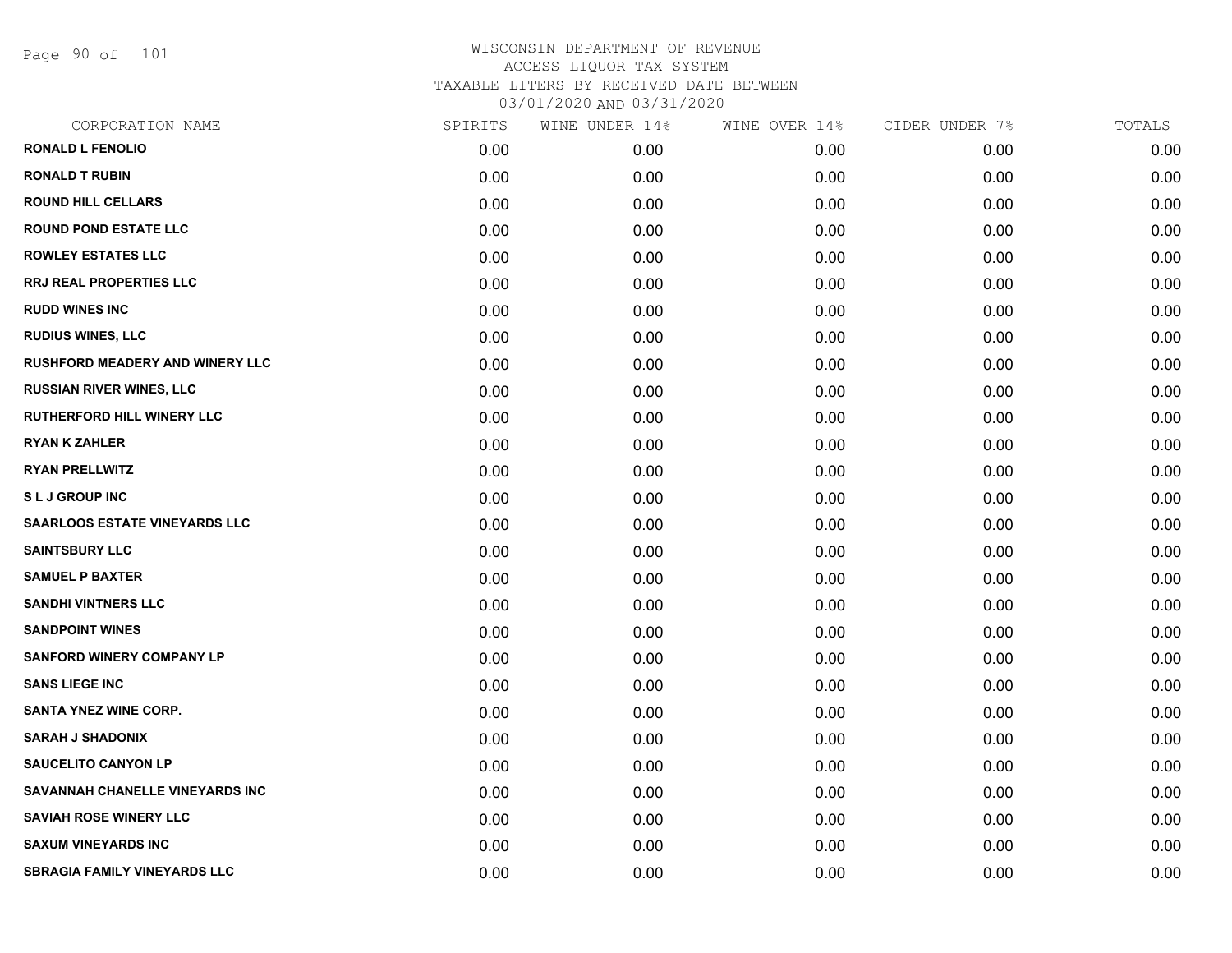Page 90 of 101

| SPIRITS | WINE UNDER 14% | WINE OVER 14% | CIDER UNDER 7% | TOTALS |
|---------|----------------|---------------|----------------|--------|
| 0.00    | 0.00           | 0.00          | 0.00           | 0.00   |
| 0.00    | 0.00           | 0.00          | 0.00           | 0.00   |
| 0.00    | 0.00           | 0.00          | 0.00           | 0.00   |
| 0.00    | 0.00           | 0.00          | 0.00           | 0.00   |
| 0.00    | 0.00           | 0.00          | 0.00           | 0.00   |
| 0.00    | 0.00           | 0.00          | 0.00           | 0.00   |
| 0.00    | 0.00           | 0.00          | 0.00           | 0.00   |
| 0.00    | 0.00           | 0.00          | 0.00           | 0.00   |
| 0.00    | 0.00           | 0.00          | 0.00           | 0.00   |
| 0.00    | 0.00           | 0.00          | 0.00           | 0.00   |
| 0.00    | 0.00           | 0.00          | 0.00           | 0.00   |
| 0.00    | 0.00           | 0.00          | 0.00           | 0.00   |
| 0.00    | 0.00           | 0.00          | 0.00           | 0.00   |
| 0.00    | 0.00           | 0.00          | 0.00           | 0.00   |
| 0.00    | 0.00           | 0.00          | 0.00           | 0.00   |
| 0.00    | 0.00           | 0.00          | 0.00           | 0.00   |
| 0.00    | 0.00           | 0.00          | 0.00           | 0.00   |
| 0.00    | 0.00           | 0.00          | 0.00           | 0.00   |
| 0.00    | 0.00           | 0.00          | 0.00           | 0.00   |
| 0.00    | 0.00           | 0.00          | 0.00           | 0.00   |
| 0.00    | 0.00           | 0.00          | 0.00           | 0.00   |
| 0.00    | 0.00           | 0.00          | 0.00           | 0.00   |
| 0.00    | 0.00           | 0.00          | 0.00           | 0.00   |
| 0.00    | 0.00           | 0.00          | 0.00           | 0.00   |
| 0.00    | 0.00           | 0.00          | 0.00           | 0.00   |
| 0.00    | 0.00           | 0.00          | 0.00           | 0.00   |
| 0.00    | 0.00           | 0.00          | 0.00           | 0.00   |
| 0.00    | 0.00           | 0.00          | 0.00           | 0.00   |
|         |                |               |                |        |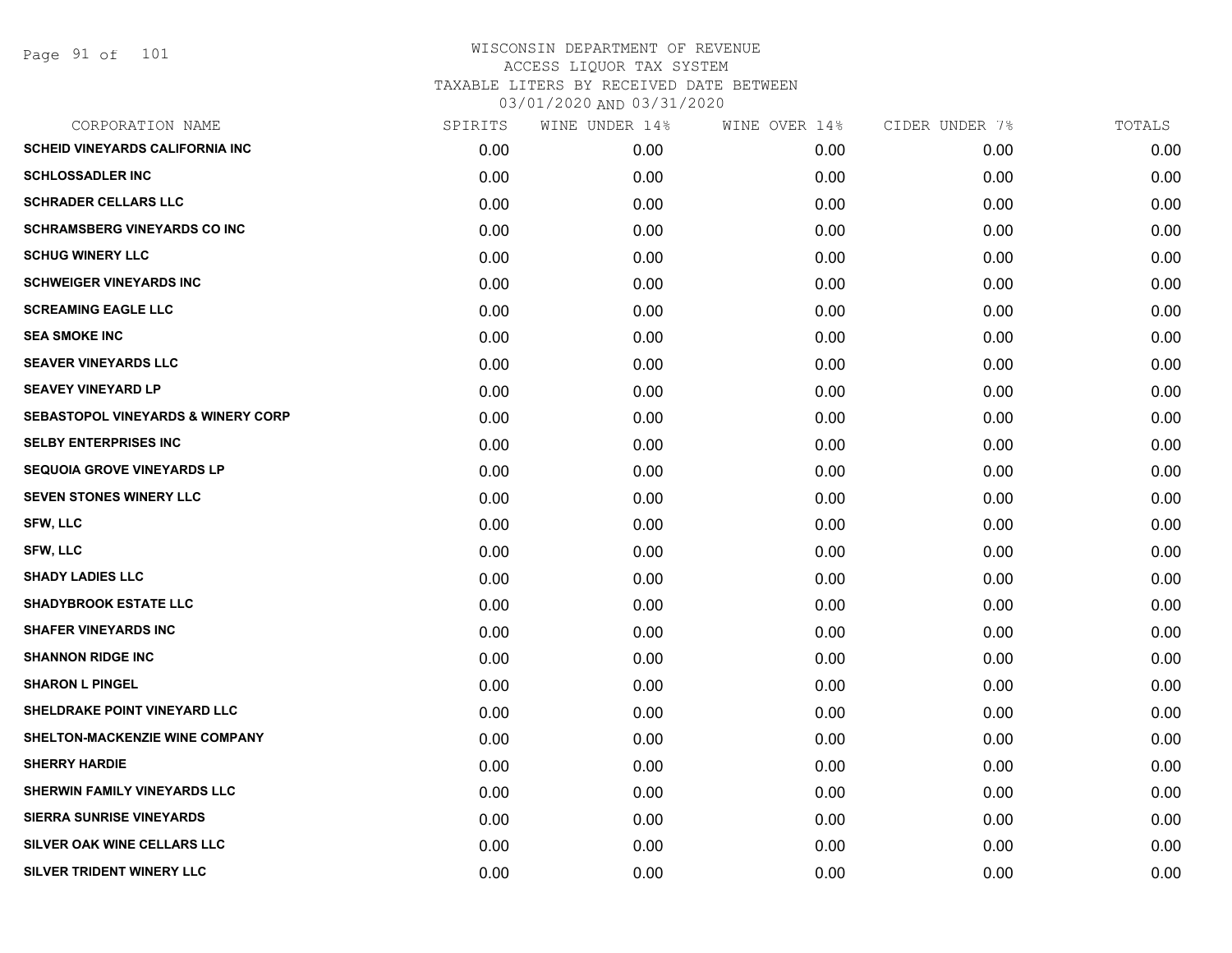| CORPORATION NAME                              | SPIRITS | WINE UNDER 14% | WINE OVER 14% | CIDER UNDER 7% | TOTALS |
|-----------------------------------------------|---------|----------------|---------------|----------------|--------|
| <b>SCHEID VINEYARDS CALIFORNIA INC</b>        | 0.00    | 0.00           | 0.00          | 0.00           | 0.00   |
| <b>SCHLOSSADLER INC</b>                       | 0.00    | 0.00           | 0.00          | 0.00           | 0.00   |
| <b>SCHRADER CELLARS LLC</b>                   | 0.00    | 0.00           | 0.00          | 0.00           | 0.00   |
| <b>SCHRAMSBERG VINEYARDS CO INC</b>           | 0.00    | 0.00           | 0.00          | 0.00           | 0.00   |
| <b>SCHUG WINERY LLC</b>                       | 0.00    | 0.00           | 0.00          | 0.00           | 0.00   |
| <b>SCHWEIGER VINEYARDS INC</b>                | 0.00    | 0.00           | 0.00          | 0.00           | 0.00   |
| <b>SCREAMING EAGLE LLC</b>                    | 0.00    | 0.00           | 0.00          | 0.00           | 0.00   |
| <b>SEA SMOKE INC</b>                          | 0.00    | 0.00           | 0.00          | 0.00           | 0.00   |
| <b>SEAVER VINEYARDS LLC</b>                   | 0.00    | 0.00           | 0.00          | 0.00           | 0.00   |
| <b>SEAVEY VINEYARD LP</b>                     | 0.00    | 0.00           | 0.00          | 0.00           | 0.00   |
| <b>SEBASTOPOL VINEYARDS &amp; WINERY CORP</b> | 0.00    | 0.00           | 0.00          | 0.00           | 0.00   |
| <b>SELBY ENTERPRISES INC</b>                  | 0.00    | 0.00           | 0.00          | 0.00           | 0.00   |
| <b>SEQUOIA GROVE VINEYARDS LP</b>             | 0.00    | 0.00           | 0.00          | 0.00           | 0.00   |
| <b>SEVEN STONES WINERY LLC</b>                | 0.00    | 0.00           | 0.00          | 0.00           | 0.00   |
| <b>SFW, LLC</b>                               | 0.00    | 0.00           | 0.00          | 0.00           | 0.00   |
| <b>SFW, LLC</b>                               | 0.00    | 0.00           | 0.00          | 0.00           | 0.00   |
| <b>SHADY LADIES LLC</b>                       | 0.00    | 0.00           | 0.00          | 0.00           | 0.00   |
| <b>SHADYBROOK ESTATE LLC</b>                  | 0.00    | 0.00           | 0.00          | 0.00           | 0.00   |
| <b>SHAFER VINEYARDS INC</b>                   | 0.00    | 0.00           | 0.00          | 0.00           | 0.00   |
| <b>SHANNON RIDGE INC</b>                      | 0.00    | 0.00           | 0.00          | 0.00           | 0.00   |
| <b>SHARON L PINGEL</b>                        | 0.00    | 0.00           | 0.00          | 0.00           | 0.00   |
| SHELDRAKE POINT VINEYARD LLC                  | 0.00    | 0.00           | 0.00          | 0.00           | 0.00   |
| SHELTON-MACKENZIE WINE COMPANY                | 0.00    | 0.00           | 0.00          | 0.00           | 0.00   |
| <b>SHERRY HARDIE</b>                          | 0.00    | 0.00           | 0.00          | 0.00           | 0.00   |
| <b>SHERWIN FAMILY VINEYARDS LLC</b>           | 0.00    | 0.00           | 0.00          | 0.00           | 0.00   |
| <b>SIERRA SUNRISE VINEYARDS</b>               | 0.00    | 0.00           | 0.00          | 0.00           | 0.00   |
| <b>SILVER OAK WINE CELLARS LLC</b>            | 0.00    | 0.00           | 0.00          | 0.00           | 0.00   |
| SILVER TRIDENT WINERY LLC                     | 0.00    | 0.00           | 0.00          | 0.00           | 0.00   |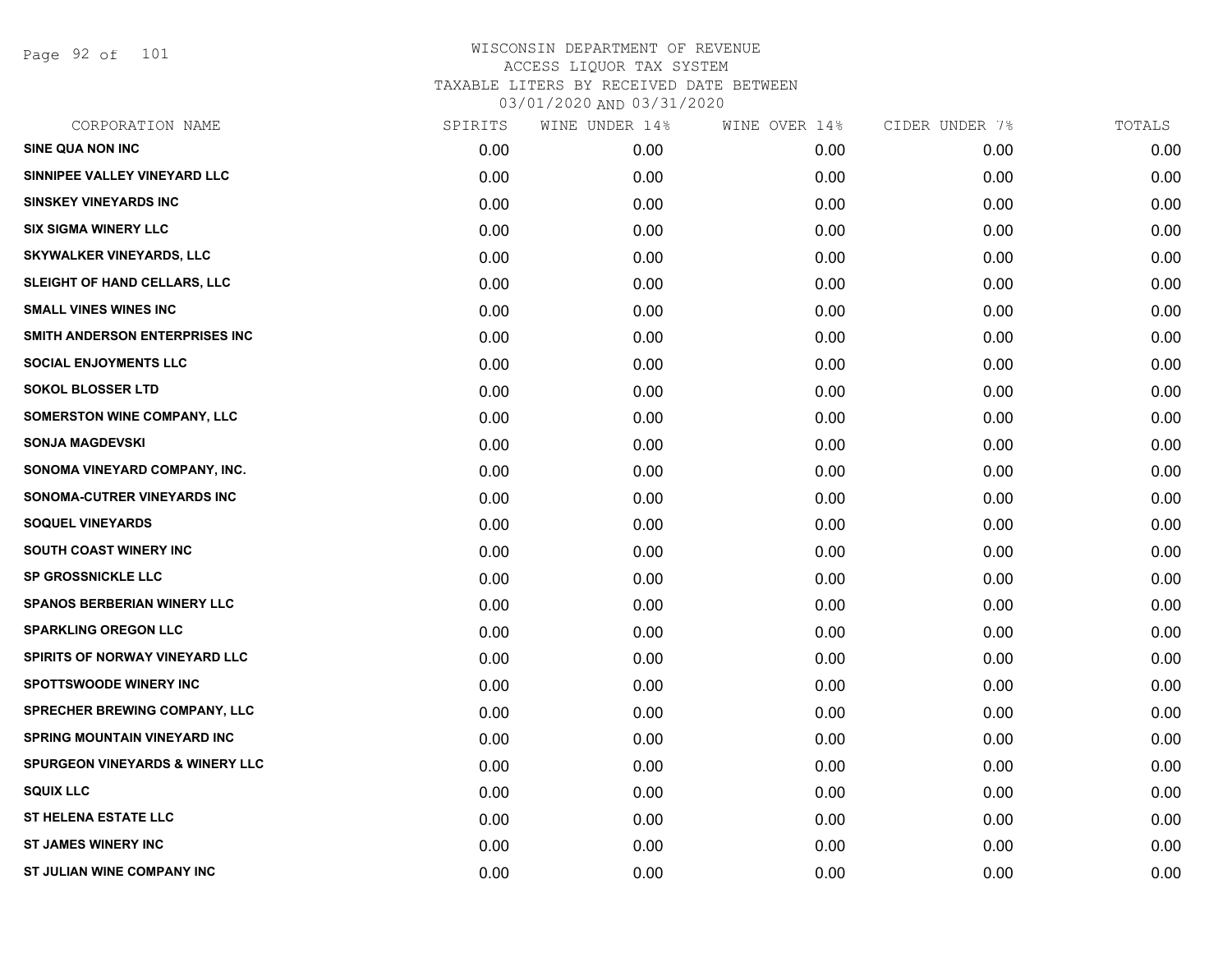Page 92 of 101

| CORPORATION NAME                           | SPIRITS | WINE UNDER 14% | WINE OVER 14% | CIDER UNDER 7% | TOTALS |
|--------------------------------------------|---------|----------------|---------------|----------------|--------|
| <b>SINE QUA NON INC</b>                    | 0.00    | 0.00           | 0.00          | 0.00           | 0.00   |
| SINNIPEE VALLEY VINEYARD LLC               | 0.00    | 0.00           | 0.00          | 0.00           | 0.00   |
| <b>SINSKEY VINEYARDS INC</b>               | 0.00    | 0.00           | 0.00          | 0.00           | 0.00   |
| <b>SIX SIGMA WINERY LLC</b>                | 0.00    | 0.00           | 0.00          | 0.00           | 0.00   |
| <b>SKYWALKER VINEYARDS, LLC</b>            | 0.00    | 0.00           | 0.00          | 0.00           | 0.00   |
| SLEIGHT OF HAND CELLARS, LLC               | 0.00    | 0.00           | 0.00          | 0.00           | 0.00   |
| <b>SMALL VINES WINES INC</b>               | 0.00    | 0.00           | 0.00          | 0.00           | 0.00   |
| SMITH ANDERSON ENTERPRISES INC             | 0.00    | 0.00           | 0.00          | 0.00           | 0.00   |
| <b>SOCIAL ENJOYMENTS LLC</b>               | 0.00    | 0.00           | 0.00          | 0.00           | 0.00   |
| <b>SOKOL BLOSSER LTD</b>                   | 0.00    | 0.00           | 0.00          | 0.00           | 0.00   |
| <b>SOMERSTON WINE COMPANY, LLC</b>         | 0.00    | 0.00           | 0.00          | 0.00           | 0.00   |
| <b>SONJA MAGDEVSKI</b>                     | 0.00    | 0.00           | 0.00          | 0.00           | 0.00   |
| SONOMA VINEYARD COMPANY, INC.              | 0.00    | 0.00           | 0.00          | 0.00           | 0.00   |
| SONOMA-CUTRER VINEYARDS INC                | 0.00    | 0.00           | 0.00          | 0.00           | 0.00   |
| <b>SOQUEL VINEYARDS</b>                    | 0.00    | 0.00           | 0.00          | 0.00           | 0.00   |
| SOUTH COAST WINERY INC                     | 0.00    | 0.00           | 0.00          | 0.00           | 0.00   |
| <b>SP GROSSNICKLE LLC</b>                  | 0.00    | 0.00           | 0.00          | 0.00           | 0.00   |
| <b>SPANOS BERBERIAN WINERY LLC</b>         | 0.00    | 0.00           | 0.00          | 0.00           | 0.00   |
| <b>SPARKLING OREGON LLC</b>                | 0.00    | 0.00           | 0.00          | 0.00           | 0.00   |
| SPIRITS OF NORWAY VINEYARD LLC             | 0.00    | 0.00           | 0.00          | 0.00           | 0.00   |
| <b>SPOTTSWOODE WINERY INC</b>              | 0.00    | 0.00           | 0.00          | 0.00           | 0.00   |
| SPRECHER BREWING COMPANY, LLC              | 0.00    | 0.00           | 0.00          | 0.00           | 0.00   |
| <b>SPRING MOUNTAIN VINEYARD INC</b>        | 0.00    | 0.00           | 0.00          | 0.00           | 0.00   |
| <b>SPURGEON VINEYARDS &amp; WINERY LLC</b> | 0.00    | 0.00           | 0.00          | 0.00           | 0.00   |
| <b>SQUIX LLC</b>                           | 0.00    | 0.00           | 0.00          | 0.00           | 0.00   |
| <b>ST HELENA ESTATE LLC</b>                | 0.00    | 0.00           | 0.00          | 0.00           | 0.00   |
| <b>ST JAMES WINERY INC</b>                 | 0.00    | 0.00           | 0.00          | 0.00           | 0.00   |
| ST JULIAN WINE COMPANY INC                 | 0.00    | 0.00           | 0.00          | 0.00           | 0.00   |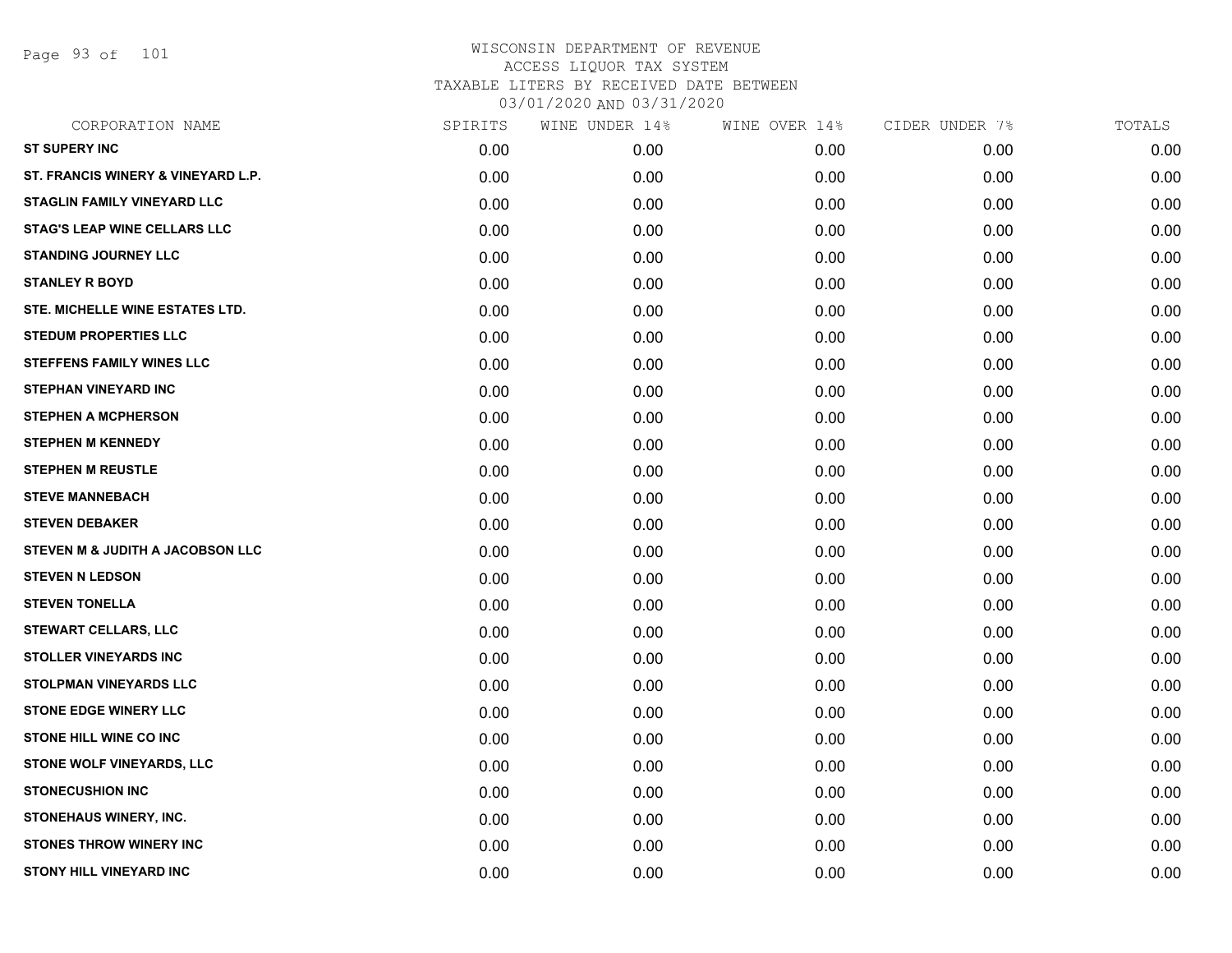Page 93 of 101

| CORPORATION NAME                    | SPIRITS | WINE UNDER 14% | WINE OVER 14% | CIDER UNDER 7% | TOTALS |
|-------------------------------------|---------|----------------|---------------|----------------|--------|
| <b>ST SUPERY INC</b>                | 0.00    | 0.00           | 0.00          | 0.00           | 0.00   |
| ST. FRANCIS WINERY & VINEYARD L.P.  | 0.00    | 0.00           | 0.00          | 0.00           | 0.00   |
| STAGLIN FAMILY VINEYARD LLC         | 0.00    | 0.00           | 0.00          | 0.00           | 0.00   |
| <b>STAG'S LEAP WINE CELLARS LLC</b> | 0.00    | 0.00           | 0.00          | 0.00           | 0.00   |
| <b>STANDING JOURNEY LLC</b>         | 0.00    | 0.00           | 0.00          | 0.00           | 0.00   |
| <b>STANLEY R BOYD</b>               | 0.00    | 0.00           | 0.00          | 0.00           | 0.00   |
| STE. MICHELLE WINE ESTATES LTD.     | 0.00    | 0.00           | 0.00          | 0.00           | 0.00   |
| <b>STEDUM PROPERTIES LLC</b>        | 0.00    | 0.00           | 0.00          | 0.00           | 0.00   |
| <b>STEFFENS FAMILY WINES LLC</b>    | 0.00    | 0.00           | 0.00          | 0.00           | 0.00   |
| <b>STEPHAN VINEYARD INC</b>         | 0.00    | 0.00           | 0.00          | 0.00           | 0.00   |
| <b>STEPHEN A MCPHERSON</b>          | 0.00    | 0.00           | 0.00          | 0.00           | 0.00   |
| <b>STEPHEN M KENNEDY</b>            | 0.00    | 0.00           | 0.00          | 0.00           | 0.00   |
| <b>STEPHEN M REUSTLE</b>            | 0.00    | 0.00           | 0.00          | 0.00           | 0.00   |
| <b>STEVE MANNEBACH</b>              | 0.00    | 0.00           | 0.00          | 0.00           | 0.00   |
| <b>STEVEN DEBAKER</b>               | 0.00    | 0.00           | 0.00          | 0.00           | 0.00   |
| STEVEN M & JUDITH A JACOBSON LLC    | 0.00    | 0.00           | 0.00          | 0.00           | 0.00   |
| <b>STEVEN N LEDSON</b>              | 0.00    | 0.00           | 0.00          | 0.00           | 0.00   |
| <b>STEVEN TONELLA</b>               | 0.00    | 0.00           | 0.00          | 0.00           | 0.00   |
| <b>STEWART CELLARS, LLC</b>         | 0.00    | 0.00           | 0.00          | 0.00           | 0.00   |
| <b>STOLLER VINEYARDS INC</b>        | 0.00    | 0.00           | 0.00          | 0.00           | 0.00   |
| <b>STOLPMAN VINEYARDS LLC</b>       | 0.00    | 0.00           | 0.00          | 0.00           | 0.00   |
| <b>STONE EDGE WINERY LLC</b>        | 0.00    | 0.00           | 0.00          | 0.00           | 0.00   |
| <b>STONE HILL WINE CO INC</b>       | 0.00    | 0.00           | 0.00          | 0.00           | 0.00   |
| STONE WOLF VINEYARDS, LLC           | 0.00    | 0.00           | 0.00          | 0.00           | 0.00   |
| <b>STONECUSHION INC</b>             | 0.00    | 0.00           | 0.00          | 0.00           | 0.00   |
| STONEHAUS WINERY, INC.              | 0.00    | 0.00           | 0.00          | 0.00           | 0.00   |
| <b>STONES THROW WINERY INC</b>      | 0.00    | 0.00           | 0.00          | 0.00           | 0.00   |
| <b>STONY HILL VINEYARD INC</b>      | 0.00    | 0.00           | 0.00          | 0.00           | 0.00   |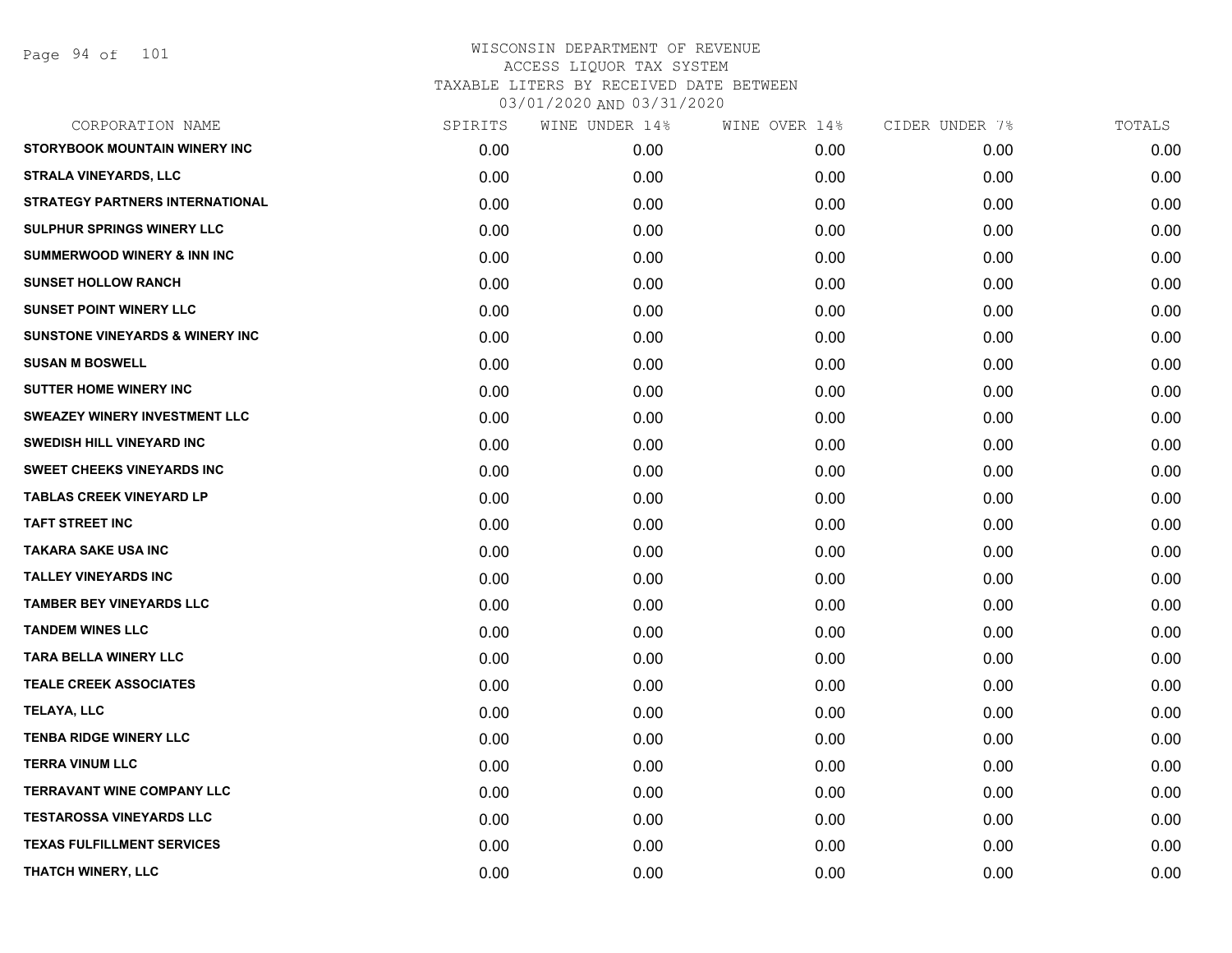Page 94 of 101

| CORPORATION NAME                           | SPIRITS | WINE UNDER 14% | WINE OVER 14% | CIDER UNDER 7% | TOTALS |
|--------------------------------------------|---------|----------------|---------------|----------------|--------|
| STORYBOOK MOUNTAIN WINERY INC              | 0.00    | 0.00           | 0.00          | 0.00           | 0.00   |
| <b>STRALA VINEYARDS, LLC</b>               | 0.00    | 0.00           | 0.00          | 0.00           | 0.00   |
| <b>STRATEGY PARTNERS INTERNATIONAL</b>     | 0.00    | 0.00           | 0.00          | 0.00           | 0.00   |
| SULPHUR SPRINGS WINERY LLC                 | 0.00    | 0.00           | 0.00          | 0.00           | 0.00   |
| <b>SUMMERWOOD WINERY &amp; INN INC</b>     | 0.00    | 0.00           | 0.00          | 0.00           | 0.00   |
| <b>SUNSET HOLLOW RANCH</b>                 | 0.00    | 0.00           | 0.00          | 0.00           | 0.00   |
| <b>SUNSET POINT WINERY LLC</b>             | 0.00    | 0.00           | 0.00          | 0.00           | 0.00   |
| <b>SUNSTONE VINEYARDS &amp; WINERY INC</b> | 0.00    | 0.00           | 0.00          | 0.00           | 0.00   |
| <b>SUSAN M BOSWELL</b>                     | 0.00    | 0.00           | 0.00          | 0.00           | 0.00   |
| <b>SUTTER HOME WINERY INC</b>              | 0.00    | 0.00           | 0.00          | 0.00           | 0.00   |
| <b>SWEAZEY WINERY INVESTMENT LLC</b>       | 0.00    | 0.00           | 0.00          | 0.00           | 0.00   |
| SWEDISH HILL VINEYARD INC                  | 0.00    | 0.00           | 0.00          | 0.00           | 0.00   |
| <b>SWEET CHEEKS VINEYARDS INC</b>          | 0.00    | 0.00           | 0.00          | 0.00           | 0.00   |
| <b>TABLAS CREEK VINEYARD LP</b>            | 0.00    | 0.00           | 0.00          | 0.00           | 0.00   |
| <b>TAFT STREET INC</b>                     | 0.00    | 0.00           | 0.00          | 0.00           | 0.00   |
| <b>TAKARA SAKE USA INC</b>                 | 0.00    | 0.00           | 0.00          | 0.00           | 0.00   |
| <b>TALLEY VINEYARDS INC</b>                | 0.00    | 0.00           | 0.00          | 0.00           | 0.00   |
| <b>TAMBER BEY VINEYARDS LLC</b>            | 0.00    | 0.00           | 0.00          | 0.00           | 0.00   |
| <b>TANDEM WINES LLC</b>                    | 0.00    | 0.00           | 0.00          | 0.00           | 0.00   |
| <b>TARA BELLA WINERY LLC</b>               | 0.00    | 0.00           | 0.00          | 0.00           | 0.00   |
| <b>TEALE CREEK ASSOCIATES</b>              | 0.00    | 0.00           | 0.00          | 0.00           | 0.00   |
| <b>TELAYA, LLC</b>                         | 0.00    | 0.00           | 0.00          | 0.00           | 0.00   |
| <b>TENBA RIDGE WINERY LLC</b>              | 0.00    | 0.00           | 0.00          | 0.00           | 0.00   |
| <b>TERRA VINUM LLC</b>                     | 0.00    | 0.00           | 0.00          | 0.00           | 0.00   |
| <b>TERRAVANT WINE COMPANY LLC</b>          | 0.00    | 0.00           | 0.00          | 0.00           | 0.00   |
| <b>TESTAROSSA VINEYARDS LLC</b>            | 0.00    | 0.00           | 0.00          | 0.00           | 0.00   |
| <b>TEXAS FULFILLMENT SERVICES</b>          | 0.00    | 0.00           | 0.00          | 0.00           | 0.00   |
| THATCH WINERY, LLC                         | 0.00    | 0.00           | 0.00          | 0.00           | 0.00   |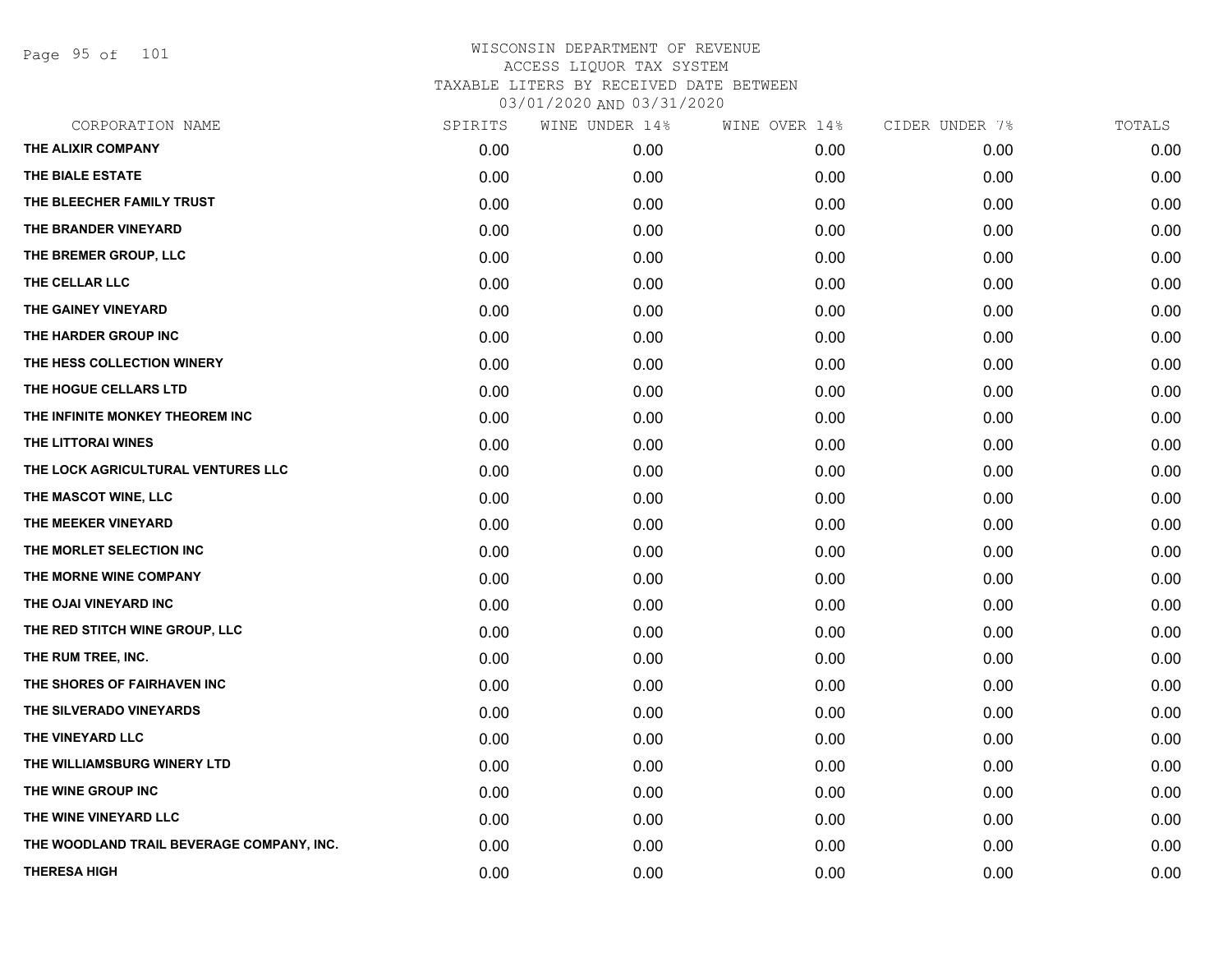Page 95 of 101

|      | WINE UNDER 14% |      | CIDER UNDER 7% | TOTALS |
|------|----------------|------|----------------|--------|
| 0.00 | 0.00           | 0.00 | 0.00           | 0.00   |
| 0.00 | 0.00           | 0.00 | 0.00           | 0.00   |
| 0.00 | 0.00           | 0.00 | 0.00           | 0.00   |
| 0.00 | 0.00           | 0.00 | 0.00           | 0.00   |
| 0.00 | 0.00           | 0.00 | 0.00           | 0.00   |
| 0.00 | 0.00           | 0.00 | 0.00           | 0.00   |
| 0.00 | 0.00           | 0.00 | 0.00           | 0.00   |
| 0.00 | 0.00           | 0.00 | 0.00           | 0.00   |
| 0.00 | 0.00           | 0.00 | 0.00           | 0.00   |
| 0.00 | 0.00           | 0.00 | 0.00           | 0.00   |
| 0.00 | 0.00           | 0.00 | 0.00           | 0.00   |
| 0.00 | 0.00           | 0.00 | 0.00           | 0.00   |
| 0.00 | 0.00           | 0.00 | 0.00           | 0.00   |
| 0.00 | 0.00           | 0.00 | 0.00           | 0.00   |
| 0.00 | 0.00           | 0.00 | 0.00           | 0.00   |
| 0.00 | 0.00           | 0.00 | 0.00           | 0.00   |
| 0.00 | 0.00           | 0.00 | 0.00           | 0.00   |
| 0.00 | 0.00           | 0.00 | 0.00           | 0.00   |
| 0.00 | 0.00           | 0.00 | 0.00           | 0.00   |
| 0.00 | 0.00           | 0.00 | 0.00           | 0.00   |
| 0.00 | 0.00           | 0.00 | 0.00           | 0.00   |
| 0.00 | 0.00           | 0.00 | 0.00           | 0.00   |
| 0.00 | 0.00           | 0.00 | 0.00           | 0.00   |
| 0.00 | 0.00           | 0.00 | 0.00           | 0.00   |
| 0.00 | 0.00           | 0.00 | 0.00           | 0.00   |
| 0.00 | 0.00           | 0.00 | 0.00           | 0.00   |
| 0.00 | 0.00           | 0.00 | 0.00           | 0.00   |
| 0.00 | 0.00           | 0.00 | 0.00           | 0.00   |
|      | SPIRITS        |      | WINE OVER 14%  |        |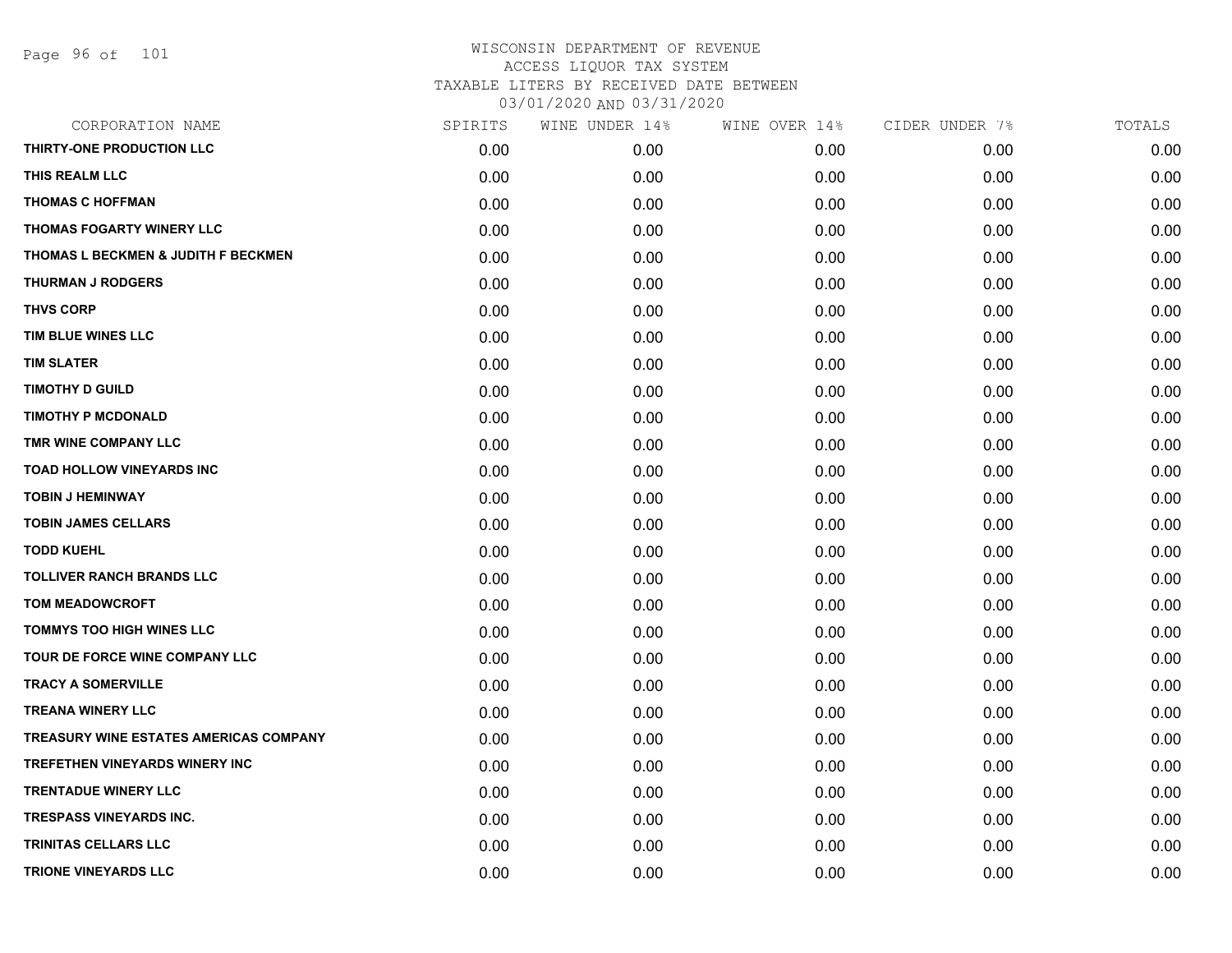| CORPORATION NAME                               | SPIRITS | WINE UNDER 14% | WINE OVER 14% | CIDER UNDER 7% | TOTALS |
|------------------------------------------------|---------|----------------|---------------|----------------|--------|
| THIRTY-ONE PRODUCTION LLC                      | 0.00    | 0.00           | 0.00          | 0.00           | 0.00   |
| THIS REALM LLC                                 | 0.00    | 0.00           | 0.00          | 0.00           | 0.00   |
| <b>THOMAS C HOFFMAN</b>                        | 0.00    | 0.00           | 0.00          | 0.00           | 0.00   |
| THOMAS FOGARTY WINERY LLC                      | 0.00    | 0.00           | 0.00          | 0.00           | 0.00   |
| <b>THOMAS L BECKMEN &amp; JUDITH F BECKMEN</b> | 0.00    | 0.00           | 0.00          | 0.00           | 0.00   |
| <b>THURMAN J RODGERS</b>                       | 0.00    | 0.00           | 0.00          | 0.00           | 0.00   |
| <b>THVS CORP</b>                               | 0.00    | 0.00           | 0.00          | 0.00           | 0.00   |
| TIM BLUE WINES LLC                             | 0.00    | 0.00           | 0.00          | 0.00           | 0.00   |
| <b>TIM SLATER</b>                              | 0.00    | 0.00           | 0.00          | 0.00           | 0.00   |
| <b>TIMOTHY D GUILD</b>                         | 0.00    | 0.00           | 0.00          | 0.00           | 0.00   |
| <b>TIMOTHY P MCDONALD</b>                      | 0.00    | 0.00           | 0.00          | 0.00           | 0.00   |
| TMR WINE COMPANY LLC                           | 0.00    | 0.00           | 0.00          | 0.00           | 0.00   |
| <b>TOAD HOLLOW VINEYARDS INC</b>               | 0.00    | 0.00           | 0.00          | 0.00           | 0.00   |
| <b>TOBIN J HEMINWAY</b>                        | 0.00    | 0.00           | 0.00          | 0.00           | 0.00   |
| <b>TOBIN JAMES CELLARS</b>                     | 0.00    | 0.00           | 0.00          | 0.00           | 0.00   |
| <b>TODD KUEHL</b>                              | 0.00    | 0.00           | 0.00          | 0.00           | 0.00   |
| <b>TOLLIVER RANCH BRANDS LLC</b>               | 0.00    | 0.00           | 0.00          | 0.00           | 0.00   |
| <b>TOM MEADOWCROFT</b>                         | 0.00    | 0.00           | 0.00          | 0.00           | 0.00   |
| <b>TOMMYS TOO HIGH WINES LLC</b>               | 0.00    | 0.00           | 0.00          | 0.00           | 0.00   |
| TOUR DE FORCE WINE COMPANY LLC                 | 0.00    | 0.00           | 0.00          | 0.00           | 0.00   |
| <b>TRACY A SOMERVILLE</b>                      | 0.00    | 0.00           | 0.00          | 0.00           | 0.00   |
| <b>TREANA WINERY LLC</b>                       | 0.00    | 0.00           | 0.00          | 0.00           | 0.00   |
| <b>TREASURY WINE ESTATES AMERICAS COMPANY</b>  | 0.00    | 0.00           | 0.00          | 0.00           | 0.00   |
| TREFETHEN VINEYARDS WINERY INC                 | 0.00    | 0.00           | 0.00          | 0.00           | 0.00   |
| <b>TRENTADUE WINERY LLC</b>                    | 0.00    | 0.00           | 0.00          | 0.00           | 0.00   |
| <b>TRESPASS VINEYARDS INC.</b>                 | 0.00    | 0.00           | 0.00          | 0.00           | 0.00   |
| <b>TRINITAS CELLARS LLC</b>                    | 0.00    | 0.00           | 0.00          | 0.00           | 0.00   |
| <b>TRIONE VINEYARDS LLC</b>                    | 0.00    | 0.00           | 0.00          | 0.00           | 0.00   |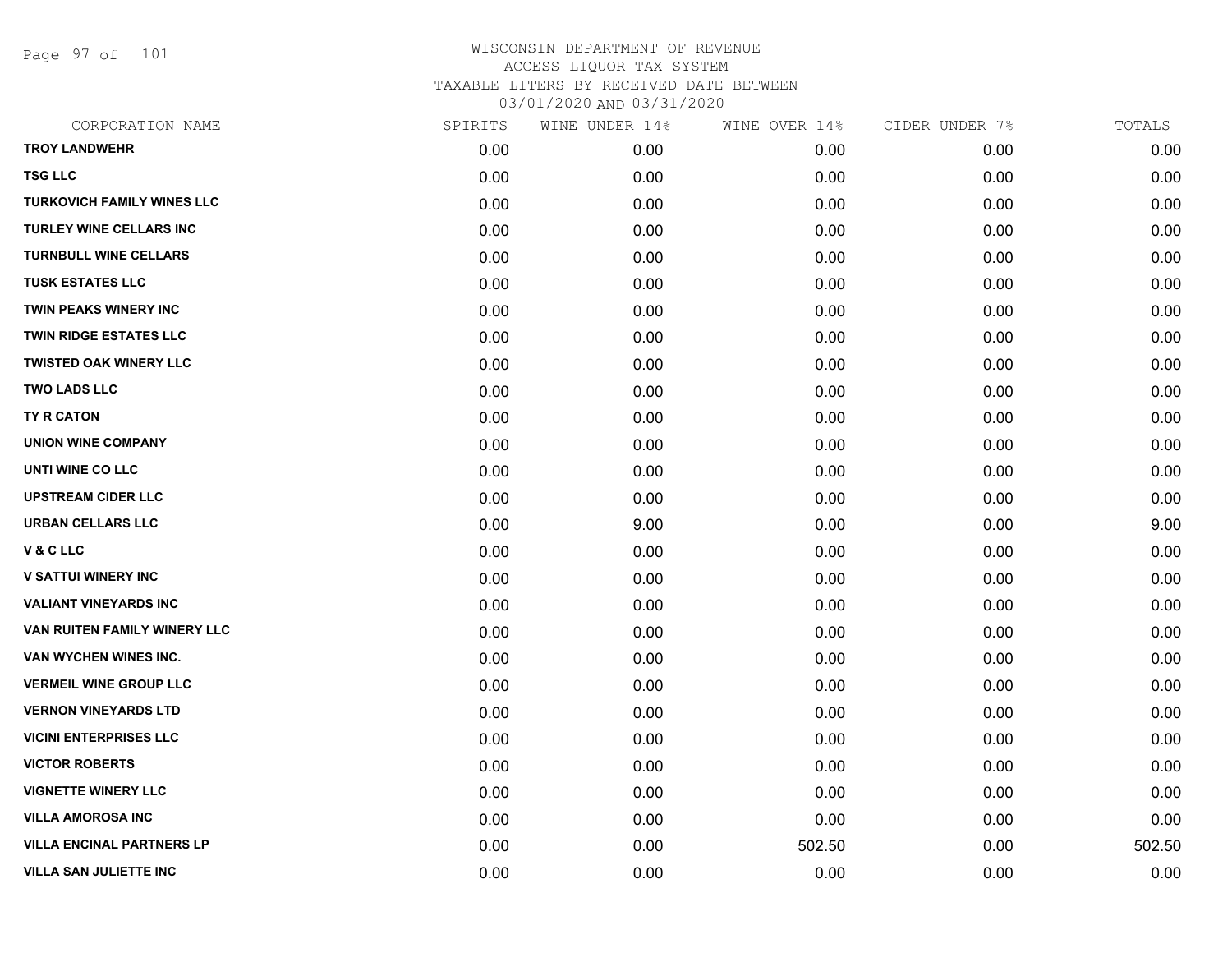Page 97 of 101

| CORPORATION NAME                  | SPIRITS | WINE UNDER 14% | WINE OVER 14% | CIDER UNDER 7% | TOTALS |
|-----------------------------------|---------|----------------|---------------|----------------|--------|
| <b>TROY LANDWEHR</b>              | 0.00    | 0.00           | 0.00          | 0.00           | 0.00   |
| <b>TSG LLC</b>                    | 0.00    | 0.00           | 0.00          | 0.00           | 0.00   |
| <b>TURKOVICH FAMILY WINES LLC</b> | 0.00    | 0.00           | 0.00          | 0.00           | 0.00   |
| <b>TURLEY WINE CELLARS INC</b>    | 0.00    | 0.00           | 0.00          | 0.00           | 0.00   |
| <b>TURNBULL WINE CELLARS</b>      | 0.00    | 0.00           | 0.00          | 0.00           | 0.00   |
| <b>TUSK ESTATES LLC</b>           | 0.00    | 0.00           | 0.00          | 0.00           | 0.00   |
| <b>TWIN PEAKS WINERY INC</b>      | 0.00    | 0.00           | 0.00          | 0.00           | 0.00   |
| <b>TWIN RIDGE ESTATES LLC</b>     | 0.00    | 0.00           | 0.00          | 0.00           | 0.00   |
| <b>TWISTED OAK WINERY LLC</b>     | 0.00    | 0.00           | 0.00          | 0.00           | 0.00   |
| <b>TWO LADS LLC</b>               | 0.00    | 0.00           | 0.00          | 0.00           | 0.00   |
| <b>TY R CATON</b>                 | 0.00    | 0.00           | 0.00          | 0.00           | 0.00   |
| <b>UNION WINE COMPANY</b>         | 0.00    | 0.00           | 0.00          | 0.00           | 0.00   |
| UNTI WINE CO LLC                  | 0.00    | 0.00           | 0.00          | 0.00           | 0.00   |
| <b>UPSTREAM CIDER LLC</b>         | 0.00    | 0.00           | 0.00          | 0.00           | 0.00   |
| <b>URBAN CELLARS LLC</b>          | 0.00    | 9.00           | 0.00          | 0.00           | 9.00   |
| V & C LLC                         | 0.00    | 0.00           | 0.00          | 0.00           | 0.00   |
| <b>V SATTUI WINERY INC</b>        | 0.00    | 0.00           | 0.00          | 0.00           | 0.00   |
| <b>VALIANT VINEYARDS INC</b>      | 0.00    | 0.00           | 0.00          | 0.00           | 0.00   |
| VAN RUITEN FAMILY WINERY LLC      | 0.00    | 0.00           | 0.00          | 0.00           | 0.00   |
| VAN WYCHEN WINES INC.             | 0.00    | 0.00           | 0.00          | 0.00           | 0.00   |
| <b>VERMEIL WINE GROUP LLC</b>     | 0.00    | 0.00           | 0.00          | 0.00           | 0.00   |
| <b>VERNON VINEYARDS LTD</b>       | 0.00    | 0.00           | 0.00          | 0.00           | 0.00   |
| <b>VICINI ENTERPRISES LLC</b>     | 0.00    | 0.00           | 0.00          | 0.00           | 0.00   |
| <b>VICTOR ROBERTS</b>             | 0.00    | 0.00           | 0.00          | 0.00           | 0.00   |
| <b>VIGNETTE WINERY LLC</b>        | 0.00    | 0.00           | 0.00          | 0.00           | 0.00   |
| <b>VILLA AMOROSA INC</b>          | 0.00    | 0.00           | 0.00          | 0.00           | 0.00   |
| <b>VILLA ENCINAL PARTNERS LP</b>  | 0.00    | 0.00           | 502.50        | 0.00           | 502.50 |
| <b>VILLA SAN JULIETTE INC</b>     | 0.00    | 0.00           | 0.00          | 0.00           | 0.00   |
|                                   |         |                |               |                |        |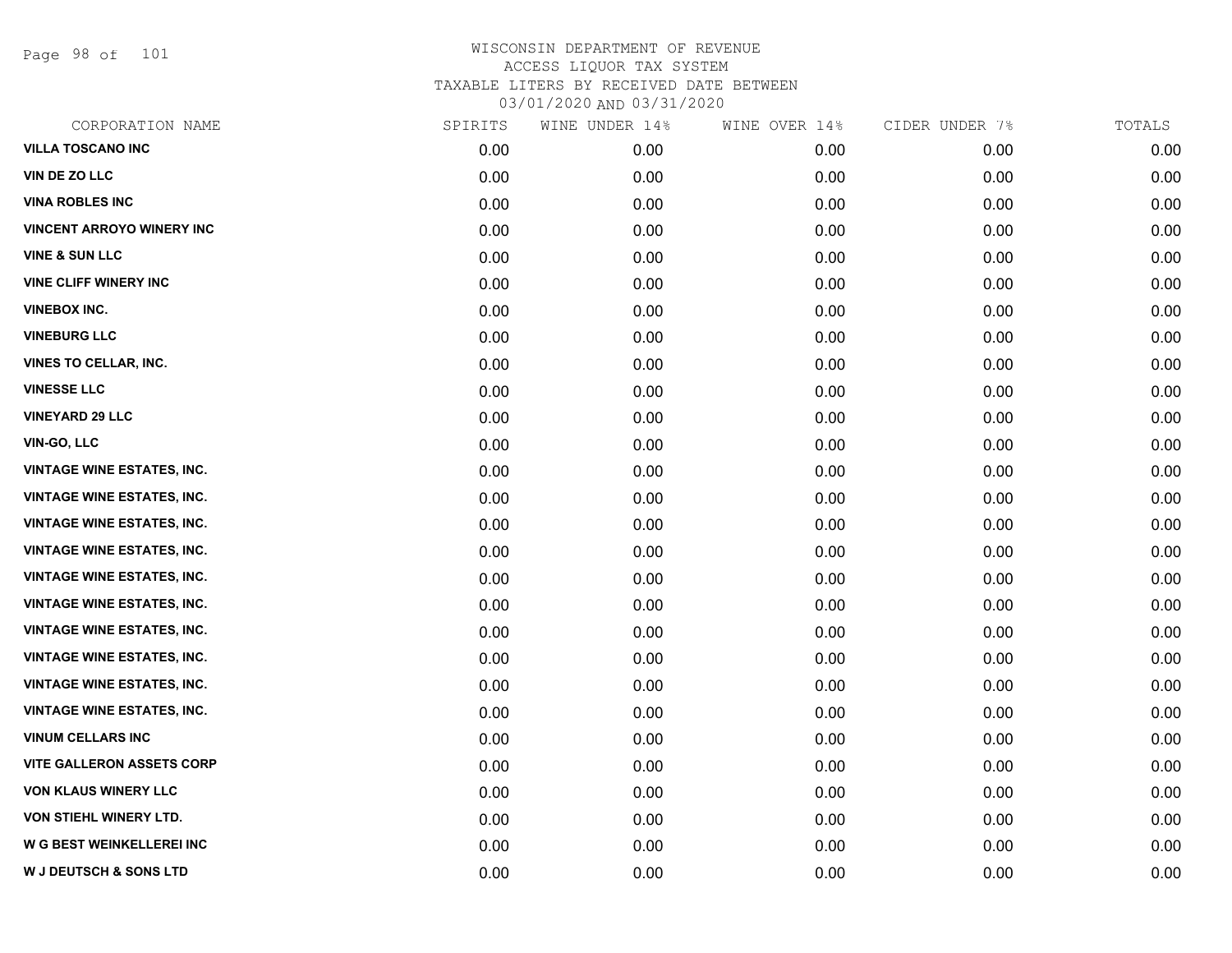Page 98 of 101

| CORPORATION NAME                  | SPIRITS | WINE UNDER 14% | WINE OVER 14% | CIDER UNDER 7% | TOTALS |
|-----------------------------------|---------|----------------|---------------|----------------|--------|
| <b>VILLA TOSCANO INC</b>          | 0.00    | 0.00           | 0.00          | 0.00           | 0.00   |
| VIN DE ZO LLC                     | 0.00    | 0.00           | 0.00          | 0.00           | 0.00   |
| <b>VINA ROBLES INC</b>            | 0.00    | 0.00           | 0.00          | 0.00           | 0.00   |
| <b>VINCENT ARROYO WINERY INC</b>  | 0.00    | 0.00           | 0.00          | 0.00           | 0.00   |
| <b>VINE &amp; SUN LLC</b>         | 0.00    | 0.00           | 0.00          | 0.00           | 0.00   |
| <b>VINE CLIFF WINERY INC</b>      | 0.00    | 0.00           | 0.00          | 0.00           | 0.00   |
| <b>VINEBOX INC.</b>               | 0.00    | 0.00           | 0.00          | 0.00           | 0.00   |
| <b>VINEBURG LLC</b>               | 0.00    | 0.00           | 0.00          | 0.00           | 0.00   |
| VINES TO CELLAR, INC.             | 0.00    | 0.00           | 0.00          | 0.00           | 0.00   |
| <b>VINESSE LLC</b>                | 0.00    | 0.00           | 0.00          | 0.00           | 0.00   |
| <b>VINEYARD 29 LLC</b>            | 0.00    | 0.00           | 0.00          | 0.00           | 0.00   |
| VIN-GO, LLC                       | 0.00    | 0.00           | 0.00          | 0.00           | 0.00   |
| <b>VINTAGE WINE ESTATES, INC.</b> | 0.00    | 0.00           | 0.00          | 0.00           | 0.00   |
| <b>VINTAGE WINE ESTATES, INC.</b> | 0.00    | 0.00           | 0.00          | 0.00           | 0.00   |
| <b>VINTAGE WINE ESTATES, INC.</b> | 0.00    | 0.00           | 0.00          | 0.00           | 0.00   |
| <b>VINTAGE WINE ESTATES, INC.</b> | 0.00    | 0.00           | 0.00          | 0.00           | 0.00   |
| <b>VINTAGE WINE ESTATES, INC.</b> | 0.00    | 0.00           | 0.00          | 0.00           | 0.00   |
| <b>VINTAGE WINE ESTATES, INC.</b> | 0.00    | 0.00           | 0.00          | 0.00           | 0.00   |
| <b>VINTAGE WINE ESTATES, INC.</b> | 0.00    | 0.00           | 0.00          | 0.00           | 0.00   |
| <b>VINTAGE WINE ESTATES, INC.</b> | 0.00    | 0.00           | 0.00          | 0.00           | 0.00   |
| <b>VINTAGE WINE ESTATES, INC.</b> | 0.00    | 0.00           | 0.00          | 0.00           | 0.00   |
| <b>VINTAGE WINE ESTATES, INC.</b> | 0.00    | 0.00           | 0.00          | 0.00           | 0.00   |
| <b>VINUM CELLARS INC</b>          | 0.00    | 0.00           | 0.00          | 0.00           | 0.00   |
| <b>VITE GALLERON ASSETS CORP</b>  | 0.00    | 0.00           | 0.00          | 0.00           | 0.00   |
| <b>VON KLAUS WINERY LLC</b>       | 0.00    | 0.00           | 0.00          | 0.00           | 0.00   |
| VON STIEHL WINERY LTD.            | 0.00    | 0.00           | 0.00          | 0.00           | 0.00   |
| <b>W G BEST WEINKELLEREI INC</b>  | 0.00    | 0.00           | 0.00          | 0.00           | 0.00   |
| <b>W J DEUTSCH &amp; SONS LTD</b> | 0.00    | 0.00           | 0.00          | 0.00           | 0.00   |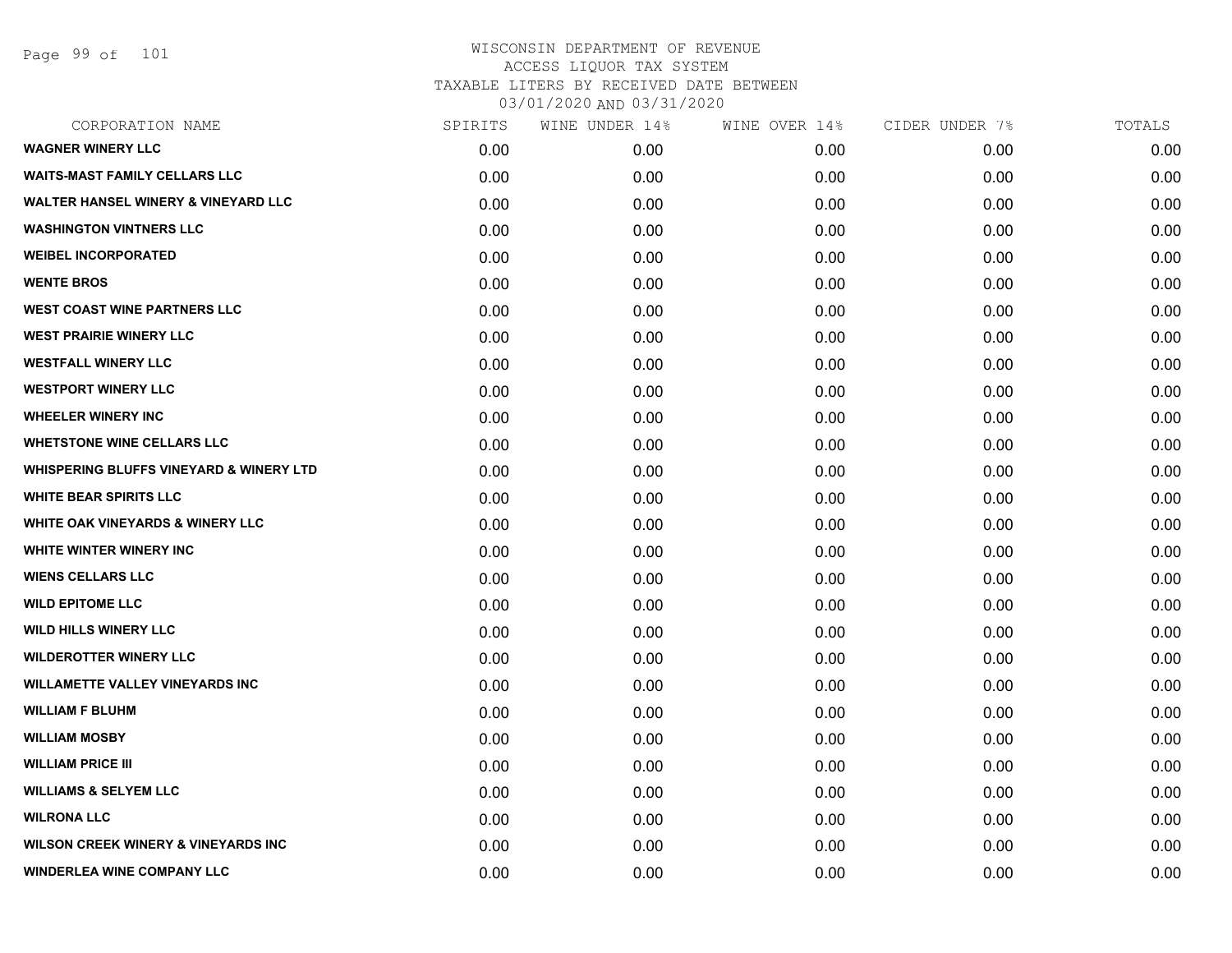Page 99 of 101

| CORPORATION NAME                                   | SPIRITS | WINE UNDER 14% | WINE OVER 14% | CIDER UNDER 7% | TOTALS |
|----------------------------------------------------|---------|----------------|---------------|----------------|--------|
| <b>WAGNER WINERY LLC</b>                           | 0.00    | 0.00           | 0.00          | 0.00           | 0.00   |
| <b>WAITS-MAST FAMILY CELLARS LLC</b>               | 0.00    | 0.00           | 0.00          | 0.00           | 0.00   |
| <b>WALTER HANSEL WINERY &amp; VINEYARD LLC</b>     | 0.00    | 0.00           | 0.00          | 0.00           | 0.00   |
| <b>WASHINGTON VINTNERS LLC</b>                     | 0.00    | 0.00           | 0.00          | 0.00           | 0.00   |
| <b>WEIBEL INCORPORATED</b>                         | 0.00    | 0.00           | 0.00          | 0.00           | 0.00   |
| <b>WENTE BROS</b>                                  | 0.00    | 0.00           | 0.00          | 0.00           | 0.00   |
| <b>WEST COAST WINE PARTNERS LLC</b>                | 0.00    | 0.00           | 0.00          | 0.00           | 0.00   |
| <b>WEST PRAIRIE WINERY LLC</b>                     | 0.00    | 0.00           | 0.00          | 0.00           | 0.00   |
| <b>WESTFALL WINERY LLC</b>                         | 0.00    | 0.00           | 0.00          | 0.00           | 0.00   |
| <b>WESTPORT WINERY LLC</b>                         | 0.00    | 0.00           | 0.00          | 0.00           | 0.00   |
| <b>WHEELER WINERY INC</b>                          | 0.00    | 0.00           | 0.00          | 0.00           | 0.00   |
| <b>WHETSTONE WINE CELLARS LLC</b>                  | 0.00    | 0.00           | 0.00          | 0.00           | 0.00   |
| <b>WHISPERING BLUFFS VINEYARD &amp; WINERY LTD</b> | 0.00    | 0.00           | 0.00          | 0.00           | 0.00   |
| <b>WHITE BEAR SPIRITS LLC</b>                      | 0.00    | 0.00           | 0.00          | 0.00           | 0.00   |
| <b>WHITE OAK VINEYARDS &amp; WINERY LLC</b>        | 0.00    | 0.00           | 0.00          | 0.00           | 0.00   |
| WHITE WINTER WINERY INC                            | 0.00    | 0.00           | 0.00          | 0.00           | 0.00   |
| <b>WIENS CELLARS LLC</b>                           | 0.00    | 0.00           | 0.00          | 0.00           | 0.00   |
| <b>WILD EPITOME LLC</b>                            | 0.00    | 0.00           | 0.00          | 0.00           | 0.00   |
| <b>WILD HILLS WINERY LLC</b>                       | 0.00    | 0.00           | 0.00          | 0.00           | 0.00   |
| <b>WILDEROTTER WINERY LLC</b>                      | 0.00    | 0.00           | 0.00          | 0.00           | 0.00   |
| <b>WILLAMETTE VALLEY VINEYARDS INC</b>             | 0.00    | 0.00           | 0.00          | 0.00           | 0.00   |
| <b>WILLIAM F BLUHM</b>                             | 0.00    | 0.00           | 0.00          | 0.00           | 0.00   |
| <b>WILLIAM MOSBY</b>                               | 0.00    | 0.00           | 0.00          | 0.00           | 0.00   |
| <b>WILLIAM PRICE III</b>                           | 0.00    | 0.00           | 0.00          | 0.00           | 0.00   |
| <b>WILLIAMS &amp; SELYEM LLC</b>                   | 0.00    | 0.00           | 0.00          | 0.00           | 0.00   |
| <b>WILRONA LLC</b>                                 | 0.00    | 0.00           | 0.00          | 0.00           | 0.00   |
| <b>WILSON CREEK WINERY &amp; VINEYARDS INC</b>     | 0.00    | 0.00           | 0.00          | 0.00           | 0.00   |
| <b>WINDERLEA WINE COMPANY LLC</b>                  | 0.00    | 0.00           | 0.00          | 0.00           | 0.00   |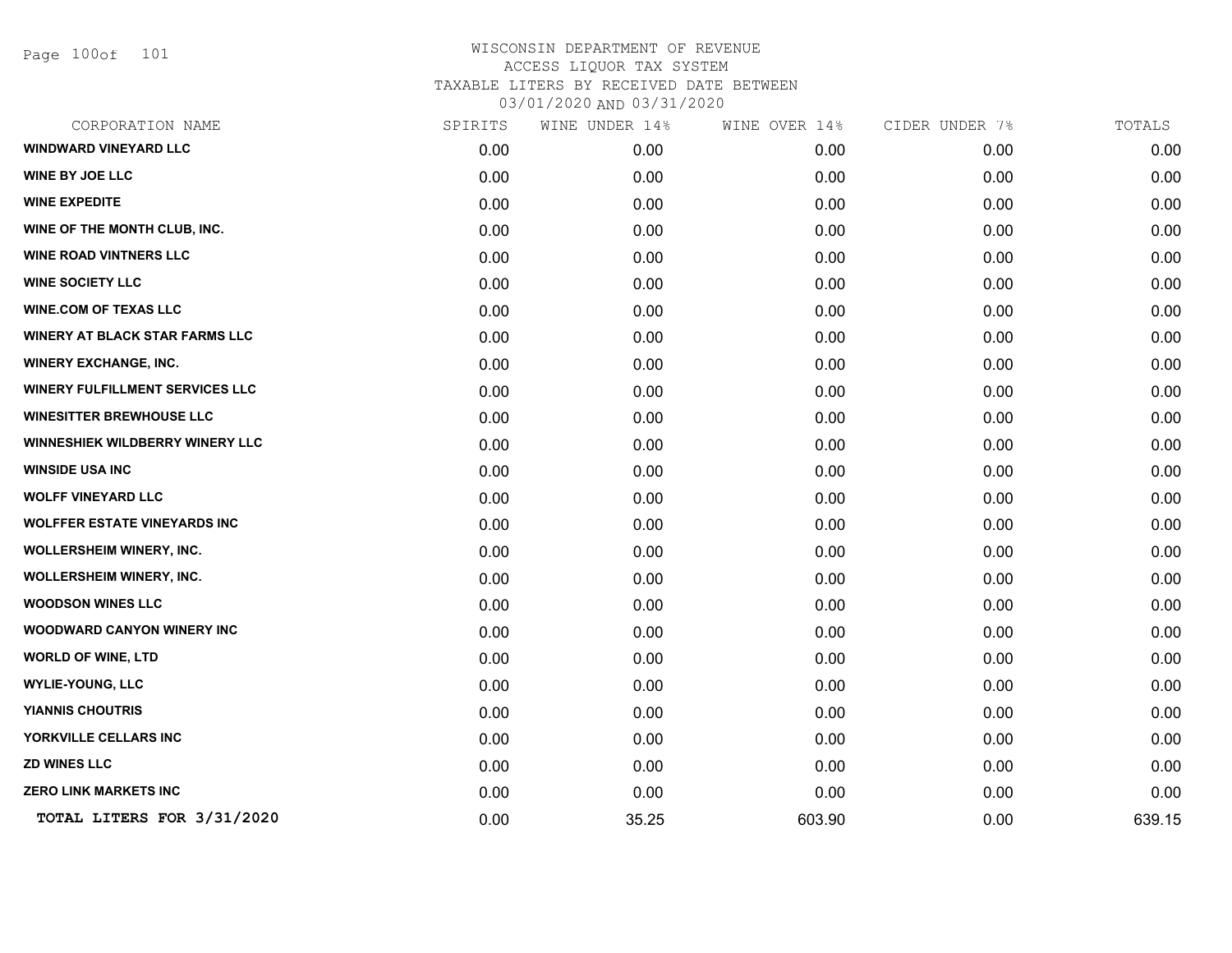Page 100of 101

| CORPORATION NAME                       | SPIRITS | WINE UNDER 14% | WINE OVER 14% | CIDER UNDER 7% | TOTALS |
|----------------------------------------|---------|----------------|---------------|----------------|--------|
| WINDWARD VINEYARD LLC                  | 0.00    | 0.00           | 0.00          | 0.00           | 0.00   |
| <b>WINE BY JOE LLC</b>                 | 0.00    | 0.00           | 0.00          | 0.00           | 0.00   |
| <b>WINE EXPEDITE</b>                   | 0.00    | 0.00           | 0.00          | 0.00           | 0.00   |
| WINE OF THE MONTH CLUB, INC.           | 0.00    | 0.00           | 0.00          | 0.00           | 0.00   |
| <b>WINE ROAD VINTNERS LLC</b>          | 0.00    | 0.00           | 0.00          | 0.00           | 0.00   |
| <b>WINE SOCIETY LLC</b>                | 0.00    | 0.00           | 0.00          | 0.00           | 0.00   |
| <b>WINE.COM OF TEXAS LLC</b>           | 0.00    | 0.00           | 0.00          | 0.00           | 0.00   |
| <b>WINERY AT BLACK STAR FARMS LLC</b>  | 0.00    | 0.00           | 0.00          | 0.00           | 0.00   |
| <b>WINERY EXCHANGE, INC.</b>           | 0.00    | 0.00           | 0.00          | 0.00           | 0.00   |
| <b>WINERY FULFILLMENT SERVICES LLC</b> | 0.00    | 0.00           | 0.00          | 0.00           | 0.00   |
| <b>WINESITTER BREWHOUSE LLC</b>        | 0.00    | 0.00           | 0.00          | 0.00           | 0.00   |
| WINNESHIEK WILDBERRY WINERY LLC        | 0.00    | 0.00           | 0.00          | 0.00           | 0.00   |
| <b>WINSIDE USA INC</b>                 | 0.00    | 0.00           | 0.00          | 0.00           | 0.00   |
| <b>WOLFF VINEYARD LLC</b>              | 0.00    | 0.00           | 0.00          | 0.00           | 0.00   |
| <b>WOLFFER ESTATE VINEYARDS INC</b>    | 0.00    | 0.00           | 0.00          | 0.00           | 0.00   |
| <b>WOLLERSHEIM WINERY, INC.</b>        | 0.00    | 0.00           | 0.00          | 0.00           | 0.00   |
| <b>WOLLERSHEIM WINERY, INC.</b>        | 0.00    | 0.00           | 0.00          | 0.00           | 0.00   |
| <b>WOODSON WINES LLC</b>               | 0.00    | 0.00           | 0.00          | 0.00           | 0.00   |
| <b>WOODWARD CANYON WINERY INC</b>      | 0.00    | 0.00           | 0.00          | 0.00           | 0.00   |
| <b>WORLD OF WINE, LTD</b>              | 0.00    | 0.00           | 0.00          | 0.00           | 0.00   |
| <b>WYLIE-YOUNG, LLC</b>                | 0.00    | 0.00           | 0.00          | 0.00           | 0.00   |
| <b>YIANNIS CHOUTRIS</b>                | 0.00    | 0.00           | 0.00          | 0.00           | 0.00   |
| YORKVILLE CELLARS INC                  | 0.00    | 0.00           | 0.00          | 0.00           | 0.00   |
| <b>ZD WINES LLC</b>                    | 0.00    | 0.00           | 0.00          | 0.00           | 0.00   |
| <b>ZERO LINK MARKETS INC</b>           | 0.00    | 0.00           | 0.00          | 0.00           | 0.00   |
| TOTAL LITERS FOR 3/31/2020             | 0.00    | 35.25          | 603.90        | 0.00           | 639.15 |